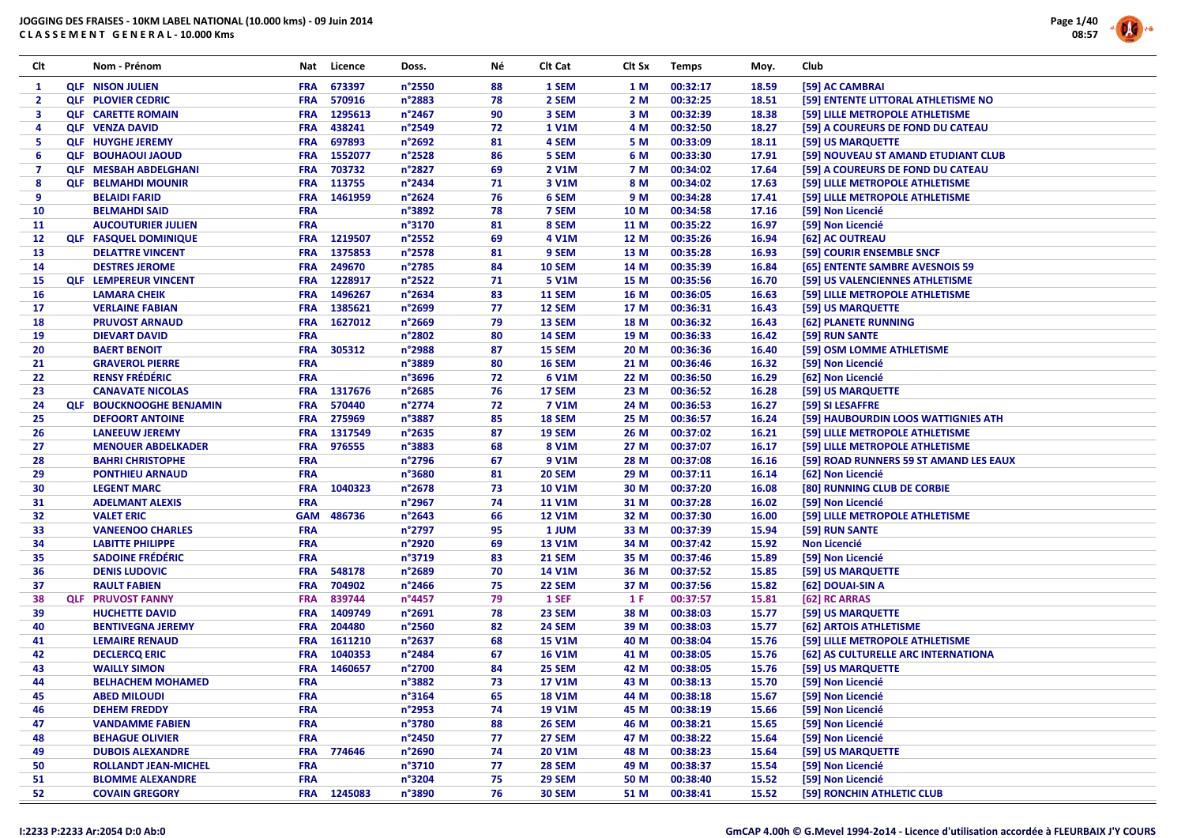# JOGGING DES FRAISES - 10KM LABEL NATIONAL (10.000 kms) - 09 Juin 2014





| Clt            | Nom - Prénom                    | Nat                      | Licence     | Doss.            | Νé       | Clt Cat                        | Clt Sx       | <b>Temps</b>         | Moy.           | Club                                   |
|----------------|---------------------------------|--------------------------|-------------|------------------|----------|--------------------------------|--------------|----------------------|----------------|----------------------------------------|
| $\mathbf{1}$   | <b>QLF NISON JULIEN</b>         | <b>FRA</b>               | 673397      | n°2550           | 88       | 1 SEM                          | 1 M          | 00:32:17             | 18.59          | [59] AC CAMBRAI                        |
| $\mathbf{2}$   | <b>QLF PLOVIER CEDRIC</b>       | <b>FRA</b>               | 570916      | n°2883           | 78       | 2 SEM                          | 2 M          | 00:32:25             | 18.51          | [59] ENTENTE LITTORAL ATHLETISME NO    |
| 3              | <b>QLF CARETTE ROMAIN</b>       | <b>FRA</b>               | 1295613     | n°2467           | 90       | 3 SEM                          | 3 M          | 00:32:39             | 18.38          | [59] LILLE METROPOLE ATHLETISME        |
| 4              | <b>QLF VENZA DAVID</b>          | <b>FRA</b>               | 438241      | $n^{\circ}$ 2549 | 72       | <b>1 V1M</b>                   | 4 M          | 00:32:50             | 18.27          | [59] A COUREURS DE FOND DU CATEAU      |
| 5              | <b>QLF HUYGHE JEREMY</b>        | <b>FRA</b>               | 697893      | n°2692           | 81       | 4 SEM                          | 5 M          | 00:33:09             | 18.11          | [59] US MARQUETTE                      |
| 6              | <b>OLF BOUHAOUI JAOUD</b>       | <b>FRA</b>               | 1552077     | n°2528           | 86       | 5 SEM                          | 6 M          | 00:33:30             | 17.91          | [59] NOUVEAU ST AMAND ETUDIANT CLUB    |
| $\overline{7}$ | <b>QLF MESBAH ABDELGHANI</b>    | <b>FRA</b>               | 703732      | n°2827           | 69       | 2 V1M                          | 7 M          | 00:34:02             | 17.64          | [59] A COUREURS DE FOND DU CATEAU      |
| 8              | <b>QLF BELMAHDI MOUNIR</b>      | FRA                      | 113755      | n°2434           | 71       | 3 V1M                          | 8 M          | 00:34:02             | 17.63          | [59] LILLE METROPOLE ATHLETISME        |
| 9              | <b>BELAIDI FARID</b>            | <b>FRA</b>               | 1461959     | n°2624           | 76       | 6 SEM                          | 9 M          | 00:34:28             | 17.41          | [59] LILLE METROPOLE ATHLETISME        |
| 10             | <b>BELMAHDI SAID</b>            | <b>FRA</b>               |             | n°3892           | 78       | 7 SEM                          | 10 M         | 00:34:58             | 17.16          | [59] Non Licencié                      |
| 11             | <b>AUCOUTURIER JULIEN</b>       | <b>FRA</b>               |             | n°3170           | 81       | 8 SEM                          | 11 M         | 00:35:22             | 16.97          | [59] Non Licencié                      |
| 12             | <b>QLF FASQUEL DOMINIQUE</b>    | <b>FRA</b>               | 1219507     | n°2552           | 69       | 4 V1M                          | 12 M         | 00:35:26             | 16.94          | [62] AC OUTREAU                        |
| 13             | <b>DELATTRE VINCENT</b>         | <b>FRA</b>               | 1375853     | $n^{\circ}$ 2578 | 81       | 9 SEM                          | 13 M         | 00:35:28             | 16.93          | [59] COURIR ENSEMBLE SNCF              |
| 14             | <b>DESTRES JEROME</b>           | <b>FRA</b>               | 249670      | n°2785           | 84       | <b>10 SEM</b>                  | 14 M         | 00:35:39             | 16.84          | [65] ENTENTE SAMBRE AVESNOIS 59        |
| 15             | <b>QLF LEMPEREUR VINCENT</b>    | <b>FRA</b>               | 1228917     | $n^{\circ}$ 2522 | 71       | 5 V1M                          | 15 M         | 00:35:56             | 16.70          | [59] US VALENCIENNES ATHLETISME        |
| 16             | <b>LAMARA CHEIK</b>             | <b>FRA</b>               | 1496267     | n°2634           | 83       | <b>11 SEM</b>                  | 16 M         | 00:36:05             | 16.63          | [59] LILLE METROPOLE ATHLETISME        |
| 17             | <b>VERLAINE FABIAN</b>          | <b>FRA</b>               | 1385621     | n°2699           | 77       | 12 SEM                         | 17 M         | 00:36:31             | 16.43          | [59] US MARQUETTE                      |
| 18             | <b>PRUVOST ARNAUD</b>           | <b>FRA</b>               | 1627012     | $n^{\circ}$ 2669 | 79       | 13 SEM                         | 18 M         | 00:36:32             | 16.43          | [62] PLANETE RUNNING                   |
| 19             | <b>DIEVART DAVID</b>            | <b>FRA</b>               |             | n°2802           | 80       | <b>14 SEM</b>                  | 19 M         | 00:36:33             | 16.42          | [59] RUN SANTE                         |
| 20             | <b>BAERT BENOIT</b>             | <b>FRA</b>               | 305312      | n°2988           | 87       | 15 SEM                         | 20 M         | 00:36:36             | 16.40          | [59] OSM LOMME ATHLETISME              |
| 21             | <b>GRAVEROL PIERRE</b>          | <b>FRA</b>               |             | n°3889           | 80       | <b>16 SEM</b>                  | 21 M         | 00:36:46             | 16.32          | [59] Non Licencié                      |
| 22             | <b>RENSY FRÉDÉRIC</b>           | <b>FRA</b>               |             | n°3696           | 72       | 6 V1M                          | 22 M         | 00:36:50             | 16.29          | [62] Non Licencié                      |
| 23             | <b>CANAVATE NICOLAS</b>         | <b>FRA</b>               | 1317676     | n°2685           | 76       | 17 SEM                         | 23 M         | 00:36:52             | 16.28          | [59] US MARQUETTE                      |
| 24             | <b>QLF BOUCKNOOGHE BENJAMIN</b> | <b>FRA</b>               | 570440      | $n^{\circ}$ 2774 | 72       | <b>7 V1M</b>                   | 24 M         | 00:36:53             | 16.27          | [59] SI LESAFFRE                       |
| 25             | <b>DEFOORT ANTOINE</b>          | <b>FRA</b>               | 275969      | n°3887           | 85       | 18 SEM                         | 25 M         | 00:36:57             | 16.24          | [59] HAUBOURDIN LOOS WATTIGNIES ATH    |
|                | <b>LANEEUW JEREMY</b>           |                          | 1317549     |                  | 87       |                                |              |                      |                |                                        |
| 26<br>27       |                                 | <b>FRA</b><br><b>FRA</b> | 976555      | $n^{\circ}$ 2635 | 68       | <b>19 SEM</b><br>8 V1M         | 26 M<br>27 M | 00:37:02<br>00:37:07 | 16.21<br>16.17 | [59] LILLE METROPOLE ATHLETISME        |
|                | <b>MENOUER ABDELKADER</b>       |                          |             | n°3883           | 67       |                                |              |                      |                | [59] LILLE METROPOLE ATHLETISME        |
| 28             | <b>BAHRI CHRISTOPHE</b>         | <b>FRA</b>               |             | n°2796           |          | 9 V1M                          | 28 M         | 00:37:08             | 16.16          | [59] ROAD RUNNERS 59 ST AMAND LES EAUX |
| 29<br>30       | <b>PONTHIEU ARNAUD</b>          | <b>FRA</b>               | 1040323     | n°3680           | 81<br>73 | <b>20 SEM</b><br><b>10 V1M</b> | 29 M         | 00:37:11<br>00:37:20 | 16.14          | [62] Non Licencié                      |
|                | <b>LEGENT MARC</b>              | <b>FRA</b>               |             | $n^{\circ}2678$  | 74       |                                | 30 M         |                      | 16.08          | [80] RUNNING CLUB DE CORBIE            |
| 31             | <b>ADELMANT ALEXIS</b>          | <b>FRA</b>               |             | n°2967           |          | <b>11 V1M</b>                  | 31 M         | 00:37:28             | 16.02          | [59] Non Licencié                      |
| 32             | <b>VALET ERIC</b>               | <b>GAM</b>               | 486736      | $n^{\circ}$ 2643 | 66       | <b>12 V1M</b>                  | 32 M         | 00:37:30             | 16.00          | [59] LILLE METROPOLE ATHLETISME        |
| 33             | <b>VANEENOO CHARLES</b>         | <b>FRA</b>               |             | n°2797           | 95       | 1 JUM                          | 33 M         | 00:37:39             | 15.94          | [59] RUN SANTE                         |
| 34             | <b>LABITTE PHILIPPE</b>         | <b>FRA</b>               |             | n°2920           | 69       | <b>13 V1M</b>                  | 34 M         | 00:37:42             | 15.92          | <b>Non Licencié</b>                    |
| 35             | <b>SADOINE FRÉDÉRIC</b>         | <b>FRA</b>               |             | n°3719           | 83       | <b>21 SEM</b>                  | 35 M         | 00:37:46             | 15.89          | [59] Non Licencié                      |
| 36             | <b>DENIS LUDOVIC</b>            | <b>FRA</b>               | 548178      | n°2689           | 70       | <b>14 V1M</b>                  | 36 M         | 00:37:52             | 15.85          | [59] US MARQUETTE                      |
| 37             | <b>RAULT FABIEN</b>             | <b>FRA</b>               | 704902      | n°2466           | 75       | 22 SEM                         | 37 M         | 00:37:56             | 15.82          | [62] DOUAI-SIN A                       |
| 38             | <b>QLF PRUVOST FANNY</b>        | <b>FRA</b>               | 839744      | n°4457           | 79       | 1 SEF                          | 1 F          | 00:37:57             | 15.81          | [62] RC ARRAS                          |
| 39             | <b>HUCHETTE DAVID</b>           | <b>FRA</b>               | 1409749     | n°2691           | 78       | 23 SEM                         | 38 M         | 00:38:03             | 15.77          | [59] US MARQUETTE                      |
| 40             | <b>BENTIVEGNA JEREMY</b>        | <b>FRA</b>               | 204480      | $n^{\circ}$ 2560 | 82       | <b>24 SEM</b>                  | 39 M         | 00:38:03             | 15.77          | [62] ARTOIS ATHLETISME                 |
| 41             | <b>LEMAIRE RENAUD</b>           | <b>FRA</b>               | 1611210     | n°2637           | 68       | <b>15 V1M</b>                  | 40 M         | 00:38:04             | 15.76          | [59] LILLE METROPOLE ATHLETISME        |
| 42             | <b>DECLERCQ ERIC</b>            | <b>FRA</b>               | 1040353     | n°2484           | 67       | <b>16 V1M</b>                  | 41 M         | 00:38:05             | 15.76          | [62] AS CULTURELLE ARC INTERNATIONA    |
| 43             | <b>WAILLY SIMON</b>             | <b>FRA</b>               | 1460657     | n°2700           | 84       | 25 SEM                         | 42 M         | 00:38:05             | 15.76          | [59] US MARQUETTE                      |
| 44             | <b>BELHACHEM MOHAMED</b>        | <b>FRA</b>               |             | n°3882           | 73       | <b>17 V1M</b>                  | 43 M         | 00:38:13             | 15.70          | [59] Non Licencié                      |
| 45             | <b>ABED MILOUDI</b>             | <b>FRA</b>               |             | $n^{\circ}3164$  | 65       | <b>18 V1M</b>                  | 44 M         | 00:38:18             | 15.67          | [59] Non Licencié                      |
| 46             | <b>DEHEM FREDDY</b>             | <b>FRA</b>               |             | $n^{\circ}$ 2953 | 74       | <b>19 V1M</b>                  | 45 M         | 00:38:19             | 15.66          | [59] Non Licencié                      |
| 47             | <b>VANDAMME FABIEN</b>          | <b>FRA</b>               |             | n°3780           | 88       | <b>26 SEM</b>                  | 46 M         | 00:38:21             | 15.65          | [59] Non Licencié                      |
| 48             | <b>BEHAGUE OLIVIER</b>          | <b>FRA</b>               |             | n°2450           | 77       | 27 SEM                         | 47 M         | 00:38:22             | 15.64          | [59] Non Licencié                      |
| 49             | <b>DUBOIS ALEXANDRE</b>         | <b>FRA</b>               | 774646      | n°2690           | 74       | 20 V1M                         | 48 M         | 00:38:23             | 15.64          | [59] US MARQUETTE                      |
| 50             | <b>ROLLANDT JEAN-MICHEL</b>     | <b>FRA</b>               |             | n°3710           | 77       | <b>28 SEM</b>                  | 49 M         | 00:38:37             | 15.54          | [59] Non Licencié                      |
| 51             | <b>BLOMME ALEXANDRE</b>         | <b>FRA</b>               |             | n°3204           | 75       | <b>29 SEM</b>                  | 50 M         | 00:38:40             | 15.52          | [59] Non Licencié                      |
| 52             | <b>COVAIN GREGORY</b>           |                          | FRA 1245083 | n°3890           | 76       | <b>30 SEM</b>                  | 51 M         | 00:38:41             | 15.52          | [59] RONCHIN ATHLETIC CLUB             |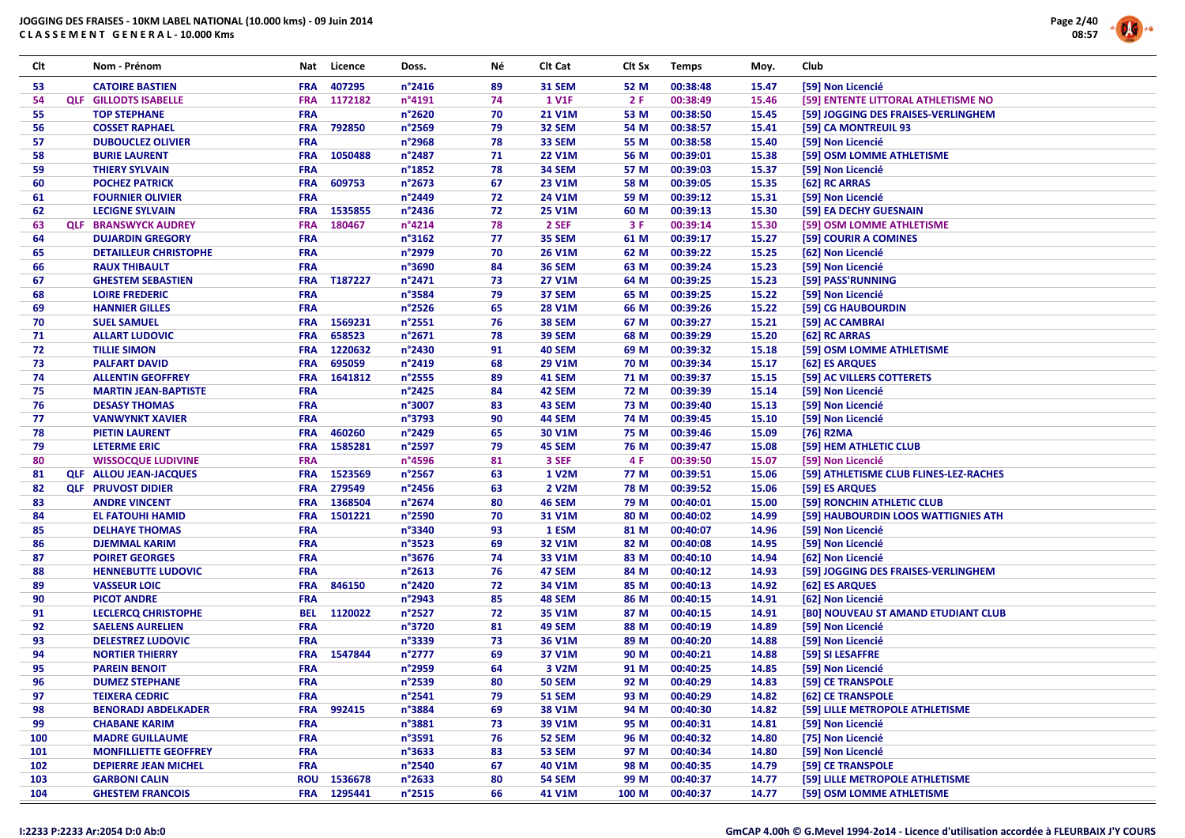

| Clt | Nom - Prénom                  | Nat        | Licence     | Doss.            | Νé | Clt Cat       | Clt Sx | <b>Temps</b> | Moy.  | Club                                   |
|-----|-------------------------------|------------|-------------|------------------|----|---------------|--------|--------------|-------|----------------------------------------|
| 53  | <b>CATOIRE BASTIEN</b>        | <b>FRA</b> | 407295      | $n^{\circ}$ 2416 | 89 | <b>31 SEM</b> | 52 M   | 00:38:48     | 15.47 | [59] Non Licencié                      |
| 54  | <b>QLF</b> GILLODTS ISABELLE  | <b>FRA</b> | 1172182     | n°4191           | 74 | <b>1 V1F</b>  | 2F     | 00:38:49     | 15.46 | [59] ENTENTE LITTORAL ATHLETISME NO    |
| 55  | <b>TOP STEPHANE</b>           | <b>FRA</b> |             | n°2620           | 70 | 21 V1M        | 53 M   | 00:38:50     | 15.45 | [59] JOGGING DES FRAISES-VERLINGHEM    |
| 56  | <b>COSSET RAPHAEL</b>         | <b>FRA</b> | 792850      | $n^{\circ}$ 2569 | 79 | 32 SEM        | 54 M   | 00:38:57     | 15.41 | [59] CA MONTREUIL 93                   |
| 57  | <b>DUBOUCLEZ OLIVIER</b>      | <b>FRA</b> |             | n°2968           | 78 | 33 SEM        | 55 M   | 00:38:58     | 15.40 | [59] Non Licencié                      |
| 58  | <b>BURIE LAURENT</b>          | <b>FRA</b> | 1050488     | n°2487           | 71 | <b>22 V1M</b> | 56 M   | 00:39:01     | 15.38 | [59] OSM LOMME ATHLETISME              |
| 59  | <b>THIERY SYLVAIN</b>         | <b>FRA</b> |             | n°1852           | 78 | <b>34 SEM</b> | 57 M   | 00:39:03     | 15.37 | [59] Non Licencié                      |
| 60  | <b>POCHEZ PATRICK</b>         | <b>FRA</b> | 609753      | $n^{\circ}2673$  | 67 | 23 V1M        | 58 M   | 00:39:05     | 15.35 | [62] RC ARRAS                          |
| 61  | <b>FOURNIER OLIVIER</b>       | <b>FRA</b> |             | n°2449           | 72 | 24 V1M        | 59 M   | 00:39:12     | 15.31 | [59] Non Licencié                      |
| 62  | <b>LECIGNE SYLVAIN</b>        | <b>FRA</b> | 1535855     | n°2436           | 72 | <b>25 V1M</b> | 60 M   | 00:39:13     | 15.30 | [59] EA DECHY GUESNAIN                 |
| 63  | <b>QLF BRANSWYCK AUDREY</b>   | <b>FRA</b> | 180467      | $n^{\circ}4214$  | 78 | 2 SEF         | 3 F    | 00:39:14     | 15.30 | [59] OSM LOMME ATHLETISME              |
| 64  | <b>DUJARDIN GREGORY</b>       | <b>FRA</b> |             | $n^{\circ}3162$  | 77 | 35 SEM        | 61 M   | 00:39:17     | 15.27 | [59] COURIR A COMINES                  |
| 65  | <b>DETAILLEUR CHRISTOPHE</b>  | <b>FRA</b> |             | n°2979           | 70 | <b>26 V1M</b> | 62 M   | 00:39:22     | 15.25 | [62] Non Licencié                      |
| 66  | <b>RAUX THIBAULT</b>          | <b>FRA</b> |             | n°3690           | 84 | <b>36 SEM</b> | 63 M   | 00:39:24     | 15.23 | [59] Non Licencié                      |
| 67  | <b>GHESTEM SEBASTIEN</b>      | <b>FRA</b> | T187227     | $n^{\circ}$ 2471 | 73 | <b>27 V1M</b> | 64 M   | 00:39:25     | 15.23 | [59] PASS'RUNNING                      |
| 68  | <b>LOIRE FREDERIC</b>         | <b>FRA</b> |             | n°3584           | 79 | 37 SEM        | 65 M   | 00:39:25     | 15.22 | [59] Non Licencié                      |
| 69  | <b>HANNIER GILLES</b>         | <b>FRA</b> |             | $n^{\circ}$ 2526 | 65 | <b>28 V1M</b> | 66 M   | 00:39:26     | 15.22 | [59] CG HAUBOURDIN                     |
| 70  | <b>SUEL SAMUEL</b>            | <b>FRA</b> | 1569231     | n°2551           | 76 | <b>38 SEM</b> | 67 M   | 00:39:27     | 15.21 | [59] AC CAMBRAI                        |
| 71  | <b>ALLART LUDOVIC</b>         | <b>FRA</b> | 658523      | n°2671           | 78 | <b>39 SEM</b> | 68 M   | 00:39:29     | 15.20 | [62] RC ARRAS                          |
| 72  | <b>TILLIE SIMON</b>           | <b>FRA</b> | 1220632     | n°2430           | 91 | <b>40 SEM</b> | 69 M   | 00:39:32     | 15.18 | [59] OSM LOMME ATHLETISME              |
| 73  | <b>PALFART DAVID</b>          | <b>FRA</b> | 695059      | n°2419           | 68 | 29 V1M        | 70 M   | 00:39:34     | 15.17 | [62] ES ARQUES                         |
| 74  | <b>ALLENTIN GEOFFREY</b>      | <b>FRA</b> | 1641812     | $n^{\circ}$ 2555 | 89 | <b>41 SEM</b> | 71 M   | 00:39:37     | 15.15 | [59] AC VILLERS COTTERETS              |
| 75  | <b>MARTIN JEAN-BAPTISTE</b>   | <b>FRA</b> |             | $n^{\circ}$ 2425 | 84 | 42 SEM        | 72 M   | 00:39:39     | 15.14 | [59] Non Licencié                      |
| 76  | <b>DESASY THOMAS</b>          | <b>FRA</b> |             | n°3007           | 83 | 43 SEM        | 73 M   | 00:39:40     | 15.13 | [59] Non Licencié                      |
| 77  | <b>VANWYNKT XAVIER</b>        | <b>FRA</b> |             | n°3793           | 90 | 44 SEM        | 74 M   | 00:39:45     | 15.10 | [59] Non Licencié                      |
| 78  | <b>PIETIN LAURENT</b>         | <b>FRA</b> | 460260      | n°2429           | 65 | 30 V1M        | 75 M   | 00:39:46     | 15.09 | [76] R2MA                              |
| 79  | <b>LETERME ERIC</b>           | <b>FRA</b> | 1585281     | $n^{\circ}$ 2597 | 79 | 45 SEM        | 76 M   | 00:39:47     | 15.08 | [59] HEM ATHLETIC CLUB                 |
| 80  | <b>WISSOCQUE LUDIVINE</b>     | <b>FRA</b> |             | n°4596           | 81 | 3 SEF         | 4 F    | 00:39:50     | 15.07 | [59] Non Licencié                      |
| 81  | <b>QLF ALLOU JEAN-JACQUES</b> | <b>FRA</b> | 1523569     | n°2567           | 63 | 1 V2M         | 77 M   | 00:39:51     | 15.06 | [59] ATHLETISME CLUB FLINES-LEZ-RACHES |
| 82  | <b>QLF PRUVOST DIDIER</b>     | <b>FRA</b> | 279549      | n°2456           | 63 | 2 V2M         | 78 M   | 00:39:52     | 15.06 | [59] ES ARQUES                         |
| 83  | <b>ANDRE VINCENT</b>          | <b>FRA</b> | 1368504     | $n^{\circ}2674$  | 80 | <b>46 SEM</b> | 79 M   | 00:40:01     | 15.00 | [59] RONCHIN ATHLETIC CLUB             |
| 84  | <b>EL FATOUHI HAMID</b>       | <b>FRA</b> | 1501221     | n°2590           | 70 | 31 V1M        | 80 M   | 00:40:02     | 14.99 | [59] HAUBOURDIN LOOS WATTIGNIES ATH    |
| 85  | <b>DELHAYE THOMAS</b>         | <b>FRA</b> |             | n°3340           | 93 | 1 ESM         | 81 M   | 00:40:07     | 14.96 | [59] Non Licencié                      |
| 86  | <b>DJEMMAL KARIM</b>          | <b>FRA</b> |             | $n^{\circ}3523$  | 69 | 32 V1M        | 82 M   | 00:40:08     | 14.95 | [59] Non Licencié                      |
| 87  | <b>POIRET GEORGES</b>         | <b>FRA</b> |             | n°3676           | 74 | 33 V1M        | 83 M   | 00:40:10     | 14.94 | [62] Non Licencié                      |
| 88  | <b>HENNEBUTTE LUDOVIC</b>     | <b>FRA</b> |             | $n^{\circ}2613$  | 76 | 47 SEM        | 84 M   | 00:40:12     | 14.93 | [59] JOGGING DES FRAISES-VERLINGHEM    |
| 89  | <b>VASSEUR LOIC</b>           | <b>FRA</b> | 846150      | n°2420           | 72 | 34 V1M        | 85 M   | 00:40:13     | 14.92 | [62] ES ARQUES                         |
| 90  | <b>PICOT ANDRE</b>            | <b>FRA</b> |             | $n^{\circ}$ 2943 | 85 | 48 SEM        | 86 M   | 00:40:15     | 14.91 | [62] Non Licencié                      |
| 91  | <b>LECLERCQ CHRISTOPHE</b>    | <b>BEL</b> | 1120022     | n°2527           | 72 | 35 V1M        | 87 M   | 00:40:15     | 14.91 | [B0] NOUVEAU ST AMAND ETUDIANT CLUB    |
| 92  | <b>SAELENS AURELIEN</b>       | <b>FRA</b> |             | n°3720           | 81 | <b>49 SEM</b> | 88 M   | 00:40:19     | 14.89 | [59] Non Licencié                      |
| 93  | <b>DELESTREZ LUDOVIC</b>      | <b>FRA</b> |             | n°3339           | 73 | 36 V1M        | 89 M   | 00:40:20     | 14.88 | [59] Non Licencié                      |
| 94  | <b>NORTIER THIERRY</b>        | <b>FRA</b> | 1547844     | n°2777           | 69 | 37 V1M        | 90 M   | 00:40:21     | 14.88 | [59] SI LESAFFRE                       |
| 95  | <b>PAREIN BENOIT</b>          | <b>FRA</b> |             | n°2959           | 64 | 3 V2M         | 91 M   | 00:40:25     | 14.85 | [59] Non Licencié                      |
| 96  | <b>DUMEZ STEPHANE</b>         | <b>FRA</b> |             | n°2539           | 80 | <b>50 SEM</b> | 92 M   | 00:40:29     | 14.83 | [59] CE TRANSPOLE                      |
| 97  | <b>TEIXERA CEDRIC</b>         | <b>FRA</b> |             | $n^{\circ}$ 2541 | 79 | <b>51 SEM</b> | 93 M   | 00:40:29     | 14.82 | [62] CE TRANSPOLE                      |
| 98  | <b>BENORADJ ABDELKADER</b>    | <b>FRA</b> | 992415      | n°3884           | 69 | 38 V1M        | 94 M   | 00:40:30     | 14.82 | [59] LILLE METROPOLE ATHLETISME        |
| 99  | <b>CHABANE KARIM</b>          | <b>FRA</b> |             | n°3881           | 73 | 39 V1M        | 95 M   | 00:40:31     | 14.81 | [59] Non Licencié                      |
| 100 | <b>MADRE GUILLAUME</b>        | <b>FRA</b> |             | n°3591           | 76 | 52 SEM        | 96 M   | 00:40:32     | 14.80 | [75] Non Licencié                      |
| 101 | <b>MONFILLIETTE GEOFFREY</b>  | <b>FRA</b> |             | n°3633           | 83 | 53 SEM        | 97 M   | 00:40:34     | 14.80 | [59] Non Licencié                      |
| 102 | <b>DEPIERRE JEAN MICHEL</b>   | <b>FRA</b> |             | n°2540           | 67 | 40 V1M        | 98 M   | 00:40:35     | 14.79 | [59] CE TRANSPOLE                      |
| 103 | <b>GARBONI CALIN</b>          |            | ROU 1536678 | $n^{\circ}$ 2633 | 80 | <b>54 SEM</b> | 99 M   | 00:40:37     | 14.77 | [59] LILLE METROPOLE ATHLETISME        |
| 104 | <b>GHESTEM FRANCOIS</b>       |            | FRA 1295441 | n°2515           | 66 | 41 V1M        | 100 M  | 00:40:37     | 14.77 | [59] OSM LOMME ATHLETISME              |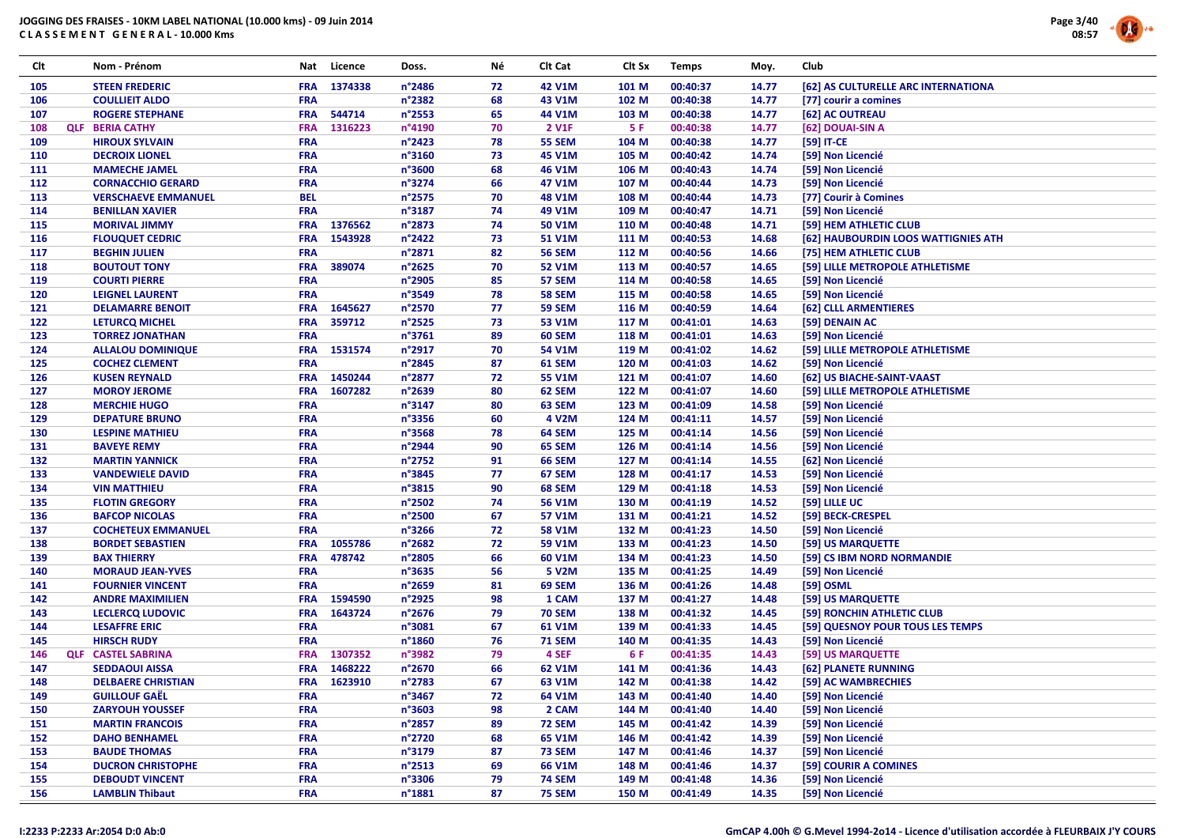

| Clt        | Nom - Prénom                                   | Nat                      | Licence     | Doss.            | Νé       | Clt Cat                 | Clt Sx         | <b>Temps</b>         | Moy.           | Club                                   |
|------------|------------------------------------------------|--------------------------|-------------|------------------|----------|-------------------------|----------------|----------------------|----------------|----------------------------------------|
| 105        | <b>STEEN FREDERIC</b>                          | <b>FRA</b>               | 1374338     | n°2486           | 72       | 42 V1M                  | 101 M          | 00:40:37             | 14.77          | [62] AS CULTURELLE ARC INTERNATIONA    |
| 106        | <b>COULLIEIT ALDO</b>                          | <b>FRA</b>               |             | n°2382           | 68       | 43 V1M                  | 102 M          | 00:40:38             | 14.77          | [77] courir a comines                  |
| 107        | <b>ROGERE STEPHANE</b>                         | <b>FRA</b>               | 544714      | n°2553           | 65       | 44 V1M                  | 103 M          | 00:40:38             | 14.77          | [62] AC OUTREAU                        |
| 108        | <b>QLF BERIA CATHY</b>                         | <b>FRA</b>               | 1316223     | n°4190           | 70       | 2 V1F                   | 5 F            | 00:40:38             | 14.77          | [62] DOUAI-SIN A                       |
| 109        | <b>HIROUX SYLVAIN</b>                          | FRA                      |             | n°2423           | 78       | <b>55 SEM</b>           | 104 M          | 00:40:38             | 14.77          | [59] IT-CE                             |
| 110        | <b>DECROIX LIONEL</b>                          | <b>FRA</b>               |             | n°3160           | 73       | 45 V1M                  | 105 M          | 00:40:42             | 14.74          | [59] Non Licencié                      |
| 111        | <b>MAMECHE JAMEL</b>                           | <b>FRA</b>               |             | n°3600           | 68       | 46 V1M                  | 106 M          | 00:40:43             | 14.74          | [59] Non Licencié                      |
| 112        | <b>CORNACCHIO GERARD</b>                       | <b>FRA</b>               |             | n°3274           | 66       | 47 V1M                  | 107 M          | 00:40:44             | 14.73          | [59] Non Licencié                      |
| 113        | <b>VERSCHAEVE EMMANUEL</b>                     | <b>BEL</b>               |             | n°2575           | 70       | 48 V1M                  | 108 M          | 00:40:44             | 14.73          | [77] Courir à Comines                  |
| 114        | <b>BENILLAN XAVIER</b>                         | <b>FRA</b>               |             | n°3187           | 74       | 49 V1M                  | 109 M          | 00:40:47             | 14.71          | [59] Non Licencié                      |
| 115        | <b>MORIVAL JIMMY</b>                           | <b>FRA</b>               | 1376562     | n°2873           | 74       | 50 V1M                  | 110 M          | 00:40:48             | 14.71          | [59] HEM ATHLETIC CLUB                 |
| 116        | <b>FLOUQUET CEDRIC</b>                         | <b>FRA</b>               | 1543928     | n°2422           | 73       | 51 V1M                  | 111 M          | 00:40:53             | 14.68          | [62] HAUBOURDIN LOOS WATTIGNIES ATH    |
| 117        | <b>BEGHIN JULIEN</b>                           | <b>FRA</b>               |             | n°2871           | 82       | <b>56 SEM</b>           | 112 M          | 00:40:56             | 14.66          | [75] HEM ATHLETIC CLUB                 |
| 118        | <b>BOUTOUT TONY</b>                            | <b>FRA</b>               | 389074      | n°2625           | 70       | 52 V1M                  | 113 M          | 00:40:57             | 14.65          | [59] LILLE METROPOLE ATHLETISME        |
| 119        | <b>COURTI PIERRE</b>                           | <b>FRA</b>               |             | n°2905           | 85       | 57 SEM                  | 114 M          | 00:40:58             | 14.65          | [59] Non Licencié                      |
| 120        | <b>LEIGNEL LAURENT</b>                         | <b>FRA</b>               |             | n°3549           | 78       | <b>58 SEM</b>           | 115 M          | 00:40:58             | 14.65          | [59] Non Licencié                      |
| 121        | <b>DELAMARRE BENOIT</b>                        | <b>FRA</b>               | 1645627     | n°2570           | 77       | <b>59 SEM</b>           | 116 M          | 00:40:59             | 14.64          | [62] CLLL ARMENTIERES                  |
| 122        | LETURCQ MICHEL                                 | <b>FRA</b>               | 359712      | n°2525           | 73       | 53 V1M                  | 117 M          | 00:41:01             | 14.63          | [59] DENAIN AC                         |
| 123        | <b>TORREZ JONATHAN</b>                         | <b>FRA</b>               |             | n°3761           | 89       | <b>60 SEM</b>           | 118 M          | 00:41:01             | 14.63          | [59] Non Licencié                      |
| 124        | <b>ALLALOU DOMINIQUE</b>                       | <b>FRA</b>               | 1531574     | n°2917           | 70       | 54 V1M                  | 119 M          | 00:41:02             | 14.62          | [59] LILLE METROPOLE ATHLETISME        |
| 125        | <b>COCHEZ CLEMENT</b>                          | <b>FRA</b>               |             | n°2845           | 87       | 61 SEM                  | 120 M          | 00:41:03             | 14.62          | [59] Non Licencié                      |
| 126        | <b>KUSEN REYNALD</b>                           | <b>FRA</b>               | 1450244     | n°2877           | 72       | 55 V1M                  | 121 M          | 00:41:07             | 14.60          | [62] US BIACHE-SAINT-VAAST             |
| 127        | <b>MOROY JEROME</b>                            | <b>FRA</b>               | 1607282     | n°2639           | 80       | 62 SEM                  | 122 M          | 00:41:07             | 14.60          | [59] LILLE METROPOLE ATHLETISME        |
| 128        | <b>MERCHIE HUGO</b>                            | <b>FRA</b>               |             | n°3147           | 80       | 63 SEM                  | 123 M          | 00:41:09             | 14.58          | [59] Non Licencié                      |
| 129        | <b>DEPATURE BRUNO</b>                          | <b>FRA</b>               |             | n°3356           | 60       | 4 V2M                   | 124 M          | 00:41:11             | 14.57          | [59] Non Licencié                      |
| 130        | <b>LESPINE MATHIEU</b>                         | <b>FRA</b>               |             | n°3568           | 78       | 64 SEM                  | 125 M          | 00:41:14             | 14.56          | [59] Non Licencié                      |
| 131        | <b>BAVEYE REMY</b>                             | FRA                      |             | n°2944           | 90       | 65 SEM                  | 126 M          | 00:41:14             | 14.56          | [59] Non Licencié                      |
| 132        | <b>MARTIN YANNICK</b>                          | <b>FRA</b>               |             | n°2752           | 91       | 66 SEM                  | 127 M          | 00:41:14             | 14.55          | [62] Non Licencié                      |
| 133        | <b>VANDEWIELE DAVID</b>                        | <b>FRA</b>               |             | n°3845           | 77       | 67 SEM                  | 128 M          | 00:41:17             | 14.53          | [59] Non Licencié                      |
| 134        | <b>VIN MATTHIEU</b>                            | <b>FRA</b>               |             | n°3815           | 90       | <b>68 SEM</b>           | 129 M          | 00:41:18             | 14.53          | [59] Non Licencié                      |
| 135        | <b>FLOTIN GREGORY</b>                          | <b>FRA</b>               |             | n°2502           | 74       | 56 V1M                  | 130 M          | 00:41:19             | 14.52          | [59] LILLE UC                          |
| 136        | <b>BAFCOP NICOLAS</b>                          | <b>FRA</b>               |             | n°2500           | 67       | 57 V1M                  | 131 M          | 00:41:21             | 14.52          | [59] BECK-CRESPEL                      |
| 137        | <b>COCHETEUX EMMANUEL</b>                      | <b>FRA</b>               |             | n°3266           | 72       | <b>58 V1M</b>           | 132 M          | 00:41:23             | 14.50          | [59] Non Licencié                      |
| 138        | <b>BORDET SEBASTIEN</b>                        | <b>FRA</b>               | 1055786     | n°2682           | 72       | 59 V1M                  | 133 M          | 00:41:23             | 14.50          | [59] US MARQUETTE                      |
| 139        | <b>BAX THIERRY</b>                             | <b>FRA</b>               | 478742      | n°2805           | 66       | 60 V1M                  | 134 M          | 00:41:23             | 14.50          | [59] CS IBM NORD NORMANDIE             |
| 140        | <b>MORAUD JEAN-YVES</b>                        | <b>FRA</b>               |             | n°3635           | 56       | 5 V2M                   | 135 M          | 00:41:25             | 14.49          | [59] Non Licencié                      |
| 141        | <b>FOURNIER VINCENT</b>                        | <b>FRA</b>               |             | n°2659           | 81       | 69 SEM                  | 136 M          | 00:41:26             | 14.48          | [59] OSML                              |
| 142        | <b>ANDRE MAXIMILIEN</b>                        | <b>FRA</b>               | 1594590     | n°2925           | 98       | 1 CAM                   | 137 M          | 00:41:27             | 14.48          | [59] US MARQUETTE                      |
| 143        | <b>LECLERCQ LUDOVIC</b>                        | <b>FRA</b>               | 1643724     | n°2676           | 79       | <b>70 SEM</b>           | 138 M          | 00:41:32             | 14.45          | [59] RONCHIN ATHLETIC CLUB             |
| 144        | <b>LESAFFRE ERIC</b>                           | <b>FRA</b>               |             | n°3081           | 67       | 61 V1M                  | 139 M          | 00:41:33             | 14.45          | [59] QUESNOY POUR TOUS LES TEMPS       |
| 145        | <b>HIRSCH RUDY</b>                             | <b>FRA</b>               |             | n°1860           | 76       | <b>71 SEM</b>           | 140 M          | 00:41:35             | 14.43          | [59] Non Licencié                      |
| 146        | <b>QLF CASTEL SABRINA</b>                      | <b>FRA</b>               | 1307352     | n°3982           | 79       | 4 SEF                   | 6 F            | 00:41:35             | 14.43          | [59] US MARQUETTE                      |
| 147        | <b>SEDDAOUI AISSA</b>                          | <b>FRA</b>               | 1468222     | n°2670           | 66       | 62 V1M                  | 141 M          | 00:41:36             | 14.43          | [62] PLANETE RUNNING                   |
| 148        | <b>DELBAERE CHRISTIAN</b>                      |                          | FRA 1623910 | n°2783           | 67       | 63 V1M                  | 142 M          | 00:41:38             | 14.42          | [59] AC WAMBRECHIES                    |
|            |                                                |                          |             |                  |          |                         |                |                      |                |                                        |
| 149<br>150 | <b>GUILLOUF GAEL</b><br><b>ZARYOUH YOUSSEF</b> | <b>FRA</b><br><b>FRA</b> |             | n°3467<br>n°3603 | 72<br>98 | 64 V1M<br>2 CAM         | 143 M<br>144 M | 00:41:40<br>00:41:40 | 14.40<br>14.40 | [59] Non Licencié<br>[59] Non Licencié |
|            | <b>MARTIN FRANCOIS</b>                         |                          |             |                  |          |                         |                |                      |                |                                        |
| 151<br>152 | <b>DAHO BENHAMEL</b>                           | <b>FRA</b><br><b>FRA</b> |             | n°2857<br>n°2720 | 89<br>68 | <b>72 SEM</b><br>65 V1M | 145 M<br>146 M | 00:41:42<br>00:41:42 | 14.39<br>14.39 | [59] Non Licencié<br>[59] Non Licencié |
|            | <b>BAUDE THOMAS</b>                            | <b>FRA</b>               |             | n°3179           |          | <b>73 SEM</b>           | 147 M          | 00:41:46             | 14.37          | [59] Non Licencié                      |
| 153        | <b>DUCRON CHRISTOPHE</b>                       |                          |             | $n^{\circ}$ 2513 | 87<br>69 | 66 V1M                  |                |                      |                | [59] COURIR A COMINES                  |
| 154        |                                                | <b>FRA</b>               |             | n°3306           |          |                         | 148 M          | 00:41:46             | 14.37          |                                        |
| 155        | <b>DEBOUDT VINCENT</b>                         | <b>FRA</b><br><b>FRA</b> |             |                  | 79<br>87 | <b>74 SEM</b>           | 149 M          | 00:41:48             | 14.36<br>14.35 | [59] Non Licencié                      |
| 156        | <b>LAMBLIN Thibaut</b>                         |                          |             | n°1881           |          | <b>75 SEM</b>           | 150 M          | 00:41:49             |                | [59] Non Licencié                      |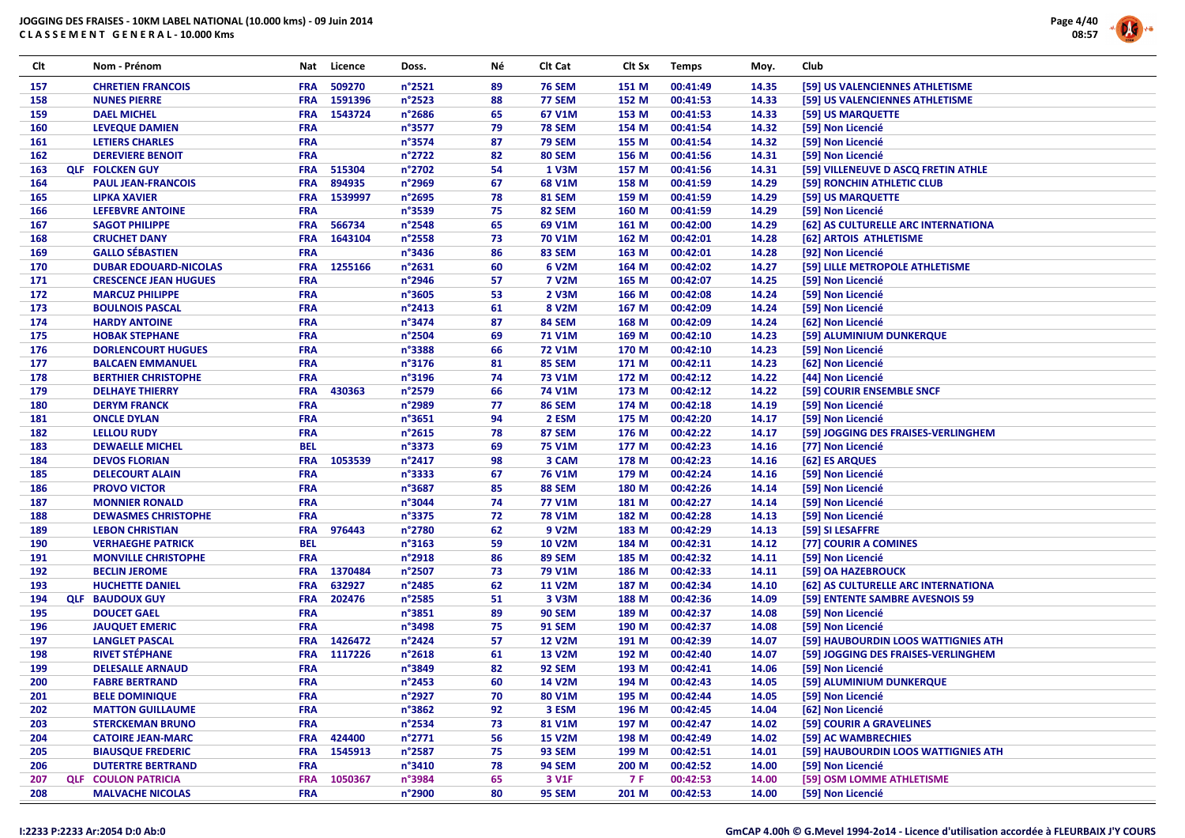

| Clt | Nom - Prénom                 |            | Nat Licence | Doss.            | Νé | Clt Cat            | Clt Sx    | <b>Temps</b> | Moy.  | Club                                |
|-----|------------------------------|------------|-------------|------------------|----|--------------------|-----------|--------------|-------|-------------------------------------|
| 157 | <b>CHRETIEN FRANCOIS</b>     | <b>FRA</b> | 509270      | n°2521           | 89 | <b>76 SEM</b>      | 151 M     | 00:41:49     | 14.35 | [59] US VALENCIENNES ATHLETISME     |
| 158 | <b>NUNES PIERRE</b>          | <b>FRA</b> | 1591396     | n°2523           | 88 | <b>77 SEM</b>      | 152 M     | 00:41:53     | 14.33 | [59] US VALENCIENNES ATHLETISME     |
| 159 | <b>DAEL MICHEL</b>           | <b>FRA</b> | 1543724     | $n^{\circ}$ 2686 | 65 | 67 V1M             | 153 M     | 00:41:53     | 14.33 | [59] US MARQUETTE                   |
| 160 | <b>LEVEQUE DAMIEN</b>        | <b>FRA</b> |             | n°3577           | 79 | <b>78 SEM</b>      | 154 M     | 00:41:54     | 14.32 | [59] Non Licencié                   |
| 161 | <b>LETIERS CHARLES</b>       | <b>FRA</b> |             | n°3574           | 87 | <b>79 SEM</b>      | 155 M     | 00:41:54     | 14.32 | [59] Non Licencié                   |
| 162 | <b>DEREVIERE BENOIT</b>      | <b>FRA</b> |             | n°2722           | 82 | <b>80 SEM</b>      | 156 M     | 00:41:56     | 14.31 | [59] Non Licencié                   |
| 163 | <b>QLF FOLCKEN GUY</b>       | <b>FRA</b> | 515304      | n°2702           | 54 | 1 V3M              | 157 M     | 00:41:56     | 14.31 | [59] VILLENEUVE D ASCQ FRETIN ATHLE |
| 164 | <b>PAUL JEAN-FRANCOIS</b>    | <b>FRA</b> | 894935      | n°2969           | 67 | 68 V1M             | 158 M     | 00:41:59     | 14.29 | [59] RONCHIN ATHLETIC CLUB          |
| 165 | <b>LIPKA XAVIER</b>          | <b>FRA</b> | 1539997     | n°2695           | 78 | <b>81 SEM</b>      | 159 M     | 00:41:59     | 14.29 | [59] US MARQUETTE                   |
| 166 | <b>LEFEBVRE ANTOINE</b>      | <b>FRA</b> |             | n°3539           | 75 | 82 SEM             | 160 M     | 00:41:59     | 14.29 | [59] Non Licencié                   |
| 167 | <b>SAGOT PHILIPPE</b>        | <b>FRA</b> | 566734      | $n^{\circ}$ 2548 | 65 | 69 V1M             | 161 M     | 00:42:00     | 14.29 | [62] AS CULTURELLE ARC INTERNATIONA |
| 168 | <b>CRUCHET DANY</b>          | <b>FRA</b> | 1643104     | $n^{\circ}$ 2558 | 73 | 70 V1M             | 162 M     | 00:42:01     | 14.28 | [62] ARTOIS ATHLETISME              |
| 169 | <b>GALLO SÉBASTIEN</b>       | <b>FRA</b> |             | n°3436           | 86 | 83 SEM             | 163 M     | 00:42:01     | 14.28 | [92] Non Licencié                   |
| 170 | <b>DUBAR EDOUARD-NICOLAS</b> | <b>FRA</b> | 1255166     | $n^{\circ}2631$  | 60 | 6 V2M              | 164 M     | 00:42:02     | 14.27 | [59] LILLE METROPOLE ATHLETISME     |
| 171 | <b>CRESCENCE JEAN HUGUES</b> | <b>FRA</b> |             | n°2946           | 57 | <b>7 V2M</b>       | 165 M     | 00:42:07     | 14.25 | [59] Non Licencié                   |
| 172 | <b>MARCUZ PHILIPPE</b>       | <b>FRA</b> |             | n°3605           | 53 | 2 V3M              | 166 M     | 00:42:08     | 14.24 | [59] Non Licencié                   |
| 173 | <b>BOULNOIS PASCAL</b>       | <b>FRA</b> |             | $n^{\circ}$ 2413 | 61 | 8 V2M              | 167 M     | 00:42:09     | 14.24 | [59] Non Licencié                   |
| 174 | <b>HARDY ANTOINE</b>         | <b>FRA</b> |             | n°3474           | 87 | 84 SEM             | 168 M     | 00:42:09     | 14.24 | [62] Non Licencié                   |
| 175 | <b>HOBAK STEPHANE</b>        | <b>FRA</b> |             | $n^{\circ}$ 2504 | 69 | <b>71 V1M</b>      | 169 M     | 00:42:10     | 14.23 | [59] ALUMINIUM DUNKERQUE            |
| 176 | <b>DORLENCOURT HUGUES</b>    | <b>FRA</b> |             | n°3388           | 66 | <b>72 V1M</b>      | 170 M     | 00:42:10     | 14.23 | [59] Non Licencié                   |
| 177 | <b>BALCAEN EMMANUEL</b>      | <b>FRA</b> |             | n°3176           | 81 | 85 SEM             | 171 M     | 00:42:11     | 14.23 | [62] Non Licencié                   |
| 178 | <b>BERTHIER CHRISTOPHE</b>   | <b>FRA</b> |             | n°3196           | 74 | <b>73 V1M</b>      | 172 M     | 00:42:12     | 14.22 | [44] Non Licencié                   |
| 179 | <b>DELHAYE THIERRY</b>       | <b>FRA</b> | 430363      | n°2579           | 66 | <b>74 V1M</b>      | 173 M     | 00:42:12     | 14.22 | [59] COURIR ENSEMBLE SNCF           |
| 180 | <b>DERYM FRANCK</b>          | <b>FRA</b> |             | n°2989           | 77 | <b>86 SEM</b>      | 174 M     | 00:42:18     | 14.19 | [59] Non Licencié                   |
| 181 | <b>ONCLE DYLAN</b>           | <b>FRA</b> |             | $n^{\circ}3651$  | 94 | 2 ESM              | 175 M     | 00:42:20     | 14.17 | [59] Non Licencié                   |
| 182 | <b>LELLOU RUDY</b>           | <b>FRA</b> |             | $n^{\circ}2615$  | 78 | 87 SEM             | 176 M     | 00:42:22     | 14.17 | [59] JOGGING DES FRAISES-VERLINGHEM |
| 183 | <b>DEWAELLE MICHEL</b>       | <b>BEL</b> |             | n°3373           | 69 | <b>75 V1M</b>      | 177 M     | 00:42:23     | 14.16 | [77] Non Licencié                   |
| 184 | <b>DEVOS FLORIAN</b>         | <b>FRA</b> | 1053539     | $n^{\circ}$ 2417 | 98 | 3 CAM              | 178 M     | 00:42:23     | 14.16 | [62] ES ARQUES                      |
| 185 | <b>DELECOURT ALAIN</b>       | <b>FRA</b> |             | n°3333           | 67 | <b>76 V1M</b>      | 179 M     | 00:42:24     | 14.16 | [59] Non Licencié                   |
| 186 | <b>PROVO VICTOR</b>          | <b>FRA</b> |             | n°3687           | 85 | <b>88 SEM</b>      | 180 M     | 00:42:26     | 14.14 | [59] Non Licencié                   |
| 187 | <b>MONNIER RONALD</b>        | <b>FRA</b> |             | n°3044           | 74 | <b>77 V1M</b>      | 181 M     | 00:42:27     | 14.14 | [59] Non Licencié                   |
| 188 | <b>DEWASMES CHRISTOPHE</b>   | <b>FRA</b> |             | n°3375           | 72 | <b>78 V1M</b>      | 182 M     | 00:42:28     | 14.13 | [59] Non Licencié                   |
| 189 | <b>LEBON CHRISTIAN</b>       | <b>FRA</b> | 976443      | n°2780           | 62 | 9 V <sub>2</sub> M | 183 M     | 00:42:29     | 14.13 | [59] SI LESAFFRE                    |
| 190 | <b>VERHAEGHE PATRICK</b>     | <b>BEL</b> |             | $n^{\circ}3163$  | 59 | <b>10 V2M</b>      | 184 M     | 00:42:31     | 14.12 | [77] COURIR A COMINES               |
| 191 | <b>MONVILLE CHRISTOPHE</b>   | <b>FRA</b> |             | n°2918           | 86 | 89 SEM             | 185 M     | 00:42:32     | 14.11 | [59] Non Licencié                   |
| 192 | <b>BECLIN JEROME</b>         | <b>FRA</b> | 1370484     | n°2507           | 73 | <b>79 V1M</b>      | 186 M     | 00:42:33     | 14.11 | [59] OA HAZEBROUCK                  |
| 193 | <b>HUCHETTE DANIEL</b>       | <b>FRA</b> | 632927      | n°2485           | 62 | <b>11 V2M</b>      | 187 M     | 00:42:34     | 14.10 | [62] AS CULTURELLE ARC INTERNATIONA |
| 194 | <b>QLF BAUDOUX GUY</b>       | <b>FRA</b> | 202476      | n°2585           | 51 | 3 V3M              | 188 M     | 00:42:36     | 14.09 | [59] ENTENTE SAMBRE AVESNOIS 59     |
| 195 | <b>DOUCET GAEL</b>           | <b>FRA</b> |             | n°3851           | 89 | <b>90 SEM</b>      | 189 M     | 00:42:37     | 14.08 | [59] Non Licencié                   |
| 196 | <b>JAUQUET EMERIC</b>        | <b>FRA</b> |             | n°3498           | 75 | <b>91 SEM</b>      | 190 M     | 00:42:37     | 14.08 | [59] Non Licencié                   |
| 197 | <b>LANGLET PASCAL</b>        | <b>FRA</b> | 1426472     | n°2424           | 57 | <b>12 V2M</b>      | 191 M     | 00:42:39     | 14.07 | [59] HAUBOURDIN LOOS WATTIGNIES ATH |
| 198 | <b>RIVET STÉPHANE</b>        | <b>FRA</b> | 1117226     | $n^{\circ}2618$  | 61 | <b>13 V2M</b>      | 192 M     | 00:42:40     | 14.07 | [59] JOGGING DES FRAISES-VERLINGHEM |
| 199 | <b>DELESALLE ARNAUD</b>      | <b>FRA</b> |             | n°3849           | 82 | <b>92 SEM</b>      | 193 M     | 00:42:41     | 14.06 | [59] Non Licencié                   |
| 200 | <b>FABRE BERTRAND</b>        | <b>FRA</b> |             | $n^{\circ}$ 2453 | 60 | <b>14 V2M</b>      | 194 M     | 00:42:43     | 14.05 | [59] ALUMINIUM DUNKERQUE            |
| 201 | <b>BELE DOMINIQUE</b>        | <b>FRA</b> |             | n°2927           | 70 | 80 V1M             | 195 M     | 00:42:44     | 14.05 | [59] Non Licencié                   |
| 202 | <b>MATTON GUILLAUME</b>      | <b>FRA</b> |             | $n^{\circ}3862$  | 92 | 3 ESM              | 196 M     | 00:42:45     | 14.04 | [62] Non Licencié                   |
| 203 | <b>STERCKEMAN BRUNO</b>      | <b>FRA</b> |             | n°2534           | 73 | 81 V1M             | 197 M     | 00:42:47     | 14.02 | [59] COURIR A GRAVELINES            |
| 204 | <b>CATOIRE JEAN-MARC</b>     | <b>FRA</b> | 424400      | n°2771           | 56 | <b>15 V2M</b>      | 198 M     | 00:42:49     | 14.02 | [59] AC WAMBRECHIES                 |
| 205 | <b>BIAUSQUE FREDERIC</b>     | <b>FRA</b> | 1545913     | $n^{\circ}$ 2587 | 75 | <b>93 SEM</b>      | 199 M     | 00:42:51     | 14.01 | [59] HAUBOURDIN LOOS WATTIGNIES ATH |
| 206 | <b>DUTERTRE BERTRAND</b>     | <b>FRA</b> |             | n°3410           | 78 | <b>94 SEM</b>      | 200 M     | 00:42:52     | 14.00 | [59] Non Licencié                   |
| 207 | <b>QLF COULON PATRICIA</b>   | <b>FRA</b> | 1050367     | n°3984           | 65 | 3 V1F              | <b>7F</b> | 00:42:53     | 14.00 | [59] OSM LOMME ATHLETISME           |
| 208 | <b>MALVACHE NICOLAS</b>      | <b>FRA</b> |             | n°2900           | 80 | <b>95 SEM</b>      | 201 M     | 00:42:53     | 14.00 | [59] Non Licencié                   |
|     |                              |            |             |                  |    |                    |           |              |       |                                     |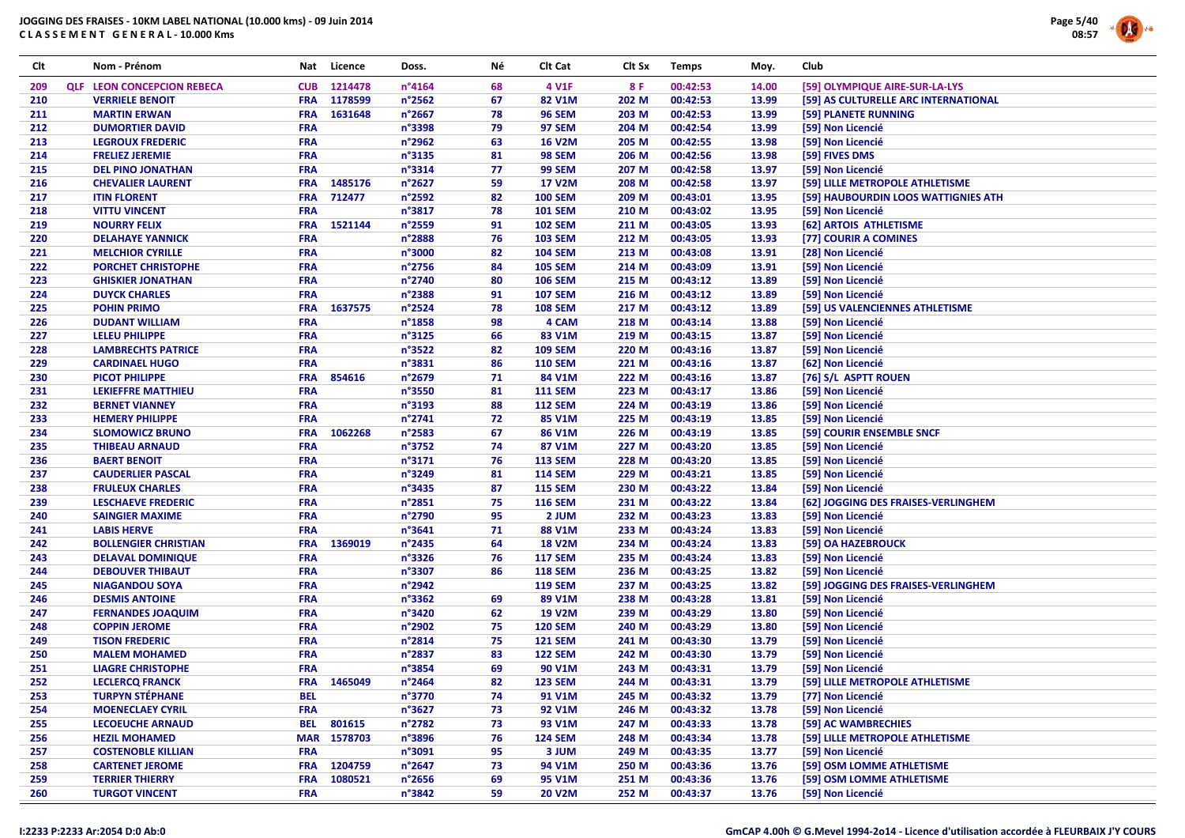

| Clt | Nom - Prénom                      | Nat        | Licence     | Doss.            | Νé       | Clt Cat        | Clt Sx | <b>Temps</b>         | Moy.  | Club                                 |
|-----|-----------------------------------|------------|-------------|------------------|----------|----------------|--------|----------------------|-------|--------------------------------------|
| 209 | <b>QLF LEON CONCEPCION REBECA</b> | <b>CUB</b> | 1214478     | $n^{\circ}4164$  | 68       | 4 V1F          | 8 F    | 00:42:53             | 14.00 | [59] OLYMPIQUE AIRE-SUR-LA-LYS       |
| 210 | <b>VERRIELE BENOIT</b>            | <b>FRA</b> | 1178599     | n°2562           | 67       | 82 V1M         | 202 M  | 00:42:53             | 13.99 | [59] AS CULTURELLE ARC INTERNATIONAL |
| 211 | <b>MARTIN ERWAN</b>               | <b>FRA</b> | 1631648     | n°2667           | 78       | <b>96 SEM</b>  | 203 M  | 00:42:53             | 13.99 | [59] PLANETE RUNNING                 |
| 212 | <b>DUMORTIER DAVID</b>            | <b>FRA</b> |             | n°3398           | 79       | <b>97 SEM</b>  | 204 M  | 00:42:54             | 13.99 | [59] Non Licencié                    |
| 213 | <b>LEGROUX FREDERIC</b>           | <b>FRA</b> |             | n°2962           | 63       | <b>16 V2M</b>  | 205 M  | 00:42:55             | 13.98 | [59] Non Licencié                    |
| 214 | <b>FRELIEZ JEREMIE</b>            | <b>FRA</b> |             | n°3135           | 81       | <b>98 SEM</b>  | 206 M  | 00:42:56             | 13.98 | [59] FIVES DMS                       |
| 215 | <b>DEL PINO JONATHAN</b>          | <b>FRA</b> |             | n°3314           | 77       | <b>99 SEM</b>  | 207 M  | 00:42:58             | 13.97 | [59] Non Licencié                    |
| 216 | <b>CHEVALIER LAURENT</b>          | <b>FRA</b> | 1485176     | n°2627           | 59       | <b>17 V2M</b>  | 208 M  | 00:42:58             | 13.97 | [59] LILLE METROPOLE ATHLETISME      |
| 217 | <b>ITIN FLORENT</b>               | <b>FRA</b> | 712477      | n°2592           | 82       | <b>100 SEM</b> | 209 M  | 00:43:01             | 13.95 | [59] HAUBOURDIN LOOS WATTIGNIES ATH  |
| 218 | <b>VITTU VINCENT</b>              | <b>FRA</b> |             | n°3817           | 78       | <b>101 SEM</b> | 210 M  | 00:43:02             | 13.95 | [59] Non Licencié                    |
| 219 | <b>NOURRY FELIX</b>               | <b>FRA</b> | 1521144     | n°2559           | 91       | <b>102 SEM</b> | 211 M  | 00:43:05             | 13.93 | [62] ARTOIS ATHLETISME               |
| 220 | <b>DELAHAYE YANNICK</b>           | <b>FRA</b> |             | n°2888           | 76       | <b>103 SEM</b> | 212 M  | 00:43:05             | 13.93 | [77] COURIR A COMINES                |
| 221 | <b>MELCHIOR CYRILLE</b>           | <b>FRA</b> |             | n°3000           | 82       | <b>104 SEM</b> | 213 M  | 00:43:08             | 13.91 | [28] Non Licencié                    |
| 222 | <b>PORCHET CHRISTOPHE</b>         | <b>FRA</b> |             | n°2756           | 84       | <b>105 SEM</b> | 214 M  | 00:43:09             | 13.91 | [59] Non Licencié                    |
| 223 | <b>GHISKIER JONATHAN</b>          | <b>FRA</b> |             | n°2740           | 80       | <b>106 SEM</b> | 215 M  | 00:43:12             | 13.89 | [59] Non Licencié                    |
| 224 | <b>DUYCK CHARLES</b>              | <b>FRA</b> |             | n°2388           | 91       | <b>107 SEM</b> | 216 M  | 00:43:12             | 13.89 | [59] Non Licencié                    |
| 225 | <b>POHIN PRIMO</b>                | <b>FRA</b> | 1637575     | n°2524           | 78       | <b>108 SEM</b> | 217 M  | 00:43:12             | 13.89 | [59] US VALENCIENNES ATHLETISME      |
| 226 | <b>DUDANT WILLIAM</b>             | <b>FRA</b> |             | $n^{\circ}$ 1858 | 98       | 4 CAM          | 218 M  | 00:43:14             | 13.88 | [59] Non Licencié                    |
| 227 | <b>LELEU PHILIPPE</b>             | <b>FRA</b> |             | n°3125           | 66       | 83 V1M         | 219 M  | 00:43:15             | 13.87 | [59] Non Licencié                    |
| 228 | <b>LAMBRECHTS PATRICE</b>         | <b>FRA</b> |             | n°3522           | 82       | <b>109 SEM</b> | 220 M  | 00:43:16             | 13.87 | [59] Non Licencié                    |
| 229 | <b>CARDINAEL HUGO</b>             | <b>FRA</b> |             | n°3831           | 86       | <b>110 SEM</b> | 221 M  | 00:43:16             | 13.87 | [62] Non Licencié                    |
| 230 | <b>PICOT PHILIPPE</b>             | <b>FRA</b> | 854616      | n°2679           | 71       | 84 V1M         | 222 M  | 00:43:16             | 13.87 | [76] S/L ASPTT ROUEN                 |
| 231 | <b>LEKIEFFRE MATTHIEU</b>         | <b>FRA</b> |             | n°3550           | 81       | <b>111 SEM</b> | 223 M  | 00:43:17             | 13.86 | [59] Non Licencié                    |
| 232 | <b>BERNET VIANNEY</b>             | <b>FRA</b> |             | n°3193           | 88       | <b>112 SEM</b> | 224 M  | 00:43:19             | 13.86 | [59] Non Licencié                    |
| 233 | <b>HEMERY PHILIPPE</b>            | <b>FRA</b> |             | n°2741           | 72       | 85 V1M         | 225 M  | 00:43:19             | 13.85 | [59] Non Licencié                    |
| 234 | <b>SLOMOWICZ BRUNO</b>            | <b>FRA</b> | 1062268     | n°2583           | 67       | 86 V1M         | 226 M  | 00:43:19             | 13.85 | [59] COURIR ENSEMBLE SNCF            |
| 235 | <b>THIBEAU ARNAUD</b>             | <b>FRA</b> |             | n°3752           | 74       | 87 V1M         | 227 M  | 00:43:20             | 13.85 | [59] Non Licencié                    |
|     |                                   | FRA        |             |                  |          |                |        |                      |       |                                      |
| 236 | <b>BAERT BENOIT</b>               |            |             | n°3171           | 76       | <b>113 SEM</b> | 228 M  | 00:43:20             | 13.85 | [59] Non Licencié                    |
| 237 | <b>CAUDERLIER PASCAL</b>          | <b>FRA</b> |             | n°3249           | 81       | <b>114 SEM</b> | 229 M  | 00:43:21<br>00:43:22 | 13.85 | [59] Non Licencié                    |
| 238 | <b>FRULEUX CHARLES</b>            | <b>FRA</b> |             | n°3435<br>n°2851 | 87<br>75 | <b>115 SEM</b> | 230 M  |                      | 13.84 | [59] Non Licencié                    |
| 239 | <b>LESCHAEVE FREDERIC</b>         | <b>FRA</b> |             |                  |          | <b>116 SEM</b> | 231 M  | 00:43:22             | 13.84 | [62] JOGGING DES FRAISES-VERLINGHEM  |
| 240 | <b>SAINGIER MAXIME</b>            | <b>FRA</b> |             | n°2790           | 95       | 2 JUM          | 232 M  | 00:43:23             | 13.83 | [59] Non Licencié                    |
| 241 | <b>LABIS HERVE</b>                | <b>FRA</b> |             | n°3641           | 71       | 88 V1M         | 233 M  | 00:43:24             | 13.83 | [59] Non Licencié                    |
| 242 | <b>BOLLENGIER CHRISTIAN</b>       | <b>FRA</b> | 1369019     | n°2435           | 64       | <b>18 V2M</b>  | 234 M  | 00:43:24             | 13.83 | [59] OA HAZEBROUCK                   |
| 243 | <b>DELAVAL DOMINIQUE</b>          | <b>FRA</b> |             | n°3326           | 76       | <b>117 SEM</b> | 235 M  | 00:43:24             | 13.83 | [59] Non Licencié                    |
| 244 | <b>DEBOUVER THIBAUT</b>           | <b>FRA</b> |             | n°3307           | 86       | <b>118 SEM</b> | 236 M  | 00:43:25             | 13.82 | [59] Non Licencié                    |
| 245 | <b>NIAGANDOU SOYA</b>             | <b>FRA</b> |             | n°2942           |          | <b>119 SEM</b> | 237 M  | 00:43:25             | 13.82 | [59] JOGGING DES FRAISES-VERLINGHEM  |
| 246 | <b>DESMIS ANTOINE</b>             | <b>FRA</b> |             | n°3362           | 69       | 89 V1M         | 238 M  | 00:43:28             | 13.81 | [59] Non Licencié                    |
| 247 | <b>FERNANDES JOAQUIM</b>          | <b>FRA</b> |             | n°3420           | 62       | <b>19 V2M</b>  | 239 M  | 00:43:29             | 13.80 | [59] Non Licencié                    |
| 248 | <b>COPPIN JEROME</b>              | <b>FRA</b> |             | n°2902           | 75       | <b>120 SEM</b> | 240 M  | 00:43:29             | 13.80 | [59] Non Licencié                    |
| 249 | <b>TISON FREDERIC</b>             | <b>FRA</b> |             | n°2814           | 75       | <b>121 SEM</b> | 241 M  | 00:43:30             | 13.79 | [59] Non Licencié                    |
| 250 | <b>MALEM MOHAMED</b>              | <b>FRA</b> |             | n°2837           | 83       | <b>122 SEM</b> | 242 M  | 00:43:30             | 13.79 | [59] Non Licencié                    |
| 251 | <b>LIAGRE CHRISTOPHE</b>          | <b>FRA</b> |             | n°3854           | 69       | 90 V1M         | 243 M  | 00:43:31             | 13.79 | [59] Non Licencié                    |
| 252 | <b>LECLERCQ FRANCK</b>            | <b>FRA</b> | 1465049     | n°2464           | 82       | <b>123 SEM</b> | 244 M  | 00:43:31             | 13.79 | [59] LILLE METROPOLE ATHLETISME      |
| 253 | <b>TURPYN STÉPHANE</b>            | <b>BEL</b> |             | n°3770           | 74       | 91 V1M         | 245 M  | 00:43:32             | 13.79 | [77] Non Licencié                    |
| 254 | <b>MOENECLAEY CYRIL</b>           | <b>FRA</b> |             | n°3627           | 73       | 92 V1M         | 246 M  | 00:43:32             | 13.78 | [59] Non Licencié                    |
| 255 | <b>LECOEUCHE ARNAUD</b>           | <b>BEL</b> | 801615      | n°2782           | 73       | 93 V1M         | 247 M  | 00:43:33             | 13.78 | [59] AC WAMBRECHIES                  |
| 256 | <b>HEZIL MOHAMED</b>              |            | MAR 1578703 | n°3896           | 76       | <b>124 SEM</b> | 248 M  | 00:43:34             | 13.78 | [59] LILLE METROPOLE ATHLETISME      |
| 257 | <b>COSTENOBLE KILLIAN</b>         | <b>FRA</b> |             | n°3091           | 95       | 3 JUM          | 249 M  | 00:43:35             | 13.77 | [59] Non Licencié                    |
| 258 | <b>CARTENET JEROME</b>            | <b>FRA</b> | 1204759     | $n^{\circ}$ 2647 | 73       | 94 V1M         | 250 M  | 00:43:36             | 13.76 | [59] OSM LOMME ATHLETISME            |
| 259 | <b>TERRIER THIERRY</b>            | <b>FRA</b> | 1080521     | n°2656           | 69       | 95 V1M         | 251 M  | 00:43:36             | 13.76 | [59] OSM LOMME ATHLETISME            |
| 260 | <b>TURGOT VINCENT</b>             | <b>FRA</b> |             | n°3842           | 59       | <b>20 V2M</b>  | 252 M  | 00:43:37             | 13.76 | [59] Non Licencié                    |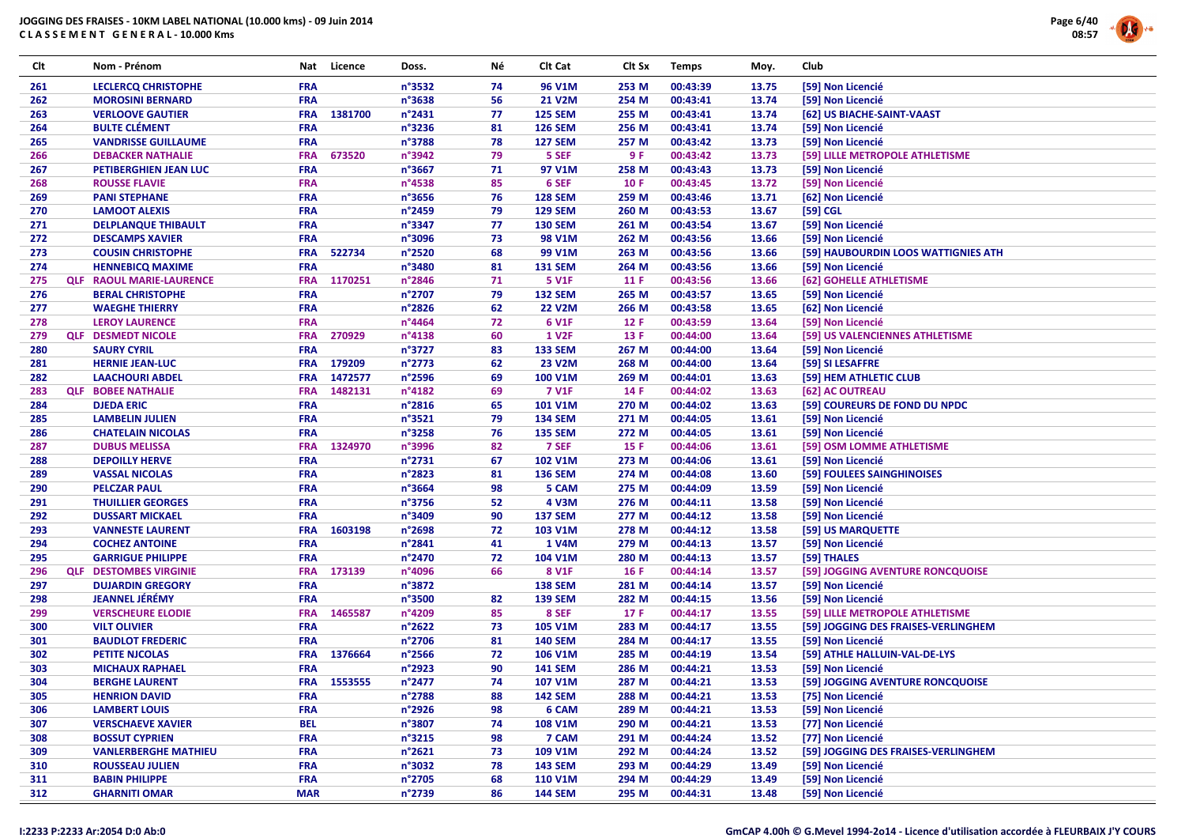

|     |                                 | Nat        | Licence | Doss.  | Νé | Clt Cat        | Clt Sx | <b>Temps</b> | Moy.  | Club                                |
|-----|---------------------------------|------------|---------|--------|----|----------------|--------|--------------|-------|-------------------------------------|
| 261 | <b>LECLERCQ CHRISTOPHE</b>      | <b>FRA</b> |         | n°3532 | 74 | 96 V1M         | 253 M  | 00:43:39     | 13.75 | [59] Non Licencié                   |
| 262 | <b>MOROSINI BERNARD</b>         | <b>FRA</b> |         | n°3638 | 56 | <b>21 V2M</b>  | 254 M  | 00:43:41     | 13.74 | [59] Non Licencié                   |
| 263 | <b>VERLOOVE GAUTIER</b>         | <b>FRA</b> | 1381700 | n°2431 | 77 | <b>125 SEM</b> | 255 M  | 00:43:41     | 13.74 | [62] US BIACHE-SAINT-VAAST          |
| 264 | <b>BULTE CLÉMENT</b>            | FRA        |         | n°3236 | 81 | <b>126 SEM</b> | 256 M  | 00:43:41     | 13.74 | [59] Non Licencié                   |
| 265 | <b>VANDRISSE GUILLAUME</b>      | <b>FRA</b> |         | n°3788 | 78 | <b>127 SEM</b> | 257 M  | 00:43:42     | 13.73 | [59] Non Licencié                   |
| 266 | <b>DEBACKER NATHALIE</b>        | <b>FRA</b> | 673520  | n°3942 | 79 | 5 SEF          | 9 F    | 00:43:42     | 13.73 | [59] LILLE METROPOLE ATHLETISME     |
| 267 | PETIBERGHIEN JEAN LUC           | <b>FRA</b> |         | n°3667 | 71 | 97 V1M         | 258 M  | 00:43:43     | 13.73 | [59] Non Licencié                   |
| 268 | <b>ROUSSE FLAVIE</b>            | <b>FRA</b> |         | n°4538 | 85 | 6 SEF          | 10F    | 00:43:45     | 13.72 | [59] Non Licencié                   |
| 269 | <b>PANI STEPHANE</b>            | <b>FRA</b> |         | n°3656 | 76 | <b>128 SEM</b> | 259 M  | 00:43:46     | 13.71 | [62] Non Licencié                   |
| 270 | <b>LAMOOT ALEXIS</b>            | <b>FRA</b> |         | n°2459 | 79 | <b>129 SEM</b> | 260 M  | 00:43:53     | 13.67 | [59] CGL                            |
| 271 | <b>DELPLANQUE THIBAULT</b>      | <b>FRA</b> |         | n°3347 | 77 | <b>130 SEM</b> | 261 M  | 00:43:54     | 13.67 | [59] Non Licencié                   |
| 272 | <b>DESCAMPS XAVIER</b>          | <b>FRA</b> |         | n°3096 | 73 | 98 V1M         | 262 M  | 00:43:56     | 13.66 | [59] Non Licencié                   |
| 273 | <b>COUSIN CHRISTOPHE</b>        | <b>FRA</b> | 522734  | n°2520 | 68 | 99 V1M         | 263 M  | 00:43:56     | 13.66 | [59] HAUBOURDIN LOOS WATTIGNIES ATH |
| 274 | <b>HENNEBICQ MAXIME</b>         | <b>FRA</b> |         | n°3480 | 81 | <b>131 SEM</b> | 264 M  | 00:43:56     | 13.66 | [59] Non Licencié                   |
| 275 | <b>QLF RAOUL MARIE-LAURENCE</b> | <b>FRA</b> | 1170251 | n°2846 | 71 | 5 V1F          | 11 F   | 00:43:56     | 13.66 | [62] GOHELLE ATHLETISME             |
| 276 | <b>BERAL CHRISTOPHE</b>         | <b>FRA</b> |         | n°2707 | 79 | <b>132 SEM</b> | 265 M  | 00:43:57     | 13.65 | [59] Non Licencié                   |
| 277 | <b>WAEGHE THIERRY</b>           | <b>FRA</b> |         | n°2826 | 62 | <b>22 V2M</b>  | 266 M  | 00:43:58     | 13.65 | [62] Non Licencié                   |
| 278 | <b>LEROY LAURENCE</b>           | <b>FRA</b> |         | n°4464 | 72 | 6 V1F          | 12F    | 00:43:59     | 13.64 | [59] Non Licencié                   |
| 279 | <b>QLF DESMEDT NICOLE</b>       | <b>FRA</b> | 270929  | n°4138 | 60 | <b>1 V2F</b>   | 13 F   | 00:44:00     | 13.64 | [59] US VALENCIENNES ATHLETISME     |
| 280 | <b>SAURY CYRIL</b>              | <b>FRA</b> |         | n°3727 | 83 | <b>133 SEM</b> | 267 M  | 00:44:00     | 13.64 | [59] Non Licencié                   |
| 281 | <b>HERNIE JEAN-LUC</b>          | <b>FRA</b> | 179209  | n°2773 | 62 | <b>23 V2M</b>  | 268 M  | 00:44:00     | 13.64 | [59] SI LESAFFRE                    |
| 282 | <b>LAACHOURI ABDEL</b>          | <b>FRA</b> | 1472577 | n°2596 | 69 | 100 V1M        | 269 M  | 00:44:01     | 13.63 | [59] HEM ATHLETIC CLUB              |
| 283 | <b>QLF BOBEE NATHALIE</b>       | <b>FRA</b> | 1482131 | n°4182 | 69 | <b>7 V1F</b>   | 14 F   | 00:44:02     | 13.63 | [62] AC OUTREAU                     |
| 284 | <b>DJEDA ERIC</b>               | <b>FRA</b> |         | n°2816 | 65 | 101 V1M        | 270 M  | 00:44:02     | 13.63 | [59] COUREURS DE FOND DU NPDC       |
| 285 | <b>LAMBELIN JULIEN</b>          | <b>FRA</b> |         | n°3521 | 79 | <b>134 SEM</b> | 271 M  | 00:44:05     | 13.61 | [59] Non Licencié                   |
| 286 | <b>CHATELAIN NICOLAS</b>        | <b>FRA</b> |         | n°3258 | 76 | <b>135 SEM</b> | 272 M  | 00:44:05     | 13.61 | [59] Non Licencié                   |
| 287 | <b>DUBUS MELISSA</b>            | <b>FRA</b> | 1324970 | n°3996 | 82 | 7 SEF          | 15F    | 00:44:06     | 13.61 | [59] OSM LOMME ATHLETISME           |
| 288 | <b>DEPOILLY HERVE</b>           | <b>FRA</b> |         | n°2731 | 67 | 102 V1M        | 273 M  | 00:44:06     | 13.61 | [59] Non Licencié                   |
| 289 | <b>VASSAL NICOLAS</b>           | FRA        |         | n°2823 | 81 | <b>136 SEM</b> | 274 M  | 00:44:08     | 13.60 | [59] FOULEES SAINGHINOISES          |
| 290 | <b>PELCZAR PAUL</b>             | <b>FRA</b> |         | n°3664 | 98 | 5 CAM          | 275 M  | 00:44:09     | 13.59 | [59] Non Licencié                   |
| 291 | <b>THUILLIER GEORGES</b>        | <b>FRA</b> |         | n°3756 | 52 | 4 V3M          | 276 M  | 00:44:11     | 13.58 | [59] Non Licencié                   |
| 292 | <b>DUSSART MICKAEL</b>          | <b>FRA</b> |         | n°3409 | 90 | <b>137 SEM</b> | 277 M  | 00:44:12     | 13.58 | [59] Non Licencié                   |
| 293 | <b>VANNESTE LAURENT</b>         | <b>FRA</b> | 1603198 | n°2698 | 72 | 103 V1M        | 278 M  | 00:44:12     | 13.58 | [59] US MARQUETTE                   |
| 294 | <b>COCHEZ ANTOINE</b>           | <b>FRA</b> |         | n°2841 | 41 | 1 V4M          | 279 M  | 00:44:13     | 13.57 | [59] Non Licencié                   |
| 295 | <b>GARRIGUE PHILIPPE</b>        | <b>FRA</b> |         | n°2470 | 72 | 104 V1M        | 280 M  | 00:44:13     | 13.57 | [59] THALES                         |
| 296 | <b>QLF DESTOMBES VIRGINIE</b>   | <b>FRA</b> | 173139  | n°4096 | 66 | 8 V1F          | 16 F   | 00:44:14     | 13.57 | [59] JOGGING AVENTURE RONCQUOISE    |
| 297 | <b>DUJARDIN GREGORY</b>         | <b>FRA</b> |         | n°3872 |    | <b>138 SEM</b> | 281 M  | 00:44:14     | 13.57 | [59] Non Licencié                   |
| 298 | <b>JEANNEL JÉRÉMY</b>           | <b>FRA</b> |         | n°3500 | 82 | <b>139 SEM</b> | 282 M  | 00:44:15     | 13.56 | [59] Non Licencié                   |
| 299 | <b>VERSCHEURE ELODIE</b>        | <b>FRA</b> | 1465587 | n°4209 | 85 | 8 SEF          | 17 F   | 00:44:17     | 13.55 | [59] LILLE METROPOLE ATHLETISME     |
| 300 | <b>VILT OLIVIER</b>             | <b>FRA</b> |         | n°2622 | 73 | 105 V1M        | 283 M  | 00:44:17     | 13.55 | [59] JOGGING DES FRAISES-VERLINGHEM |
| 301 | <b>BAUDLOT FREDERIC</b>         | <b>FRA</b> |         | n°2706 | 81 | <b>140 SEM</b> | 284 M  | 00:44:17     | 13.55 | [59] Non Licencié                   |
| 302 | <b>PETITE NJCOLAS</b>           | <b>FRA</b> | 1376664 | n°2566 | 72 | 106 V1M        | 285 M  | 00:44:19     | 13.54 | [59] ATHLE HALLUIN-VAL-DE-LYS       |
| 303 | <b>MICHAUX RAPHAEL</b>          | <b>FRA</b> |         | n°2923 | 90 | <b>141 SEM</b> | 286 M  | 00:44:21     | 13.53 | [59] Non Licencié                   |
| 304 | <b>BERGHE LAURENT</b>           | <b>FRA</b> | 1553555 | n°2477 | 74 | 107 V1M        | 287 M  | 00:44:21     | 13.53 | [59] JOGGING AVENTURE RONCQUOISE    |
| 305 | <b>HENRION DAVID</b>            | <b>FRA</b> |         | n°2788 | 88 | <b>142 SEM</b> | 288 M  | 00:44:21     | 13.53 | [75] Non Licencié                   |
| 306 | <b>LAMBERT LOUIS</b>            | <b>FRA</b> |         | n°2926 | 98 | 6 CAM          | 289 M  | 00:44:21     | 13.53 | [59] Non Licencié                   |
| 307 | <b>VERSCHAEVE XAVIER</b>        | <b>BEL</b> |         | n°3807 | 74 | 108 V1M        | 290 M  | 00:44:21     | 13.53 | [77] Non Licencié                   |
| 308 | <b>BOSSUT CYPRIEN</b>           | <b>FRA</b> |         | n°3215 | 98 | 7 CAM          | 291 M  | 00:44:24     | 13.52 | [77] Non Licencié                   |
| 309 | <b>VANLERBERGHE MATHIEU</b>     | <b>FRA</b> |         | n°2621 | 73 | 109 V1M        | 292 M  | 00:44:24     | 13.52 | [59] JOGGING DES FRAISES-VERLINGHEM |
| 310 | <b>ROUSSEAU JULIEN</b>          | <b>FRA</b> |         | n°3032 | 78 | <b>143 SEM</b> | 293 M  | 00:44:29     | 13.49 | [59] Non Licencié                   |
| 311 | <b>BABIN PHILIPPE</b>           | <b>FRA</b> |         | n°2705 | 68 | <b>110 V1M</b> | 294 M  | 00:44:29     | 13.49 | [59] Non Licencié                   |
| 312 | <b>GHARNITI OMAR</b>            | <b>MAR</b> |         | n°2739 | 86 | <b>144 SEM</b> | 295 M  | 00:44:31     | 13.48 | [59] Non Licencié                   |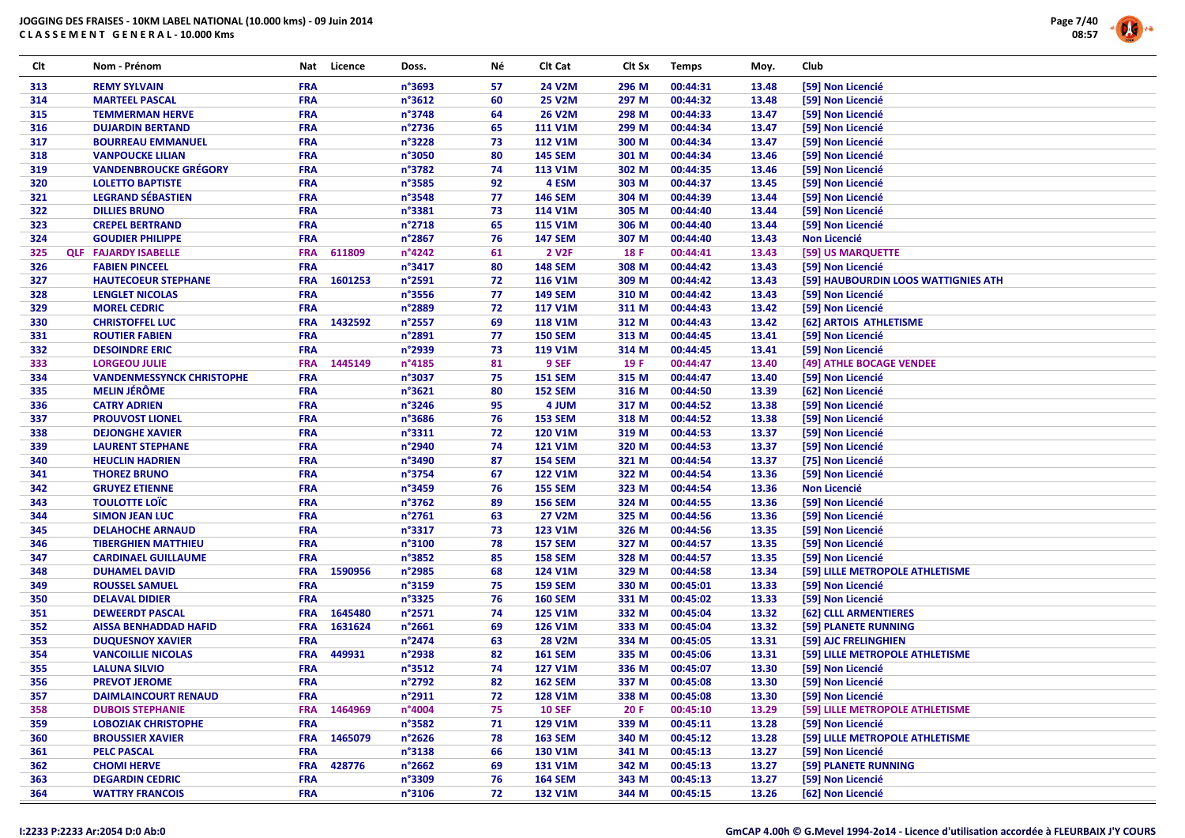

| Clt        | Nom - Prénom                                             | Nat                      | Licence | Doss.            | Νé | Clt Cat            | Clt Sx | <b>Temps</b> | Moy.  | Club                                |
|------------|----------------------------------------------------------|--------------------------|---------|------------------|----|--------------------|--------|--------------|-------|-------------------------------------|
| 313        | <b>REMY SYLVAIN</b>                                      | <b>FRA</b>               |         | n°3693           | 57 | 24 V2M             | 296 M  | 00:44:31     | 13.48 | [59] Non Licencié                   |
| 314        | <b>MARTEEL PASCAL</b>                                    | <b>FRA</b>               |         | n°3612           | 60 | <b>25 V2M</b>      | 297 M  | 00:44:32     | 13.48 | [59] Non Licencié                   |
| 315        | <b>TEMMERMAN HERVE</b>                                   | <b>FRA</b>               |         | n°3748           | 64 | <b>26 V2M</b>      | 298 M  | 00:44:33     | 13.47 | [59] Non Licencié                   |
| 316        | <b>DUJARDIN BERTAND</b>                                  | <b>FRA</b>               |         | n°2736           | 65 | <b>111 V1M</b>     | 299 M  | 00:44:34     | 13.47 | [59] Non Licencié                   |
| 317        | <b>BOURREAU EMMANUEL</b>                                 | <b>FRA</b>               |         | n°3228           | 73 | <b>112 V1M</b>     | 300 M  | 00:44:34     | 13.47 | [59] Non Licencié                   |
| 318        | <b>VANPOUCKE LILIAN</b>                                  | <b>FRA</b>               |         | n°3050           | 80 | <b>145 SEM</b>     | 301 M  | 00:44:34     | 13.46 | [59] Non Licencié                   |
| 319        | <b>VANDENBROUCKE GRÉGORY</b>                             | <b>FRA</b>               |         | n°3782           | 74 | 113 V1M            | 302 M  | 00:44:35     | 13.46 | [59] Non Licencié                   |
| 320        | <b>LOLETTO BAPTISTE</b>                                  | <b>FRA</b>               |         | n°3585           | 92 | 4 ESM              | 303 M  | 00:44:37     | 13.45 | [59] Non Licencié                   |
| 321        | <b>LEGRAND SÉBASTIEN</b>                                 | <b>FRA</b>               |         | n°3548           | 77 | <b>146 SEM</b>     | 304 M  | 00:44:39     | 13.44 | [59] Non Licencié                   |
| 322        | <b>DILLIES BRUNO</b>                                     | <b>FRA</b>               |         | n°3381           | 73 | 114 V1M            | 305 M  | 00:44:40     | 13.44 | [59] Non Licencié                   |
| 323        | <b>CREPEL BERTRAND</b>                                   | <b>FRA</b>               |         | n°2718           | 65 | 115 V1M            | 306 M  | 00:44:40     | 13.44 | [59] Non Licencié                   |
| 324        | <b>GOUDIER PHILIPPE</b>                                  | <b>FRA</b>               |         | n°2867           | 76 | <b>147 SEM</b>     | 307 M  | 00:44:40     | 13.43 | <b>Non Licencié</b>                 |
| 325        | <b>QLF FAJARDY ISABELLE</b>                              | <b>FRA</b>               | 611809  | n°4242           | 61 | 2 V <sub>2</sub> F | 18F    | 00:44:41     | 13.43 | [59] US MARQUETTE                   |
| 326        | <b>FABIEN PINCEEL</b>                                    | <b>FRA</b>               |         | n°3417           | 80 | <b>148 SEM</b>     | 308 M  | 00:44:42     | 13.43 | [59] Non Licencié                   |
| 327        | <b>HAUTECOEUR STEPHANE</b>                               | <b>FRA</b>               | 1601253 | n°2591           | 72 | 116 V1M            | 309 M  | 00:44:42     | 13.43 | [59] HAUBOURDIN LOOS WATTIGNIES ATH |
| 328        | <b>LENGLET NICOLAS</b>                                   | <b>FRA</b>               |         | n°3556           | 77 | <b>149 SEM</b>     | 310 M  | 00:44:42     | 13.43 | [59] Non Licencié                   |
| 329        | <b>MOREL CEDRIC</b>                                      | <b>FRA</b>               |         | n°2889           | 72 | <b>117 V1M</b>     | 311 M  | 00:44:43     | 13.42 | [59] Non Licencié                   |
| 330        | <b>CHRISTOFFEL LUC</b>                                   | <b>FRA</b>               | 1432592 | n°2557           | 69 | <b>118 V1M</b>     | 312 M  | 00:44:43     | 13.42 | [62] ARTOIS ATHLETISME              |
| 331        | <b>ROUTIER FABIEN</b>                                    | <b>FRA</b>               |         | n°2891           | 77 | <b>150 SEM</b>     | 313 M  | 00:44:45     | 13.41 | [59] Non Licencié                   |
| 332        | <b>DESOINDRE ERIC</b>                                    | <b>FRA</b>               |         | n°2939           | 73 | 119 V1M            | 314 M  | 00:44:45     | 13.41 | [59] Non Licencié                   |
|            |                                                          |                          | 1445149 |                  | 81 | 9 SEF              |        | 00:44:47     | 13.40 |                                     |
| 333<br>334 | <b>LORGEOU JULIE</b><br><b>VANDENMESSYNCK CHRISTOPHE</b> | <b>FRA</b><br><b>FRA</b> |         | n°4185           | 75 |                    | 19 F   | 00:44:47     | 13.40 | [49] ATHLE BOCAGE VENDEE            |
|            | <b>MELIN JÉRÔME</b>                                      | <b>FRA</b>               |         | n°3037           | 80 | <b>151 SEM</b>     | 315 M  |              | 13.39 | [59] Non Licencié                   |
| 335        |                                                          |                          |         | $n^{\circ}3621$  |    | <b>152 SEM</b>     | 316 M  | 00:44:50     |       | [62] Non Licencié                   |
| 336        | <b>CATRY ADRIEN</b>                                      | <b>FRA</b>               |         | n°3246           | 95 | 4 JUM              | 317 M  | 00:44:52     | 13.38 | [59] Non Licencié                   |
| 337        | <b>PROUVOST LIONEL</b>                                   | <b>FRA</b>               |         | n°3686           | 76 | <b>153 SEM</b>     | 318 M  | 00:44:52     | 13.38 | [59] Non Licencié                   |
| 338        | <b>DEJONGHE XAVIER</b>                                   | <b>FRA</b>               |         | n°3311           | 72 | <b>120 V1M</b>     | 319 M  | 00:44:53     | 13.37 | [59] Non Licencié                   |
| 339        | <b>LAURENT STEPHANE</b>                                  | <b>FRA</b>               |         | n°2940           | 74 | <b>121 V1M</b>     | 320 M  | 00:44:53     | 13.37 | [59] Non Licencié                   |
| 340        | <b>HEUCLIN HADRIEN</b>                                   | FRA                      |         | n°3490           | 87 | <b>154 SEM</b>     | 321 M  | 00:44:54     | 13.37 | [75] Non Licencié                   |
| 341        | <b>THOREZ BRUNO</b>                                      | <b>FRA</b>               |         | n°3754           | 67 | <b>122 V1M</b>     | 322 M  | 00:44:54     | 13.36 | [59] Non Licencié                   |
| 342        | <b>GRUYEZ ETIENNE</b>                                    | <b>FRA</b>               |         | n°3459           | 76 | <b>155 SEM</b>     | 323 M  | 00:44:54     | 13.36 | <b>Non Licencié</b>                 |
| 343        | <b>TOULOTTE LOÏC</b>                                     | <b>FRA</b>               |         | n°3762           | 89 | <b>156 SEM</b>     | 324 M  | 00:44:55     | 13.36 | [59] Non Licencié                   |
| 344        | <b>SIMON JEAN LUC</b>                                    | <b>FRA</b>               |         | $n^{\circ}$ 2761 | 63 | <b>27 V2M</b>      | 325 M  | 00:44:56     | 13.36 | [59] Non Licencié                   |
| 345        | <b>DELAHOCHE ARNAUD</b>                                  | <b>FRA</b>               |         | n°3317           | 73 | 123 V1M            | 326 M  | 00:44:56     | 13.35 | [59] Non Licencié                   |
| 346        | <b>TIBERGHIEN MATTHIEU</b>                               | <b>FRA</b>               |         | n°3100           | 78 | <b>157 SEM</b>     | 327 M  | 00:44:57     | 13.35 | [59] Non Licencié                   |
| 347        | <b>CARDINAEL GUILLAUME</b>                               | <b>FRA</b>               |         | n°3852           | 85 | <b>158 SEM</b>     | 328 M  | 00:44:57     | 13.35 | [59] Non Licencié                   |
| 348        | <b>DUHAMEL DAVID</b>                                     | <b>FRA</b>               | 1590956 | n°2985           | 68 | 124 V1M            | 329 M  | 00:44:58     | 13.34 | [59] LILLE METROPOLE ATHLETISME     |
| 349        | <b>ROUSSEL SAMUEL</b>                                    | <b>FRA</b>               |         | n°3159           | 75 | <b>159 SEM</b>     | 330 M  | 00:45:01     | 13.33 | [59] Non Licencié                   |
| 350        | <b>DELAVAL DIDIER</b>                                    | <b>FRA</b>               |         | n°3325           | 76 | <b>160 SEM</b>     | 331 M  | 00:45:02     | 13.33 | [59] Non Licencié                   |
| 351        | <b>DEWEERDT PASCAL</b>                                   | <b>FRA</b>               | 1645480 | n°2571           | 74 | 125 V1M            | 332 M  | 00:45:04     | 13.32 | [62] CLLL ARMENTIERES               |
| 352        | <b>AISSA BENHADDAD HAFID</b>                             | <b>FRA</b>               | 1631624 | $n^{\circ}2661$  | 69 | 126 V1M            | 333 M  | 00:45:04     | 13.32 | [59] PLANETE RUNNING                |
| 353        | <b>DUQUESNOY XAVIER</b>                                  | <b>FRA</b>               |         | n°2474           | 63 | <b>28 V2M</b>      | 334 M  | 00:45:05     | 13.31 | [59] AJC FRELINGHIEN                |
| 354        | <b>VANCOILLIE NICOLAS</b>                                | <b>FRA</b>               | 449931  | n°2938           | 82 | <b>161 SEM</b>     | 335 M  | 00:45:06     | 13.31 | [59] LILLE METROPOLE ATHLETISME     |
| 355        | <b>LALUNA SILVIO</b>                                     | <b>FRA</b>               |         | n°3512           | 74 | 127 V1M            | 336 M  | 00:45:07     | 13.30 | [59] Non Licencié                   |
| 356        | <b>PREVOT JEROME</b>                                     | <b>FRA</b>               |         | n°2792           | 82 | <b>162 SEM</b>     | 337 M  | 00:45:08     | 13.30 | [59] Non Licencié                   |
| 357        | <b>DAIMLAINCOURT RENAUD</b>                              | <b>FRA</b>               |         | n°2911           | 72 | <b>128 V1M</b>     | 338 M  | 00:45:08     | 13.30 | [59] Non Licencié                   |
| 358        | <b>DUBOIS STEPHANIE</b>                                  | <b>FRA</b>               | 1464969 | n°4004           | 75 | <b>10 SEF</b>      | 20F    | 00:45:10     | 13.29 | [59] LILLE METROPOLE ATHLETISME     |
| 359        | <b>LOBOZIAK CHRISTOPHE</b>                               | <b>FRA</b>               |         | n°3582           | 71 | 129 V1M            | 339 M  | 00:45:11     | 13.28 | [59] Non Licencié                   |
| 360        | <b>BROUSSIER XAVIER</b>                                  | <b>FRA</b>               | 1465079 | n°2626           | 78 | <b>163 SEM</b>     | 340 M  | 00:45:12     | 13.28 | [59] LILLE METROPOLE ATHLETISME     |
| 361        | <b>PELC PASCAL</b>                                       | <b>FRA</b>               |         | n°3138           | 66 | 130 V1M            | 341 M  | 00:45:13     | 13.27 | [59] Non Licencié                   |
| 362        | <b>CHOMI HERVE</b>                                       | <b>FRA</b>               | 428776  | $n^{\circ}$ 2662 | 69 | 131 V1M            | 342 M  | 00:45:13     | 13.27 | [59] PLANETE RUNNING                |
| 363        | <b>DEGARDIN CEDRIC</b>                                   | <b>FRA</b>               |         | n°3309           | 76 | <b>164 SEM</b>     | 343 M  | 00:45:13     | 13.27 | [59] Non Licencié                   |
| 364        | <b>WATTRY FRANCOIS</b>                                   | <b>FRA</b>               |         | n°3106           | 72 | 132 V1M            | 344 M  | 00:45:15     | 13.26 | [62] Non Licencié                   |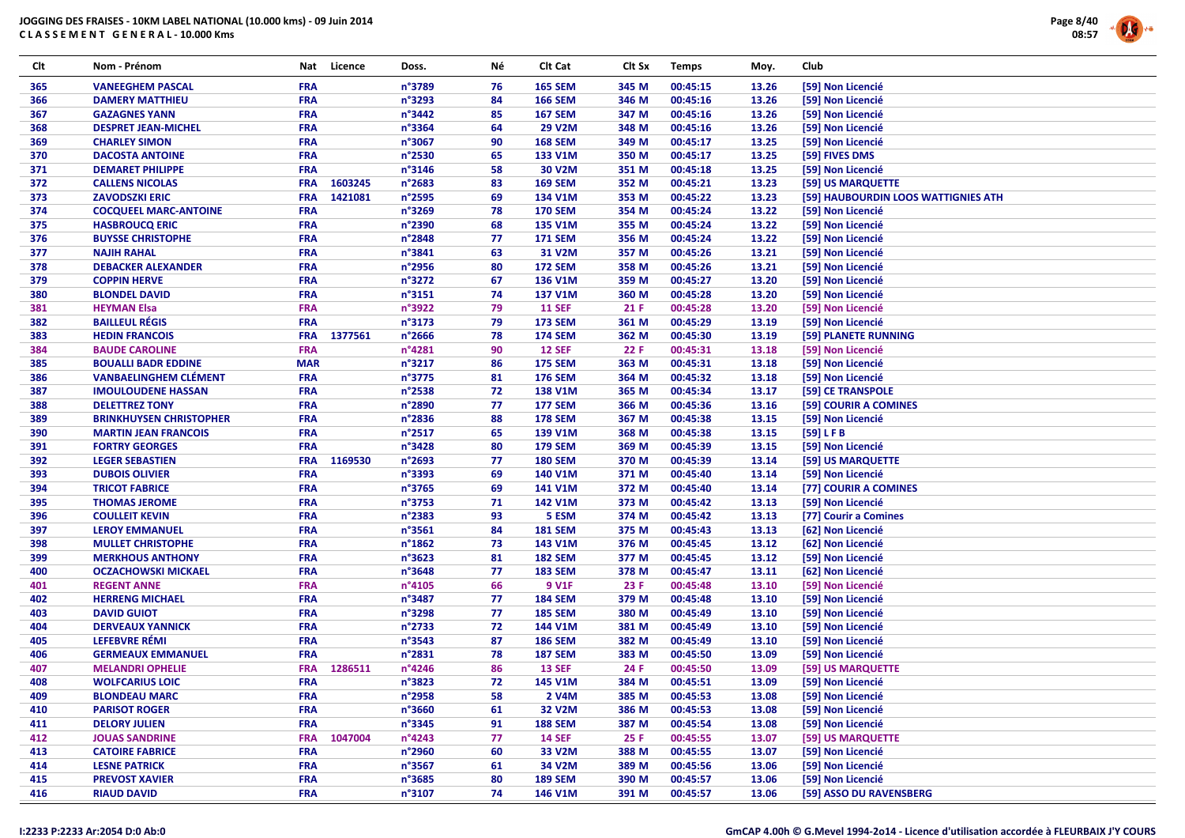

| Clt | Nom - Prénom                   |            | Nat Licence | Doss.            | Νé | Clt Cat        | Clt Sx | <b>Temps</b> | Moy.  | Club     |                                     |
|-----|--------------------------------|------------|-------------|------------------|----|----------------|--------|--------------|-------|----------|-------------------------------------|
| 365 | <b>VANEEGHEM PASCAL</b>        | <b>FRA</b> |             | n°3789           | 76 | <b>165 SEM</b> | 345 M  | 00:45:15     | 13.26 |          | [59] Non Licencié                   |
| 366 | <b>DAMERY MATTHIEU</b>         | <b>FRA</b> |             | n°3293           | 84 | <b>166 SEM</b> | 346 M  | 00:45:16     | 13.26 |          | [59] Non Licencié                   |
| 367 | <b>GAZAGNES YANN</b>           | <b>FRA</b> |             | $n^{\circ}$ 3442 | 85 | <b>167 SEM</b> | 347 M  | 00:45:16     | 13.26 |          | [59] Non Licencié                   |
| 368 | <b>DESPRET JEAN-MICHEL</b>     | <b>FRA</b> |             | $n^{\circ}$ 3364 | 64 | 29 V2M         | 348 M  | 00:45:16     | 13.26 |          | [59] Non Licencié                   |
| 369 | <b>CHARLEY SIMON</b>           | <b>FRA</b> |             | n°3067           | 90 | <b>168 SEM</b> | 349 M  | 00:45:17     | 13.25 |          | [59] Non Licencié                   |
| 370 | <b>DACOSTA ANTOINE</b>         | <b>FRA</b> |             | $n^{\circ}$ 2530 | 65 | 133 V1M        | 350 M  | 00:45:17     | 13.25 |          | [59] FIVES DMS                      |
| 371 | <b>DEMARET PHILIPPE</b>        | <b>FRA</b> |             | $n^{\circ}3146$  | 58 | 30 V2M         | 351 M  | 00:45:18     | 13.25 |          | [59] Non Licencié                   |
| 372 | <b>CALLENS NICOLAS</b>         | <b>FRA</b> | 1603245     | n°2683           | 83 | <b>169 SEM</b> | 352 M  | 00:45:21     | 13.23 |          | [59] US MARQUETTE                   |
| 373 | <b>ZAVODSZKI ERIC</b>          | <b>FRA</b> | 1421081     | n°2595           | 69 | 134 V1M        | 353 M  | 00:45:22     | 13.23 |          | [59] HAUBOURDIN LOOS WATTIGNIES ATH |
| 374 | <b>COCQUEEL MARC-ANTOINE</b>   | <b>FRA</b> |             | $n^{\circ}3269$  | 78 | <b>170 SEM</b> | 354 M  | 00:45:24     | 13.22 |          | [59] Non Licencié                   |
| 375 | <b>HASBROUCQ ERIC</b>          | <b>FRA</b> |             | n°2390           | 68 | 135 V1M        | 355 M  | 00:45:24     | 13.22 |          | [59] Non Licencié                   |
| 376 | <b>BUYSSE CHRISTOPHE</b>       | <b>FRA</b> |             | $n^{\circ}$ 2848 | 77 | <b>171 SEM</b> | 356 M  | 00:45:24     | 13.22 |          | [59] Non Licencié                   |
| 377 | <b>NAJIH RAHAL</b>             | <b>FRA</b> |             | n°3841           | 63 | 31 V2M         | 357 M  | 00:45:26     | 13.21 |          | [59] Non Licencié                   |
| 378 | <b>DEBACKER ALEXANDER</b>      | <b>FRA</b> |             | n°2956           | 80 | <b>172 SEM</b> | 358 M  | 00:45:26     | 13.21 |          | [59] Non Licencié                   |
| 379 | <b>COPPIN HERVE</b>            | <b>FRA</b> |             | $n^{\circ}3272$  | 67 | 136 V1M        | 359 M  | 00:45:27     | 13.20 |          | [59] Non Licencié                   |
| 380 | <b>BLONDEL DAVID</b>           | <b>FRA</b> |             | n°3151           | 74 | 137 V1M        | 360 M  | 00:45:28     | 13.20 |          | [59] Non Licencié                   |
| 381 | <b>HEYMAN Elsa</b>             | <b>FRA</b> |             | n°3922           | 79 | <b>11 SEF</b>  | 21 F   | 00:45:28     | 13.20 |          | [59] Non Licencié                   |
| 382 | <b>BAILLEUL RÉGIS</b>          | <b>FRA</b> |             | n°3173           | 79 | <b>173 SEM</b> | 361 M  | 00:45:29     | 13.19 |          | [59] Non Licencié                   |
| 383 | <b>HEDIN FRANCOIS</b>          | <b>FRA</b> | 1377561     | $n^{\circ}$ 2666 | 78 | <b>174 SEM</b> | 362 M  | 00:45:30     | 13.19 |          | [59] PLANETE RUNNING                |
| 384 | <b>BAUDE CAROLINE</b>          | <b>FRA</b> |             | n°4281           | 90 | <b>12 SEF</b>  | 22 F   | 00:45:31     | 13.18 |          | [59] Non Licencié                   |
| 385 | <b>BOUALLI BADR EDDINE</b>     | <b>MAR</b> |             | n°3217           | 86 | <b>175 SEM</b> | 363 M  | 00:45:31     | 13.18 |          | [59] Non Licencié                   |
| 386 | <b>VANBAELINGHEM CLÉMENT</b>   | <b>FRA</b> |             | n°3775           | 81 | <b>176 SEM</b> | 364 M  | 00:45:32     | 13.18 |          | [59] Non Licencié                   |
| 387 | <b>IMOULOUDENE HASSAN</b>      | <b>FRA</b> |             | $n^{\circ}$ 2538 | 72 | <b>138 V1M</b> | 365 M  | 00:45:34     | 13.17 |          | [59] CE TRANSPOLE                   |
| 388 | <b>DELETTREZ TONY</b>          | <b>FRA</b> |             | n°2890           | 77 | <b>177 SEM</b> | 366 M  | 00:45:36     | 13.16 |          | [59] COURIR A COMINES               |
| 389 | <b>BRINKHUYSEN CHRISTOPHER</b> | <b>FRA</b> |             | n°2836           | 88 | <b>178 SEM</b> | 367 M  | 00:45:38     | 13.15 |          | [59] Non Licencié                   |
| 390 | <b>MARTIN JEAN FRANCOIS</b>    | <b>FRA</b> |             | $n^{\circ}2517$  | 65 | 139 V1M        | 368 M  | 00:45:38     | 13.15 | [59] LFB |                                     |
| 391 | <b>FORTRY GEORGES</b>          | <b>FRA</b> |             | n°3428           | 80 | <b>179 SEM</b> | 369 M  | 00:45:39     | 13.15 |          | [59] Non Licencié                   |
| 392 | <b>LEGER SEBASTIEN</b>         | <b>FRA</b> | 1169530     | n°2693           | 77 | <b>180 SEM</b> | 370 M  | 00:45:39     | 13.14 |          | [59] US MARQUETTE                   |
| 393 | <b>DUBOIS OLIVIER</b>          | <b>FRA</b> |             | $n^{\circ}$ 3393 | 69 | 140 V1M        | 371 M  | 00:45:40     | 13.14 |          | [59] Non Licencié                   |
| 394 | <b>TRICOT FABRICE</b>          | <b>FRA</b> |             | n°3765           | 69 | 141 V1M        | 372 M  | 00:45:40     | 13.14 |          | [77] COURIR A COMINES               |
| 395 | <b>THOMAS JEROME</b>           | <b>FRA</b> |             | n°3753           | 71 | 142 V1M        | 373 M  | 00:45:42     | 13.13 |          | [59] Non Licencié                   |
| 396 | <b>COULLEIT KEVIN</b>          | <b>FRA</b> |             | n°2383           | 93 | 5 ESM          | 374 M  | 00:45:42     | 13.13 |          | [77] Courir a Comines               |
| 397 | <b>LEROY EMMANUEL</b>          | <b>FRA</b> |             | n°3561           | 84 | <b>181 SEM</b> | 375 M  | 00:45:43     | 13.13 |          | [62] Non Licencié                   |
| 398 | <b>MULLET CHRISTOPHE</b>       | <b>FRA</b> |             | $n^{\circ}$ 1862 | 73 | 143 V1M        | 376 M  | 00:45:45     | 13.12 |          | [62] Non Licencié                   |
| 399 | <b>MERKHOUS ANTHONY</b>        | <b>FRA</b> |             | n°3623           | 81 | <b>182 SEM</b> | 377 M  | 00:45:45     | 13.12 |          | [59] Non Licencié                   |
| 400 | <b>OCZACHOWSKI MICKAEL</b>     | <b>FRA</b> |             | n°3648           | 77 | <b>183 SEM</b> | 378 M  | 00:45:47     | 13.11 |          | [62] Non Licencié                   |
| 401 | <b>REGENT ANNE</b>             | <b>FRA</b> |             | $n^{\circ}4105$  | 66 | 9 V1F          | 23 F   | 00:45:48     | 13.10 |          | [59] Non Licencié                   |
| 402 | <b>HERRENG MICHAEL</b>         | <b>FRA</b> |             | n°3487           | 77 | <b>184 SEM</b> | 379 M  | 00:45:48     | 13.10 |          | [59] Non Licencié                   |
| 403 | <b>DAVID GUIOT</b>             | <b>FRA</b> |             | n°3298           | 77 | <b>185 SEM</b> | 380 M  | 00:45:49     | 13.10 |          | [59] Non Licencié                   |
| 404 | <b>DERVEAUX YANNICK</b>        | <b>FRA</b> |             | n°2733           | 72 | 144 V1M        | 381 M  | 00:45:49     | 13.10 |          | [59] Non Licencié                   |
| 405 | LEFEBVRE RÉMI                  | <b>FRA</b> |             | n°3543           | 87 | <b>186 SEM</b> | 382 M  | 00:45:49     | 13.10 |          | [59] Non Licencié                   |
| 406 | <b>GERMEAUX EMMANUEL</b>       | <b>FRA</b> |             | n°2831           | 78 | <b>187 SEM</b> | 383 M  | 00:45:50     | 13.09 |          | [59] Non Licencié                   |
| 407 | <b>MELANDRI OPHELIE</b>        | <b>FRA</b> | 1286511     | $n^{\circ}$ 4246 | 86 | <b>13 SEF</b>  | 24 F   | 00:45:50     | 13.09 |          | [59] US MARQUETTE                   |
| 408 | <b>WOLFCARIUS LOIC</b>         | <b>FRA</b> |             | n°3823           | 72 | 145 V1M        | 384 M  | 00:45:51     | 13.09 |          | [59] Non Licencié                   |
| 409 | <b>BLONDEAU MARC</b>           | <b>FRA</b> |             | $n^{\circ}$ 2958 | 58 | 2 V4M          | 385 M  | 00:45:53     | 13.08 |          | [59] Non Licencié                   |
| 410 | <b>PARISOT ROGER</b>           | <b>FRA</b> |             | $n^{\circ}3660$  | 61 | 32 V2M         | 386 M  | 00:45:53     | 13.08 |          | [59] Non Licencié                   |
| 411 | <b>DELORY JULIEN</b>           | <b>FRA</b> |             | n°3345           | 91 | <b>188 SEM</b> | 387 M  | 00:45:54     | 13.08 |          | [59] Non Licencié                   |
| 412 | <b>JOUAS SANDRINE</b>          | <b>FRA</b> | 1047004     | $n^{\circ}$ 4243 | 77 | <b>14 SEF</b>  | 25 F   | 00:45:55     | 13.07 |          | [59] US MARQUETTE                   |
| 413 | <b>CATOIRE FABRICE</b>         | <b>FRA</b> |             | $n^{\circ}$ 2960 | 60 | 33 V2M         | 388 M  | 00:45:55     | 13.07 |          | [59] Non Licencié                   |
| 414 | <b>LESNE PATRICK</b>           | <b>FRA</b> |             | n°3567           | 61 | 34 V2M         | 389 M  | 00:45:56     | 13.06 |          | [59] Non Licencié                   |
| 415 | <b>PREVOST XAVIER</b>          | <b>FRA</b> |             | $n^{\circ}3685$  | 80 | <b>189 SEM</b> | 390 M  | 00:45:57     | 13.06 |          | [59] Non Licencié                   |
| 416 | <b>RIAUD DAVID</b>             | <b>FRA</b> |             | n°3107           | 74 | 146 V1M        | 391 M  | 00:45:57     | 13.06 |          | [59] ASSO DU RAVENSBERG             |
|     |                                |            |             |                  |    |                |        |              |       |          |                                     |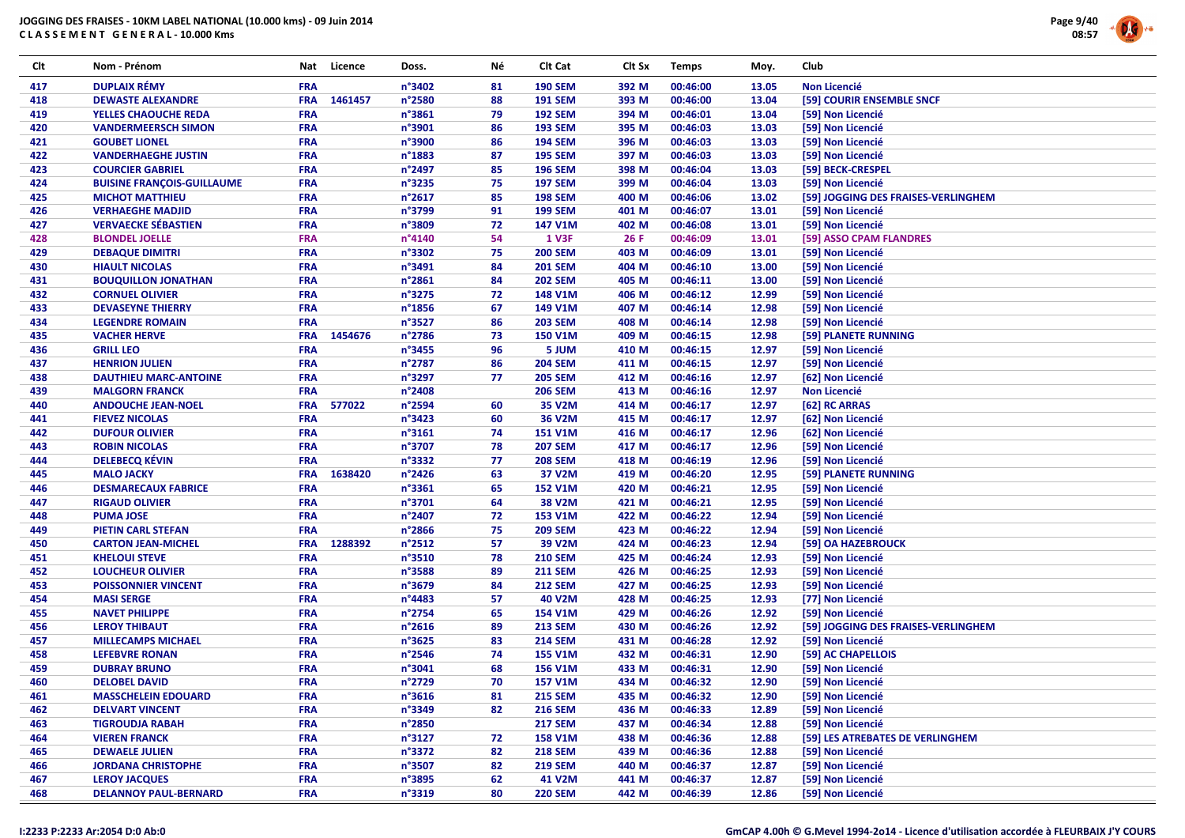# JOGGING DES FRAISES - 10KM LABEL NATIONAL (10.000 kms) - 09 Juin 2014





| Clt | Nom - Prénom                      | Nat        | Licence | Doss.           | Νé | Clt Cat        | Clt Sx | <b>Temps</b> | Moy.  | Club                                |
|-----|-----------------------------------|------------|---------|-----------------|----|----------------|--------|--------------|-------|-------------------------------------|
| 417 | <b>DUPLAIX RÉMY</b>               | <b>FRA</b> |         | n°3402          | 81 | <b>190 SEM</b> | 392 M  | 00:46:00     | 13.05 | <b>Non Licencié</b>                 |
| 418 | <b>DEWASTE ALEXANDRE</b>          | <b>FRA</b> | 1461457 | n°2580          | 88 | <b>191 SEM</b> | 393 M  | 00:46:00     | 13.04 | [59] COURIR ENSEMBLE SNCF           |
| 419 | YELLES CHAOUCHE REDA              | <b>FRA</b> |         | n°3861          | 79 | <b>192 SEM</b> | 394 M  | 00:46:01     | 13.04 | [59] Non Licencié                   |
| 420 | <b>VANDERMEERSCH SIMON</b>        | <b>FRA</b> |         | n°3901          | 86 | <b>193 SEM</b> | 395 M  | 00:46:03     | 13.03 | [59] Non Licencié                   |
| 421 | <b>GOUBET LIONEL</b>              | <b>FRA</b> |         | n°3900          | 86 | <b>194 SEM</b> | 396 M  | 00:46:03     | 13.03 | [59] Non Licencié                   |
| 422 | <b>VANDERHAEGHE JUSTIN</b>        | <b>FRA</b> |         | n°1883          | 87 | <b>195 SEM</b> | 397 M  | 00:46:03     | 13.03 | [59] Non Licencié                   |
| 423 | <b>COURCIER GABRIEL</b>           | <b>FRA</b> |         | n°2497          | 85 | <b>196 SEM</b> | 398 M  | 00:46:04     | 13.03 | [59] BECK-CRESPEL                   |
| 424 | <b>BUISINE FRANÇOIS-GUILLAUME</b> | <b>FRA</b> |         | n°3235          | 75 | <b>197 SEM</b> | 399 M  | 00:46:04     | 13.03 | [59] Non Licencié                   |
| 425 | <b>MICHOT MATTHIEU</b>            | <b>FRA</b> |         | n°2617          | 85 | <b>198 SEM</b> | 400 M  | 00:46:06     | 13.02 | [59] JOGGING DES FRAISES-VERLINGHEM |
| 426 | <b>VERHAEGHE MADJID</b>           | FRA        |         | n°3799          | 91 | <b>199 SEM</b> | 401 M  | 00:46:07     | 13.01 | [59] Non Licencié                   |
| 427 | <b>VERVAECKE SÉBASTIEN</b>        | <b>FRA</b> |         | n°3809          | 72 | 147 V1M        | 402 M  | 00:46:08     | 13.01 | [59] Non Licencié                   |
| 428 | <b>BLONDEL JOELLE</b>             | FRA        |         | n°4140          | 54 | <b>1 V3F</b>   | 26 F   | 00:46:09     | 13.01 | [59] ASSO CPAM FLANDRES             |
| 429 | <b>DEBAQUE DIMITRI</b>            | FRA        |         | n°3302          | 75 | <b>200 SEM</b> | 403 M  | 00:46:09     | 13.01 | [59] Non Licencié                   |
| 430 | <b>HIAULT NICOLAS</b>             | <b>FRA</b> |         | n°3491          | 84 | <b>201 SEM</b> | 404 M  | 00:46:10     | 13.00 | [59] Non Licencié                   |
| 431 | <b>BOUQUILLON JONATHAN</b>        | <b>FRA</b> |         | n°2861          | 84 | <b>202 SEM</b> | 405 M  | 00:46:11     | 13.00 | [59] Non Licencié                   |
| 432 | <b>CORNUEL OLIVIER</b>            | <b>FRA</b> |         | n°3275          | 72 | 148 V1M        | 406 M  | 00:46:12     | 12.99 | [59] Non Licencié                   |
| 433 | <b>DEVASEYNE THIERRY</b>          | <b>FRA</b> |         | n°1856          | 67 | 149 V1M        | 407 M  | 00:46:14     | 12.98 | [59] Non Licencié                   |
| 434 | <b>LEGENDRE ROMAIN</b>            | <b>FRA</b> |         | n°3527          | 86 | <b>203 SEM</b> | 408 M  | 00:46:14     | 12.98 | [59] Non Licencié                   |
| 435 | <b>VACHER HERVE</b>               | <b>FRA</b> | 1454676 | n°2786          | 73 | <b>150 V1M</b> | 409 M  | 00:46:15     | 12.98 | [59] PLANETE RUNNING                |
|     |                                   | <b>FRA</b> |         |                 |    |                |        |              |       |                                     |
| 436 | <b>GRILL LEO</b>                  | <b>FRA</b> |         | n°3455          | 96 | 5 JUM          | 410 M  | 00:46:15     | 12.97 | [59] Non Licencié                   |
| 437 | <b>HENRION JULIEN</b>             |            |         | n°2787          | 86 | <b>204 SEM</b> | 411 M  | 00:46:15     | 12.97 | [59] Non Licencié                   |
| 438 | <b>DAUTHIEU MARC-ANTOINE</b>      | <b>FRA</b> |         | n°3297          | 77 | <b>205 SEM</b> | 412 M  | 00:46:16     | 12.97 | [62] Non Licencié                   |
| 439 | <b>MALGORN FRANCK</b>             | <b>FRA</b> |         | n°2408          |    | <b>206 SEM</b> | 413 M  | 00:46:16     | 12.97 | <b>Non Licencié</b>                 |
| 440 | <b>ANDOUCHE JEAN-NOEL</b>         | <b>FRA</b> | 577022  | n°2594          | 60 | 35 V2M         | 414 M  | 00:46:17     | 12.97 | [62] RC ARRAS                       |
| 441 | <b>FIEVEZ NICOLAS</b>             | <b>FRA</b> |         | n°3423          | 60 | 36 V2M         | 415 M  | 00:46:17     | 12.97 | [62] Non Licencié                   |
| 442 | <b>DUFOUR OLIVIER</b>             | <b>FRA</b> |         | n°3161          | 74 | <b>151 V1M</b> | 416 M  | 00:46:17     | 12.96 | [62] Non Licencié                   |
| 443 | <b>ROBIN NICOLAS</b>              | <b>FRA</b> |         | n°3707          | 78 | <b>207 SEM</b> | 417 M  | 00:46:17     | 12.96 | [59] Non Licencié                   |
| 444 | <b>DELEBECQ KÉVIN</b>             | <b>FRA</b> |         | n°3332          | 77 | <b>208 SEM</b> | 418 M  | 00:46:19     | 12.96 | [59] Non Licencié                   |
| 445 | <b>MALO JACKY</b>                 | <b>FRA</b> | 1638420 | n°2426          | 63 | 37 V2M         | 419 M  | 00:46:20     | 12.95 | [59] PLANETE RUNNING                |
| 446 | <b>DESMARECAUX FABRICE</b>        | <b>FRA</b> |         | n°3361          | 65 | <b>152 V1M</b> | 420 M  | 00:46:21     | 12.95 | [59] Non Licencié                   |
| 447 | <b>RIGAUD OLIVIER</b>             | <b>FRA</b> |         | n°3701          | 64 | 38 V2M         | 421 M  | 00:46:21     | 12.95 | [59] Non Licencié                   |
| 448 | <b>PUMA JOSE</b>                  | <b>FRA</b> |         | n°2407          | 72 | 153 V1M        | 422 M  | 00:46:22     | 12.94 | [59] Non Licencié                   |
| 449 | <b>PIETIN CARL STEFAN</b>         | <b>FRA</b> |         | n°2866          | 75 | <b>209 SEM</b> | 423 M  | 00:46:22     | 12.94 | [59] Non Licencié                   |
| 450 | <b>CARTON JEAN-MICHEL</b>         | <b>FRA</b> | 1288392 | $n^{\circ}2512$ | 57 | 39 V2M         | 424 M  | 00:46:23     | 12.94 | [59] OA HAZEBROUCK                  |
| 451 | <b>KHELOUI STEVE</b>              | <b>FRA</b> |         | n°3510          | 78 | <b>210 SEM</b> | 425 M  | 00:46:24     | 12.93 | [59] Non Licencié                   |
| 452 | <b>LOUCHEUR OLIVIER</b>           | <b>FRA</b> |         | n°3588          | 89 | <b>211 SEM</b> | 426 M  | 00:46:25     | 12.93 | [59] Non Licencié                   |
| 453 | <b>POISSONNIER VINCENT</b>        | <b>FRA</b> |         | n°3679          | 84 | <b>212 SEM</b> | 427 M  | 00:46:25     | 12.93 | [59] Non Licencié                   |
| 454 | <b>MASI SERGE</b>                 | FRA        |         | n°4483          | 57 | 40 V2M         | 428 M  | 00:46:25     | 12.93 | [77] Non Licencié                   |
| 455 | <b>NAVET PHILIPPE</b>             | <b>FRA</b> |         | n°2754          | 65 | 154 V1M        | 429 M  | 00:46:26     | 12.92 | [59] Non Licencié                   |
| 456 | <b>LEROY THIBAUT</b>              | <b>FRA</b> |         | n°2616          | 89 | <b>213 SEM</b> | 430 M  | 00:46:26     | 12.92 | [59] JOGGING DES FRAISES-VERLINGHEM |
| 457 | <b>MILLECAMPS MICHAEL</b>         | FRA        |         | n°3625          | 83 | <b>214 SEM</b> | 431 M  | 00:46:28     | 12.92 | [59] Non Licencié                   |
| 458 | <b>LEFEBVRE RONAN</b>             | <b>FRA</b> |         | n°2546          | 74 | <b>155 V1M</b> | 432 M  | 00:46:31     | 12.90 | [59] AC CHAPELLOIS                  |
| 459 | <b>DUBRAY BRUNO</b>               | <b>FRA</b> |         | n°3041          | 68 | 156 V1M        | 433 M  | 00:46:31     | 12.90 | [59] Non Licencié                   |
| 460 | <b>DELOBEL DAVID</b>              | <b>FRA</b> |         | n°2729          | 70 | <b>157 V1M</b> | 434 M  | 00:46:32     | 12.90 | [59] Non Licencié                   |
| 461 | <b>MASSCHELEIN EDOUARD</b>        | <b>FRA</b> |         | n°3616          | 81 | <b>215 SEM</b> | 435 M  | 00:46:32     | 12.90 | [59] Non Licencié                   |
| 462 | <b>DELVART VINCENT</b>            | <b>FRA</b> |         | n°3349          | 82 | <b>216 SEM</b> | 436 M  | 00:46:33     | 12.89 | [59] Non Licencié                   |
| 463 | <b>TIGROUDJA RABAH</b>            | <b>FRA</b> |         | n°2850          |    | <b>217 SEM</b> | 437 M  | 00:46:34     | 12.88 | [59] Non Licencié                   |
| 464 | <b>VIEREN FRANCK</b>              | <b>FRA</b> |         | n°3127          | 72 | <b>158 V1M</b> | 438 M  | 00:46:36     | 12.88 | [59] LES ATREBATES DE VERLINGHEM    |
| 465 | <b>DEWAELE JULIEN</b>             | <b>FRA</b> |         | n°3372          | 82 | <b>218 SEM</b> | 439 M  | 00:46:36     | 12.88 | [59] Non Licencié                   |
| 466 | <b>JORDANA CHRISTOPHE</b>         | <b>FRA</b> |         | n°3507          | 82 | <b>219 SEM</b> | 440 M  | 00:46:37     | 12.87 | [59] Non Licencié                   |
| 467 | <b>LEROY JACQUES</b>              | <b>FRA</b> |         | n°3895          | 62 | 41 V2M         | 441 M  | 00:46:37     | 12.87 | [59] Non Licencié                   |
| 468 | <b>DELANNOY PAUL-BERNARD</b>      | <b>FRA</b> |         | n°3319          | 80 | <b>220 SEM</b> | 442 M  | 00:46:39     | 12.86 | [59] Non Licencié                   |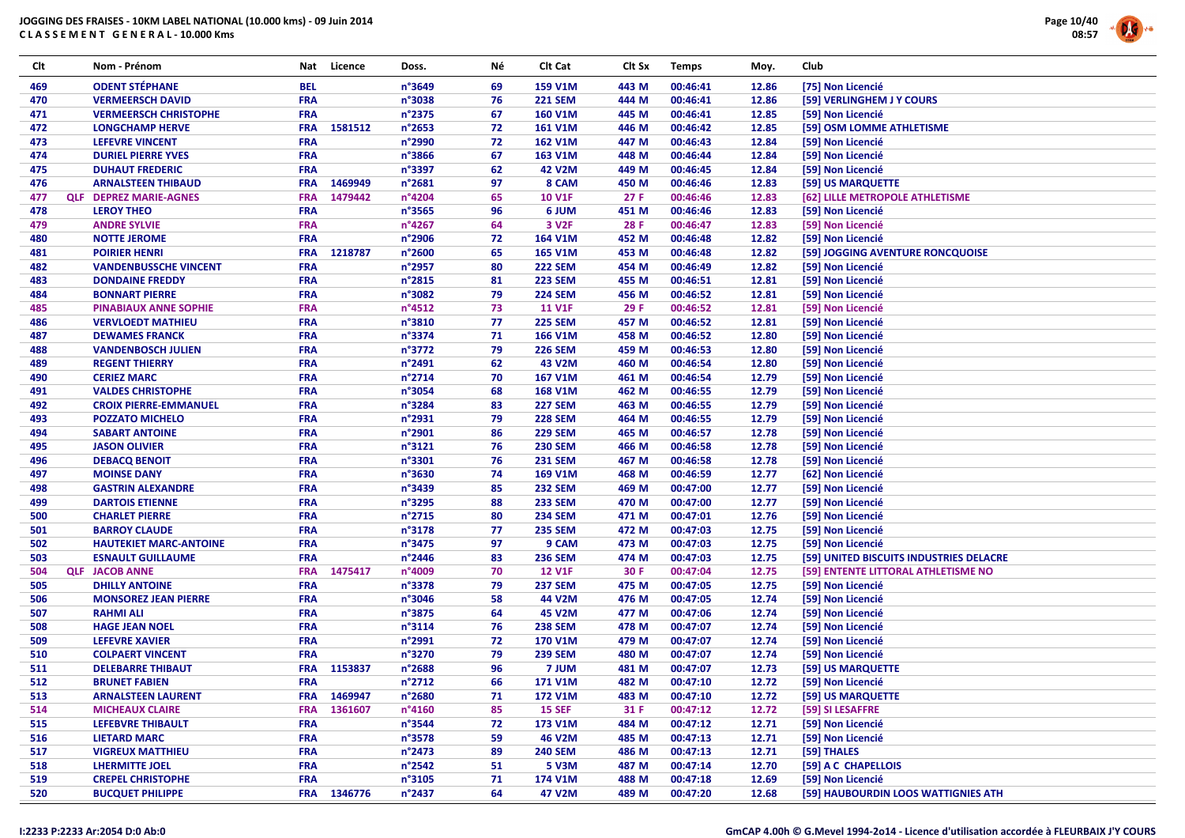

| Clt | Nom - Prénom                  | Nat        | Licence     | Doss.            | Νé | Clt Cat           | Clt Sx | <b>Temps</b> | Moy.  | Club                                    |
|-----|-------------------------------|------------|-------------|------------------|----|-------------------|--------|--------------|-------|-----------------------------------------|
| 469 | <b>ODENT STÉPHANE</b>         | <b>BEL</b> |             | n°3649           | 69 | 159 V1M           | 443 M  | 00:46:41     | 12.86 | [75] Non Licencié                       |
| 470 | <b>VERMEERSCH DAVID</b>       | <b>FRA</b> |             | n°3038           | 76 | <b>221 SEM</b>    | 444 M  | 00:46:41     | 12.86 | [59] VERLINGHEM J Y COURS               |
| 471 | <b>VERMEERSCH CHRISTOPHE</b>  | <b>FRA</b> |             | $n^{\circ}$ 2375 | 67 | <b>160 V1M</b>    | 445 M  | 00:46:41     | 12.85 | [59] Non Licencié                       |
| 472 | <b>LONGCHAMP HERVE</b>        | <b>FRA</b> | 1581512     | $n^{\circ}$ 2653 | 72 | 161 V1M           | 446 M  | 00:46:42     | 12.85 | [59] OSM LOMME ATHLETISME               |
| 473 | <b>LEFEVRE VINCENT</b>        | <b>FRA</b> |             | n°2990           | 72 | <b>162 V1M</b>    | 447 M  | 00:46:43     | 12.84 | [59] Non Licencié                       |
| 474 | <b>DURIEL PIERRE YVES</b>     | <b>FRA</b> |             | n°3866           | 67 | 163 V1M           | 448 M  | 00:46:44     | 12.84 | [59] Non Licencié                       |
| 475 | <b>DUHAUT FREDERIC</b>        | <b>FRA</b> |             | n°3397           | 62 | 42 V2M            | 449 M  | 00:46:45     | 12.84 | [59] Non Licencié                       |
| 476 | <b>ARNALSTEEN THIBAUD</b>     | <b>FRA</b> | 1469949     | n°2681           | 97 | 8 CAM             | 450 M  | 00:46:46     | 12.83 | [59] US MARQUETTE                       |
| 477 | <b>QLF DEPREZ MARIE-AGNES</b> | <b>FRA</b> | 1479442     | n°4204           | 65 | <b>10 V1F</b>     | 27F    | 00:46:46     | 12.83 | [62] LILLE METROPOLE ATHLETISME         |
| 478 | <b>LEROY THEO</b>             | <b>FRA</b> |             | n°3565           | 96 | 6 JUM             | 451 M  | 00:46:46     | 12.83 | [59] Non Licencié                       |
| 479 | <b>ANDRE SYLVIE</b>           | <b>FRA</b> |             | n°4267           | 64 | 3 V <sub>2F</sub> | 28 F   | 00:46:47     | 12.83 | [59] Non Licencié                       |
| 480 | <b>NOTTE JEROME</b>           | <b>FRA</b> |             | n°2906           | 72 | 164 V1M           | 452 M  | 00:46:48     | 12.82 | [59] Non Licencié                       |
| 481 | <b>POIRIER HENRI</b>          | <b>FRA</b> | 1218787     | n°2600           | 65 | 165 V1M           | 453 M  | 00:46:48     | 12.82 | [59] JOGGING AVENTURE RONCQUOISE        |
| 482 | <b>VANDENBUSSCHE VINCENT</b>  | <b>FRA</b> |             | n°2957           | 80 | <b>222 SEM</b>    | 454 M  | 00:46:49     | 12.82 | [59] Non Licencié                       |
| 483 | <b>DONDAINE FREDDY</b>        | <b>FRA</b> |             | n°2815           | 81 | <b>223 SEM</b>    | 455 M  | 00:46:51     | 12.81 | [59] Non Licencié                       |
| 484 | <b>BONNART PIERRE</b>         | <b>FRA</b> |             | n°3082           | 79 | <b>224 SEM</b>    | 456 M  | 00:46:52     | 12.81 | [59] Non Licencié                       |
| 485 | <b>PINABIAUX ANNE SOPHIE</b>  | <b>FRA</b> |             | $n^{\circ}$ 4512 | 73 | <b>11 V1F</b>     | 29 F   | 00:46:52     | 12.81 | [59] Non Licencié                       |
| 486 | <b>VERVLOEDT MATHIEU</b>      | <b>FRA</b> |             | n°3810           | 77 | <b>225 SEM</b>    | 457 M  | 00:46:52     | 12.81 | [59] Non Licencié                       |
| 487 | <b>DEWAMES FRANCK</b>         | <b>FRA</b> |             | n°3374           | 71 | 166 V1M           | 458 M  | 00:46:52     | 12.80 | [59] Non Licencié                       |
| 488 | <b>VANDENBOSCH JULIEN</b>     | <b>FRA</b> |             | n°3772           | 79 | <b>226 SEM</b>    | 459 M  | 00:46:53     | 12.80 | [59] Non Licencié                       |
| 489 | <b>REGENT THIERRY</b>         | <b>FRA</b> |             | n°2491           | 62 | 43 V2M            | 460 M  | 00:46:54     | 12.80 | [59] Non Licencié                       |
| 490 | <b>CERIEZ MARC</b>            | <b>FRA</b> |             | n°2714           | 70 | 167 V1M           | 461 M  | 00:46:54     | 12.79 | [59] Non Licencié                       |
| 491 | <b>VALDES CHRISTOPHE</b>      | <b>FRA</b> |             | n°3054           | 68 | 168 V1M           | 462 M  | 00:46:55     | 12.79 | [59] Non Licencié                       |
| 492 | <b>CROIX PIERRE-EMMANUEL</b>  | <b>FRA</b> |             | n°3284           | 83 | <b>227 SEM</b>    | 463 M  | 00:46:55     | 12.79 | [59] Non Licencié                       |
| 493 | <b>POZZATO MICHELO</b>        | <b>FRA</b> |             | n°2931           | 79 | <b>228 SEM</b>    | 464 M  | 00:46:55     | 12.79 | [59] Non Licencié                       |
| 494 | <b>SABART ANTOINE</b>         | <b>FRA</b> |             | n°2901           | 86 | <b>229 SEM</b>    | 465 M  | 00:46:57     | 12.78 | [59] Non Licencié                       |
| 495 | <b>JASON OLIVIER</b>          | <b>FRA</b> |             | n°3121           | 76 | <b>230 SEM</b>    | 466 M  | 00:46:58     | 12.78 | [59] Non Licencié                       |
| 496 | <b>DEBACQ BENOIT</b>          | <b>FRA</b> |             | n°3301           | 76 | <b>231 SEM</b>    | 467 M  | 00:46:58     | 12.78 | [59] Non Licencié                       |
| 497 | <b>MOINSE DANY</b>            | <b>FRA</b> |             | n°3630           | 74 | 169 V1M           | 468 M  | 00:46:59     | 12.77 | [62] Non Licencié                       |
| 498 | <b>GASTRIN ALEXANDRE</b>      | <b>FRA</b> |             | n°3439           | 85 | <b>232 SEM</b>    | 469 M  | 00:47:00     | 12.77 | [59] Non Licencié                       |
| 499 | <b>DARTOIS ETIENNE</b>        | <b>FRA</b> |             | n°3295           | 88 | <b>233 SEM</b>    | 470 M  | 00:47:00     | 12.77 | [59] Non Licencié                       |
| 500 | <b>CHARLET PIERRE</b>         | <b>FRA</b> |             | n°2715           | 80 | <b>234 SEM</b>    | 471 M  | 00:47:01     | 12.76 | [59] Non Licencié                       |
| 501 | <b>BARROY CLAUDE</b>          | <b>FRA</b> |             | n°3178           | 77 | <b>235 SEM</b>    | 472 M  | 00:47:03     | 12.75 | [59] Non Licencié                       |
| 502 | <b>HAUTEKIET MARC-ANTOINE</b> | <b>FRA</b> |             | n°3475           | 97 | 9 CAM             | 473 M  | 00:47:03     | 12.75 | [59] Non Licencié                       |
| 503 | <b>ESNAULT GUILLAUME</b>      | <b>FRA</b> |             | n°2446           | 83 | <b>236 SEM</b>    | 474 M  | 00:47:03     | 12.75 | [59] UNITED BISCUITS INDUSTRIES DELACRE |
| 504 | <b>QLF JACOB ANNE</b>         | <b>FRA</b> | 1475417     | n°4009           | 70 | <b>12 V1F</b>     | 30 F   | 00:47:04     | 12.75 | [59] ENTENTE LITTORAL ATHLETISME NO     |
| 505 | <b>DHILLY ANTOINE</b>         | <b>FRA</b> |             | n°3378           | 79 | <b>237 SEM</b>    | 475 M  | 00:47:05     | 12.75 | [59] Non Licencié                       |
| 506 | <b>MONSOREZ JEAN PIERRE</b>   | <b>FRA</b> |             | n°3046           | 58 | 44 V2M            | 476 M  | 00:47:05     | 12.74 | [59] Non Licencié                       |
| 507 | <b>RAHMI ALI</b>              | <b>FRA</b> |             | n°3875           | 64 | 45 V2M            | 477 M  | 00:47:06     | 12.74 | [59] Non Licencié                       |
| 508 | <b>HAGE JEAN NOEL</b>         | <b>FRA</b> |             | $n^{\circ}3114$  | 76 | <b>238 SEM</b>    | 478 M  | 00:47:07     | 12.74 | [59] Non Licencié                       |
| 509 | <b>LEFEVRE XAVIER</b>         | <b>FRA</b> |             | n°2991           | 72 | 170 V1M           | 479 M  | 00:47:07     | 12.74 | [59] Non Licencié                       |
| 510 | <b>COLPAERT VINCENT</b>       | <b>FRA</b> |             | n°3270           | 79 | <b>239 SEM</b>    | 480 M  | 00:47:07     | 12.74 | [59] Non Licencié                       |
| 511 | <b>DELEBARRE THIBAUT</b>      | <b>FRA</b> | 1153837     | n°2688           | 96 | 7 JUM             | 481 M  | 00:47:07     | 12.73 | [59] US MARQUETTE                       |
| 512 | <b>BRUNET FABIEN</b>          | <b>FRA</b> |             | $n^{\circ}2712$  | 66 | 171 V1M           | 482 M  | 00:47:10     | 12.72 | [59] Non Licencié                       |
| 513 | <b>ARNALSTEEN LAURENT</b>     |            | FRA 1469947 | n°2680           | 71 | 172 V1M           | 483 M  | 00:47:10     | 12.72 | [59] US MARQUETTE                       |
| 514 | <b>MICHEAUX CLAIRE</b>        | <b>FRA</b> | 1361607     | n°4160           | 85 | <b>15 SEF</b>     | 31 F   | 00:47:12     | 12.72 | [59] SI LESAFFRE                        |
| 515 | <b>LEFEBVRE THIBAULT</b>      | <b>FRA</b> |             | n°3544           | 72 | 173 V1M           | 484 M  | 00:47:12     | 12.71 | [59] Non Licencié                       |
| 516 | <b>LIETARD MARC</b>           | <b>FRA</b> |             | n°3578           | 59 | 46 V2M            | 485 M  | 00:47:13     | 12.71 | [59] Non Licencié                       |
| 517 | <b>VIGREUX MATTHIEU</b>       | <b>FRA</b> |             | $n^{\circ}$ 2473 | 89 | <b>240 SEM</b>    | 486 M  | 00:47:13     | 12.71 | [59] THALES                             |
| 518 | <b>LHERMITTE JOEL</b>         | <b>FRA</b> |             | $n^{\circ}$ 2542 | 51 | 5 V3M             | 487 M  | 00:47:14     | 12.70 | [59] A C CHAPELLOIS                     |
| 519 | <b>CREPEL CHRISTOPHE</b>      | <b>FRA</b> |             | n°3105           | 71 | 174 V1M           | 488 M  | 00:47:18     | 12.69 | [59] Non Licencié                       |
| 520 | <b>BUCQUET PHILIPPE</b>       |            | FRA 1346776 | n°2437           | 64 | 47 V2M            | 489 M  | 00:47:20     | 12.68 | [59] HAUBOURDIN LOOS WATTIGNIES ATH     |
|     |                               |            |             |                  |    |                   |        |              |       |                                         |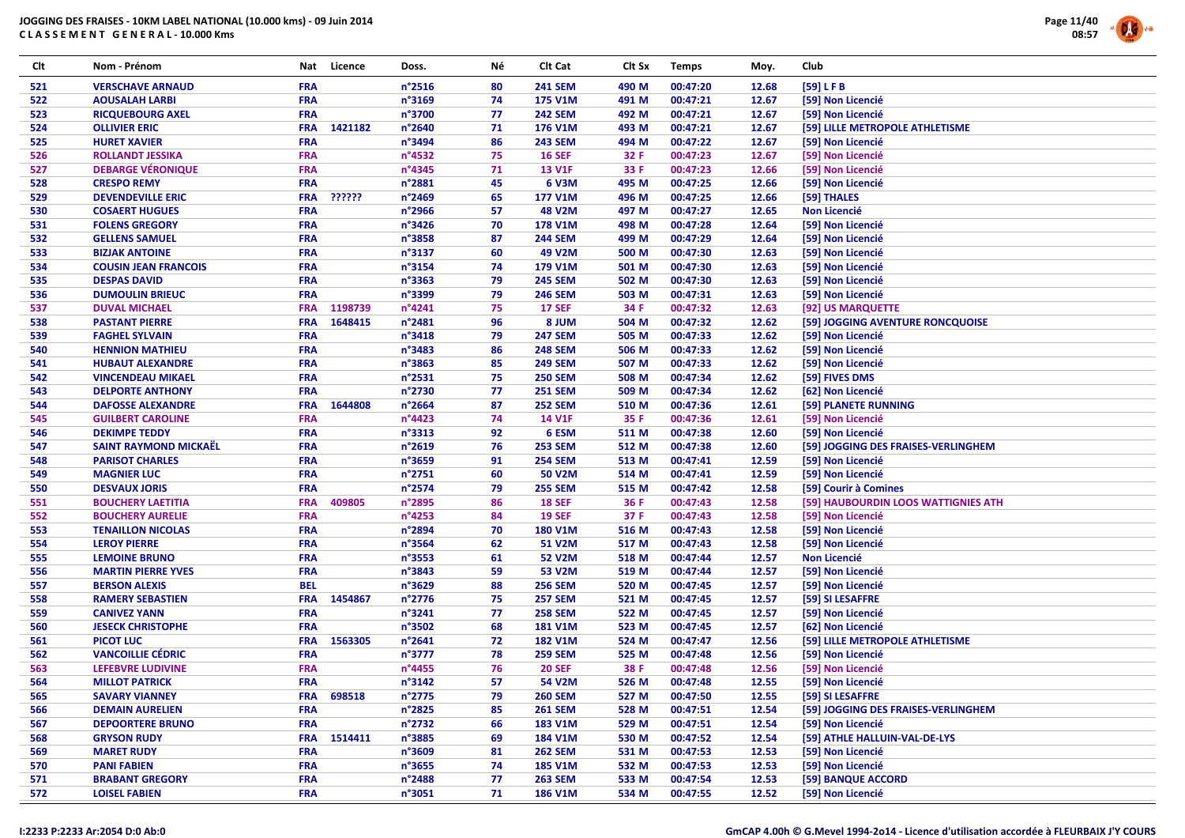

| Clt | Nom - Prénom                                         | Nat                      | Licence | Doss.            | Νé       | Clt Cat                  | Clt Sx | <b>Temps</b> | Moy.  | Club                                |
|-----|------------------------------------------------------|--------------------------|---------|------------------|----------|--------------------------|--------|--------------|-------|-------------------------------------|
| 521 | <b>VERSCHAVE ARNAUD</b>                              | <b>FRA</b>               |         | n°2516           | 80       | <b>241 SEM</b>           | 490 M  | 00:47:20     | 12.68 | [59] LFB                            |
| 522 | <b>AOUSALAH LARBI</b>                                | <b>FRA</b>               |         | n°3169           | 74       | 175 V1M                  | 491 M  | 00:47:21     | 12.67 | [59] Non Licencié                   |
| 523 | <b>RICQUEBOURG AXEL</b>                              | <b>FRA</b>               |         | n°3700           | 77       | <b>242 SEM</b>           | 492 M  | 00:47:21     | 12.67 | [59] Non Licencié                   |
| 524 | <b>OLLIVIER ERIC</b>                                 | <b>FRA</b>               | 1421182 | n°2640           | 71       | 176 V1M                  | 493 M  | 00:47:21     | 12.67 | [59] LILLE METROPOLE ATHLETISME     |
| 525 | <b>HURET XAVIER</b>                                  | FRA                      |         | n°3494           | 86       | <b>243 SEM</b>           | 494 M  | 00:47:22     | 12.67 | [59] Non Licencié                   |
| 526 | <b>ROLLANDT JESSIKA</b>                              | <b>FRA</b>               |         | n°4532           | 75       | <b>16 SEF</b>            | 32 F   | 00:47:23     | 12.67 | [59] Non Licencié                   |
| 527 | <b>DEBARGE VÉRONIQUE</b>                             | FRA                      |         | n°4345           | 71       | <b>13 V1F</b>            | 33 F   | 00:47:23     | 12.66 | [59] Non Licencié                   |
| 528 | <b>CRESPO REMY</b>                                   | <b>FRA</b>               |         | n°2881           | 45       | 6 V3M                    | 495 M  | 00:47:25     | 12.66 | [59] Non Licencié                   |
| 529 | <b>DEVENDEVILLE ERIC</b>                             | <b>FRA</b>               | ??????  | n°2469           | 65       | 177 V1M                  | 496 M  | 00:47:25     | 12.66 | [59] THALES                         |
| 530 | <b>COSAERT HUGUES</b>                                | <b>FRA</b>               |         | n°2966           | 57       | 48 V2M                   | 497 M  | 00:47:27     | 12.65 | <b>Non Licencié</b>                 |
| 531 | <b>FOLENS GREGORY</b>                                | FRA                      |         | n°3426           | 70       | 178 V1M                  | 498 M  | 00:47:28     | 12.64 | [59] Non Licencié                   |
| 532 | <b>GELLENS SAMUEL</b>                                | <b>FRA</b>               |         | n°3858           | 87       | <b>244 SEM</b>           | 499 M  | 00:47:29     | 12.64 | [59] Non Licencié                   |
| 533 | <b>BIZJAK ANTOINE</b>                                | <b>FRA</b>               |         | n°3137           | 60       | 49 V2M                   | 500 M  | 00:47:30     | 12.63 | [59] Non Licencié                   |
| 534 | <b>COUSIN JEAN FRANCOIS</b>                          | <b>FRA</b>               |         | n°3154           | 74       | 179 V1M                  | 501 M  | 00:47:30     | 12.63 | [59] Non Licencié                   |
| 535 | <b>DESPAS DAVID</b>                                  | <b>FRA</b>               |         | n°3363           | 79       | <b>245 SEM</b>           | 502 M  | 00:47:30     | 12.63 | [59] Non Licencié                   |
| 536 | <b>DUMOULIN BRIEUC</b>                               | <b>FRA</b>               |         | n°3399           | 79       | <b>246 SEM</b>           | 503 M  | 00:47:31     | 12.63 | [59] Non Licencié                   |
| 537 | <b>DUVAL MICHAEL</b>                                 | <b>FRA</b>               | 1198739 | n°4241           | 75       | <b>17 SEF</b>            | 34 F   | 00:47:32     | 12.63 | [92] US MARQUETTE                   |
| 538 | <b>PASTANT PIERRE</b>                                | <b>FRA</b>               | 1648415 | n°2481           | 96       | 8 JUM                    | 504 M  | 00:47:32     | 12.62 | [59] JOGGING AVENTURE RONCQUOISE    |
| 539 | <b>FAGHEL SYLVAIN</b>                                | <b>FRA</b>               |         | n°3418           | 79       | <b>247 SEM</b>           | 505 M  | 00:47:33     | 12.62 | [59] Non Licencié                   |
| 540 | <b>HENNION MATHIEU</b>                               | <b>FRA</b>               |         | n°3483           | 86       | <b>248 SEM</b>           | 506 M  | 00:47:33     | 12.62 | [59] Non Licencié                   |
| 541 | <b>HUBAUT ALEXANDRE</b>                              | <b>FRA</b>               |         | n°3863           | 85       | <b>249 SEM</b>           | 507 M  | 00:47:33     | 12.62 | [59] Non Licencié                   |
| 542 | <b>VINCENDEAU MIKAEL</b>                             | FRA                      |         | n°2531           | 75       | <b>250 SEM</b>           | 508 M  | 00:47:34     | 12.62 | [59] FIVES DMS                      |
| 543 | <b>DELPORTE ANTHONY</b>                              | <b>FRA</b>               |         | n°2730           | 77       | <b>251 SEM</b>           | 509 M  | 00:47:34     | 12.62 | [62] Non Licencié                   |
|     |                                                      |                          |         | n°2664           |          |                          |        |              |       |                                     |
| 544 | <b>DAFOSSE ALEXANDRE</b>                             | <b>FRA</b><br><b>FRA</b> | 1644808 | n°4423           | 87<br>74 | <b>252 SEM</b><br>14 V1F | 510 M  | 00:47:36     | 12.61 | [59] PLANETE RUNNING                |
| 545 | <b>GUILBERT CAROLINE</b>                             |                          |         |                  | 92       |                          | 35 F   | 00:47:36     | 12.61 | [59] Non Licencié                   |
| 546 | <b>DEKIMPE TEDDY</b><br><b>SAINT RAYMOND MICKAËL</b> | <b>FRA</b><br>FRA        |         | n°3313<br>n°2619 |          | 6 ESM                    | 511 M  | 00:47:38     | 12.60 | [59] Non Licencié                   |
| 547 |                                                      |                          |         |                  | 76       | <b>253 SEM</b>           | 512 M  | 00:47:38     | 12.60 | [59] JOGGING DES FRAISES-VERLINGHEM |
| 548 | <b>PARISOT CHARLES</b>                               | FRA                      |         | n°3659           | 91       | <b>254 SEM</b>           | 513 M  | 00:47:41     | 12.59 | [59] Non Licencié                   |
| 549 | <b>MAGNIER LUC</b>                                   | <b>FRA</b>               |         | n°2751           | 60       | 50 V2M                   | 514 M  | 00:47:41     | 12.59 | [59] Non Licencié                   |
| 550 | <b>DESVAUX JORIS</b>                                 | FRA                      |         | n°2574           | 79       | <b>255 SEM</b>           | 515 M  | 00:47:42     | 12.58 | [59] Courir à Comines               |
| 551 | <b>BOUCHERY LAETITIA</b>                             | <b>FRA</b>               | 409805  | n°2895           | 86       | <b>18 SEF</b>            | 36 F   | 00:47:43     | 12.58 | [59] HAUBOURDIN LOOS WATTIGNIES ATH |
| 552 | <b>BOUCHERY AURELIE</b>                              | FRA                      |         | n°4253           | 84       | <b>19 SEF</b>            | 37 F   | 00:47:43     | 12.58 | [59] Non Licencié                   |
| 553 | <b>TENAILLON NICOLAS</b>                             | FRA                      |         | n°2894           | 70       | <b>180 V1M</b>           | 516 M  | 00:47:43     | 12.58 | [59] Non Licencié                   |
| 554 | <b>LEROY PIERRE</b>                                  | <b>FRA</b>               |         | n°3564           | 62       | <b>51 V2M</b>            | 517 M  | 00:47:43     | 12.58 | [59] Non Licencié                   |
| 555 | <b>LEMOINE BRUNO</b>                                 | <b>FRA</b>               |         | n°3553           | 61       | <b>52 V2M</b>            | 518 M  | 00:47:44     | 12.57 | Non Licencié                        |
| 556 | <b>MARTIN PIERRE YVES</b>                            | FRA                      |         | n°3843           | 59       | <b>53 V2M</b>            | 519 M  | 00:47:44     | 12.57 | [59] Non Licencié                   |
| 557 | <b>BERSON ALEXIS</b>                                 | <b>BEL</b>               |         | n°3629           | 88       | <b>256 SEM</b>           | 520 M  | 00:47:45     | 12.57 | [59] Non Licencié                   |
| 558 | <b>RAMERY SEBASTIEN</b>                              | <b>FRA</b>               | 1454867 | n°2776           | 75       | <b>257 SEM</b>           | 521 M  | 00:47:45     | 12.57 | [59] SI LESAFFRE                    |
| 559 | <b>CANIVEZ YANN</b>                                  | <b>FRA</b>               |         | n°3241           | 77       | <b>258 SEM</b>           | 522 M  | 00:47:45     | 12.57 | [59] Non Licencié                   |
| 560 | <b>JESECK CHRISTOPHE</b>                             | FRA                      |         | n°3502           | 68       | <b>181 V1M</b>           | 523 M  | 00:47:45     | 12.57 | [62] Non Licencié                   |
| 561 | <b>PICOT LUC</b>                                     | <b>FRA</b>               | 1563305 | n°2641           | 72       | <b>182 V1M</b>           | 524 M  | 00:47:47     | 12.56 | [59] LILLE METROPOLE ATHLETISME     |
| 562 | <b>VANCOILLIE CÉDRIC</b>                             | <b>FRA</b>               |         | n°3777           | 78       | <b>259 SEM</b>           | 525 M  | 00:47:48     | 12.56 | [59] Non Licencié                   |
| 563 | <b>LEFEBVRE LUDIVINE</b>                             | FRA                      |         | n°4455           | 76       | <b>20 SEF</b>            | 38 F   | 00:47:48     | 12.56 | [59] Non Licencié                   |
| 564 | <b>MILLOT PATRICK</b>                                | <b>FRA</b>               |         | n°3142           | 57       | 54 V2M                   | 526 M  | 00:47:48     | 12.55 | [59] Non Licencié                   |
| 565 | <b>SAVARY VIANNEY</b>                                | <b>FRA</b>               | 698518  | n°2775           | 79       | <b>260 SEM</b>           | 527 M  | 00:47:50     | 12.55 | [59] SI LESAFFRE                    |
| 566 | <b>DEMAIN AURELIEN</b>                               | <b>FRA</b>               |         | n°2825           | 85       | <b>261 SEM</b>           | 528 M  | 00:47:51     | 12.54 | [59] JOGGING DES FRAISES-VERLINGHEM |
| 567 | <b>DEPOORTERE BRUNO</b>                              | <b>FRA</b>               |         | n°2732           | 66       | 183 V1M                  | 529 M  | 00:47:51     | 12.54 | [59] Non Licencié                   |
| 568 | <b>GRYSON RUDY</b>                                   | <b>FRA</b>               | 1514411 | n°3885           | 69       | 184 V1M                  | 530 M  | 00:47:52     | 12.54 | [59] ATHLE HALLUIN-VAL-DE-LYS       |
| 569 | <b>MARET RUDY</b>                                    | <b>FRA</b>               |         | n°3609           | 81       | <b>262 SEM</b>           | 531 M  | 00:47:53     | 12.53 | [59] Non Licencié                   |
| 570 | <b>PANI FABIEN</b>                                   | <b>FRA</b>               |         | n°3655           | 74       | <b>185 V1M</b>           | 532 M  | 00:47:53     | 12.53 | [59] Non Licencié                   |
| 571 | <b>BRABANT GREGORY</b>                               | <b>FRA</b>               |         | n°2488           | 77       | <b>263 SEM</b>           | 533 M  | 00:47:54     | 12.53 | [59] BANQUE ACCORD                  |
| 572 | <b>LOISEL FABIEN</b>                                 | <b>FRA</b>               |         | n°3051           | 71       | 186 V1M                  | 534 M  | 00:47:55     | 12.52 | [59] Non Licencié                   |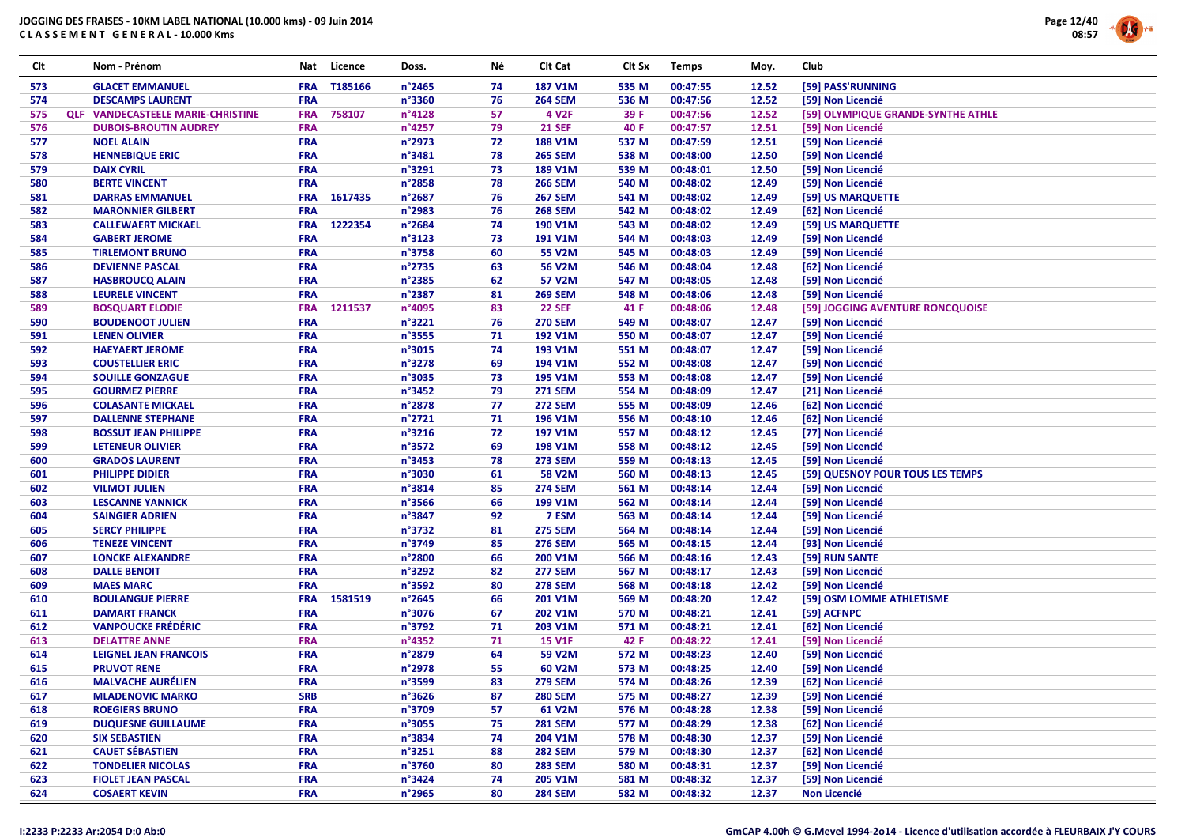

| Clt | Nom - Prénom                             | Nat        | Licence | Doss.           | Νé | Clt Cat        | Clt Sx | <b>Temps</b> | Moy.  | Club                               |
|-----|------------------------------------------|------------|---------|-----------------|----|----------------|--------|--------------|-------|------------------------------------|
| 573 | <b>GLACET EMMANUEL</b>                   | <b>FRA</b> | T185166 | n°2465          | 74 | <b>187 V1M</b> | 535 M  | 00:47:55     | 12.52 | [59] PASS'RUNNING                  |
| 574 | <b>DESCAMPS LAURENT</b>                  | <b>FRA</b> |         | n°3360          | 76 | <b>264 SEM</b> | 536 M  | 00:47:56     | 12.52 | [59] Non Licencié                  |
| 575 | <b>QLF VANDECASTEELE MARIE-CHRISTINE</b> | <b>FRA</b> | 758107  | n°4128          | 57 | 4 V2F          | 39 F   | 00:47:56     | 12.52 | [59] OLYMPIQUE GRANDE-SYNTHE ATHLE |
| 576 | <b>DUBOIS-BROUTIN AUDREY</b>             | <b>FRA</b> |         | n°4257          | 79 | <b>21 SEF</b>  | 40 F   | 00:47:57     | 12.51 | [59] Non Licencié                  |
| 577 | <b>NOEL ALAIN</b>                        | <b>FRA</b> |         | n°2973          | 72 | <b>188 V1M</b> | 537 M  | 00:47:59     | 12.51 | [59] Non Licencié                  |
| 578 | <b>HENNEBIQUE ERIC</b>                   | <b>FRA</b> |         | n°3481          | 78 | <b>265 SEM</b> | 538 M  | 00:48:00     | 12.50 | [59] Non Licencié                  |
| 579 | <b>DAIX CYRIL</b>                        | <b>FRA</b> |         | n°3291          | 73 | 189 V1M        | 539 M  | 00:48:01     | 12.50 | [59] Non Licencié                  |
| 580 | <b>BERTE VINCENT</b>                     | <b>FRA</b> |         | n°2858          | 78 | <b>266 SEM</b> | 540 M  | 00:48:02     | 12.49 | [59] Non Licencié                  |
| 581 | <b>DARRAS EMMANUEL</b>                   | <b>FRA</b> | 1617435 | n°2687          | 76 | <b>267 SEM</b> | 541 M  | 00:48:02     | 12.49 | [59] US MARQUETTE                  |
| 582 | <b>MARONNIER GILBERT</b>                 | <b>FRA</b> |         | n°2983          | 76 | <b>268 SEM</b> | 542 M  | 00:48:02     | 12.49 | [62] Non Licencié                  |
| 583 | <b>CALLEWAERT MICKAEL</b>                | <b>FRA</b> | 1222354 | n°2684          | 74 | 190 V1M        | 543 M  | 00:48:02     | 12.49 | [59] US MARQUETTE                  |
| 584 | <b>GABERT JEROME</b>                     | <b>FRA</b> |         | n°3123          | 73 | 191 V1M        | 544 M  | 00:48:03     | 12.49 | [59] Non Licencié                  |
| 585 | <b>TIRLEMONT BRUNO</b>                   | FRA        |         | n°3758          | 60 | 55 V2M         | 545 M  | 00:48:03     | 12.49 | [59] Non Licencié                  |
| 586 | <b>DEVIENNE PASCAL</b>                   | <b>FRA</b> |         | n°2735          | 63 | 56 V2M         | 546 M  | 00:48:04     | 12.48 | [62] Non Licencié                  |
| 587 | <b>HASBROUCQ ALAIN</b>                   | <b>FRA</b> |         | n°2385          | 62 | 57 V2M         | 547 M  | 00:48:05     | 12.48 | [59] Non Licencié                  |
| 588 | <b>LEURELE VINCENT</b>                   | <b>FRA</b> |         | n°2387          | 81 | <b>269 SEM</b> | 548 M  | 00:48:06     | 12.48 | [59] Non Licencié                  |
| 589 | <b>BOSQUART ELODIE</b>                   | <b>FRA</b> | 1211537 | n°4095          | 83 | <b>22 SEF</b>  | 41 F   | 00:48:06     | 12.48 | [59] JOGGING AVENTURE RONCQUOISE   |
| 590 | <b>BOUDENOOT JULIEN</b>                  | <b>FRA</b> |         | n°3221          | 76 | <b>270 SEM</b> | 549 M  | 00:48:07     | 12.47 | [59] Non Licencié                  |
| 591 | <b>LENEN OLIVIER</b>                     | <b>FRA</b> |         | n°3555          | 71 | 192 V1M        | 550 M  | 00:48:07     | 12.47 | [59] Non Licencié                  |
| 592 | <b>HAEYAERT JEROME</b>                   | <b>FRA</b> |         | n°3015          | 74 | 193 V1M        | 551 M  | 00:48:07     | 12.47 | [59] Non Licencié                  |
| 593 | <b>COUSTELLIER ERIC</b>                  | <b>FRA</b> |         | n°3278          | 69 | 194 V1M        | 552 M  | 00:48:08     | 12.47 | [59] Non Licencié                  |
| 594 | <b>SOUILLE GONZAGUE</b>                  | <b>FRA</b> |         | n°3035          | 73 | 195 V1M        | 553 M  | 00:48:08     | 12.47 | [59] Non Licencié                  |
| 595 | <b>GOURMEZ PIERRE</b>                    | <b>FRA</b> |         | n°3452          | 79 | <b>271 SEM</b> | 554 M  | 00:48:09     | 12.47 | [21] Non Licencié                  |
| 596 | <b>COLASANTE MICKAEL</b>                 | <b>FRA</b> |         | n°2878          | 77 | <b>272 SEM</b> | 555 M  | 00:48:09     | 12.46 | [62] Non Licencié                  |
| 597 | <b>DALLENNE STEPHANE</b>                 | <b>FRA</b> |         | n°2721          | 71 | 196 V1M        | 556 M  | 00:48:10     | 12.46 | [62] Non Licencié                  |
| 598 | <b>BOSSUT JEAN PHILIPPE</b>              | <b>FRA</b> |         | n°3216          | 72 | 197 V1M        | 557 M  | 00:48:12     | 12.45 | [77] Non Licencié                  |
| 599 | <b>LETENEUR OLIVIER</b>                  | <b>FRA</b> |         | n°3572          | 69 | 198 V1M        | 558 M  | 00:48:12     | 12.45 | [59] Non Licencié                  |
| 600 | <b>GRADOS LAURENT</b>                    | <b>FRA</b> |         | n°3453          | 78 | <b>273 SEM</b> | 559 M  | 00:48:13     | 12.45 | [59] Non Licencié                  |
| 601 | <b>PHILIPPE DIDIER</b>                   | <b>FRA</b> |         | n°3030          | 61 | <b>58 V2M</b>  | 560 M  | 00:48:13     | 12.45 | [59] QUESNOY POUR TOUS LES TEMPS   |
| 602 | <b>VILMOT JULIEN</b>                     | <b>FRA</b> |         | n°3814          | 85 | <b>274 SEM</b> | 561 M  | 00:48:14     | 12.44 | [59] Non Licencié                  |
| 603 | <b>LESCANNE YANNICK</b>                  | <b>FRA</b> |         | n°3566          | 66 | 199 V1M        | 562 M  | 00:48:14     | 12.44 | [59] Non Licencié                  |
| 604 | <b>SAINGIER ADRIEN</b>                   | <b>FRA</b> |         | n°3847          | 92 | 7 ESM          | 563 M  | 00:48:14     | 12.44 | [59] Non Licencié                  |
| 605 | <b>SERCY PHILIPPE</b>                    | <b>FRA</b> |         | n°3732          | 81 | <b>275 SEM</b> | 564 M  | 00:48:14     | 12.44 | [59] Non Licencié                  |
| 606 | <b>TENEZE VINCENT</b>                    | <b>FRA</b> |         | n°3749          | 85 | <b>276 SEM</b> | 565 M  | 00:48:15     | 12.44 | [93] Non Licencié                  |
| 607 | <b>LONCKE ALEXANDRE</b>                  | <b>FRA</b> |         | n°2800          | 66 | 200 V1M        | 566 M  | 00:48:16     | 12.43 | [59] RUN SANTE                     |
| 608 | <b>DALLE BENOIT</b>                      | <b>FRA</b> |         | n°3292          | 82 | <b>277 SEM</b> | 567 M  | 00:48:17     | 12.43 | [59] Non Licencié                  |
| 609 | <b>MAES MARC</b>                         | <b>FRA</b> |         | n°3592          | 80 | <b>278 SEM</b> | 568 M  | 00:48:18     | 12.42 | [59] Non Licencié                  |
| 610 | <b>BOULANGUE PIERRE</b>                  | <b>FRA</b> | 1581519 | $n^{\circ}2645$ | 66 | 201 V1M        | 569 M  | 00:48:20     | 12.42 | [59] OSM LOMME ATHLETISME          |
| 611 | <b>DAMART FRANCK</b>                     | <b>FRA</b> |         | n°3076          | 67 | 202 V1M        | 570 M  | 00:48:21     | 12.41 | [59] ACFNPC                        |
| 612 | <b>VANPOUCKE FRÉDÉRIC</b>                | <b>FRA</b> |         | n°3792          | 71 | 203 V1M        | 571 M  | 00:48:21     | 12.41 | [62] Non Licencié                  |
| 613 | <b>DELATTRE ANNE</b>                     | <b>FRA</b> |         | n°4352          | 71 | <b>15 V1F</b>  | 42 F   | 00:48:22     | 12.41 | [59] Non Licencié                  |
| 614 | <b>LEIGNEL JEAN FRANCOIS</b>             | <b>FRA</b> |         | n°2879          | 64 | 59 V2M         | 572 M  | 00:48:23     | 12.40 | [59] Non Licencié                  |
| 615 | <b>PRUVOT RENE</b>                       | <b>FRA</b> |         | n°2978          | 55 | 60 V2M         | 573 M  | 00:48:25     | 12.40 | [59] Non Licencié                  |
| 616 | <b>MALVACHE AURÉLIEN</b>                 | <b>FRA</b> |         | n°3599          | 83 | <b>279 SEM</b> | 574 M  | 00:48:26     | 12.39 | [62] Non Licencié                  |
| 617 | <b>MLADENOVIC MARKO</b>                  | SRB        |         | n°3626          | 87 | <b>280 SEM</b> | 575 M  | 00:48:27     | 12.39 | [59] Non Licencié                  |
| 618 | <b>ROEGIERS BRUNO</b>                    | <b>FRA</b> |         | n°3709          | 57 | 61 V2M         | 576 M  | 00:48:28     | 12.38 | [59] Non Licencié                  |
| 619 | <b>DUQUESNE GUILLAUME</b>                | <b>FRA</b> |         | n°3055          | 75 | <b>281 SEM</b> | 577 M  | 00:48:29     | 12.38 | [62] Non Licencié                  |
| 620 | <b>SIX SEBASTIEN</b>                     | <b>FRA</b> |         | n°3834          | 74 | 204 V1M        | 578 M  | 00:48:30     | 12.37 | [59] Non Licencié                  |
| 621 | <b>CAUET SÉBASTIEN</b>                   | <b>FRA</b> |         | n°3251          | 88 | <b>282 SEM</b> | 579 M  | 00:48:30     | 12.37 | [62] Non Licencié                  |
| 622 | <b>TONDELIER NICOLAS</b>                 | <b>FRA</b> |         | n°3760          | 80 | <b>283 SEM</b> | 580 M  | 00:48:31     | 12.37 | [59] Non Licencié                  |
| 623 | <b>FIOLET JEAN PASCAL</b>                | <b>FRA</b> |         | n°3424          | 74 | 205 V1M        | 581 M  | 00:48:32     | 12.37 | [59] Non Licencié                  |
| 624 | <b>COSAERT KEVIN</b>                     | <b>FRA</b> |         | n°2965          | 80 | <b>284 SEM</b> | 582 M  | 00:48:32     | 12.37 | <b>Non Licencié</b>                |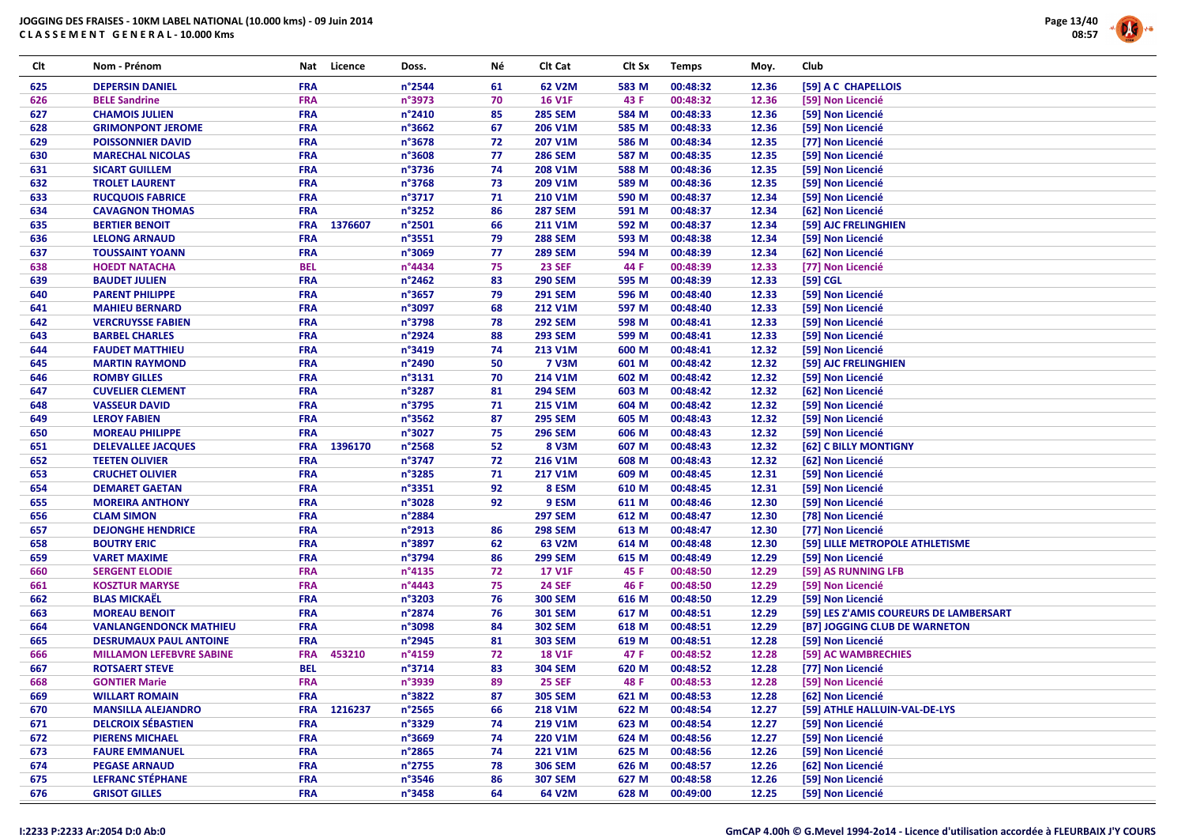

| Clt | Nom - Prénom                    | Nat        | Licence | Doss.            | Νé | Clt Cat        | Clt Sx | <b>Temps</b> | Moy.  | Club     |                                        |
|-----|---------------------------------|------------|---------|------------------|----|----------------|--------|--------------|-------|----------|----------------------------------------|
| 625 | <b>DEPERSIN DANIEL</b>          | <b>FRA</b> |         | n°2544           | 61 | 62 V2M         | 583 M  | 00:48:32     | 12.36 |          | [59] A C CHAPELLOIS                    |
| 626 | <b>BELE Sandrine</b>            | <b>FRA</b> |         | n°3973           | 70 | <b>16 V1F</b>  | 43 F   | 00:48:32     | 12.36 |          | [59] Non Licencié                      |
| 627 | <b>CHAMOIS JULIEN</b>           | <b>FRA</b> |         | $n^{\circ}$ 2410 | 85 | <b>285 SEM</b> | 584 M  | 00:48:33     | 12.36 |          | [59] Non Licencié                      |
| 628 | <b>GRIMONPONT JEROME</b>        | <b>FRA</b> |         | n°3662           | 67 | 206 V1M        | 585 M  | 00:48:33     | 12.36 |          | [59] Non Licencié                      |
| 629 | <b>POISSONNIER DAVID</b>        | <b>FRA</b> |         | n°3678           | 72 | 207 V1M        | 586 M  | 00:48:34     | 12.35 |          | [77] Non Licencié                      |
| 630 | <b>MARECHAL NICOLAS</b>         | <b>FRA</b> |         | $n^{\circ}3608$  | 77 | <b>286 SEM</b> | 587 M  | 00:48:35     | 12.35 |          | [59] Non Licencié                      |
| 631 | <b>SICART GUILLEM</b>           | <b>FRA</b> |         | $n^{\circ}3736$  | 74 | 208 V1M        | 588 M  | 00:48:36     | 12.35 |          | [59] Non Licencié                      |
| 632 | <b>TROLET LAURENT</b>           | <b>FRA</b> |         | n°3768           | 73 | 209 V1M        | 589 M  | 00:48:36     | 12.35 |          | [59] Non Licencié                      |
| 633 | <b>RUCQUOIS FABRICE</b>         | <b>FRA</b> |         | n°3717           | 71 | 210 V1M        | 590 M  | 00:48:37     | 12.34 |          | [59] Non Licencié                      |
| 634 | <b>CAVAGNON THOMAS</b>          | <b>FRA</b> |         | n°3252           | 86 | <b>287 SEM</b> | 591 M  | 00:48:37     | 12.34 |          | [62] Non Licencié                      |
| 635 | <b>BERTIER BENOIT</b>           | <b>FRA</b> | 1376607 | n°2501           | 66 | 211 V1M        | 592 M  | 00:48:37     | 12.34 |          | [59] AJC FRELINGHIEN                   |
| 636 | <b>LELONG ARNAUD</b>            | <b>FRA</b> |         | $n^{\circ}3551$  | 79 | <b>288 SEM</b> | 593 M  | 00:48:38     | 12.34 |          | [59] Non Licencié                      |
| 637 | <b>TOUSSAINT YOANN</b>          | <b>FRA</b> |         | n°3069           | 77 | <b>289 SEM</b> | 594 M  | 00:48:39     | 12.34 |          | [62] Non Licencié                      |
| 638 | <b>HOEDT NATACHA</b>            | <b>BEL</b> |         | n°4434           | 75 | <b>23 SEF</b>  | 44 F   | 00:48:39     | 12.33 |          | [77] Non Licencié                      |
| 639 | <b>BAUDET JULIEN</b>            | <b>FRA</b> |         | $n^{\circ}$ 2462 | 83 | <b>290 SEM</b> | 595 M  | 00:48:39     | 12.33 | [59] CGL |                                        |
| 640 | <b>PARENT PHILIPPE</b>          | <b>FRA</b> |         | n°3657           | 79 | <b>291 SEM</b> | 596 M  | 00:48:40     | 12.33 |          | [59] Non Licencié                      |
| 641 | <b>MAHIEU BERNARD</b>           | <b>FRA</b> |         | n°3097           | 68 | <b>212 V1M</b> | 597 M  | 00:48:40     | 12.33 |          | [59] Non Licencié                      |
| 642 | <b>VERCRUYSSE FABIEN</b>        | <b>FRA</b> |         | n°3798           | 78 | <b>292 SEM</b> | 598 M  | 00:48:41     | 12.33 |          | [59] Non Licencié                      |
| 643 | <b>BARBEL CHARLES</b>           | <b>FRA</b> |         | n°2924           | 88 | <b>293 SEM</b> | 599 M  | 00:48:41     | 12.33 |          | [59] Non Licencié                      |
| 644 | <b>FAUDET MATTHIEU</b>          | <b>FRA</b> |         | n°3419           | 74 | 213 V1M        | 600 M  | 00:48:41     | 12.32 |          | [59] Non Licencié                      |
| 645 | <b>MARTIN RAYMOND</b>           | <b>FRA</b> |         | n°2490           | 50 | <b>7 V3M</b>   | 601 M  | 00:48:42     | 12.32 |          | [59] AJC FRELINGHIEN                   |
| 646 | <b>ROMBY GILLES</b>             | <b>FRA</b> |         | n°3131           | 70 | 214 V1M        | 602 M  | 00:48:42     | 12.32 |          | [59] Non Licencié                      |
| 647 | <b>CUVELIER CLEMENT</b>         | <b>FRA</b> |         | n°3287           | 81 | <b>294 SEM</b> | 603 M  | 00:48:42     | 12.32 |          | [62] Non Licencié                      |
| 648 | <b>VASSEUR DAVID</b>            | <b>FRA</b> |         | n°3795           | 71 | 215 V1M        | 604 M  | 00:48:42     | 12.32 |          | [59] Non Licencié                      |
| 649 | <b>LEROY FABIEN</b>             | <b>FRA</b> |         | n°3562           | 87 | <b>295 SEM</b> | 605 M  | 00:48:43     | 12.32 |          | [59] Non Licencié                      |
| 650 | <b>MOREAU PHILIPPE</b>          | <b>FRA</b> |         | n°3027           | 75 | <b>296 SEM</b> | 606 M  | 00:48:43     | 12.32 |          | [59] Non Licencié                      |
| 651 | <b>DELEVALLEE JACQUES</b>       | <b>FRA</b> | 1396170 | n°2568           | 52 | 8 V3M          | 607 M  | 00:48:43     | 12.32 |          | [62] C BILLY MONTIGNY                  |
| 652 | <b>TEETEN OLIVIER</b>           | <b>FRA</b> |         | n°3747           | 72 | 216 V1M        | 608 M  | 00:48:43     | 12.32 |          | [62] Non Licencié                      |
| 653 | <b>CRUCHET OLIVIER</b>          | <b>FRA</b> |         | n°3285           | 71 | 217 V1M        | 609 M  | 00:48:45     | 12.31 |          | [59] Non Licencié                      |
| 654 | <b>DEMARET GAETAN</b>           | <b>FRA</b> |         | n°3351           | 92 | 8 ESM          | 610 M  | 00:48:45     | 12.31 |          | [59] Non Licencié                      |
| 655 | <b>MOREIRA ANTHONY</b>          | <b>FRA</b> |         | n°3028           | 92 | 9 ESM          | 611 M  | 00:48:46     | 12.30 |          | [59] Non Licencié                      |
| 656 | <b>CLAM SIMON</b>               | <b>FRA</b> |         | n°2884           |    | <b>297 SEM</b> | 612 M  | 00:48:47     | 12.30 |          | [78] Non Licencié                      |
| 657 | <b>DEJONGHE HENDRICE</b>        | <b>FRA</b> |         | $n^{\circ}$ 2913 | 86 | <b>298 SEM</b> | 613 M  | 00:48:47     | 12.30 |          | [77] Non Licencié                      |
| 658 | <b>BOUTRY ERIC</b>              | <b>FRA</b> |         | n°3897           | 62 | 63 V2M         | 614 M  | 00:48:48     | 12.30 |          | [59] LILLE METROPOLE ATHLETISME        |
| 659 | <b>VARET MAXIME</b>             | <b>FRA</b> |         | n°3794           | 86 | <b>299 SEM</b> | 615 M  | 00:48:49     | 12.29 |          | [59] Non Licencié                      |
| 660 | <b>SERGENT ELODIE</b>           | <b>FRA</b> |         | n°4135           | 72 | <b>17 V1F</b>  | 45 F   | 00:48:50     | 12.29 |          | [59] AS RUNNING LFB                    |
| 661 | <b>KOSZTUR MARYSE</b>           | <b>FRA</b> |         | n°4443           | 75 | <b>24 SEF</b>  | 46 F   | 00:48:50     | 12.29 |          | [59] Non Licencié                      |
| 662 | <b>BLAS MICKAËL</b>             | <b>FRA</b> |         | $n^{\circ}3203$  | 76 | <b>300 SEM</b> | 616 M  | 00:48:50     | 12.29 |          | [59] Non Licencié                      |
| 663 | <b>MOREAU BENOIT</b>            | <b>FRA</b> |         | n°2874           | 76 | <b>301 SEM</b> | 617 M  | 00:48:51     | 12.29 |          | [59] LES Z'AMIS COUREURS DE LAMBERSART |
| 664 | <b>VANLANGENDONCK MATHIEU</b>   | <b>FRA</b> |         | n°3098           | 84 | <b>302 SEM</b> | 618 M  | 00:48:51     | 12.29 |          | [B7] JOGGING CLUB DE WARNETON          |
| 665 | <b>DESRUMAUX PAUL ANTOINE</b>   | <b>FRA</b> |         | n°2945           | 81 | <b>303 SEM</b> | 619 M  | 00:48:51     | 12.28 |          | [59] Non Licencié                      |
| 666 | <b>MILLAMON LEFEBVRE SABINE</b> | <b>FRA</b> | 453210  | $n^{\circ}4159$  | 72 | <b>18 V1F</b>  | 47 F   | 00:48:52     | 12.28 |          | [59] AC WAMBRECHIES                    |
| 667 | <b>ROTSAERT STEVE</b>           | <b>BEL</b> |         | n°3714           | 83 | <b>304 SEM</b> | 620 M  | 00:48:52     | 12.28 |          | [77] Non Licencié                      |
| 668 | <b>GONTIER Marie</b>            | <b>FRA</b> |         | n°3939           | 89 | <b>25 SEF</b>  | 48 F   | 00:48:53     | 12.28 |          | [59] Non Licencié                      |
| 669 | <b>WILLART ROMAIN</b>           | <b>FRA</b> |         | n°3822           | 87 | <b>305 SEM</b> | 621 M  | 00:48:53     | 12.28 |          | [62] Non Licencié                      |
| 670 | <b>MANSILLA ALEJANDRO</b>       | <b>FRA</b> | 1216237 | $n^{\circ}$ 2565 | 66 | 218 V1M        | 622 M  | 00:48:54     | 12.27 |          | [59] ATHLE HALLUIN-VAL-DE-LYS          |
| 671 | <b>DELCROIX SÉBASTIEN</b>       | <b>FRA</b> |         | n°3329           | 74 | 219 V1M        | 623 M  | 00:48:54     | 12.27 |          | [59] Non Licencié                      |
| 672 | <b>PIERENS MICHAEL</b>          | <b>FRA</b> |         | $n^{\circ}3669$  | 74 | 220 V1M        | 624 M  | 00:48:56     | 12.27 |          | [59] Non Licencié                      |
| 673 | <b>FAURE EMMANUEL</b>           | <b>FRA</b> |         | $n^{\circ}$ 2865 | 74 | 221 V1M        | 625 M  | 00:48:56     | 12.26 |          | [59] Non Licencié                      |
| 674 | <b>PEGASE ARNAUD</b>            | <b>FRA</b> |         | $n^{\circ}$ 2755 | 78 | <b>306 SEM</b> | 626 M  | 00:48:57     | 12.26 |          | [62] Non Licencié                      |
| 675 | LEFRANC STÉPHANE                | <b>FRA</b> |         | n°3546           | 86 | <b>307 SEM</b> | 627 M  | 00:48:58     | 12.26 |          | [59] Non Licencié                      |
| 676 | <b>GRISOT GILLES</b>            | <b>FRA</b> |         | $n^{\circ}3458$  | 64 | 64 V2M         | 628 M  | 00:49:00     | 12.25 |          | [59] Non Licencié                      |
|     |                                 |            |         |                  |    |                |        |              |       |          |                                        |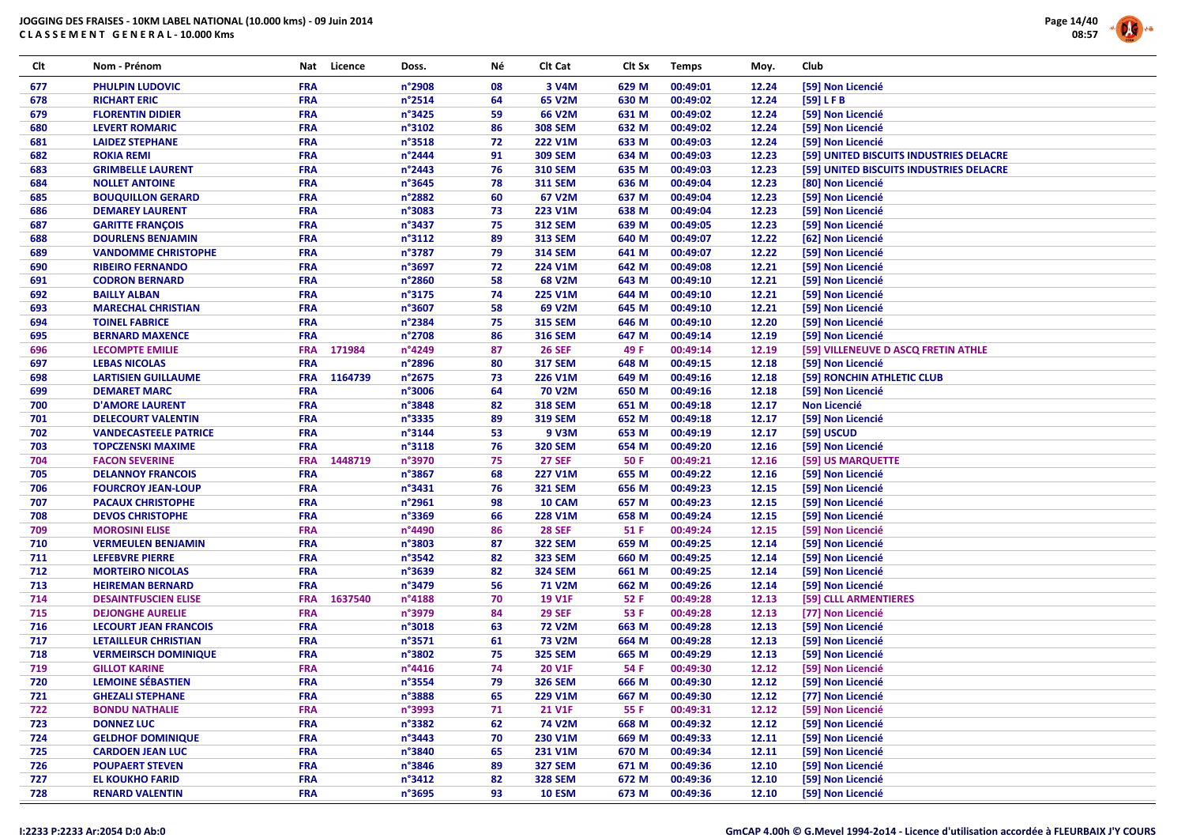

| Clt | Nom - Prénom                                       | Nat                      | Licence | Doss.           | Νé       | Clt Cat        | Clt Sx | <b>Temps</b>         | Moy.           | Club                                            |
|-----|----------------------------------------------------|--------------------------|---------|-----------------|----------|----------------|--------|----------------------|----------------|-------------------------------------------------|
| 677 | <b>PHULPIN LUDOVIC</b>                             | <b>FRA</b>               |         | n°2908          | 08       | 3 V4M          | 629 M  | 00:49:01             | 12.24          | [59] Non Licencié                               |
| 678 | <b>RICHART ERIC</b>                                | <b>FRA</b>               |         | n°2514          | 64       | 65 V2M         | 630 M  | 00:49:02             | 12.24          | [59] LFB                                        |
| 679 | <b>FLORENTIN DIDIER</b>                            | <b>FRA</b>               |         | n°3425          | 59       | 66 V2M         | 631 M  | 00:49:02             | 12.24          | [59] Non Licencié                               |
| 680 | <b>LEVERT ROMARIC</b>                              | <b>FRA</b>               |         | n°3102          | 86       | <b>308 SEM</b> | 632 M  | 00:49:02             | 12.24          | [59] Non Licencié                               |
| 681 | <b>LAIDEZ STEPHANE</b>                             | <b>FRA</b>               |         | n°3518          | 72       | <b>222 V1M</b> | 633 M  | 00:49:03             | 12.24          | [59] Non Licencié                               |
| 682 | <b>ROKIA REMI</b>                                  | <b>FRA</b>               |         | n°2444          | 91       | <b>309 SEM</b> | 634 M  | 00:49:03             | 12.23          | [59] UNITED BISCUITS INDUSTRIES DELACRE         |
| 683 | <b>GRIMBELLE LAURENT</b>                           | <b>FRA</b>               |         | n°2443          | 76       | <b>310 SEM</b> | 635 M  | 00:49:03             | 12.23          | [59] UNITED BISCUITS INDUSTRIES DELACRE         |
| 684 | <b>NOLLET ANTOINE</b>                              | <b>FRA</b>               |         | n°3645          | 78       | <b>311 SEM</b> | 636 M  | 00:49:04             | 12.23          | [80] Non Licencié                               |
| 685 | <b>BOUQUILLON GERARD</b>                           | <b>FRA</b>               |         | n°2882          | 60       | 67 V2M         | 637 M  | 00:49:04             | 12.23          | [59] Non Licencié                               |
| 686 | <b>DEMAREY LAURENT</b>                             | <b>FRA</b>               |         | n°3083          | 73       | 223 V1M        | 638 M  | 00:49:04             | 12.23          | [59] Non Licencié                               |
| 687 | <b>GARITTE FRANÇOIS</b>                            | <b>FRA</b>               |         | n°3437          | 75       | <b>312 SEM</b> | 639 M  | 00:49:05             | 12.23          | [59] Non Licencié                               |
| 688 | <b>DOURLENS BENJAMIN</b>                           | <b>FRA</b>               |         | n°3112          | 89       | <b>313 SEM</b> | 640 M  | 00:49:07             | 12.22          | [62] Non Licencié                               |
| 689 | <b>VANDOMME CHRISTOPHE</b>                         | <b>FRA</b>               |         | n°3787          | 79       | <b>314 SEM</b> | 641 M  | 00:49:07             | 12.22          | [59] Non Licencié                               |
| 690 | <b>RIBEIRO FERNANDO</b>                            | <b>FRA</b>               |         | n°3697          | 72       | 224 V1M        | 642 M  | 00:49:08             | 12.21          | [59] Non Licencié                               |
| 691 | <b>CODRON BERNARD</b>                              | <b>FRA</b>               |         | n°2860          | 58       | 68 V2M         | 643 M  | 00:49:10             | 12.21          | [59] Non Licencié                               |
| 692 | <b>BAILLY ALBAN</b>                                | <b>FRA</b>               |         | n°3175          | 74       | 225 V1M        | 644 M  | 00:49:10             | 12.21          | [59] Non Licencié                               |
| 693 | <b>MARECHAL CHRISTIAN</b>                          | <b>FRA</b>               |         | n°3607          | 58       | 69 V2M         | 645 M  | 00:49:10             | 12.21          | [59] Non Licencié                               |
| 694 | <b>TOINEL FABRICE</b>                              | <b>FRA</b>               |         | n°2384          | 75       | <b>315 SEM</b> | 646 M  | 00:49:10             | 12.20          | [59] Non Licencié                               |
| 695 | <b>BERNARD MAXENCE</b>                             | <b>FRA</b>               |         | n°2708          | 86       | <b>316 SEM</b> | 647 M  | 00:49:14             | 12.19          | [59] Non Licencié                               |
|     |                                                    | <b>FRA</b>               | 171984  | n°4249          | 87       |                | 49 F   |                      | 12.19          |                                                 |
| 696 | <b>LECOMPTE EMILIE</b>                             |                          |         | n°2896          |          | <b>26 SEF</b>  |        | 00:49:14<br>00:49:15 |                | [59] VILLENEUVE D ASCQ FRETIN ATHLE             |
| 697 | <b>LEBAS NICOLAS</b><br><b>LARTISIEN GUILLAUME</b> | <b>FRA</b><br><b>FRA</b> |         |                 | 80<br>73 | <b>317 SEM</b> | 648 M  | 00:49:16             | 12.18<br>12.18 | [59] Non Licencié<br>[59] RONCHIN ATHLETIC CLUB |
| 698 | <b>DEMARET MARC</b>                                |                          | 1164739 | n°2675          |          | 226 V1M        | 649 M  |                      |                |                                                 |
| 699 |                                                    | <b>FRA</b>               |         | n°3006          | 64       | <b>70 V2M</b>  | 650 M  | 00:49:16             | 12.18          | [59] Non Licencié                               |
| 700 | <b>D'AMORE LAURENT</b>                             | <b>FRA</b>               |         | n°3848          | 82       | <b>318 SEM</b> | 651 M  | 00:49:18             | 12.17          | <b>Non Licencié</b>                             |
| 701 | <b>DELECOURT VALENTIN</b>                          | <b>FRA</b>               |         | n°3335          | 89       | <b>319 SEM</b> | 652 M  | 00:49:18             | 12.17          | [59] Non Licencié                               |
| 702 | <b>VANDECASTEELE PATRICE</b>                       | <b>FRA</b>               |         | n°3144          | 53       | 9 V3M          | 653 M  | 00:49:19             | 12.17          | [59] USCUD                                      |
| 703 | <b>TOPCZENSKI MAXIME</b>                           | <b>FRA</b>               |         | n°3118          | 76       | <b>320 SEM</b> | 654 M  | 00:49:20             | 12.16          | [59] Non Licencié                               |
| 704 | <b>FACON SEVERINE</b>                              | <b>FRA</b>               | 1448719 | n°3970          | 75       | <b>27 SEF</b>  | 50 F   | 00:49:21             | 12.16          | [59] US MARQUETTE                               |
| 705 | <b>DELANNOY FRANCOIS</b>                           | <b>FRA</b>               |         | n°3867          | 68       | <b>227 V1M</b> | 655 M  | 00:49:22             | 12.16          | [59] Non Licencié                               |
| 706 | <b>FOURCROY JEAN-LOUP</b>                          | <b>FRA</b>               |         | n°3431          | 76       | <b>321 SEM</b> | 656 M  | 00:49:23             | 12.15          | [59] Non Licencié                               |
| 707 | <b>PACAUX CHRISTOPHE</b>                           | <b>FRA</b>               |         | n°2961          | 98       | 10 CAM         | 657 M  | 00:49:23             | 12.15          | [59] Non Licencié                               |
| 708 | <b>DEVOS CHRISTOPHE</b>                            | <b>FRA</b>               |         | n°3369          | 66       | 228 V1M        | 658 M  | 00:49:24             | 12.15          | [59] Non Licencié                               |
| 709 | <b>MOROSINI ELISE</b>                              | <b>FRA</b>               |         | n°4490          | 86       | <b>28 SEF</b>  | 51 F   | 00:49:24             | 12.15          | [59] Non Licencié                               |
| 710 | <b>VERMEULEN BENJAMIN</b>                          | <b>FRA</b>               |         | n°3803          | 87       | <b>322 SEM</b> | 659 M  | 00:49:25             | 12.14          | [59] Non Licencié                               |
| 711 | <b>LEFEBVRE PIERRE</b>                             | <b>FRA</b>               |         | n°3542          | 82       | <b>323 SEM</b> | 660 M  | 00:49:25             | 12.14          | [59] Non Licencié                               |
| 712 | <b>MORTEIRO NICOLAS</b>                            | <b>FRA</b>               |         | n°3639          | 82       | <b>324 SEM</b> | 661 M  | 00:49:25             | 12.14          | [59] Non Licencié                               |
| 713 | <b>HEIREMAN BERNARD</b>                            | <b>FRA</b>               |         | n°3479          | 56       | <b>71 V2M</b>  | 662 M  | 00:49:26             | 12.14          | [59] Non Licencié                               |
| 714 | <b>DESAINTFUSCIEN ELISE</b>                        | <b>FRA</b>               | 1637540 | n°4188          | 70       | <b>19 V1F</b>  | 52 F   | 00:49:28             | 12.13          | [59] CLLL ARMENTIERES                           |
| 715 | <b>DEJONGHE AURELIE</b>                            | <b>FRA</b>               |         | n°3979          | 84       | <b>29 SEF</b>  | 53 F   | 00:49:28             | 12.13          | [77] Non Licencié                               |
| 716 | <b>LECOURT JEAN FRANCOIS</b>                       | <b>FRA</b>               |         | n°3018          | 63       | <b>72 V2M</b>  | 663 M  | 00:49:28             | 12.13          | [59] Non Licencié                               |
| 717 | <b>LETAILLEUR CHRISTIAN</b>                        | <b>FRA</b>               |         | n°3571          | 61       | <b>73 V2M</b>  | 664 M  | 00:49:28             | 12.13          | [59] Non Licencié                               |
| 718 | <b>VERMEIRSCH DOMINIQUE</b>                        | <b>FRA</b>               |         | n°3802          | 75       | <b>325 SEM</b> | 665 M  | 00:49:29             | 12.13          | [59] Non Licencié                               |
| 719 | <b>GILLOT KARINE</b>                               | <b>FRA</b>               |         | $n^{\circ}4416$ | 74       | 20 V1F         | 54 F   | 00:49:30             | 12.12          | [59] Non Licencié                               |
| 720 | <b>LEMOINE SÉBASTIEN</b>                           | <b>FRA</b>               |         | n°3554          | 79       | <b>326 SEM</b> | 666 M  | 00:49:30             | 12.12          | [59] Non Licencié                               |
| 721 | <b>GHEZALI STEPHANE</b>                            | <b>FRA</b>               |         | n°3888          | 65       | 229 V1M        | 667 M  | 00:49:30             | 12.12          | [77] Non Licencié                               |
| 722 | <b>BONDU NATHALIE</b>                              | <b>FRA</b>               |         | n°3993          | 71       | <b>21 V1F</b>  | 55 F   | 00:49:31             | 12.12          | [59] Non Licencié                               |
| 723 | <b>DONNEZ LUC</b>                                  | <b>FRA</b>               |         | n°3382          | 62       | <b>74 V2M</b>  | 668 M  | 00:49:32             | 12.12          | [59] Non Licencié                               |
| 724 | <b>GELDHOF DOMINIQUE</b>                           | <b>FRA</b>               |         | n°3443          | 70       | 230 V1M        | 669 M  | 00:49:33             | 12.11          | [59] Non Licencié                               |
| 725 | <b>CARDOEN JEAN LUC</b>                            | <b>FRA</b>               |         | n°3840          | 65       | 231 V1M        | 670 M  | 00:49:34             | 12.11          | [59] Non Licencié                               |
| 726 | <b>POUPAERT STEVEN</b>                             | <b>FRA</b>               |         | n°3846          | 89       | <b>327 SEM</b> | 671 M  | 00:49:36             | 12.10          | [59] Non Licencié                               |
| 727 | <b>EL KOUKHO FARID</b>                             | <b>FRA</b>               |         | $n^{\circ}3412$ | 82       | <b>328 SEM</b> | 672 M  | 00:49:36             | 12.10          | [59] Non Licencié                               |
| 728 | <b>RENARD VALENTIN</b>                             | <b>FRA</b>               |         | n°3695          | 93       | <b>10 ESM</b>  | 673 M  | 00:49:36             | 12.10          | [59] Non Licencié                               |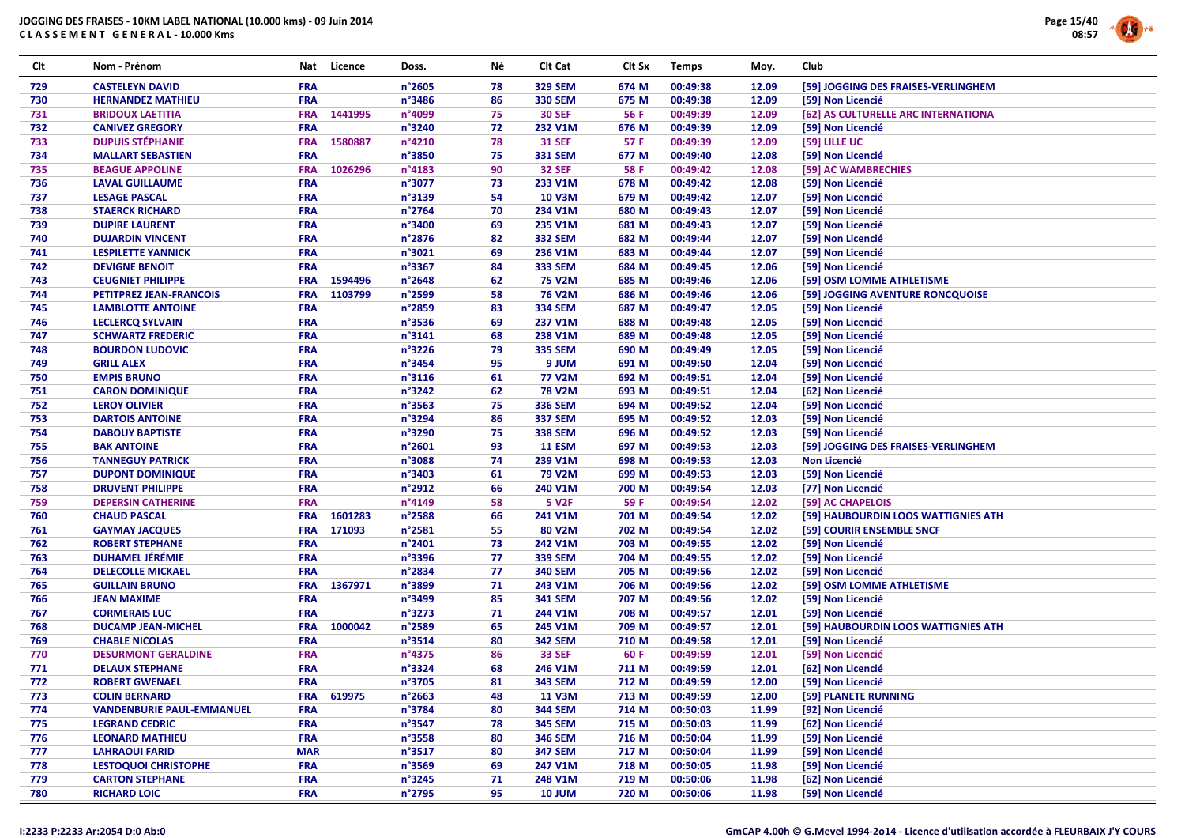

| Clt | Nom - Prénom                     | Nat        | Licence | Doss.  | Νé | Clt Cat        | Clt Sx | <b>Temps</b> | Moy.  | Club                                |
|-----|----------------------------------|------------|---------|--------|----|----------------|--------|--------------|-------|-------------------------------------|
| 729 | <b>CASTELEYN DAVID</b>           | <b>FRA</b> |         | n°2605 | 78 | <b>329 SEM</b> | 674 M  | 00:49:38     | 12.09 | [59] JOGGING DES FRAISES-VERLINGHEM |
| 730 | <b>HERNANDEZ MATHIEU</b>         | <b>FRA</b> |         | n°3486 | 86 | <b>330 SEM</b> | 675 M  | 00:49:38     | 12.09 | [59] Non Licencié                   |
| 731 | <b>BRIDOUX LAETITIA</b>          | <b>FRA</b> | 1441995 | n°4099 | 75 | <b>30 SEF</b>  | 56 F   | 00:49:39     | 12.09 | [62] AS CULTURELLE ARC INTERNATIONA |
| 732 | <b>CANIVEZ GREGORY</b>           | <b>FRA</b> |         | n°3240 | 72 | 232 V1M        | 676 M  | 00:49:39     | 12.09 | [59] Non Licencié                   |
| 733 | <b>DUPUIS STÉPHANIE</b>          | <b>FRA</b> | 1580887 | n°4210 | 78 | <b>31 SEF</b>  | 57 F   | 00:49:39     | 12.09 | [59] LILLE UC                       |
| 734 | <b>MALLART SEBASTIEN</b>         | FRA        |         | n°3850 | 75 | <b>331 SEM</b> | 677 M  | 00:49:40     | 12.08 | [59] Non Licencié                   |
| 735 | <b>BEAGUE APPOLINE</b>           | <b>FRA</b> | 1026296 | n°4183 | 90 | <b>32 SEF</b>  | 58 F   | 00:49:42     | 12.08 | [59] AC WAMBRECHIES                 |
| 736 | <b>LAVAL GUILLAUME</b>           | FRA        |         | n°3077 | 73 | 233 V1M        | 678 M  | 00:49:42     | 12.08 | [59] Non Licencié                   |
| 737 | <b>LESAGE PASCAL</b>             | FRA        |         | n°3139 | 54 | <b>10 V3M</b>  | 679 M  | 00:49:42     | 12.07 | [59] Non Licencié                   |
| 738 | <b>STAERCK RICHARD</b>           | FRA        |         | n°2764 | 70 | 234 V1M        | 680 M  | 00:49:43     | 12.07 | [59] Non Licencié                   |
| 739 | <b>DUPIRE LAURENT</b>            | <b>FRA</b> |         | n°3400 | 69 | 235 V1M        | 681 M  | 00:49:43     | 12.07 | [59] Non Licencié                   |
| 740 | <b>DUJARDIN VINCENT</b>          | FRA        |         | n°2876 | 82 | <b>332 SEM</b> | 682 M  | 00:49:44     | 12.07 | [59] Non Licencié                   |
| 741 | <b>LESPILETTE YANNICK</b>        | FRA        |         | n°3021 | 69 | 236 V1M        | 683 M  | 00:49:44     | 12.07 | [59] Non Licencié                   |
| 742 | <b>DEVIGNE BENOIT</b>            | <b>FRA</b> |         | n°3367 | 84 | <b>333 SEM</b> | 684 M  | 00:49:45     | 12.06 | [59] Non Licencié                   |
| 743 | <b>CEUGNIET PHILIPPE</b>         | <b>FRA</b> | 1594496 | n°2648 | 62 | <b>75 V2M</b>  | 685 M  | 00:49:46     | 12.06 | [59] OSM LOMME ATHLETISME           |
| 744 | <b>PETITPREZ JEAN-FRANCOIS</b>   | <b>FRA</b> | 1103799 | n°2599 | 58 | <b>76 V2M</b>  | 686 M  | 00:49:46     | 12.06 | [59] JOGGING AVENTURE RONCQUOISE    |
| 745 | <b>LAMBLOTTE ANTOINE</b>         | <b>FRA</b> |         | n°2859 | 83 | <b>334 SEM</b> | 687 M  | 00:49:47     | 12.05 | [59] Non Licencié                   |
| 746 | <b>LECLERCQ SYLVAIN</b>          | <b>FRA</b> |         | n°3536 | 69 | 237 V1M        | 688 M  | 00:49:48     | 12.05 | [59] Non Licencié                   |
| 747 | <b>SCHWARTZ FREDERIC</b>         | FRA        |         | n°3141 | 68 | 238 V1M        | 689 M  | 00:49:48     | 12.05 | [59] Non Licencié                   |
| 748 | <b>BOURDON LUDOVIC</b>           | <b>FRA</b> |         | n°3226 | 79 | <b>335 SEM</b> | 690 M  | 00:49:49     | 12.05 | [59] Non Licencié                   |
| 749 | <b>GRILL ALEX</b>                | <b>FRA</b> |         | n°3454 | 95 | 9 JUM          | 691 M  | 00:49:50     | 12.04 | [59] Non Licencié                   |
| 750 | <b>EMPIS BRUNO</b>               | <b>FRA</b> |         | n°3116 | 61 | <b>77 V2M</b>  | 692 M  | 00:49:51     | 12.04 | [59] Non Licencié                   |
| 751 | <b>CARON DOMINIQUE</b>           | FRA        |         | n°3242 | 62 | <b>78 V2M</b>  | 693 M  | 00:49:51     | 12.04 | [62] Non Licencié                   |
| 752 | <b>LEROY OLIVIER</b>             | FRA        |         | n°3563 | 75 | <b>336 SEM</b> | 694 M  | 00:49:52     | 12.04 | [59] Non Licencié                   |
| 753 | <b>DARTOIS ANTOINE</b>           | <b>FRA</b> |         | n°3294 | 86 | <b>337 SEM</b> | 695 M  | 00:49:52     | 12.03 | [59] Non Licencié                   |
| 754 | <b>DABOUY BAPTISTE</b>           | <b>FRA</b> |         | n°3290 | 75 | <b>338 SEM</b> | 696 M  | 00:49:52     | 12.03 | [59] Non Licencié                   |
| 755 | <b>BAK ANTOINE</b>               | FRA        |         | n°2601 | 93 | <b>11 ESM</b>  | 697 M  | 00:49:53     | 12.03 | [59] JOGGING DES FRAISES-VERLINGHEM |
| 756 | <b>TANNEGUY PATRICK</b>          | <b>FRA</b> |         | n°3088 | 74 | 239 V1M        | 698 M  | 00:49:53     | 12.03 | <b>Non Licencié</b>                 |
| 757 | <b>DUPONT DOMINIQUE</b>          | FRA        |         | n°3403 | 61 | <b>79 V2M</b>  | 699 M  | 00:49:53     | 12.03 | [59] Non Licencié                   |
| 758 | <b>DRUVENT PHILIPPE</b>          | <b>FRA</b> |         | n°2912 | 66 | 240 V1M        | 700 M  | 00:49:54     | 12.03 | [77] Non Licencié                   |
| 759 | <b>DEPERSIN CATHERINE</b>        | <b>FRA</b> |         | n°4149 | 58 | <b>5 V2F</b>   | 59 F   | 00:49:54     | 12.02 | [59] AC CHAPELOIS                   |
| 760 | <b>CHAUD PASCAL</b>              | <b>FRA</b> | 1601283 | n°2588 | 66 | 241 V1M        | 701 M  | 00:49:54     | 12.02 | [59] HAUBOURDIN LOOS WATTIGNIES ATH |
| 761 | <b>GAYMAY JACQUES</b>            | <b>FRA</b> | 171093  | n°2581 | 55 | 80 V2M         | 702 M  | 00:49:54     | 12.02 | [59] COURIR ENSEMBLE SNCF           |
| 762 | <b>ROBERT STEPHANE</b>           | FRA        |         | n°2401 | 73 | 242 V1M        | 703 M  | 00:49:55     | 12.02 | [59] Non Licencié                   |
| 763 | <b>DUHAMEL JÉRÉMIE</b>           | FRA        |         | n°3396 | 77 | <b>339 SEM</b> | 704 M  | 00:49:55     | 12.02 | [59] Non Licencié                   |
| 764 | <b>DELECOLLE MICKAEL</b>         | <b>FRA</b> |         | n°2834 | 77 | <b>340 SEM</b> | 705 M  | 00:49:56     | 12.02 | [59] Non Licencié                   |
| 765 | <b>GUILLAIN BRUNO</b>            | <b>FRA</b> | 1367971 | n°3899 | 71 | 243 V1M        | 706 M  | 00:49:56     | 12.02 | [59] OSM LOMME ATHLETISME           |
| 766 | <b>JEAN MAXIME</b>               | FRA        |         | n°3499 | 85 | <b>341 SEM</b> | 707 M  | 00:49:56     | 12.02 | [59] Non Licencié                   |
| 767 | <b>CORMERAIS LUC</b>             | <b>FRA</b> |         | n°3273 | 71 | 244 V1M        | 708 M  | 00:49:57     | 12.01 | [59] Non Licencié                   |
| 768 | <b>DUCAMP JEAN-MICHEL</b>        | <b>FRA</b> | 1000042 | n°2589 | 65 | 245 V1M        | 709 M  | 00:49:57     | 12.01 | [59] HAUBOURDIN LOOS WATTIGNIES ATH |
| 769 | <b>CHABLE NICOLAS</b>            | FRA        |         | n°3514 | 80 | <b>342 SEM</b> | 710 M  | 00:49:58     | 12.01 | [59] Non Licencié                   |
| 770 | <b>DESURMONT GERALDINE</b>       | FRA        |         | n°4375 | 86 | <b>33 SEF</b>  | 60 F   | 00:49:59     | 12.01 | [59] Non Licencié                   |
| 771 | <b>DELAUX STEPHANE</b>           | <b>FRA</b> |         | n°3324 | 68 | 246 V1M        | 711 M  | 00:49:59     | 12.01 | [62] Non Licencié                   |
| 772 | <b>ROBERT GWENAEL</b>            | <b>FRA</b> |         | n°3705 | 81 | <b>343 SEM</b> | 712 M  | 00:49:59     | 12.00 | [59] Non Licencié                   |
| 773 | <b>COLIN BERNARD</b>             | <b>FRA</b> | 619975  | n°2663 | 48 | <b>11 V3M</b>  | 713 M  | 00:49:59     | 12.00 | [59] PLANETE RUNNING                |
| 774 | <b>VANDENBURIE PAUL-EMMANUEL</b> | <b>FRA</b> |         | n°3784 | 80 | <b>344 SEM</b> | 714 M  | 00:50:03     | 11.99 | [92] Non Licencié                   |
| 775 | <b>LEGRAND CEDRIC</b>            | <b>FRA</b> |         | n°3547 | 78 | <b>345 SEM</b> | 715 M  | 00:50:03     | 11.99 | [62] Non Licencié                   |
| 776 | <b>LEONARD MATHIEU</b>           | <b>FRA</b> |         | n°3558 | 80 | <b>346 SEM</b> | 716 M  | 00:50:04     | 11.99 | [59] Non Licencié                   |
| 777 | <b>LAHRAOUI FARID</b>            | <b>MAR</b> |         | n°3517 | 80 | <b>347 SEM</b> | 717 M  | 00:50:04     | 11.99 | [59] Non Licencié                   |
| 778 | <b>LESTOQUOI CHRISTOPHE</b>      | <b>FRA</b> |         | n°3569 | 69 | 247 V1M        | 718 M  | 00:50:05     | 11.98 | [59] Non Licencié                   |
| 779 | <b>CARTON STEPHANE</b>           | <b>FRA</b> |         | n°3245 | 71 | 248 V1M        | 719 M  | 00:50:06     | 11.98 | [62] Non Licencié                   |
| 780 | <b>RICHARD LOIC</b>              | <b>FRA</b> |         | n°2795 | 95 | <b>10 JUM</b>  | 720 M  | 00:50:06     | 11.98 | [59] Non Licencié                   |
|     |                                  |            |         |        |    |                |        |              |       |                                     |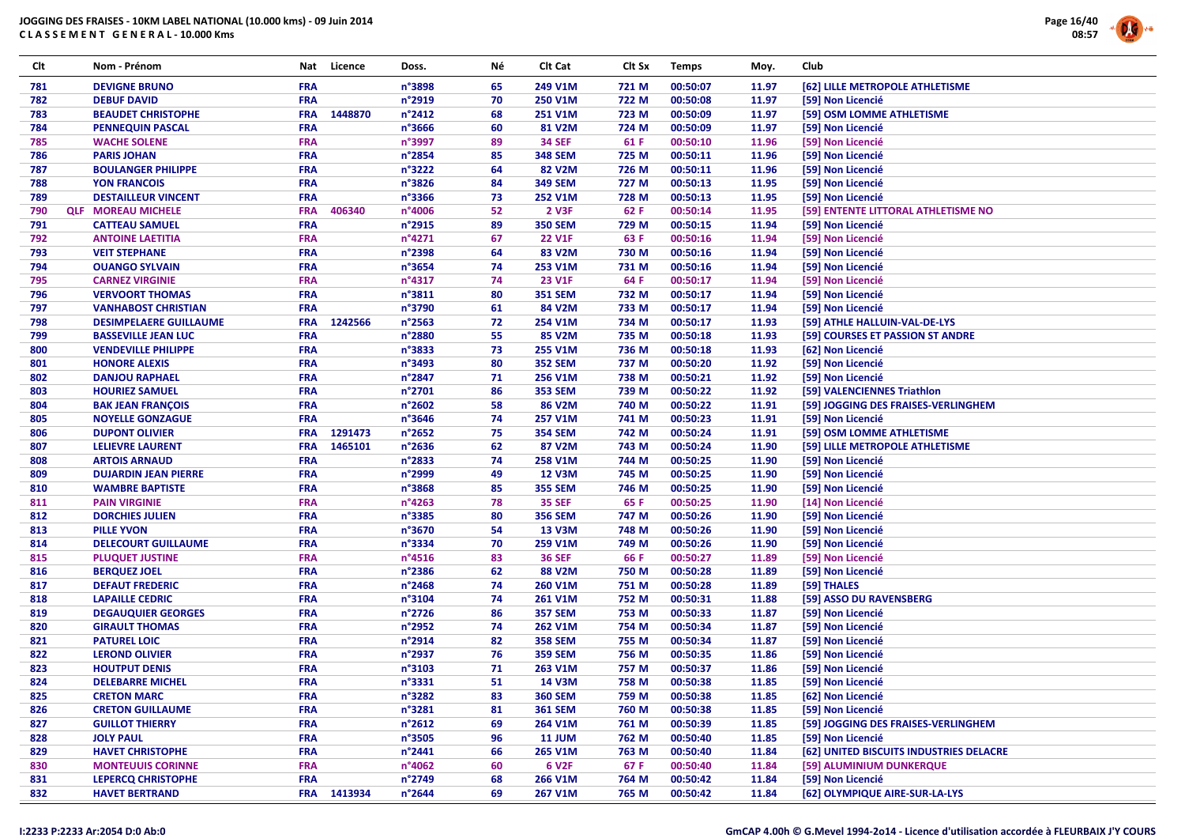

| Clt        | Nom - Prénom                  | Nat        | Licence     | Doss.                     | Νé | Clt Cat           | Clt Sx | <b>Temps</b> | Moy.  | Club                                                              |
|------------|-------------------------------|------------|-------------|---------------------------|----|-------------------|--------|--------------|-------|-------------------------------------------------------------------|
| 781        | <b>DEVIGNE BRUNO</b>          | <b>FRA</b> |             | n°3898                    | 65 | 249 V1M           | 721 M  | 00:50:07     | 11.97 | [62] LILLE METROPOLE ATHLETISME                                   |
| 782        | <b>DEBUF DAVID</b>            | <b>FRA</b> |             | n°2919                    | 70 | 250 V1M           | 722 M  | 00:50:08     | 11.97 | [59] Non Licencié                                                 |
| 783        | <b>BEAUDET CHRISTOPHE</b>     | <b>FRA</b> | 1448870     | $n^{\circ}$ 2412          | 68 | 251 V1M           | 723 M  | 00:50:09     | 11.97 | [59] OSM LOMME ATHLETISME                                         |
| 784        | <b>PENNEQUIN PASCAL</b>       | <b>FRA</b> |             | n°3666                    | 60 | 81 V2M            | 724 M  | 00:50:09     | 11.97 | [59] Non Licencié                                                 |
| 785        | <b>WACHE SOLENE</b>           | <b>FRA</b> |             | n°3997                    | 89 | <b>34 SEF</b>     | 61 F   | 00:50:10     | 11.96 | [59] Non Licencié                                                 |
| 786        | <b>PARIS JOHAN</b>            | <b>FRA</b> |             | n°2854                    | 85 | <b>348 SEM</b>    | 725 M  | 00:50:11     | 11.96 | [59] Non Licencié                                                 |
| 787        | <b>BOULANGER PHILIPPE</b>     | <b>FRA</b> |             | n°3222                    | 64 | 82 V2M            | 726 M  | 00:50:11     | 11.96 | [59] Non Licencié                                                 |
| 788        | <b>YON FRANCOIS</b>           | <b>FRA</b> |             | n°3826                    | 84 | <b>349 SEM</b>    | 727 M  | 00:50:13     | 11.95 | [59] Non Licencié                                                 |
| 789        | <b>DESTAILLEUR VINCENT</b>    | <b>FRA</b> |             | n°3366                    | 73 | 252 V1M           | 728 M  | 00:50:13     | 11.95 | [59] Non Licencié                                                 |
| 790        | <b>QLF MOREAU MICHELE</b>     | <b>FRA</b> | 406340      | n°4006                    | 52 | 2 V3F             | 62 F   | 00:50:14     | 11.95 | [59] ENTENTE LITTORAL ATHLETISME NO                               |
| 791        | <b>CATTEAU SAMUEL</b>         | <b>FRA</b> |             | n°2915                    | 89 | <b>350 SEM</b>    | 729 M  | 00:50:15     | 11.94 | [59] Non Licencié                                                 |
| 792        | <b>ANTOINE LAETITIA</b>       | <b>FRA</b> |             | n°4271                    | 67 | <b>22 V1F</b>     | 63 F   | 00:50:16     | 11.94 | [59] Non Licencié                                                 |
| 793        | <b>VEIT STEPHANE</b>          | <b>FRA</b> |             | n°2398                    | 64 | 83 V2M            | 730 M  | 00:50:16     | 11.94 | [59] Non Licencié                                                 |
| 794        | <b>OUANGO SYLVAIN</b>         | <b>FRA</b> |             | n°3654                    | 74 | 253 V1M           | 731 M  | 00:50:16     | 11.94 | [59] Non Licencié                                                 |
| 795        | <b>CARNEZ VIRGINIE</b>        | <b>FRA</b> |             | n°4317                    | 74 | <b>23 V1F</b>     | 64 F   | 00:50:17     | 11.94 | [59] Non Licencié                                                 |
| 796        | <b>VERVOORT THOMAS</b>        | <b>FRA</b> |             | n°3811                    | 80 | <b>351 SEM</b>    | 732 M  | 00:50:17     | 11.94 | [59] Non Licencié                                                 |
| 797        | <b>VANHABOST CHRISTIAN</b>    | <b>FRA</b> |             | n°3790                    | 61 | 84 V2M            | 733 M  | 00:50:17     | 11.94 | [59] Non Licencié                                                 |
| 798        | <b>DESIMPELAERE GUILLAUME</b> | <b>FRA</b> | 1242566     | n°2563                    | 72 | 254 V1M           | 734 M  | 00:50:17     | 11.93 |                                                                   |
| 799        | <b>BASSEVILLE JEAN LUC</b>    | <b>FRA</b> |             | n°2880                    | 55 | 85 V2M            | 735 M  | 00:50:18     | 11.93 | [59] ATHLE HALLUIN-VAL-DE-LYS<br>[59] COURSES ET PASSION ST ANDRE |
|            | <b>VENDEVILLE PHILIPPE</b>    | <b>FRA</b> |             | n°3833                    | 73 | 255 V1M           | 736 M  | 00:50:18     | 11.93 | [62] Non Licencié                                                 |
| 800<br>801 | <b>HONORE ALEXIS</b>          | <b>FRA</b> |             | n°3493                    | 80 | <b>352 SEM</b>    | 737 M  | 00:50:20     | 11.92 | [59] Non Licencié                                                 |
| 802        | <b>DANJOU RAPHAEL</b>         | <b>FRA</b> |             | n°2847                    | 71 | 256 V1M           | 738 M  | 00:50:21     | 11.92 | [59] Non Licencié                                                 |
| 803        | <b>HOURIEZ SAMUEL</b>         | <b>FRA</b> |             | n°2701                    | 86 | <b>353 SEM</b>    | 739 M  | 00:50:22     | 11.92 | [59] VALENCIENNES Triathlon                                       |
|            |                               | <b>FRA</b> |             | n°2602                    | 58 | 86 V2M            |        | 00:50:22     |       | [59] JOGGING DES FRAISES-VERLINGHEM                               |
| 804        | <b>BAK JEAN FRANÇOIS</b>      | <b>FRA</b> |             |                           | 74 |                   | 740 M  |              | 11.91 |                                                                   |
| 805        | <b>NOYELLE GONZAGUE</b>       |            |             | $n^{\circ}3646$<br>n°2652 |    | 257 V1M           | 741 M  | 00:50:23     | 11.91 | [59] Non Licencié                                                 |
| 806        | <b>DUPONT OLIVIER</b>         | <b>FRA</b> | 1291473     |                           | 75 | <b>354 SEM</b>    | 742 M  | 00:50:24     | 11.91 | [59] OSM LOMME ATHLETISME                                         |
| 807        | <b>LELIEVRE LAURENT</b>       | <b>FRA</b> | 1465101     | $n^{\circ}$ 2636          | 62 | 87 V2M            | 743 M  | 00:50:24     | 11.90 | [59] LILLE METROPOLE ATHLETISME                                   |
| 808        | <b>ARTOIS ARNAUD</b>          | <b>FRA</b> |             | n°2833                    | 74 | 258 V1M           | 744 M  | 00:50:25     | 11.90 | [59] Non Licencié                                                 |
| 809        | <b>DUJARDIN JEAN PIERRE</b>   | <b>FRA</b> |             | n°2999                    | 49 | <b>12 V3M</b>     | 745 M  | 00:50:25     | 11.90 | [59] Non Licencié                                                 |
| 810        | <b>WAMBRE BAPTISTE</b>        | <b>FRA</b> |             | n°3868                    | 85 | <b>355 SEM</b>    | 746 M  | 00:50:25     | 11.90 | [59] Non Licencié                                                 |
| 811        | <b>PAIN VIRGINIE</b>          | <b>FRA</b> |             | n°4263                    | 78 | <b>35 SEF</b>     | 65 F   | 00:50:25     | 11.90 | [14] Non Licencié                                                 |
| 812        | <b>DORCHIES JULIEN</b>        | <b>FRA</b> |             | n°3385                    | 80 | <b>356 SEM</b>    | 747 M  | 00:50:26     | 11.90 | [59] Non Licencié                                                 |
| 813        | <b>PILLE YVON</b>             | <b>FRA</b> |             | n°3670                    | 54 | <b>13 V3M</b>     | 748 M  | 00:50:26     | 11.90 | [59] Non Licencié                                                 |
| 814        | <b>DELECOURT GUILLAUME</b>    | <b>FRA</b> |             | n°3334                    | 70 | 259 V1M           | 749 M  | 00:50:26     | 11.90 | [59] Non Licencié                                                 |
| 815        | <b>PLUQUET JUSTINE</b>        | <b>FRA</b> |             | n°4516                    | 83 | <b>36 SEF</b>     | 66 F   | 00:50:27     | 11.89 | [59] Non Licencié                                                 |
| 816        | <b>BERQUEZ JOEL</b>           | <b>FRA</b> |             | n°2386                    | 62 | 88 V2M            | 750 M  | 00:50:28     | 11.89 | [59] Non Licencié                                                 |
| 817        | <b>DEFAUT FREDERIC</b>        | <b>FRA</b> |             | n°2468                    | 74 | 260 V1M           | 751 M  | 00:50:28     | 11.89 | [59] THALES                                                       |
| 818        | <b>LAPAILLE CEDRIC</b>        | <b>FRA</b> |             | n°3104                    | 74 | 261 V1M           | 752 M  | 00:50:31     | 11.88 | [59] ASSO DU RAVENSBERG                                           |
| 819        | <b>DEGAUQUIER GEORGES</b>     | <b>FRA</b> |             | n°2726                    | 86 | <b>357 SEM</b>    | 753 M  | 00:50:33     | 11.87 | [59] Non Licencié                                                 |
| 820        | <b>GIRAULT THOMAS</b>         | <b>FRA</b> |             | n°2952                    | 74 | 262 V1M           | 754 M  | 00:50:34     | 11.87 | [59] Non Licencié                                                 |
| 821        | <b>PATUREL LOIC</b>           | <b>FRA</b> |             | n°2914                    | 82 | <b>358 SEM</b>    | 755 M  | 00:50:34     | 11.87 | [59] Non Licencié                                                 |
| 822        | <b>LEROND OLIVIER</b>         | <b>FRA</b> |             | n°2937                    | 76 | <b>359 SEM</b>    | 756 M  | 00:50:35     | 11.86 | [59] Non Licencié                                                 |
| 823        | <b>HOUTPUT DENIS</b>          | <b>FRA</b> |             | n°3103                    | 71 | 263 V1M           | 757 M  | 00:50:37     | 11.86 | [59] Non Licencié                                                 |
| 824        | <b>DELEBARRE MICHEL</b>       | <b>FRA</b> |             | n°3331                    | 51 | 14 V3M            | 758 M  | 00:50:38     | 11.85 | [59] Non Licencié                                                 |
| 825        | <b>CRETON MARC</b>            | <b>FRA</b> |             | n°3282                    | 83 | <b>360 SEM</b>    | 759 M  | 00:50:38     | 11.85 | [62] Non Licencié                                                 |
| 826        | <b>CRETON GUILLAUME</b>       | <b>FRA</b> |             | n°3281                    | 81 | <b>361 SEM</b>    | 760 M  | 00:50:38     | 11.85 | [59] Non Licencié                                                 |
| 827        | <b>GUILLOT THIERRY</b>        | <b>FRA</b> |             | $n^{\circ}2612$           | 69 | 264 V1M           | 761 M  | 00:50:39     | 11.85 | [59] JOGGING DES FRAISES-VERLINGHEM                               |
| 828        | <b>JOLY PAUL</b>              | <b>FRA</b> |             | n°3505                    | 96 | <b>11 JUM</b>     | 762 M  | 00:50:40     | 11.85 | [59] Non Licencié                                                 |
| 829        | <b>HAVET CHRISTOPHE</b>       | <b>FRA</b> |             | n°2441                    | 66 | 265 V1M           | 763 M  | 00:50:40     | 11.84 | [62] UNITED BISCUITS INDUSTRIES DELACRE                           |
| 830        | <b>MONTEUUIS CORINNE</b>      | <b>FRA</b> |             | n°4062                    | 60 | 6 V <sub>2F</sub> | 67 F   | 00:50:40     | 11.84 | [59] ALUMINIUM DUNKERQUE                                          |
| 831        | LEPERCQ CHRISTOPHE            | <b>FRA</b> |             | n°2749                    | 68 | 266 V1M           | 764 M  | 00:50:42     | 11.84 | [59] Non Licencié                                                 |
| 832        | <b>HAVET BERTRAND</b>         |            | FRA 1413934 | n°2644                    | 69 | 267 V1M           | 765 M  | 00:50:42     | 11.84 | [62] OLYMPIQUE AIRE-SUR-LA-LYS                                    |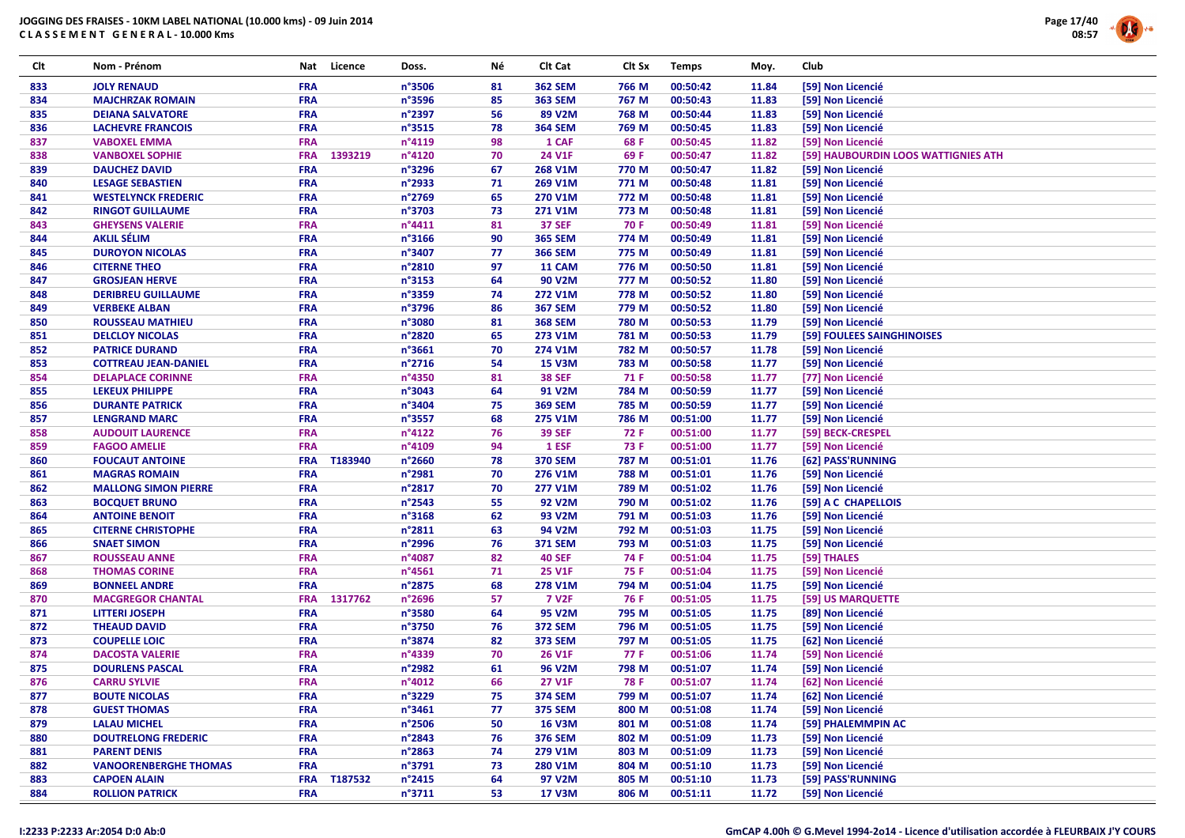

| Clt        | Nom - Prénom                                     | Nat        | Licence | Doss.            | Νé       | Clt Cat                   | Clt Sx         | <b>Temps</b>         | Moy.           | <b>Club</b>                            |
|------------|--------------------------------------------------|------------|---------|------------------|----------|---------------------------|----------------|----------------------|----------------|----------------------------------------|
| 833        | <b>JOLY RENAUD</b>                               | <b>FRA</b> |         | n°3506           | 81       | <b>362 SEM</b>            | 766 M          | 00:50:42             | 11.84          | [59] Non Licencié                      |
| 834        | <b>MAJCHRZAK ROMAIN</b>                          | <b>FRA</b> |         | n°3596           | 85       | <b>363 SEM</b>            | 767 M          | 00:50:43             | 11.83          | [59] Non Licencié                      |
| 835        | <b>DEIANA SALVATORE</b>                          | <b>FRA</b> |         | n°2397           | 56       | 89 V2M                    | 768 M          | 00:50:44             | 11.83          | [59] Non Licencié                      |
| 836        | <b>LACHEVRE FRANCOIS</b>                         | <b>FRA</b> |         | n°3515           | 78       | <b>364 SEM</b>            | 769 M          | 00:50:45             | 11.83          | [59] Non Licencié                      |
| 837        | <b>VABOXEL EMMA</b>                              | <b>FRA</b> |         | n°4119           | 98       | 1 CAF                     | 68 F           | 00:50:45             | 11.82          | [59] Non Licencié                      |
| 838        | <b>VANBOXEL SOPHIE</b>                           | <b>FRA</b> | 1393219 | n°4120           | 70       | 24 V1F                    | 69 F           | 00:50:47             | 11.82          | [59] HAUBOURDIN LOOS WATTIGNIES ATH    |
| 839        | <b>DAUCHEZ DAVID</b>                             | <b>FRA</b> |         | n°3296           | 67       | 268 V1M                   | 770 M          | 00:50:47             | 11.82          | [59] Non Licencié                      |
| 840        | <b>LESAGE SEBASTIEN</b>                          | <b>FRA</b> |         | n°2933           | 71       | 269 V1M                   | 771 M          | 00:50:48             | 11.81          | [59] Non Licencié                      |
| 841        | <b>WESTELYNCK FREDERIC</b>                       | <b>FRA</b> |         | n°2769           | 65       | 270 V1M                   | 772 M          | 00:50:48             | 11.81          | [59] Non Licencié                      |
| 842        | <b>RINGOT GUILLAUME</b>                          | <b>FRA</b> |         | n°3703           | 73       | 271 V1M                   | 773 M          | 00:50:48             | 11.81          | [59] Non Licencié                      |
| 843        | <b>GHEYSENS VALERIE</b>                          | <b>FRA</b> |         | n°4411           | 81       | <b>37 SEF</b>             | 70 F           | 00:50:49             | 11.81          | [59] Non Licencié                      |
| 844        | <b>AKLIL SÉLIM</b>                               | <b>FRA</b> |         | n°3166           | 90       | <b>365 SEM</b>            | 774 M          | 00:50:49             | 11.81          | [59] Non Licencié                      |
| 845        | <b>DUROYON NICOLAS</b>                           | <b>FRA</b> |         | n°3407           | 77       | <b>366 SEM</b>            | 775 M          | 00:50:49             | 11.81          | [59] Non Licencié                      |
| 846        | <b>CITERNE THEO</b>                              | <b>FRA</b> |         | n°2810           | 97       | 11 CAM                    | 776 M          | 00:50:50             | 11.81          | [59] Non Licencié                      |
| 847        | <b>GROSJEAN HERVE</b>                            | <b>FRA</b> |         | n°3153           | 64       | 90 V2M                    | 777 M          | 00:50:52             | 11.80          | [59] Non Licencié                      |
| 848        | <b>DERIBREU GUILLAUME</b>                        | <b>FRA</b> |         | n°3359           | 74       | 272 V1M                   | 778 M          | 00:50:52             | 11.80          | [59] Non Licencié                      |
| 849        | <b>VERBEKE ALBAN</b>                             | <b>FRA</b> |         | n°3796           | 86       | <b>367 SEM</b>            | 779 M          | 00:50:52             | 11.80          | [59] Non Licencié                      |
| 850        | <b>ROUSSEAU MATHIEU</b>                          | <b>FRA</b> |         | n°3080           | 81       | <b>368 SEM</b>            | 780 M          | 00:50:53             | 11.79          | [59] Non Licencié                      |
| 851        | <b>DELCLOY NICOLAS</b>                           | <b>FRA</b> |         | n°2820           | 65       | 273 V1M                   | 781 M          | 00:50:53             | 11.79          | [59] FOULEES SAINGHINOISES             |
| 852        | <b>PATRICE DURAND</b>                            | <b>FRA</b> |         | n°3661           | 70       | 274 V1M                   | 782 M          | 00:50:57             | 11.78          | [59] Non Licencié                      |
| 853        | <b>COTTREAU JEAN-DANIEL</b>                      | <b>FRA</b> |         | n°2716           | 54       | <b>15 V3M</b>             | 783 M          | 00:50:58             | 11.77          | [59] Non Licencié                      |
| 854        | <b>DELAPLACE CORINNE</b>                         | <b>FRA</b> |         | n°4350           | 81       | <b>38 SEF</b>             | 71 F           | 00:50:58             | 11.77          | [77] Non Licencié                      |
|            |                                                  | <b>FRA</b> |         | n°3043           | 64       | 91 V2M                    | 784 M          | 00:50:59             | 11.77          | [59] Non Licencié                      |
| 855        | <b>LEKEUX PHILIPPE</b>                           | <b>FRA</b> |         | n°3404           |          |                           |                | 00:50:59             |                |                                        |
| 856        | <b>DURANTE PATRICK</b>                           | <b>FRA</b> |         | n°3557           | 75<br>68 | <b>369 SEM</b><br>275 V1M | 785 M<br>786 M |                      | 11.77          | [59] Non Licencié                      |
| 857        | <b>LENGRAND MARC</b>                             | <b>FRA</b> |         | n°4122           | 76       | <b>39 SEF</b>             | 72 F           | 00:51:00<br>00:51:00 | 11.77<br>11.77 | [59] Non Licencié                      |
| 858<br>859 | <b>AUDOUIT LAURENCE</b><br><b>FAGOO AMELIE</b>   | <b>FRA</b> |         | n°4109           | 94       | 1 ESF                     | 73 F           | 00:51:00             | 11.77          | [59] BECK-CRESPEL<br>[59] Non Licencié |
|            | <b>FOUCAUT ANTOINE</b>                           | <b>FRA</b> |         | n°2660           | 78       |                           | 787 M          |                      |                |                                        |
| 860        |                                                  | <b>FRA</b> | T183940 | n°2981           | 70       | <b>370 SEM</b>            |                | 00:51:01<br>00:51:01 | 11.76          | [62] PASS'RUNNING                      |
| 861        | <b>MAGRAS ROMAIN</b>                             | <b>FRA</b> |         | n°2817           | 70       | 276 V1M                   | 788 M          |                      | 11.76          | [59] Non Licencié                      |
| 862        | <b>MALLONG SIMON PIERRE</b>                      |            |         | n°2543           | 55       | 277 V1M                   | 789 M<br>790 M | 00:51:02             | 11.76<br>11.76 | [59] Non Licencié                      |
| 863        | <b>BOCQUET BRUNO</b>                             | <b>FRA</b> |         |                  |          | 92 V2M                    |                | 00:51:02             |                | [59] A C CHAPELLOIS                    |
| 864        | <b>ANTOINE BENOIT</b>                            | <b>FRA</b> |         | n°3168           | 62       | 93 V2M                    | 791 M          | 00:51:03             | 11.76          | [59] Non Licencié                      |
| 865        | <b>CITERNE CHRISTOPHE</b>                        | <b>FRA</b> |         | n°2811           | 63       | 94 V2M                    | 792 M          | 00:51:03             | 11.75          | [59] Non Licencié                      |
| 866        | <b>SNAET SIMON</b>                               | <b>FRA</b> |         | n°2996<br>n°4087 | 76<br>82 | <b>371 SEM</b>            | 793 M          | 00:51:03             | 11.75          | [59] Non Licencié                      |
| 867        | <b>ROUSSEAU ANNE</b>                             | <b>FRA</b> |         |                  |          | <b>40 SEF</b>             | 74 F           | 00:51:04             | 11.75          | [59] THALES                            |
| 868        | <b>THOMAS CORINE</b>                             | <b>FRA</b> |         | n°4561           | 71       | <b>25 V1F</b>             | 75 F           | 00:51:04             | 11.75          | [59] Non Licencié                      |
| 869        | <b>BONNEEL ANDRE</b><br><b>MACGREGOR CHANTAL</b> | <b>FRA</b> |         | n°2875<br>n°2696 | 68       | 278 V1M<br><b>7 V2F</b>   | 794 M          | 00:51:04             | 11.75          | [59] Non Licencié                      |
| 870        |                                                  | <b>FRA</b> | 1317762 |                  | 57<br>64 |                           | 76 F<br>795 M  | 00:51:05             | 11.75          | [59] US MARQUETTE                      |
| 871        | <b>LITTERI JOSEPH</b>                            | <b>FRA</b> |         | n°3580<br>n°3750 | 76       | 95 V2M                    |                | 00:51:05             | 11.75          | [89] Non Licencié                      |
| 872        | <b>THEAUD DAVID</b>                              | <b>FRA</b> |         |                  |          | <b>372 SEM</b>            | 796 M          | 00:51:05             | 11.75          | [59] Non Licencié                      |
| 873        | <b>COUPELLE LOIC</b>                             | <b>FRA</b> |         | n°3874           | 82       | <b>373 SEM</b>            | 797 M          | 00:51:05             | 11.75          | [62] Non Licencié                      |
| 874        | <b>DACOSTA VALERIE</b>                           | <b>FRA</b> |         | n°4339           | 70       | 26 V1F                    | 77 F           | 00:51:06             | 11.74          | [59] Non Licencié                      |
| 875        | <b>DOURLENS PASCAL</b>                           | <b>FRA</b> |         | n°2982           | 61       | 96 V2M                    | 798 M          | 00:51:07             | 11.74          | [59] Non Licencié                      |
| 876        | <b>CARRU SYLVIE</b>                              | <b>FRA</b> |         | n°4012           | 66       | <b>27 V1F</b>             | 78 F           | 00:51:07             | 11.74          | [62] Non Licencié                      |
| 877        | <b>BOUTE NICOLAS</b>                             | <b>FRA</b> |         | n°3229           | 75       | <b>374 SEM</b>            | 799 M          | 00:51:07             | 11.74          | [62] Non Licencié                      |
| 878        | <b>GUEST THOMAS</b>                              | <b>FRA</b> |         | n°3461           | 77       | <b>375 SEM</b>            | 800 M          | 00:51:08             | 11.74          | [59] Non Licencié                      |
| 879        | <b>LALAU MICHEL</b>                              | <b>FRA</b> |         | n°2506           | 50       | <b>16 V3M</b>             | 801 M          | 00:51:08             | 11.74          | [59] PHALEMMPIN AC                     |
| 880        | <b>DOUTRELONG FREDERIC</b>                       | <b>FRA</b> |         | n°2843           | 76       | <b>376 SEM</b>            | 802 M          | 00:51:09             | 11.73          | [59] Non Licencié                      |
| 881        | <b>PARENT DENIS</b>                              | <b>FRA</b> |         | n°2863           | 74       | 279 V1M                   | 803 M          | 00:51:09             | 11.73          | [59] Non Licencié                      |
| 882        | <b>VANOORENBERGHE THOMAS</b>                     | <b>FRA</b> |         | n°3791           | 73       | 280 V1M                   | 804 M          | 00:51:10             | 11.73          | [59] Non Licencié                      |
| 883        | <b>CAPOEN ALAIN</b>                              | <b>FRA</b> | T187532 | n°2415           | 64       | 97 V2M                    | 805 M          | 00:51:10             | 11.73          | [59] PASS'RUNNING                      |
| 884        | <b>ROLLION PATRICK</b>                           | <b>FRA</b> |         | n°3711           | 53       | <b>17 V3M</b>             | 806 M          | 00:51:11             | 11.72          | [59] Non Licencié                      |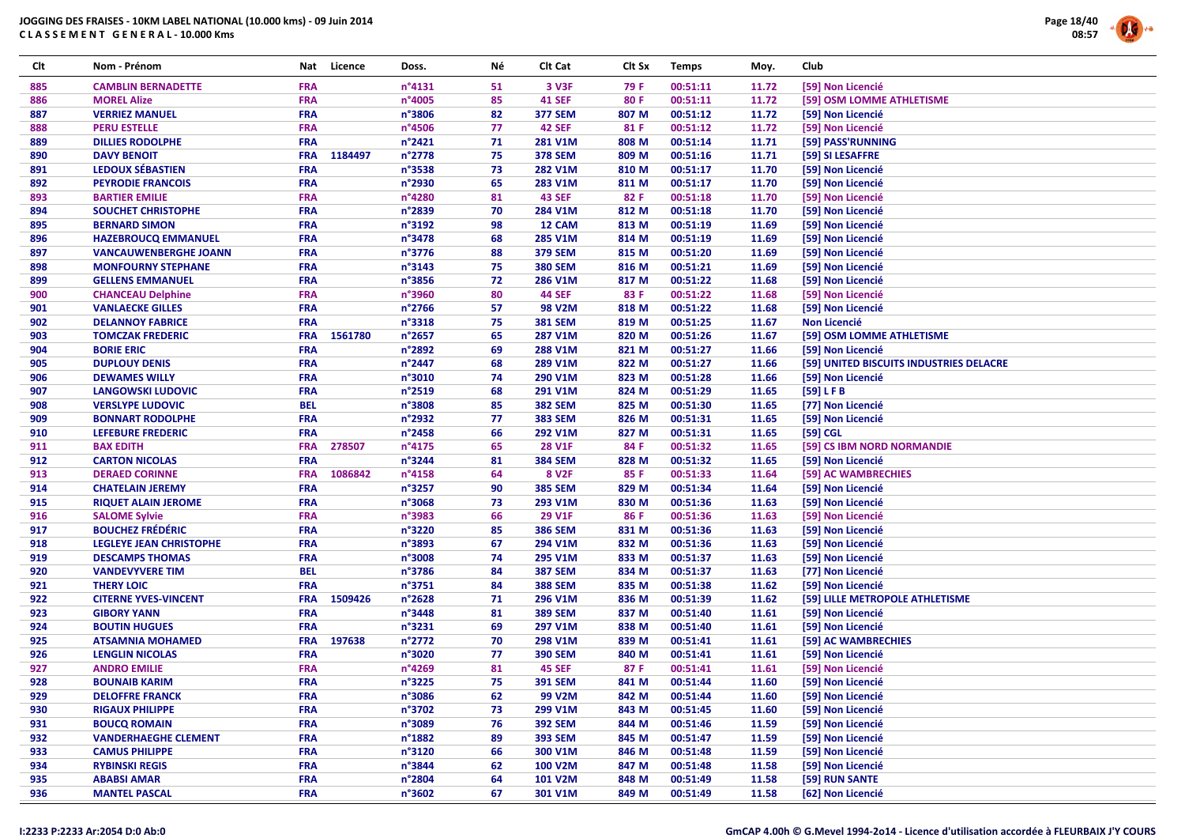

| Clt | Nom - Prénom                   | Nat        | Licence | Doss.  | Νé | Clt Cat           | Clt Sx | <b>Temps</b> | Moy.  | Club                                    |
|-----|--------------------------------|------------|---------|--------|----|-------------------|--------|--------------|-------|-----------------------------------------|
| 885 | <b>CAMBLIN BERNADETTE</b>      | <b>FRA</b> |         | n°4131 | 51 | 3 V3F             | 79 F   | 00:51:11     | 11.72 | [59] Non Licencié                       |
| 886 | <b>MOREL Alize</b>             | <b>FRA</b> |         | n°4005 | 85 | <b>41 SEF</b>     | 80 F   | 00:51:11     | 11.72 | [59] OSM LOMME ATHLETISME               |
| 887 | <b>VERRIEZ MANUEL</b>          | <b>FRA</b> |         | n°3806 | 82 | <b>377 SEM</b>    | 807 M  | 00:51:12     | 11.72 | [59] Non Licencié                       |
| 888 | <b>PERU ESTELLE</b>            | <b>FRA</b> |         | n°4506 | 77 | <b>42 SEF</b>     | 81 F   | 00:51:12     | 11.72 | [59] Non Licencié                       |
| 889 | <b>DILLIES RODOLPHE</b>        | <b>FRA</b> |         | n°2421 | 71 | 281 V1M           | 808 M  | 00:51:14     | 11.71 | [59] PASS'RUNNING                       |
| 890 | <b>DAVY BENOIT</b>             | <b>FRA</b> | 1184497 | n°2778 | 75 | <b>378 SEM</b>    | 809 M  | 00:51:16     | 11.71 | [59] SI LESAFFRE                        |
| 891 | <b>LEDOUX SÉBASTIEN</b>        | <b>FRA</b> |         | n°3538 | 73 | 282 V1M           | 810 M  | 00:51:17     | 11.70 | [59] Non Licencié                       |
| 892 | <b>PEYRODIE FRANCOIS</b>       | <b>FRA</b> |         | n°2930 | 65 | 283 V1M           | 811 M  | 00:51:17     | 11.70 | [59] Non Licencié                       |
| 893 | <b>BARTIER EMILIE</b>          | <b>FRA</b> |         | n°4280 | 81 | <b>43 SEF</b>     | 82 F   | 00:51:18     | 11.70 | [59] Non Licencié                       |
| 894 | SOUCHET CHRISTOPHE             | <b>FRA</b> |         | n°2839 | 70 | 284 V1M           | 812 M  | 00:51:18     | 11.70 | [59] Non Licencié                       |
| 895 | <b>BERNARD SIMON</b>           | <b>FRA</b> |         | n°3192 | 98 | 12 CAM            | 813 M  | 00:51:19     | 11.69 | [59] Non Licencié                       |
| 896 | <b>HAZEBROUCQ EMMANUEL</b>     | <b>FRA</b> |         | n°3478 | 68 | 285 V1M           | 814 M  | 00:51:19     | 11.69 | [59] Non Licencié                       |
| 897 | <b>VANCAUWENBERGHE JOANN</b>   | <b>FRA</b> |         | n°3776 | 88 | <b>379 SEM</b>    | 815 M  | 00:51:20     | 11.69 | [59] Non Licencié                       |
| 898 | <b>MONFOURNY STEPHANE</b>      | <b>FRA</b> |         | n°3143 | 75 | <b>380 SEM</b>    | 816 M  | 00:51:21     | 11.69 | [59] Non Licencié                       |
| 899 | <b>GELLENS EMMANUEL</b>        | <b>FRA</b> |         | n°3856 | 72 | 286 V1M           | 817 M  | 00:51:22     | 11.68 | [59] Non Licencié                       |
| 900 | <b>CHANCEAU Delphine</b>       | <b>FRA</b> |         | n°3960 | 80 | <b>44 SEF</b>     | 83 F   | 00:51:22     | 11.68 | [59] Non Licencié                       |
| 901 | <b>VANLAECKE GILLES</b>        | <b>FRA</b> |         | n°2766 | 57 | <b>98 V2M</b>     | 818 M  | 00:51:22     | 11.68 | [59] Non Licencié                       |
| 902 | <b>DELANNOY FABRICE</b>        | <b>FRA</b> |         | n°3318 | 75 | <b>381 SEM</b>    | 819 M  | 00:51:25     | 11.67 | Non Licencié                            |
| 903 | <b>TOMCZAK FREDERIC</b>        | <b>FRA</b> | 1561780 | n°2657 | 65 | 287 V1M           | 820 M  | 00:51:26     | 11.67 | [59] OSM LOMME ATHLETISME               |
| 904 | <b>BORIE ERIC</b>              | <b>FRA</b> |         | n°2892 | 69 | 288 V1M           | 821 M  | 00:51:27     | 11.66 | [59] Non Licencié                       |
| 905 | <b>DUPLOUY DENIS</b>           | <b>FRA</b> |         | n°2447 | 68 | 289 V1M           | 822 M  | 00:51:27     | 11.66 | [59] UNITED BISCUITS INDUSTRIES DELACRE |
| 906 | <b>DEWAMES WILLY</b>           | <b>FRA</b> |         | n°3010 | 74 | 290 V1M           | 823 M  | 00:51:28     | 11.66 | [59] Non Licencié                       |
| 907 | <b>LANGOWSKI LUDOVIC</b>       | <b>FRA</b> |         | n°2519 | 68 | 291 V1M           | 824 M  | 00:51:29     | 11.65 | [59] LFB                                |
| 908 | <b>VERSLYPE LUDOVIC</b>        | <b>BEL</b> |         | n°3808 | 85 | <b>382 SEM</b>    | 825 M  | 00:51:30     | 11.65 | [77] Non Licencié                       |
| 909 | <b>BONNART RODOLPHE</b>        | <b>FRA</b> |         | n°2932 | 77 | <b>383 SEM</b>    | 826 M  | 00:51:31     | 11.65 | [59] Non Licencié                       |
| 910 | <b>LEFEBURE FREDERIC</b>       | <b>FRA</b> |         | n°2458 | 66 | 292 V1M           | 827 M  | 00:51:31     | 11.65 | [59] CGL                                |
| 911 | <b>BAX EDITH</b>               | <b>FRA</b> | 278507  | n°4175 | 65 | <b>28 V1F</b>     | 84 F   | 00:51:32     | 11.65 | [59] CS IBM NORD NORMANDIE              |
| 912 | <b>CARTON NICOLAS</b>          | <b>FRA</b> |         | n°3244 | 81 | <b>384 SEM</b>    | 828 M  | 00:51:32     | 11.65 | [59] Non Licencié                       |
| 913 | <b>DERAED CORINNE</b>          | <b>FRA</b> | 1086842 | n°4158 | 64 | 8 V <sub>2F</sub> | 85 F   | 00:51:33     | 11.64 | [59] AC WAMBRECHIES                     |
| 914 | <b>CHATELAIN JEREMY</b>        | <b>FRA</b> |         | n°3257 | 90 | <b>385 SEM</b>    | 829 M  | 00:51:34     | 11.64 | [59] Non Licencié                       |
| 915 | <b>RIQUET ALAIN JEROME</b>     | <b>FRA</b> |         | n°3068 | 73 | 293 V1M           | 830 M  | 00:51:36     | 11.63 | [59] Non Licencié                       |
| 916 | <b>SALOME Sylvie</b>           | <b>FRA</b> |         | n°3983 | 66 | 29 V1F            | 86 F   | 00:51:36     | 11.63 | [59] Non Licencié                       |
| 917 | <b>BOUCHEZ FRÉDÉRIC</b>        | <b>FRA</b> |         | n°3220 | 85 | <b>386 SEM</b>    | 831 M  | 00:51:36     | 11.63 | [59] Non Licencié                       |
| 918 | <b>LEGLEYE JEAN CHRISTOPHE</b> | <b>FRA</b> |         | n°3893 | 67 | 294 V1M           | 832 M  | 00:51:36     | 11.63 | [59] Non Licencié                       |
| 919 | <b>DESCAMPS THOMAS</b>         | <b>FRA</b> |         | n°3008 | 74 | 295 V1M           | 833 M  | 00:51:37     | 11.63 | [59] Non Licencié                       |
| 920 | <b>VANDEVYVERE TIM</b>         | <b>BEL</b> |         | n°3786 | 84 | <b>387 SEM</b>    | 834 M  | 00:51:37     | 11.63 | [77] Non Licencié                       |
| 921 | <b>THERY LOIC</b>              | <b>FRA</b> |         | n°3751 | 84 | <b>388 SEM</b>    | 835 M  | 00:51:38     | 11.62 | [59] Non Licencié                       |
| 922 | <b>CITERNE YVES-VINCENT</b>    | <b>FRA</b> | 1509426 | n°2628 | 71 | 296 V1M           | 836 M  | 00:51:39     | 11.62 | [59] LILLE METROPOLE ATHLETISME         |
| 923 | <b>GIBORY YANN</b>             | <b>FRA</b> |         | n°3448 | 81 | <b>389 SEM</b>    | 837 M  | 00:51:40     | 11.61 | [59] Non Licencié                       |
| 924 | <b>BOUTIN HUGUES</b>           | <b>FRA</b> |         | n°3231 | 69 | 297 V1M           | 838 M  | 00:51:40     | 11.61 | [59] Non Licencié                       |
| 925 | <b>ATSAMNIA MOHAMED</b>        | <b>FRA</b> | 197638  | n°2772 | 70 | 298 V1M           | 839 M  | 00:51:41     | 11.61 | [59] AC WAMBRECHIES                     |
| 926 | <b>LENGLIN NICOLAS</b>         | <b>FRA</b> |         | n°3020 | 77 | <b>390 SEM</b>    | 840 M  | 00:51:41     | 11.61 | [59] Non Licencié                       |
| 927 | <b>ANDRO EMILIE</b>            | <b>FRA</b> |         | n°4269 | 81 | <b>45 SEF</b>     | 87 F   | 00:51:41     | 11.61 | [59] Non Licencié                       |
| 928 | <b>BOUNAIB KARIM</b>           | <b>FRA</b> |         | n°3225 | 75 | <b>391 SEM</b>    | 841 M  | 00:51:44     | 11.60 | [59] Non Licencié                       |
| 929 | <b>DELOFFRE FRANCK</b>         | <b>FRA</b> |         | n°3086 | 62 | 99 V2M            | 842 M  | 00:51:44     | 11.60 | [59] Non Licencié                       |
| 930 | <b>RIGAUX PHILIPPE</b>         | <b>FRA</b> |         | n°3702 | 73 | 299 V1M           | 843 M  | 00:51:45     | 11.60 | [59] Non Licencié                       |
| 931 | <b>BOUCQ ROMAIN</b>            | <b>FRA</b> |         | n°3089 | 76 | <b>392 SEM</b>    | 844 M  | 00:51:46     | 11.59 | [59] Non Licencié                       |
| 932 | <b>VANDERHAEGHE CLEMENT</b>    | <b>FRA</b> |         | n°1882 | 89 | <b>393 SEM</b>    | 845 M  | 00:51:47     | 11.59 | [59] Non Licencié                       |
| 933 | <b>CAMUS PHILIPPE</b>          | <b>FRA</b> |         | n°3120 | 66 | 300 V1M           | 846 M  | 00:51:48     | 11.59 | [59] Non Licencié                       |
| 934 | <b>RYBINSKI REGIS</b>          | <b>FRA</b> |         | n°3844 | 62 | 100 V2M           | 847 M  | 00:51:48     | 11.58 | [59] Non Licencié                       |
| 935 | <b>ABABSI AMAR</b>             | <b>FRA</b> |         | n°2804 | 64 | 101 V2M           | 848 M  | 00:51:49     | 11.58 | [59] RUN SANTE                          |
| 936 | <b>MANTEL PASCAL</b>           | <b>FRA</b> |         | n°3602 | 67 | 301 V1M           | 849 M  | 00:51:49     | 11.58 | [62] Non Licencié                       |
|     |                                |            |         |        |    |                   |        |              |       |                                         |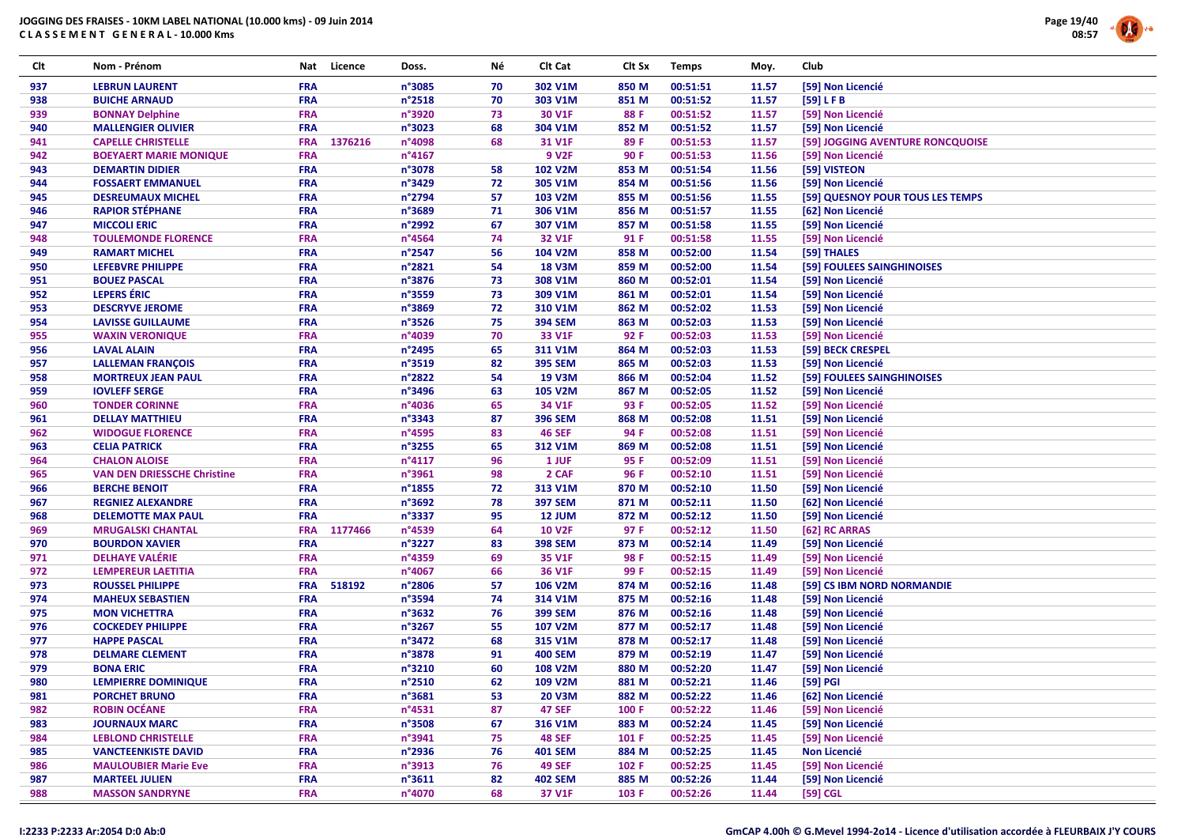

| Clt | Nom - Prénom                       | Nat        | Licence | Doss.            | Νé | Clt Cat        | Clt Sx | <b>Temps</b> | Moy.  | Club                             |
|-----|------------------------------------|------------|---------|------------------|----|----------------|--------|--------------|-------|----------------------------------|
| 937 | <b>LEBRUN LAURENT</b>              | <b>FRA</b> |         | n°3085           | 70 | 302 V1M        | 850 M  | 00:51:51     | 11.57 | [59] Non Licencié                |
| 938 | <b>BUICHE ARNAUD</b>               | <b>FRA</b> |         | n°2518           | 70 | 303 V1M        | 851 M  | 00:51:52     | 11.57 | [59] LFB                         |
| 939 | <b>BONNAY Delphine</b>             | <b>FRA</b> |         | n°3920           | 73 | 30 V1F         | 88 F   | 00:51:52     | 11.57 | [59] Non Licencié                |
| 940 | <b>MALLENGIER OLIVIER</b>          | <b>FRA</b> |         | n°3023           | 68 | 304 V1M        | 852 M  | 00:51:52     | 11.57 | [59] Non Licencié                |
| 941 | <b>CAPELLE CHRISTELLE</b>          | <b>FRA</b> | 1376216 | n°4098           | 68 | 31 V1F         | 89F    | 00:51:53     | 11.57 | [59] JOGGING AVENTURE RONCQUOISE |
| 942 | <b>BOEYAERT MARIE MONIQUE</b>      | <b>FRA</b> |         | n°4167           |    | <b>9 V2F</b>   | 90 F   | 00:51:53     | 11.56 | [59] Non Licencié                |
| 943 | <b>DEMARTIN DIDIER</b>             | <b>FRA</b> |         | n°3078           | 58 | 102 V2M        | 853 M  | 00:51:54     | 11.56 | [59] VISTEON                     |
| 944 | <b>FOSSAERT EMMANUEL</b>           | <b>FRA</b> |         | n°3429           | 72 | 305 V1M        | 854 M  | 00:51:56     | 11.56 | [59] Non Licencié                |
| 945 | <b>DESREUMAUX MICHEL</b>           | <b>FRA</b> |         | n°2794           | 57 | 103 V2M        | 855 M  | 00:51:56     | 11.55 | [59] QUESNOY POUR TOUS LES TEMPS |
| 946 | <b>RAPIOR STÉPHANE</b>             | <b>FRA</b> |         | n°3689           | 71 | 306 V1M        | 856 M  | 00:51:57     | 11.55 | [62] Non Licencié                |
| 947 | <b>MICCOLI ERIC</b>                | <b>FRA</b> |         | n°2992           | 67 | 307 V1M        | 857 M  | 00:51:58     | 11.55 | [59] Non Licencié                |
| 948 | <b>TOULEMONDE FLORENCE</b>         | <b>FRA</b> |         | n°4564           | 74 | 32 V1F         | 91 F   | 00:51:58     | 11.55 | [59] Non Licencié                |
| 949 | <b>RAMART MICHEL</b>               | <b>FRA</b> |         | n°2547           | 56 | 104 V2M        | 858 M  | 00:52:00     | 11.54 | [59] THALES                      |
| 950 | LEFEBVRE PHILIPPE                  | <b>FRA</b> |         | n°2821           | 54 | <b>18 V3M</b>  | 859 M  | 00:52:00     | 11.54 | [59] FOULEES SAINGHINOISES       |
| 951 | <b>BOUEZ PASCAL</b>                | <b>FRA</b> |         | n°3876           | 73 | 308 V1M        | 860 M  | 00:52:01     | 11.54 | [59] Non Licencié                |
| 952 | <b>LEPERS ÉRIC</b>                 | <b>FRA</b> |         | n°3559           | 73 | 309 V1M        | 861 M  | 00:52:01     | 11.54 | [59] Non Licencié                |
| 953 | <b>DESCRYVE JEROME</b>             | <b>FRA</b> |         | n°3869           | 72 | 310 V1M        | 862 M  | 00:52:02     | 11.53 | [59] Non Licencié                |
| 954 | <b>LAVISSE GUILLAUME</b>           | <b>FRA</b> |         | n°3526           | 75 | <b>394 SEM</b> | 863 M  | 00:52:03     | 11.53 | [59] Non Licencié                |
| 955 | <b>WAXIN VERONIQUE</b>             | <b>FRA</b> |         | n°4039           | 70 | 33 V1F         | 92 F   | 00:52:03     | 11.53 | [59] Non Licencié                |
| 956 | <b>LAVAL ALAIN</b>                 | <b>FRA</b> |         | n°2495           | 65 | 311 V1M        | 864 M  | 00:52:03     | 11.53 | [59] BECK CRESPEL                |
| 957 | <b>LALLEMAN FRANÇOIS</b>           | <b>FRA</b> |         | n°3519           | 82 | <b>395 SEM</b> | 865 M  | 00:52:03     | 11.53 | [59] Non Licencié                |
| 958 | <b>MORTREUX JEAN PAUL</b>          | <b>FRA</b> |         | n°2822           | 54 | <b>19 V3M</b>  | 866 M  | 00:52:04     | 11.52 | [59] FOULEES SAINGHINOISES       |
| 959 | <b>IOVLEFF SERGE</b>               | <b>FRA</b> |         | n°3496           | 63 | <b>105 V2M</b> | 867 M  | 00:52:05     | 11.52 | [59] Non Licencié                |
| 960 | <b>TONDER CORINNE</b>              | <b>FRA</b> |         | n°4036           | 65 | 34 V1F         | 93 F   | 00:52:05     | 11.52 | [59] Non Licencié                |
| 961 | <b>DELLAY MATTHIEU</b>             | <b>FRA</b> |         | n°3343           | 87 | <b>396 SEM</b> | 868 M  | 00:52:08     | 11.51 | [59] Non Licencié                |
| 962 | <b>WIDOGUE FLORENCE</b>            | <b>FRA</b> |         | n°4595           | 83 | <b>46 SEF</b>  | 94 F   | 00:52:08     | 11.51 | [59] Non Licencié                |
| 963 | <b>CELIA PATRICK</b>               | <b>FRA</b> |         | n°3255           | 65 | 312 V1M        | 869 M  | 00:52:08     | 11.51 | [59] Non Licencié                |
| 964 | <b>CHALON ALOISE</b>               | <b>FRA</b> |         | $n^{\circ}4117$  | 96 | 1 JUF          | 95 F   | 00:52:09     | 11.51 | [59] Non Licencié                |
| 965 | <b>VAN DEN DRIESSCHE Christine</b> | <b>FRA</b> |         | n°3961           | 98 | 2 CAF          | 96 F   | 00:52:10     | 11.51 | [59] Non Licencié                |
| 966 | <b>BERCHE BENOIT</b>               | <b>FRA</b> |         | n°1855           | 72 | 313 V1M        | 870 M  | 00:52:10     | 11.50 | [59] Non Licencié                |
| 967 | <b>REGNIEZ ALEXANDRE</b>           | <b>FRA</b> |         | n°3692           | 78 | <b>397 SEM</b> | 871 M  | 00:52:11     | 11.50 | [62] Non Licencié                |
| 968 | <b>DELEMOTTE MAX PAUL</b>          | <b>FRA</b> |         | n°3337           | 95 | <b>12 JUM</b>  | 872 M  | 00:52:12     | 11.50 | [59] Non Licencié                |
| 969 | <b>MRUGALSKI CHANTAL</b>           | <b>FRA</b> | 1177466 | n°4539           | 64 | <b>10 V2F</b>  | 97 F   | 00:52:12     | 11.50 | [62] RC ARRAS                    |
| 970 | <b>BOURDON XAVIER</b>              | <b>FRA</b> |         | n°3227           | 83 | <b>398 SEM</b> | 873 M  | 00:52:14     | 11.49 | [59] Non Licencié                |
| 971 | <b>DELHAYE VALÉRIE</b>             | <b>FRA</b> |         | n°4359           | 69 | 35 V1F         | 98 F   | 00:52:15     | 11.49 | [59] Non Licencié                |
| 972 | <b>LEMPEREUR LAETITIA</b>          | <b>FRA</b> |         | n°4067           | 66 | 36 V1F         | 99 F   | 00:52:15     | 11.49 | [59] Non Licencié                |
| 973 | <b>ROUSSEL PHILIPPE</b>            | <b>FRA</b> | 518192  | n°2806           | 57 | 106 V2M        | 874 M  | 00:52:16     | 11.48 | [59] CS IBM NORD NORMANDIE       |
| 974 | <b>MAHEUX SEBASTIEN</b>            | <b>FRA</b> |         | n°3594           | 74 | 314 V1M        | 875 M  | 00:52:16     | 11.48 | [59] Non Licencié                |
| 975 | <b>MON VICHETTRA</b>               | <b>FRA</b> |         | n°3632           | 76 | <b>399 SEM</b> | 876 M  | 00:52:16     | 11.48 | [59] Non Licencié                |
| 976 | <b>COCKEDEY PHILIPPE</b>           | <b>FRA</b> |         | n°3267           | 55 | 107 V2M        | 877 M  | 00:52:17     | 11.48 | [59] Non Licencié                |
| 977 | <b>HAPPE PASCAL</b>                | <b>FRA</b> |         | n°3472           | 68 | 315 V1M        | 878 M  | 00:52:17     | 11.48 | [59] Non Licencié                |
| 978 | <b>DELMARE CLEMENT</b>             | <b>FRA</b> |         | n°3878           | 91 | <b>400 SEM</b> | 879 M  | 00:52:19     | 11.47 | [59] Non Licencié                |
| 979 | <b>BONA ERIC</b>                   | <b>FRA</b> |         | n°3210           | 60 | <b>108 V2M</b> | 880 M  | 00:52:20     | 11.47 | [59] Non Licencié                |
| 980 | <b>LEMPIERRE DOMINIQUE</b>         | <b>FRA</b> |         | n°2510           | 62 | 109 V2M        | 881 M  | 00:52:21     | 11.46 | [59] PGI                         |
| 981 | <b>PORCHET BRUNO</b>               | <b>FRA</b> |         | n°3681           | 53 | <b>20 V3M</b>  | 882 M  | 00:52:22     | 11.46 | [62] Non Licencié                |
| 982 | <b>ROBIN OCÉANE</b>                | <b>FRA</b> |         | $n^{\circ}$ 4531 | 87 | <b>47 SEF</b>  | 100 F  | 00:52:22     | 11.46 | [59] Non Licencié                |
| 983 | <b>JOURNAUX MARC</b>               | <b>FRA</b> |         | n°3508           | 67 | 316 V1M        | 883 M  | 00:52:24     | 11.45 | [59] Non Licencié                |
| 984 | <b>LEBLOND CHRISTELLE</b>          | <b>FRA</b> |         | n°3941           | 75 | <b>48 SEF</b>  | 101 F  | 00:52:25     | 11.45 | [59] Non Licencié                |
| 985 | <b>VANCTEENKISTE DAVID</b>         | <b>FRA</b> |         | n°2936           | 76 | <b>401 SEM</b> | 884 M  | 00:52:25     | 11.45 | <b>Non Licencié</b>              |
| 986 | <b>MAULOUBIER Marie Eve</b>        | <b>FRA</b> |         | n°3913           | 76 | <b>49 SEF</b>  | 102 F  | 00:52:25     | 11.45 | [59] Non Licencié                |
| 987 | <b>MARTEEL JULIEN</b>              | <b>FRA</b> |         | $n^{\circ}3611$  | 82 | <b>402 SEM</b> | 885 M  | 00:52:26     | 11.44 | [59] Non Licencié                |
| 988 | <b>MASSON SANDRYNE</b>             | <b>FRA</b> |         | n°4070           | 68 | 37 V1F         | 103 F  | 00:52:26     | 11.44 | $[59]$ CGL                       |
|     |                                    |            |         |                  |    |                |        |              |       |                                  |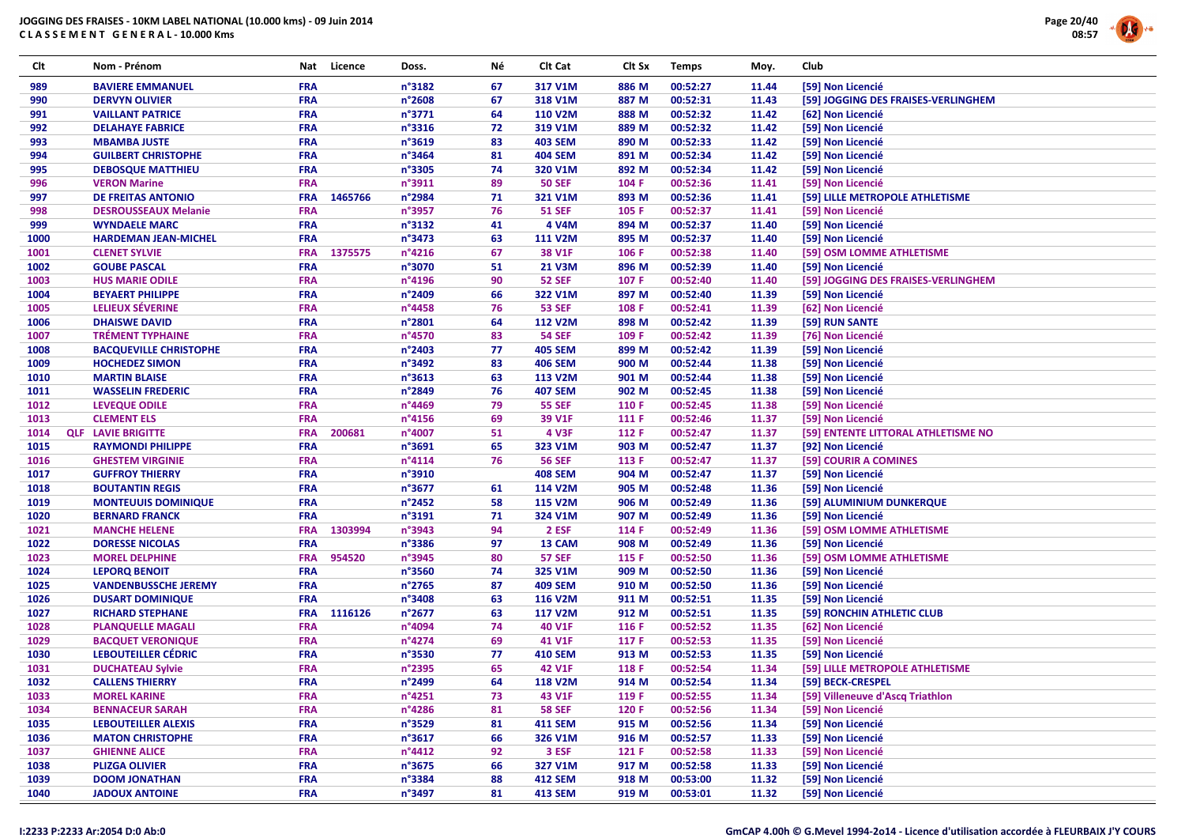

| Clt  | Nom - Prénom                  | Nat        | Licence | Doss.           | Νé | Clt Cat        | Clt Sx | <b>Temps</b> | Moy.  | Club                                |
|------|-------------------------------|------------|---------|-----------------|----|----------------|--------|--------------|-------|-------------------------------------|
| 989  | <b>BAVIERE EMMANUEL</b>       | <b>FRA</b> |         | n°3182          | 67 | 317 V1M        | 886 M  | 00:52:27     | 11.44 | [59] Non Licencié                   |
| 990  | <b>DERVYN OLIVIER</b>         | <b>FRA</b> |         | n°2608          | 67 | 318 V1M        | 887 M  | 00:52:31     | 11.43 | [59] JOGGING DES FRAISES-VERLINGHEM |
| 991  | <b>VAILLANT PATRICE</b>       | <b>FRA</b> |         | n°3771          | 64 | <b>110 V2M</b> | 888 M  | 00:52:32     | 11.42 | [62] Non Licencié                   |
| 992  | <b>DELAHAYE FABRICE</b>       | <b>FRA</b> |         | n°3316          | 72 | 319 V1M        | 889 M  | 00:52:32     | 11.42 | [59] Non Licencié                   |
| 993  | <b>MBAMBA JUSTE</b>           | <b>FRA</b> |         | n°3619          | 83 | <b>403 SEM</b> | 890 M  | 00:52:33     | 11.42 | [59] Non Licencié                   |
| 994  | <b>GUILBERT CHRISTOPHE</b>    | <b>FRA</b> |         | n°3464          | 81 | <b>404 SEM</b> | 891 M  | 00:52:34     | 11.42 | [59] Non Licencié                   |
| 995  | <b>DEBOSQUE MATTHIEU</b>      | <b>FRA</b> |         | n°3305          | 74 | 320 V1M        | 892 M  | 00:52:34     | 11.42 | [59] Non Licencié                   |
| 996  | <b>VERON Marine</b>           | <b>FRA</b> |         | n°3911          | 89 | <b>50 SEF</b>  | 104 F  | 00:52:36     | 11.41 | [59] Non Licencié                   |
| 997  | DE FREITAS ANTONIO            | <b>FRA</b> | 1465766 | n°2984          | 71 | 321 V1M        | 893 M  | 00:52:36     | 11.41 | [59] LILLE METROPOLE ATHLETISME     |
| 998  | <b>DESROUSSEAUX Melanie</b>   | <b>FRA</b> |         | n°3957          | 76 | <b>51 SEF</b>  | 105 F  | 00:52:37     | 11.41 | [59] Non Licencié                   |
| 999  | <b>WYNDAELE MARC</b>          | <b>FRA</b> |         | n°3132          | 41 | 4 V4M          | 894 M  | 00:52:37     | 11.40 | [59] Non Licencié                   |
| 1000 | <b>HARDEMAN JEAN-MICHEL</b>   | <b>FRA</b> |         | n°3473          | 63 | <b>111 V2M</b> | 895 M  | 00:52:37     | 11.40 | [59] Non Licencié                   |
| 1001 | <b>CLENET SYLVIE</b>          | <b>FRA</b> | 1375575 | $n^{\circ}4216$ | 67 | 38 V1F         | 106 F  | 00:52:38     | 11.40 | [59] OSM LOMME ATHLETISME           |
| 1002 | <b>GOUBE PASCAL</b>           | <b>FRA</b> |         | n°3070          | 51 | <b>21 V3M</b>  | 896 M  | 00:52:39     | 11.40 | [59] Non Licencié                   |
| 1003 | <b>HUS MARIE ODILE</b>        | <b>FRA</b> |         | n°4196          | 90 | <b>52 SEF</b>  | 107 F  | 00:52:40     | 11.40 | [59] JOGGING DES FRAISES-VERLINGHEM |
| 1004 | <b>BEYAERT PHILIPPE</b>       | <b>FRA</b> |         | n°2409          | 66 | 322 V1M        | 897 M  | 00:52:40     | 11.39 | [59] Non Licencié                   |
| 1005 | LELIEUX SÉVERINE              | <b>FRA</b> |         | n°4458          | 76 | <b>53 SEF</b>  | 108 F  | 00:52:41     | 11.39 | [62] Non Licencié                   |
| 1006 | <b>DHAISWE DAVID</b>          | <b>FRA</b> |         | n°2801          | 64 | <b>112 V2M</b> | 898 M  | 00:52:42     | 11.39 | [59] RUN SANTE                      |
| 1007 | <b>TRÉMENT TYPHAINE</b>       | <b>FRA</b> |         | n°4570          | 83 | <b>54 SEF</b>  | 109 F  | 00:52:42     | 11.39 | [76] Non Licencié                   |
| 1008 | <b>BACQUEVILLE CHRISTOPHE</b> | <b>FRA</b> |         | n°2403          | 77 | <b>405 SEM</b> | 899 M  | 00:52:42     | 11.39 | [59] Non Licencié                   |
| 1009 | <b>HOCHEDEZ SIMON</b>         | <b>FRA</b> |         | n°3492          | 83 | <b>406 SEM</b> | 900 M  | 00:52:44     | 11.38 | [59] Non Licencié                   |
| 1010 | <b>MARTIN BLAISE</b>          | <b>FRA</b> |         | n°3613          | 63 | 113 V2M        | 901 M  | 00:52:44     | 11.38 | [59] Non Licencié                   |
| 1011 | <b>WASSELIN FREDERIC</b>      | <b>FRA</b> |         | n°2849          | 76 | <b>407 SEM</b> | 902 M  | 00:52:45     | 11.38 | [59] Non Licencié                   |
| 1012 | <b>LEVEQUE ODILE</b>          | <b>FRA</b> |         | n°4469          | 79 | <b>55 SEF</b>  | 110 F  | 00:52:45     | 11.38 | [59] Non Licencié                   |
| 1013 | <b>CLEMENT ELS</b>            | <b>FRA</b> |         | n°4156          | 69 | 39 V1F         | 111 F  | 00:52:46     | 11.37 | [59] Non Licencié                   |
| 1014 | <b>QLF LAVIE BRIGITTE</b>     | <b>FRA</b> | 200681  | n°4007          | 51 | <b>4 V3F</b>   | 112 F  | 00:52:47     | 11.37 | [59] ENTENTE LITTORAL ATHLETISME NO |
| 1015 | <b>RAYMONDI PHILIPPE</b>      | <b>FRA</b> |         | n°3691          | 65 | 323 V1M        | 903 M  | 00:52:47     | 11.37 | [92] Non Licencié                   |
| 1016 | <b>GHESTEM VIRGINIE</b>       | <b>FRA</b> |         | $n^{\circ}4114$ | 76 | <b>56 SEF</b>  | 113 F  | 00:52:47     | 11.37 | [59] COURIR A COMINES               |
| 1017 | <b>GUFFROY THIERRY</b>        | <b>FRA</b> |         | n°3910          |    | <b>408 SEM</b> | 904 M  | 00:52:47     | 11.37 | [59] Non Licencié                   |
| 1018 | <b>BOUTANTIN REGIS</b>        | <b>FRA</b> |         | n°3677          | 61 | 114 V2M        | 905 M  | 00:52:48     | 11.36 | [59] Non Licencié                   |
| 1019 | <b>MONTEUUIS DOMINIQUE</b>    | <b>FRA</b> |         | n°2452          | 58 | 115 V2M        | 906 M  | 00:52:49     | 11.36 | [59] ALUMINIUM DUNKERQUE            |
| 1020 | <b>BERNARD FRANCK</b>         | <b>FRA</b> |         | n°3191          | 71 | 324 V1M        | 907 M  | 00:52:49     | 11.36 | [59] Non Licencié                   |
| 1021 | <b>MANCHE HELENE</b>          | <b>FRA</b> | 1303994 | n°3943          | 94 | 2 ESF          | 114 F  | 00:52:49     | 11.36 | [59] OSM LOMME ATHLETISME           |
| 1022 | <b>DORESSE NICOLAS</b>        | <b>FRA</b> |         | n°3386          | 97 | 13 CAM         | 908 M  | 00:52:49     | 11.36 | [59] Non Licencié                   |
| 1023 | <b>MOREL DELPHINE</b>         | <b>FRA</b> | 954520  | n°3945          | 80 | <b>57 SEF</b>  | 115 F  | 00:52:50     | 11.36 | [59] OSM LOMME ATHLETISME           |
| 1024 | <b>LEPORQ BENOIT</b>          | <b>FRA</b> |         | n°3560          | 74 | 325 V1M        | 909 M  | 00:52:50     | 11.36 | [59] Non Licencié                   |
| 1025 | <b>VANDENBUSSCHE JEREMY</b>   | <b>FRA</b> |         | n°2765          | 87 | <b>409 SEM</b> | 910 M  | 00:52:50     | 11.36 | [59] Non Licencié                   |
| 1026 | <b>DUSART DOMINIQUE</b>       | <b>FRA</b> |         | n°3408          | 63 | 116 V2M        | 911 M  | 00:52:51     | 11.35 | [59] Non Licencié                   |
| 1027 | <b>RICHARD STEPHANE</b>       | <b>FRA</b> | 1116126 | n°2677          | 63 | 117 V2M        | 912 M  | 00:52:51     | 11.35 | [59] RONCHIN ATHLETIC CLUB          |
| 1028 | <b>PLANQUELLE MAGALI</b>      | <b>FRA</b> |         | n°4094          | 74 | 40 V1F         | 116 F  | 00:52:52     | 11.35 | [62] Non Licencié                   |
| 1029 | <b>BACQUET VERONIQUE</b>      | <b>FRA</b> |         | n°4274          | 69 | 41 V1F         | 117 F  | 00:52:53     | 11.35 | [59] Non Licencié                   |
| 1030 | <b>LEBOUTEILLER CÉDRIC</b>    | <b>FRA</b> |         | n°3530          | 77 | <b>410 SEM</b> | 913 M  | 00:52:53     | 11.35 | [59] Non Licencié                   |
| 1031 | <b>DUCHATEAU Sylvie</b>       | <b>FRA</b> |         | n°2395          | 65 | 42 V1F         | 118 F  | 00:52:54     | 11.34 | [59] LILLE METROPOLE ATHLETISME     |
| 1032 | <b>CALLENS THIERRY</b>        | <b>FRA</b> |         | n°2499          | 64 | 118 V2M        | 914 M  | 00:52:54     | 11.34 | [59] BECK-CRESPEL                   |
| 1033 | <b>MOREL KARINE</b>           | <b>FRA</b> |         | n°4251          | 73 | 43 V1F         | 119 F  | 00:52:55     | 11.34 | [59] Villeneuve d'Ascq Triathlon    |
| 1034 | <b>BENNACEUR SARAH</b>        | <b>FRA</b> |         | n°4286          | 81 | <b>58 SEF</b>  | 120 F  | 00:52:56     | 11.34 | [59] Non Licencié                   |
| 1035 | <b>LEBOUTEILLER ALEXIS</b>    | <b>FRA</b> |         | n°3529          | 81 | <b>411 SEM</b> | 915 M  | 00:52:56     | 11.34 | [59] Non Licencié                   |
| 1036 | <b>MATON CHRISTOPHE</b>       | <b>FRA</b> |         | n°3617          | 66 | 326 V1M        | 916 M  | 00:52:57     | 11.33 | [59] Non Licencié                   |
| 1037 | <b>GHIENNE ALICE</b>          | <b>FRA</b> |         | $n^{\circ}4412$ | 92 | 3 ESF          | 121 F  | 00:52:58     | 11.33 | [59] Non Licencié                   |
| 1038 | <b>PLIZGA OLIVIER</b>         | <b>FRA</b> |         | n°3675          | 66 | 327 V1M        | 917 M  | 00:52:58     | 11.33 | [59] Non Licencié                   |
| 1039 | <b>DOOM JONATHAN</b>          | <b>FRA</b> |         | n°3384          | 88 | <b>412 SEM</b> | 918 M  | 00:53:00     | 11.32 | [59] Non Licencié                   |
| 1040 | <b>JADOUX ANTOINE</b>         | <b>FRA</b> |         | n°3497          | 81 | <b>413 SEM</b> | 919 M  | 00:53:01     | 11.32 | [59] Non Licencié                   |
|      |                               |            |         |                 |    |                |        |              |       |                                     |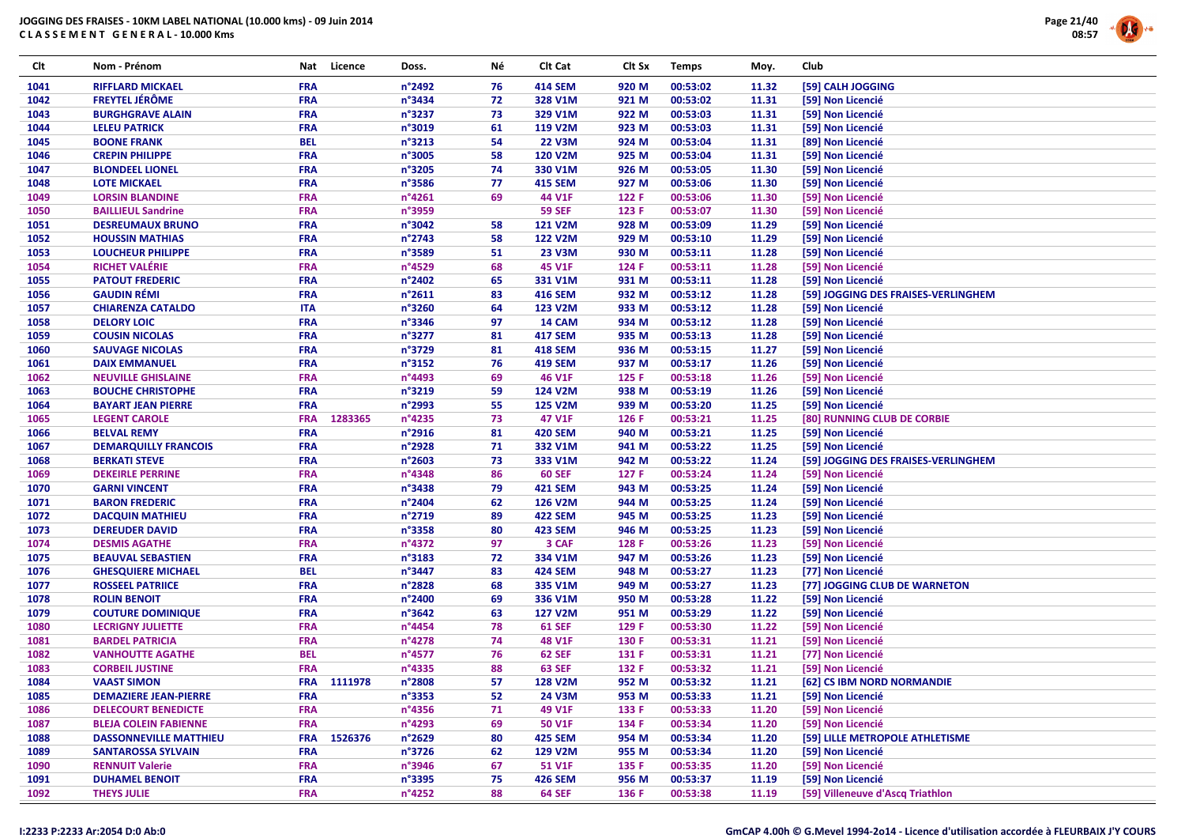

| Clt  | Nom - Prénom                  | Nat        | Licence | Doss.            | Νé | Clt Cat        | Clt Sx | <b>Temps</b> | Moy.  | Club                                |
|------|-------------------------------|------------|---------|------------------|----|----------------|--------|--------------|-------|-------------------------------------|
| 1041 | <b>RIFFLARD MICKAEL</b>       | <b>FRA</b> |         | n°2492           | 76 | <b>414 SEM</b> | 920 M  | 00:53:02     | 11.32 | [59] CALH JOGGING                   |
| 1042 | <b>FREYTEL JÉRÔME</b>         | <b>FRA</b> |         | n°3434           | 72 | 328 V1M        | 921 M  | 00:53:02     | 11.31 | [59] Non Licencié                   |
| 1043 | <b>BURGHGRAVE ALAIN</b>       | <b>FRA</b> |         | n°3237           | 73 | 329 V1M        | 922 M  | 00:53:03     | 11.31 | [59] Non Licencié                   |
| 1044 | <b>LELEU PATRICK</b>          | <b>FRA</b> |         | n°3019           | 61 | 119 V2M        | 923 M  | 00:53:03     | 11.31 | [59] Non Licencié                   |
| 1045 | <b>BOONE FRANK</b>            | <b>BEL</b> |         | n°3213           | 54 | <b>22 V3M</b>  | 924 M  | 00:53:04     | 11.31 | [89] Non Licencié                   |
| 1046 | <b>CREPIN PHILIPPE</b>        | <b>FRA</b> |         | n°3005           | 58 | <b>120 V2M</b> | 925 M  | 00:53:04     | 11.31 | [59] Non Licencié                   |
| 1047 | <b>BLONDEEL LIONEL</b>        | <b>FRA</b> |         | n°3205           | 74 | 330 V1M        | 926 M  | 00:53:05     | 11.30 | [59] Non Licencié                   |
| 1048 | <b>LOTE MICKAEL</b>           | FRA        |         | n°3586           | 77 | <b>415 SEM</b> | 927 M  | 00:53:06     | 11.30 | [59] Non Licencié                   |
| 1049 | <b>LORSIN BLANDINE</b>        | <b>FRA</b> |         | n°4261           | 69 | 44 V1F         | 122 F  | 00:53:06     | 11.30 | [59] Non Licencié                   |
| 1050 | <b>BAILLIEUL Sandrine</b>     | <b>FRA</b> |         | n°3959           |    | <b>59 SEF</b>  | 123 F  | 00:53:07     | 11.30 | [59] Non Licencié                   |
| 1051 | <b>DESREUMAUX BRUNO</b>       | FRA        |         | n°3042           | 58 | <b>121 V2M</b> | 928 M  | 00:53:09     | 11.29 | [59] Non Licencié                   |
| 1052 | <b>HOUSSIN MATHIAS</b>        | <b>FRA</b> |         | n°2743           | 58 | <b>122 V2M</b> | 929 M  | 00:53:10     | 11.29 | [59] Non Licencié                   |
| 1053 | <b>LOUCHEUR PHILIPPE</b>      | <b>FRA</b> |         | n°3589           | 51 | <b>23 V3M</b>  | 930 M  | 00:53:11     | 11.28 | [59] Non Licencié                   |
| 1054 | <b>RICHET VALÉRIE</b>         | FRA        |         | n°4529           | 68 | 45 V1F         | 124 F  | 00:53:11     | 11.28 | [59] Non Licencié                   |
| 1055 | <b>PATOUT FREDERIC</b>        | <b>FRA</b> |         | n°2402           | 65 | 331 V1M        | 931 M  | 00:53:11     | 11.28 | [59] Non Licencié                   |
| 1056 | <b>GAUDIN RÉMI</b>            | <b>FRA</b> |         | n°2611           | 83 | <b>416 SEM</b> | 932 M  | 00:53:12     | 11.28 | [59] JOGGING DES FRAISES-VERLINGHEM |
| 1057 | <b>CHIARENZA CATALDO</b>      | <b>ITA</b> |         | n°3260           | 64 | 123 V2M        | 933 M  | 00:53:12     | 11.28 | [59] Non Licencié                   |
| 1058 | <b>DELORY LOIC</b>            | <b>FRA</b> |         | n°3346           | 97 | 14 CAM         | 934 M  | 00:53:12     | 11.28 | [59] Non Licencié                   |
| 1059 | <b>COUSIN NICOLAS</b>         | <b>FRA</b> |         | n°3277           | 81 | <b>417 SEM</b> | 935 M  | 00:53:13     | 11.28 | [59] Non Licencié                   |
| 1060 | <b>SAUVAGE NICOLAS</b>        | <b>FRA</b> |         | n°3729           | 81 | <b>418 SEM</b> | 936 M  | 00:53:15     | 11.27 | [59] Non Licencié                   |
| 1061 | <b>DAIX EMMANUEL</b>          | FRA        |         | n°3152           | 76 | <b>419 SEM</b> | 937 M  | 00:53:17     | 11.26 | [59] Non Licencié                   |
| 1062 | <b>NEUVILLE GHISLAINE</b>     | FRA        |         | n°4493           | 69 | 46 V1F         | 125 F  | 00:53:18     | 11.26 | [59] Non Licencié                   |
|      |                               | <b>FRA</b> |         | n°3219           | 59 | 124 V2M        | 938 M  | 00:53:19     | 11.26 | [59] Non Licencié                   |
| 1063 | <b>BOUCHE CHRISTOPHE</b>      |            |         | n°2993           |    |                |        |              |       |                                     |
| 1064 | <b>BAYART JEAN PIERRE</b>     | <b>FRA</b> |         |                  | 55 | <b>125 V2M</b> | 939 M  | 00:53:20     | 11.25 | [59] Non Licencié                   |
| 1065 | <b>LEGENT CAROLE</b>          | <b>FRA</b> | 1283365 | n°4235           | 73 | 47 V1F         | 126 F  | 00:53:21     | 11.25 | [80] RUNNING CLUB DE CORBIE         |
| 1066 | <b>BELVAL REMY</b>            | <b>FRA</b> |         | n°2916           | 81 | <b>420 SEM</b> | 940 M  | 00:53:21     | 11.25 | [59] Non Licencié                   |
| 1067 | <b>DEMARQUILLY FRANCOIS</b>   | <b>FRA</b> |         | n°2928           | 71 | 332 V1M        | 941 M  | 00:53:22     | 11.25 | [59] Non Licencié                   |
| 1068 | <b>BERKATI STEVE</b>          | FRA        |         | n°2603           | 73 | 333 V1M        | 942 M  | 00:53:22     | 11.24 | [59] JOGGING DES FRAISES-VERLINGHEM |
| 1069 | <b>DEKEIRLE PERRINE</b>       | <b>FRA</b> |         | n°4348           | 86 | <b>60 SEF</b>  | 127 F  | 00:53:24     | 11.24 | [59] Non Licencié                   |
| 1070 | <b>GARNI VINCENT</b>          | <b>FRA</b> |         | n°3438           | 79 | <b>421 SEM</b> | 943 M  | 00:53:25     | 11.24 | [59] Non Licencié                   |
| 1071 | <b>BARON FREDERIC</b>         | <b>FRA</b> |         | n°2404           | 62 | 126 V2M        | 944 M  | 00:53:25     | 11.24 | [59] Non Licencié                   |
| 1072 | <b>DACQUIN MATHIEU</b>        | <b>FRA</b> |         | n°2719           | 89 | <b>422 SEM</b> | 945 M  | 00:53:25     | 11.23 | [59] Non Licencié                   |
| 1073 | <b>DEREUDER DAVID</b>         | FRA        |         | n°3358           | 80 | <b>423 SEM</b> | 946 M  | 00:53:25     | 11.23 | [59] Non Licencié                   |
| 1074 | <b>DESMIS AGATHE</b>          | <b>FRA</b> |         | n°4372           | 97 | 3 CAF          | 128 F  | 00:53:26     | 11.23 | [59] Non Licencié                   |
| 1075 | <b>BEAUVAL SEBASTIEN</b>      | <b>FRA</b> |         | n°3183           | 72 | 334 V1M        | 947 M  | 00:53:26     | 11.23 | [59] Non Licencié                   |
| 1076 | <b>GHESQUIERE MICHAEL</b>     | <b>BEL</b> |         | n°3447           | 83 | <b>424 SEM</b> | 948 M  | 00:53:27     | 11.23 | [77] Non Licencié                   |
| 1077 | <b>ROSSEEL PATRIICE</b>       | <b>FRA</b> |         | n°2828           | 68 | 335 V1M        | 949 M  | 00:53:27     | 11.23 | [77] JOGGING CLUB DE WARNETON       |
| 1078 | <b>ROLIN BENOIT</b>           | <b>FRA</b> |         | n°2400           | 69 | 336 V1M        | 950 M  | 00:53:28     | 11.22 | [59] Non Licencié                   |
| 1079 | <b>COUTURE DOMINIQUE</b>      | FRA        |         | n°3642           | 63 | <b>127 V2M</b> | 951 M  | 00:53:29     | 11.22 | [59] Non Licencié                   |
| 1080 | <b>LECRIGNY JULIETTE</b>      | <b>FRA</b> |         | n°4454           | 78 | <b>61 SEF</b>  | 129 F  | 00:53:30     | 11.22 | [59] Non Licencié                   |
| 1081 | <b>BARDEL PATRICIA</b>        | <b>FRA</b> |         | n°4278           | 74 | <b>48 V1F</b>  | 130 F  | 00:53:31     | 11.21 | [59] Non Licencié                   |
| 1082 | <b>VANHOUTTE AGATHE</b>       | <b>BEL</b> |         | n°4577           | 76 | <b>62 SEF</b>  | 131 F  | 00:53:31     | 11.21 | [77] Non Licencié                   |
| 1083 | <b>CORBEIL JUSTINE</b>        | <b>FRA</b> |         | n°4335           | 88 | <b>63 SEF</b>  | 132 F  | 00:53:32     | 11.21 | [59] Non Licencié                   |
| 1084 | <b>VAAST SIMON</b>            | <b>FRA</b> | 1111978 | n°2808           | 57 | <b>128 V2M</b> | 952 M  | 00:53:32     | 11.21 | [62] CS IBM NORD NORMANDIE          |
| 1085 | <b>DEMAZIERE JEAN-PIERRE</b>  | <b>FRA</b> |         | n°3353           | 52 | <b>24 V3M</b>  | 953 M  | 00:53:33     | 11.21 | [59] Non Licencié                   |
| 1086 | <b>DELECOURT BENEDICTE</b>    | <b>FRA</b> |         | n°4356           | 71 | 49 V1F         | 133 F  | 00:53:33     | 11.20 | [59] Non Licencié                   |
| 1087 | <b>BLEJA COLEIN FABIENNE</b>  | <b>FRA</b> |         | n°4293           | 69 | 50 V1F         | 134 F  | 00:53:34     | 11.20 | [59] Non Licencié                   |
| 1088 | <b>DASSONNEVILLE MATTHIEU</b> | <b>FRA</b> | 1526376 | n°2629           | 80 | <b>425 SEM</b> | 954 M  | 00:53:34     | 11.20 | [59] LILLE METROPOLE ATHLETISME     |
| 1089 | <b>SANTAROSSA SYLVAIN</b>     | <b>FRA</b> |         | n°3726           | 62 | 129 V2M        | 955 M  | 00:53:34     | 11.20 | [59] Non Licencié                   |
| 1090 | <b>RENNUIT Valerie</b>        | <b>FRA</b> |         | n°3946           | 67 | 51 V1F         | 135 F  | 00:53:35     | 11.20 | [59] Non Licencié                   |
| 1091 | <b>DUHAMEL BENOIT</b>         | <b>FRA</b> |         | n°3395           | 75 | <b>426 SEM</b> | 956 M  | 00:53:37     | 11.19 | [59] Non Licencié                   |
| 1092 | <b>THEYS JULIE</b>            | <b>FRA</b> |         | $n^{\circ}$ 4252 | 88 | <b>64 SEF</b>  | 136 F  | 00:53:38     | 11.19 | [59] Villeneuve d'Ascq Triathlon    |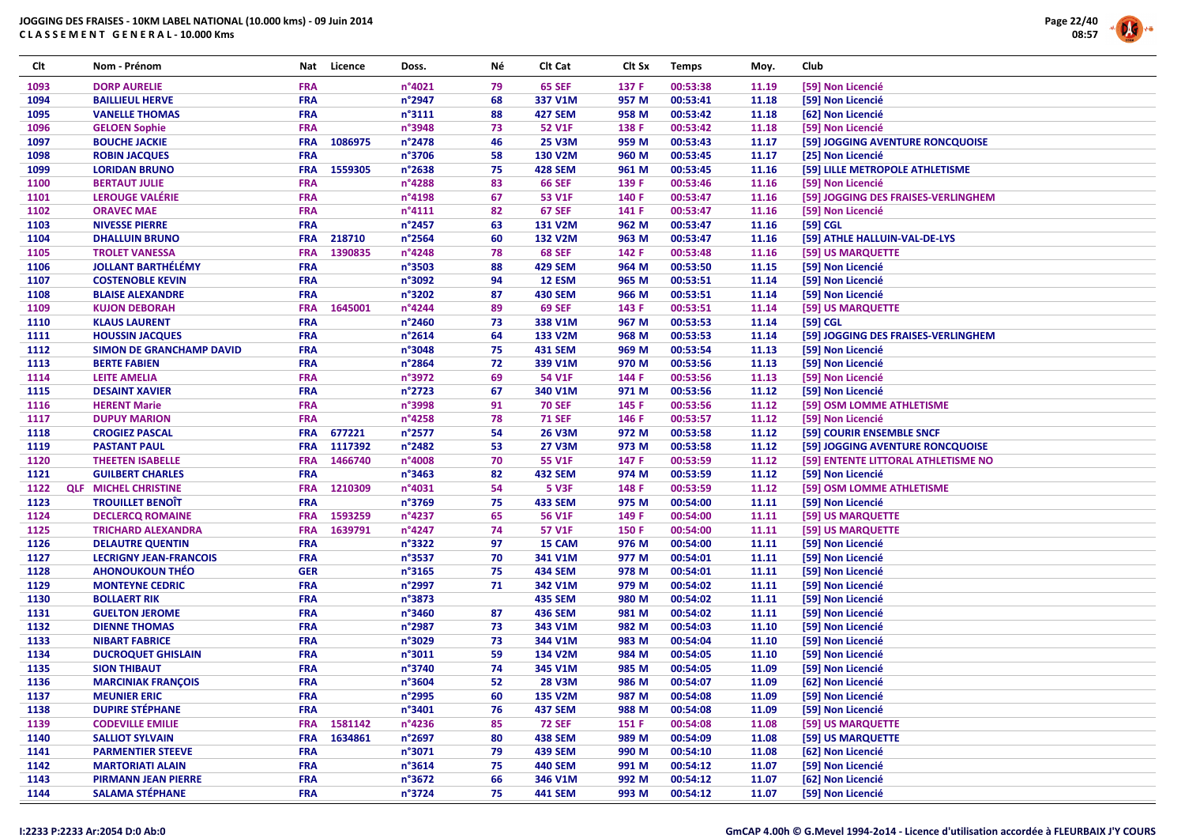

| Clt  | Nom - Prénom                                             | Nat                      | Licence | Doss.            | Νé | Clt Cat        | Clt Sx | <b>Temps</b> | Moy.           | Club     |                                     |
|------|----------------------------------------------------------|--------------------------|---------|------------------|----|----------------|--------|--------------|----------------|----------|-------------------------------------|
| 1093 | <b>DORP AURELIE</b>                                      | <b>FRA</b>               |         | n°4021           | 79 | <b>65 SEF</b>  | 137 F  | 00:53:38     | 11.19          |          | [59] Non Licencié                   |
| 1094 | <b>BAILLIEUL HERVE</b>                                   | <b>FRA</b>               |         | n°2947           | 68 | 337 V1M        | 957 M  | 00:53:41     | 11.18          |          | [59] Non Licencié                   |
| 1095 | <b>VANELLE THOMAS</b>                                    | <b>FRA</b>               |         | $n^{\circ}3111$  | 88 | <b>427 SEM</b> | 958 M  | 00:53:42     | 11.18          |          | [62] Non Licencié                   |
| 1096 | <b>GELOEN Sophie</b>                                     | <b>FRA</b>               |         | n°3948           | 73 | 52 V1F         | 138 F  | 00:53:42     | 11.18          |          | [59] Non Licencié                   |
| 1097 | <b>BOUCHE JACKIE</b>                                     | <b>FRA</b>               | 1086975 | $n^{\circ}$ 2478 | 46 | <b>25 V3M</b>  | 959 M  | 00:53:43     | 11.17          |          | [59] JOGGING AVENTURE RONCQUOISE    |
| 1098 | <b>ROBIN JACQUES</b>                                     | <b>FRA</b>               |         | n°3706           | 58 | 130 V2M        | 960 M  | 00:53:45     | 11.17          |          | [25] Non Licencié                   |
| 1099 | <b>LORIDAN BRUNO</b>                                     | <b>FRA</b>               | 1559305 | n°2638           | 75 | <b>428 SEM</b> | 961 M  | 00:53:45     | 11.16          |          | [59] LILLE METROPOLE ATHLETISME     |
| 1100 | <b>BERTAUT JULIE</b>                                     | <b>FRA</b>               |         | n°4288           | 83 | <b>66 SEF</b>  | 139 F  | 00:53:46     | 11.16          |          | [59] Non Licencié                   |
| 1101 | LEROUGE VALÉRIE                                          | <b>FRA</b>               |         | n°4198           | 67 | 53 V1F         | 140 F  | 00:53:47     | 11.16          |          | [59] JOGGING DES FRAISES-VERLINGHEM |
| 1102 | <b>ORAVEC MAE</b>                                        | <b>FRA</b>               |         | $n^{\circ}4111$  | 82 | <b>67 SEF</b>  | 141 F  | 00:53:47     | 11.16          |          | [59] Non Licencié                   |
| 1103 | <b>NIVESSE PIERRE</b>                                    | <b>FRA</b>               |         | n°2457           | 63 | 131 V2M        | 962 M  | 00:53:47     | 11.16          | [59] CGL |                                     |
| 1104 | <b>DHALLUIN BRUNO</b>                                    | <b>FRA</b>               | 218710  | $n^{\circ}$ 2564 | 60 | <b>132 V2M</b> | 963 M  | 00:53:47     | 11.16          |          | [59] ATHLE HALLUIN-VAL-DE-LYS       |
| 1105 | <b>TROLET VANESSA</b>                                    | <b>FRA</b>               | 1390835 | n°4248           | 78 | <b>68 SEF</b>  | 142 F  | 00:53:48     | 11.16          |          | [59] US MARQUETTE                   |
| 1106 | <b>JOLLANT BARTHÉLÉMY</b>                                | <b>FRA</b>               |         | $n^{\circ}3503$  | 88 | <b>429 SEM</b> | 964 M  | 00:53:50     | 11.15          |          | [59] Non Licencié                   |
| 1107 | <b>COSTENOBLE KEVIN</b>                                  | <b>FRA</b>               |         | n°3092           | 94 | 12 ESM         | 965 M  | 00:53:51     | 11.14          |          | [59] Non Licencié                   |
| 1108 | <b>BLAISE ALEXANDRE</b>                                  | <b>FRA</b>               |         | n°3202           | 87 | <b>430 SEM</b> | 966 M  | 00:53:51     | 11.14          |          | [59] Non Licencié                   |
| 1109 | <b>KUJON DEBORAH</b>                                     | <b>FRA</b>               | 1645001 | n°4244           | 89 | <b>69 SEF</b>  | 143 F  | 00:53:51     | 11.14          |          | [59] US MARQUETTE                   |
| 1110 | <b>KLAUS LAURENT</b>                                     | <b>FRA</b>               |         | $n^{\circ}$ 2460 | 73 | 338 V1M        | 967 M  | 00:53:53     | 11.14          | [59] CGL |                                     |
| 1111 | <b>HOUSSIN JACQUES</b>                                   | <b>FRA</b>               |         | $n^{\circ}2614$  | 64 | 133 V2M        | 968 M  | 00:53:53     | 11.14          |          | [59] JOGGING DES FRAISES-VERLINGHEM |
| 1112 | <b>SIMON DE GRANCHAMP DAVID</b>                          | <b>FRA</b>               |         | n°3048           | 75 | <b>431 SEM</b> | 969 M  | 00:53:54     | 11.13          |          | [59] Non Licencié                   |
| 1113 | <b>BERTE FABIEN</b>                                      | <b>FRA</b>               |         | $n^{\circ}$ 2864 | 72 | 339 V1M        | 970 M  | 00:53:56     | 11.13          |          | [59] Non Licencié                   |
| 1114 | <b>LEITE AMELIA</b>                                      | <b>FRA</b>               |         | n°3972           | 69 | 54 V1F         | 144 F  | 00:53:56     | 11.13          |          | [59] Non Licencié                   |
| 1115 | <b>DESAINT XAVIER</b>                                    | <b>FRA</b>               |         | $n^{\circ}$ 2723 | 67 | 340 V1M        | 971 M  | 00:53:56     | 11.12          |          | [59] Non Licencié                   |
| 1116 | <b>HERENT Marie</b>                                      | <b>FRA</b>               |         | n°3998           | 91 | <b>70 SEF</b>  | 145 F  | 00:53:56     | 11.12          |          | [59] OSM LOMME ATHLETISME           |
| 1117 | <b>DUPUY MARION</b>                                      | <b>FRA</b>               |         | n°4258           | 78 | <b>71 SEF</b>  | 146 F  | 00:53:57     | 11.12          |          | [59] Non Licencié                   |
| 1118 | <b>CROGIEZ PASCAL</b>                                    | <b>FRA</b>               | 677221  | n°2577           | 54 | <b>26 V3M</b>  | 972 M  | 00:53:58     | 11.12          |          | [59] COURIR ENSEMBLE SNCF           |
| 1119 | <b>PASTANT PAUL</b>                                      | <b>FRA</b>               | 1117392 | $n^{\circ}$ 2482 | 53 | <b>27 V3M</b>  | 973 M  | 00:53:58     | 11.12          |          | [59] JOGGING AVENTURE RONCQUOISE    |
| 1120 | <b>THEETEN ISABELLE</b>                                  | <b>FRA</b>               | 1466740 | n°4008           | 70 | 55 V1F         | 147 F  | 00:53:59     | 11.12          |          | [59] ENTENTE LITTORAL ATHLETISME NO |
| 1121 | <b>GUILBERT CHARLES</b>                                  | <b>FRA</b>               |         | $n^{\circ}3463$  | 82 | <b>432 SEM</b> | 974 M  | 00:53:59     | 11.12          |          | [59] Non Licencié                   |
| 1122 | <b>QLF MICHEL CHRISTINE</b>                              | <b>FRA</b>               | 1210309 | n°4031           | 54 | <b>5 V3F</b>   | 148 F  | 00:53:59     | 11.12          |          | [59] OSM LOMME ATHLETISME           |
| 1123 | <b>TROUILLET BENOIT</b>                                  | <b>FRA</b>               |         | n°3769           | 75 | <b>433 SEM</b> | 975 M  | 00:54:00     | 11.11          |          | [59] Non Licencié                   |
| 1124 | <b>DECLERCQ ROMAINE</b>                                  | <b>FRA</b>               | 1593259 | n°4237           | 65 | <b>56 V1F</b>  | 149 F  | 00:54:00     | 11.11          |          | [59] US MARQUETTE                   |
| 1125 | <b>TRICHARD ALEXANDRA</b>                                | <b>FRA</b>               | 1639791 | n°4247           | 74 | 57 V1F         | 150 F  | 00:54:00     | 11.11          |          | [59] US MARQUETTE                   |
| 1126 |                                                          | <b>FRA</b>               |         | $n^{\circ}3322$  | 97 | 15 CAM         | 976 M  | 00:54:00     |                |          | [59] Non Licencié                   |
| 1127 | <b>DELAUTRE QUENTIN</b><br><b>LECRIGNY JEAN-FRANCOIS</b> | <b>FRA</b>               |         | n°3537           | 70 | 341 V1M        | 977 M  | 00:54:01     | 11.11<br>11.11 |          |                                     |
| 1128 | <b>AHONOUKOUN THÉO</b>                                   |                          |         | n°3165           | 75 | <b>434 SEM</b> | 978 M  | 00:54:01     |                |          | [59] Non Licencié                   |
|      |                                                          | <b>GER</b>               |         |                  | 71 |                |        |              | 11.11          |          | [59] Non Licencié                   |
| 1129 | <b>MONTEYNE CEDRIC</b><br><b>BOLLAERT RIK</b>            | <b>FRA</b><br><b>FRA</b> |         | n°2997<br>n°3873 |    | 342 V1M        | 979 M  | 00:54:02     | 11.11<br>11.11 |          | [59] Non Licencié                   |
| 1130 |                                                          |                          |         |                  | 87 | <b>435 SEM</b> | 980 M  | 00:54:02     |                |          | [59] Non Licencié                   |
| 1131 | <b>GUELTON JEROME</b><br><b>DIENNE THOMAS</b>            | <b>FRA</b>               |         | $n^{\circ}3460$  | 73 | <b>436 SEM</b> | 981 M  | 00:54:02     | 11.11          |          | [59] Non Licencié                   |
| 1132 |                                                          | <b>FRA</b>               |         | n°2987           |    | 343 V1M        | 982 M  | 00:54:03     | 11.10          |          | [59] Non Licencié                   |
| 1133 | <b>NIBART FABRICE</b>                                    | <b>FRA</b>               |         | n°3029           | 73 | 344 V1M        | 983 M  | 00:54:04     | 11.10          |          | [59] Non Licencié                   |
| 1134 | <b>DUCROQUET GHISLAIN</b>                                | <b>FRA</b>               |         | n°3011           | 59 | 134 V2M        | 984 M  | 00:54:05     | 11.10          |          | [59] Non Licencié                   |
| 1135 | <b>SION THIBAUT</b>                                      | <b>FRA</b>               |         | n°3740           | 74 | 345 V1M        | 985 M  | 00:54:05     | 11.09          |          | [59] Non Licencié                   |
| 1136 | <b>MARCINIAK FRANÇOIS</b>                                | <b>FRA</b>               |         | n°3604           | 52 | <b>28 V3M</b>  | 986 M  | 00:54:07     | 11.09          |          | [62] Non Licencié                   |
| 1137 | <b>MEUNIER ERIC</b>                                      | <b>FRA</b>               |         | n°2995           | 60 | 135 V2M        | 987 M  | 00:54:08     | 11.09          |          | [59] Non Licencié                   |
| 1138 | <b>DUPIRE STÉPHANE</b>                                   | <b>FRA</b>               |         | $n^{\circ}3401$  | 76 | <b>437 SEM</b> | 988 M  | 00:54:08     | 11.09          |          | [59] Non Licencié                   |
| 1139 | <b>CODEVILLE EMILIE</b>                                  | <b>FRA</b>               | 1581142 | n°4236           | 85 | <b>72 SEF</b>  | 151 F  | 00:54:08     | 11.08          |          | [59] US MARQUETTE                   |
| 1140 | <b>SALLIOT SYLVAIN</b>                                   | <b>FRA</b>               | 1634861 | $n^{\circ}$ 2697 | 80 | <b>438 SEM</b> | 989 M  | 00:54:09     | 11.08          |          | [59] US MARQUETTE                   |
| 1141 | <b>PARMENTIER STEEVE</b>                                 | <b>FRA</b>               |         | n°3071           | 79 | <b>439 SEM</b> | 990 M  | 00:54:10     | 11.08          |          | [62] Non Licencié                   |
| 1142 | <b>MARTORIATI ALAIN</b>                                  | <b>FRA</b>               |         | $n^{\circ}3614$  | 75 | <b>440 SEM</b> | 991 M  | 00:54:12     | 11.07          |          | [59] Non Licencié                   |
| 1143 | <b>PIRMANN JEAN PIERRE</b>                               | <b>FRA</b>               |         | n°3672           | 66 | 346 V1M        | 992 M  | 00:54:12     | 11.07          |          | [62] Non Licencié                   |
| 1144 | <b>SALAMA STÉPHANE</b>                                   | <b>FRA</b>               |         | $n^{\circ}3724$  | 75 | <b>441 SEM</b> | 993 M  | 00:54:12     | 11.07          |          | [59] Non Licencié                   |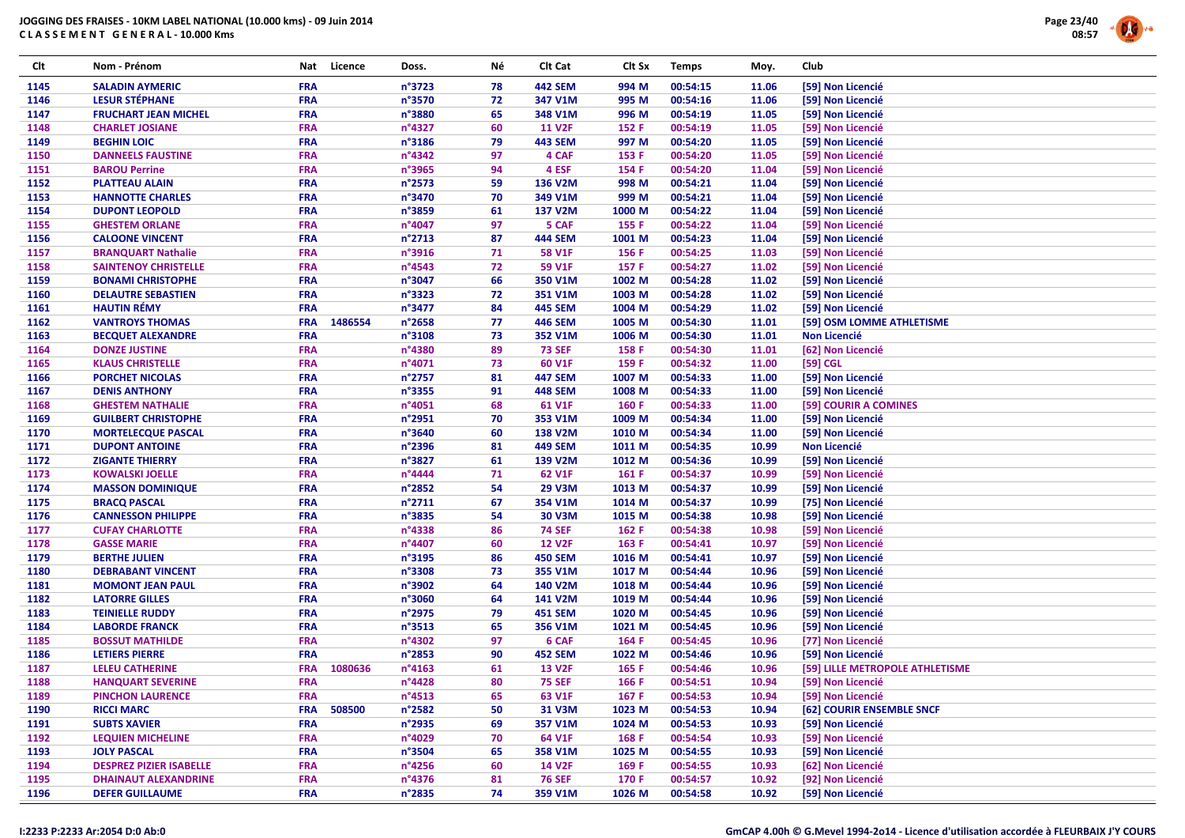

| Clt  | Nom - Prénom                                    | Nat        | Licence | Doss.            | Νé | Clt Cat        | Clt Sx | <b>Temps</b> | Moy.  | Club                            |  |
|------|-------------------------------------------------|------------|---------|------------------|----|----------------|--------|--------------|-------|---------------------------------|--|
| 1145 | <b>SALADIN AYMERIC</b>                          | <b>FRA</b> |         | $n^{\circ}3723$  | 78 | <b>442 SEM</b> | 994 M  | 00:54:15     | 11.06 | [59] Non Licencié               |  |
| 1146 | <b>LESUR STÉPHANE</b>                           | <b>FRA</b> |         | n°3570           | 72 | 347 V1M        | 995 M  | 00:54:16     | 11.06 | [59] Non Licencié               |  |
| 1147 | <b>FRUCHART JEAN MICHEL</b>                     | <b>FRA</b> |         | n°3880           | 65 | 348 V1M        | 996 M  | 00:54:19     | 11.05 | [59] Non Licencié               |  |
| 1148 | <b>CHARLET JOSIANE</b>                          | <b>FRA</b> |         | n°4327           | 60 | <b>11 V2F</b>  | 152 F  | 00:54:19     | 11.05 | [59] Non Licencié               |  |
| 1149 | <b>BEGHIN LOIC</b>                              | <b>FRA</b> |         | n°3186           | 79 | <b>443 SEM</b> | 997 M  | 00:54:20     | 11.05 | [59] Non Licencié               |  |
| 1150 | <b>DANNEELS FAUSTINE</b>                        | <b>FRA</b> |         | $n^{\circ}$ 4342 | 97 | 4 CAF          | 153 F  | 00:54:20     | 11.05 | [59] Non Licencié               |  |
| 1151 | <b>BAROU Perrine</b>                            | <b>FRA</b> |         | n°3965           | 94 | 4 ESF          | 154 F  | 00:54:20     | 11.04 | [59] Non Licencié               |  |
| 1152 | <b>PLATTEAU ALAIN</b>                           | <b>FRA</b> |         | n°2573           | 59 | 136 V2M        | 998 M  | 00:54:21     | 11.04 | [59] Non Licencié               |  |
| 1153 | <b>HANNOTTE CHARLES</b>                         | <b>FRA</b> |         | n°3470           | 70 | 349 V1M        | 999 M  | 00:54:21     | 11.04 | [59] Non Licencié               |  |
| 1154 | <b>DUPONT LEOPOLD</b>                           | <b>FRA</b> |         | n°3859           | 61 | 137 V2M        | 1000 M | 00:54:22     | 11.04 | [59] Non Licencié               |  |
| 1155 | <b>GHESTEM ORLANE</b>                           | <b>FRA</b> |         | n°4047           | 97 | 5 CAF          | 155 F  | 00:54:22     | 11.04 | [59] Non Licencié               |  |
| 1156 | <b>CALOONE VINCENT</b>                          | <b>FRA</b> |         | $n^{\circ}$ 2713 | 87 | <b>444 SEM</b> | 1001 M | 00:54:23     | 11.04 | [59] Non Licencié               |  |
| 1157 | <b>BRANQUART Nathalie</b>                       | <b>FRA</b> |         | n°3916           | 71 | <b>58 V1F</b>  | 156 F  | 00:54:25     | 11.03 | [59] Non Licencié               |  |
| 1158 | <b>SAINTENOY CHRISTELLE</b>                     | <b>FRA</b> |         | n°4543           | 72 | 59 V1F         | 157 F  | 00:54:27     | 11.02 | [59] Non Licencié               |  |
| 1159 | <b>BONAMI CHRISTOPHE</b>                        | <b>FRA</b> |         | n°3047           | 66 | 350 V1M        | 1002 M | 00:54:28     | 11.02 | [59] Non Licencié               |  |
| 1160 | <b>DELAUTRE SEBASTIEN</b>                       | <b>FRA</b> |         | $n^{\circ}$ 3323 | 72 | 351 V1M        | 1003 M | 00:54:28     | 11.02 | [59] Non Licencié               |  |
| 1161 | <b>HAUTIN RÉMY</b>                              | <b>FRA</b> |         | n°3477           | 84 | <b>445 SEM</b> | 1004 M | 00:54:29     | 11.02 | [59] Non Licencié               |  |
| 1162 | <b>VANTROYS THOMAS</b>                          | <b>FRA</b> | 1486554 | $n^{\circ}$ 2658 | 77 | <b>446 SEM</b> | 1005 M | 00:54:30     | 11.01 | [59] OSM LOMME ATHLETISME       |  |
| 1163 | <b>BECQUET ALEXANDRE</b>                        | <b>FRA</b> |         | n°3108           | 73 | 352 V1M        | 1006 M | 00:54:30     | 11.01 | <b>Non Licencié</b>             |  |
| 1164 | <b>DONZE JUSTINE</b>                            | <b>FRA</b> |         | n°4380           | 89 | <b>73 SEF</b>  | 158 F  | 00:54:30     | 11.01 | [62] Non Licencié               |  |
| 1165 | <b>KLAUS CHRISTELLE</b>                         | <b>FRA</b> |         | n°4071           | 73 | 60 V1F         | 159 F  | 00:54:32     | 11.00 | [59] CGL                        |  |
| 1166 | <b>PORCHET NICOLAS</b>                          | <b>FRA</b> |         | $n^{\circ}$ 2757 | 81 | <b>447 SEM</b> | 1007 M | 00:54:33     | 11.00 | [59] Non Licencié               |  |
| 1167 | <b>DENIS ANTHONY</b>                            | <b>FRA</b> |         | n°3355           | 91 | <b>448 SEM</b> | 1008 M | 00:54:33     | 11.00 | [59] Non Licencié               |  |
| 1168 | <b>GHESTEM NATHALIE</b>                         | <b>FRA</b> |         | n°4051           | 68 | 61 V1F         | 160 F  | 00:54:33     | 11.00 | [59] COURIR A COMINES           |  |
| 1169 | <b>GUILBERT CHRISTOPHE</b>                      | <b>FRA</b> |         | n°2951           | 70 | 353 V1M        | 1009 M | 00:54:34     | 11.00 | [59] Non Licencié               |  |
| 1170 | <b>MORTELECQUE PASCAL</b>                       | <b>FRA</b> |         | n°3640           | 60 | 138 V2M        | 1010 M | 00:54:34     | 11.00 | [59] Non Licencié               |  |
| 1171 | <b>DUPONT ANTOINE</b>                           | <b>FRA</b> |         | n°2396           | 81 | <b>449 SEM</b> | 1011 M | 00:54:35     | 10.99 | <b>Non Licencié</b>             |  |
| 1172 | <b>ZIGANTE THIERRY</b>                          | <b>FRA</b> |         | n°3827           | 61 | 139 V2M        | 1012 M | 00:54:36     | 10.99 | [59] Non Licencié               |  |
| 1173 | <b>KOWALSKI JOELLE</b>                          | <b>FRA</b> |         | n°4444           | 71 | 62 V1F         | 161 F  | 00:54:37     | 10.99 | [59] Non Licencié               |  |
| 1174 | <b>MASSON DOMINIQUE</b>                         | <b>FRA</b> |         | n°2852           | 54 | <b>29 V3M</b>  | 1013 M | 00:54:37     | 10.99 | [59] Non Licencié               |  |
| 1175 | <b>BRACQ PASCAL</b>                             | <b>FRA</b> |         | $n^{\circ}2711$  | 67 | 354 V1M        | 1014 M | 00:54:37     | 10.99 | [75] Non Licencié               |  |
| 1176 | <b>CANNESSON PHILIPPE</b>                       | <b>FRA</b> |         | n°3835           | 54 | 30 V3M         | 1015 M | 00:54:38     | 10.98 | [59] Non Licencié               |  |
| 1177 | <b>CUFAY CHARLOTTE</b>                          | <b>FRA</b> |         | n°4338           | 86 | <b>74 SEF</b>  | 162 F  | 00:54:38     | 10.98 | [59] Non Licencié               |  |
| 1178 | <b>GASSE MARIE</b>                              | <b>FRA</b> |         | n°4407           | 60 | <b>12 V2F</b>  | 163 F  | 00:54:41     | 10.97 | [59] Non Licencié               |  |
| 1179 | <b>BERTHE JULIEN</b>                            | <b>FRA</b> |         | n°3195           | 86 | <b>450 SEM</b> | 1016 M | 00:54:41     | 10.97 | [59] Non Licencié               |  |
| 1180 | <b>DEBRABANT VINCENT</b>                        | <b>FRA</b> |         | n°3308           | 73 | 355 V1M        | 1017 M | 00:54:44     | 10.96 | [59] Non Licencié               |  |
| 1181 | <b>MOMONT JEAN PAUL</b>                         | <b>FRA</b> |         | n°3902           | 64 | 140 V2M        | 1018 M | 00:54:44     | 10.96 | [59] Non Licencié               |  |
| 1182 | <b>LATORRE GILLES</b>                           | <b>FRA</b> |         | n°3060           | 64 | 141 V2M        | 1019 M | 00:54:44     | 10.96 | [59] Non Licencié               |  |
| 1183 | <b>TEINIELLE RUDDY</b>                          | <b>FRA</b> |         | n°2975           | 79 | <b>451 SEM</b> | 1020 M | 00:54:45     | 10.96 | [59] Non Licencié               |  |
| 1184 | <b>LABORDE FRANCK</b>                           | <b>FRA</b> |         | $n^{\circ}3513$  | 65 | 356 V1M        | 1021 M | 00:54:45     | 10.96 | [59] Non Licencié               |  |
| 1185 | <b>BOSSUT MATHILDE</b>                          | <b>FRA</b> |         | n°4302           | 97 | 6 CAF          | 164 F  | 00:54:45     | 10.96 | [77] Non Licencié               |  |
| 1186 | <b>LETIERS PIERRE</b>                           | <b>FRA</b> |         | n°2853           | 90 | <b>452 SEM</b> | 1022 M | 00:54:46     | 10.96 | [59] Non Licencié               |  |
| 1187 | <b>LELEU CATHERINE</b>                          | <b>FRA</b> | 1080636 | $n^{\circ}4163$  | 61 | <b>13 V2F</b>  | 165 F  | 00:54:46     | 10.96 | [59] LILLE METROPOLE ATHLETISME |  |
| 1188 | <b>HANQUART SEVERINE</b>                        | <b>FRA</b> |         | $n^{\circ}$ 4428 | 80 | <b>75 SEF</b>  | 166 F  | 00:54:51     | 10.94 | [59] Non Licencié               |  |
|      |                                                 |            |         |                  |    |                |        |              |       |                                 |  |
| 1189 | <b>PINCHON LAURENCE</b><br><b>RICCI MARC</b>    | <b>FRA</b> |         | $n^{\circ}4513$  | 65 | 63 V1F         | 167 F  | 00:54:53     | 10.94 | [59] Non Licencié               |  |
| 1190 |                                                 | <b>FRA</b> | 508500  | n°2582           | 50 | 31 V3M         | 1023 M | 00:54:53     | 10.94 | [62] COURIR ENSEMBLE SNCF       |  |
| 1191 | <b>SUBTS XAVIER</b><br><b>LEQUIEN MICHELINE</b> | <b>FRA</b> |         | n°2935           | 69 | 357 V1M        | 1024 M | 00:54:53     | 10.93 | [59] Non Licencié               |  |
| 1192 |                                                 | <b>FRA</b> |         | n°4029           | 70 | 64 V1F         | 168 F  | 00:54:54     | 10.93 | [59] Non Licencié               |  |
| 1193 | <b>JOLY PASCAL</b>                              | <b>FRA</b> |         | n°3504           | 65 | 358 V1M        | 1025 M | 00:54:55     | 10.93 | [59] Non Licencié               |  |
| 1194 | <b>DESPREZ PIZIER ISABELLE</b>                  | <b>FRA</b> |         | $n^{\circ}$ 4256 | 60 | <b>14 V2F</b>  | 169 F  | 00:54:55     | 10.93 | [62] Non Licencié               |  |
| 1195 | <b>DHAINAUT ALEXANDRINE</b>                     | <b>FRA</b> |         | n°4376           | 81 | <b>76 SEF</b>  | 170 F  | 00:54:57     | 10.92 | [92] Non Licencié               |  |
| 1196 | <b>DEFER GUILLAUME</b>                          | <b>FRA</b> |         | n°2835           | 74 | 359 V1M        | 1026 M | 00:54:58     | 10.92 | [59] Non Licencié               |  |

#### I:2233 P:2233 Ar:2054 D:0 Ab:0

### GmCAP 4.00h © G.Mevel 1994-2o14 - Licence d'utilisation accordée à FLEURBAIX J'Y COURS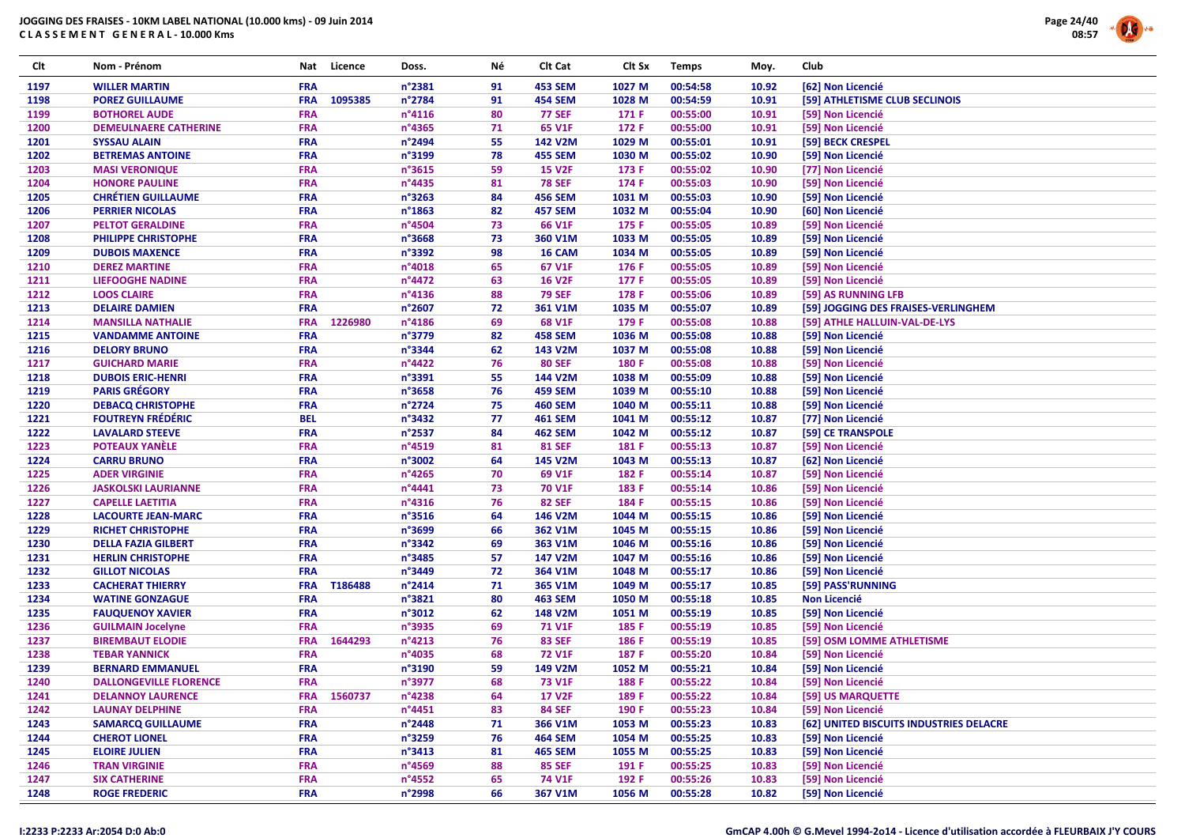

| Clt          | Nom - Prénom                                      | Nat        | Licence     | Doss.                      | Νé       | Clt Cat                        | Clt Sx           | <b>Temps</b>         | Moy.           | Club                                    |
|--------------|---------------------------------------------------|------------|-------------|----------------------------|----------|--------------------------------|------------------|----------------------|----------------|-----------------------------------------|
| 1197         | <b>WILLER MARTIN</b>                              | <b>FRA</b> |             | n°2381                     | 91       | <b>453 SEM</b>                 | 1027 M           | 00:54:58             | 10.92          | [62] Non Licencié                       |
| 1198         | <b>POREZ GUILLAUME</b>                            | <b>FRA</b> | 1095385     | n°2784                     | 91       | <b>454 SEM</b>                 | 1028 M           | 00:54:59             | 10.91          | [59] ATHLETISME CLUB SECLINOIS          |
| 1199         | <b>BOTHOREL AUDE</b>                              | <b>FRA</b> |             | n°4116                     | 80       | <b>77 SEF</b>                  | 171 F            | 00:55:00             | 10.91          | [59] Non Licencié                       |
| 1200         | <b>DEMEULNAERE CATHERINE</b>                      | <b>FRA</b> |             | n°4365                     | 71       | 65 V1F                         | 172 F            | 00:55:00             | 10.91          | [59] Non Licencié                       |
| 1201         | <b>SYSSAU ALAIN</b>                               | <b>FRA</b> |             | n°2494                     | 55       | 142 V2M                        | 1029 M           | 00:55:01             | 10.91          | [59] BECK CRESPEL                       |
| 1202         | <b>BETREMAS ANTOINE</b>                           | <b>FRA</b> |             | n°3199                     | 78       | <b>455 SEM</b>                 | 1030 M           | 00:55:02             | 10.90          | [59] Non Licencié                       |
| 1203         | <b>MASI VERONIQUE</b>                             | <b>FRA</b> |             | n°3615                     | 59       | <b>15 V2F</b>                  | 173 F            | 00:55:02             | 10.90          | [77] Non Licencié                       |
| 1204         | <b>HONORE PAULINE</b>                             | <b>FRA</b> |             | n°4435                     | 81       | <b>78 SEF</b>                  | 174 F            | 00:55:03             | 10.90          | [59] Non Licencié                       |
| 1205         | <b>CHRÉTIEN GUILLAUME</b>                         | <b>FRA</b> |             | n°3263                     | 84       | <b>456 SEM</b>                 | 1031 M           | 00:55:03             | 10.90          | [59] Non Licencié                       |
| 1206         | <b>PERRIER NICOLAS</b>                            | <b>FRA</b> |             | $n^{\circ}$ 1863           | 82       | <b>457 SEM</b>                 | 1032 M           | 00:55:04             | 10.90          | [60] Non Licencié                       |
| 1207         | <b>PELTOT GERALDINE</b>                           | <b>FRA</b> |             | n°4504                     | 73       | 66 V1F                         | 175 F            | 00:55:05             | 10.89          | [59] Non Licencié                       |
| 1208         | PHILIPPE CHRISTOPHE                               | <b>FRA</b> |             | n°3668                     | 73       | 360 V1M                        | 1033 M           | 00:55:05             | 10.89          | [59] Non Licencié                       |
| 1209         | <b>DUBOIS MAXENCE</b>                             | <b>FRA</b> |             | n°3392                     | 98       | 16 CAM                         | 1034 M           | 00:55:05             | 10.89          | [59] Non Licencié                       |
| 1210         | <b>DEREZ MARTINE</b>                              | <b>FRA</b> |             | n°4018                     | 65       | 67 V1F                         | 176 F            | 00:55:05             | 10.89          | [59] Non Licencié                       |
| 1211         | <b>LIEFOOGHE NADINE</b>                           | <b>FRA</b> |             | n°4472                     | 63       | <b>16 V2F</b>                  | 177 F            | 00:55:05             | 10.89          | [59] Non Licencié                       |
| 1212         | <b>LOOS CLAIRE</b>                                | <b>FRA</b> |             | n°4136                     | 88       | <b>79 SEF</b>                  | 178 F            | 00:55:06             | 10.89          | [59] AS RUNNING LFB                     |
| 1213         | <b>DELAIRE DAMIEN</b>                             | <b>FRA</b> |             | n°2607                     | 72       | 361 V1M                        | 1035 M           | 00:55:07             | 10.89          | [59] JOGGING DES FRAISES-VERLINGHEM     |
| 1214         | <b>MANSILLA NATHALIE</b>                          | <b>FRA</b> | 1226980     | n°4186                     | 69       | 68 V1F                         | 179 F            | 00:55:08             | 10.88          | [59] ATHLE HALLUIN-VAL-DE-LYS           |
| 1215         | <b>VANDAMME ANTOINE</b>                           | <b>FRA</b> |             | n°3779                     | 82       | <b>458 SEM</b>                 | 1036 M           | 00:55:08             | 10.88          | [59] Non Licencié                       |
| 1216         | <b>DELORY BRUNO</b>                               | <b>FRA</b> |             | n°3344                     | 62       | 143 V2M                        | 1037 M           | 00:55:08             | 10.88          | [59] Non Licencié                       |
| 1217         | <b>GUICHARD MARIE</b>                             | <b>FRA</b> |             | n°4422                     | 76       | <b>80 SEF</b>                  | 180 F            | 00:55:08             | 10.88          | [59] Non Licencié                       |
| 1218         | <b>DUBOIS ERIC-HENRI</b>                          | <b>FRA</b> |             | n°3391                     | 55       | 144 V2M                        | 1038 M           | 00:55:09             | 10.88          | [59] Non Licencié                       |
| 1219         | <b>PARIS GRÉGORY</b>                              | <b>FRA</b> |             | n°3658                     | 76       | <b>459 SEM</b>                 | 1039 M           | 00:55:10             | 10.88          | [59] Non Licencié                       |
| 1220         | <b>DEBACQ CHRISTOPHE</b>                          | <b>FRA</b> |             | n°2724                     | 75       | <b>460 SEM</b>                 | 1040 M           | 00:55:11             | 10.88          | [59] Non Licencié                       |
| 1221         | <b>FOUTREYN FRÉDÉRIC</b>                          | <b>BEL</b> |             | n°3432                     | 77       | <b>461 SEM</b>                 | 1041 M           | 00:55:12             | 10.87          | [77] Non Licencié                       |
| 1222         | <b>LAVALARD STEEVE</b>                            | <b>FRA</b> |             | n°2537                     | 84       | <b>462 SEM</b>                 | 1042 M           | 00:55:12             | 10.87          | [59] CE TRANSPOLE                       |
| 1223         | <b>POTEAUX YANÈLE</b>                             | <b>FRA</b> |             | n°4519                     | 81       | <b>81 SEF</b>                  | 181 F            | 00:55:13             | 10.87          | [59] Non Licencié                       |
| 1224         | <b>CARRU BRUNO</b>                                | <b>FRA</b> |             | n°3002                     | 64       | 145 V2M                        | 1043 M           | 00:55:13             | 10.87          | [62] Non Licencié                       |
| 1225         | <b>ADER VIRGINIE</b>                              | <b>FRA</b> |             | n°4265                     | 70       | 69 V1F                         | 182 F            | 00:55:14             | 10.87          | [59] Non Licencié                       |
| 1226         | <b>JASKOLSKI LAURIANNE</b>                        | <b>FRA</b> |             | n°4441                     | 73       | <b>70 V1F</b>                  | 183 F            | 00:55:14             | 10.86          | [59] Non Licencié                       |
| 1227         | <b>CAPELLE LAETITIA</b>                           | <b>FRA</b> |             | n°4316                     | 76       | <b>82 SEF</b>                  | 184 F            | 00:55:15             | 10.86          | [59] Non Licencié                       |
| 1228         | <b>LACOURTE JEAN-MARC</b>                         | <b>FRA</b> |             | n°3516                     | 64       | 146 V2M                        | 1044 M           | 00:55:15             | 10.86          | [59] Non Licencié                       |
| 1229         | <b>RICHET CHRISTOPHE</b>                          | <b>FRA</b> |             | n°3699                     | 66       | 362 V1M                        | 1045 M           | 00:55:15             | 10.86          | [59] Non Licencié                       |
| 1230         | <b>DELLA FAZIA GILBERT</b>                        | <b>FRA</b> |             | n°3342                     | 69       | 363 V1M                        | 1046 M           | 00:55:16             | 10.86          | [59] Non Licencié                       |
| 1231         | <b>HERLIN CHRISTOPHE</b>                          | <b>FRA</b> |             | n°3485                     | 57       | 147 V2M                        | 1047 M           | 00:55:16             | 10.86          | [59] Non Licencié                       |
| 1232         |                                                   | <b>FRA</b> |             | n°3449                     | 72       | 364 V1M                        |                  |                      | 10.86          |                                         |
| 1233         | <b>GILLOT NICOLAS</b><br><b>CACHERAT THIERRY</b>  | <b>FRA</b> | T186488     | n°2414                     | 71       | 365 V1M                        | 1048 M<br>1049 M | 00:55:17<br>00:55:17 | 10.85          | [59] Non Licencié<br>[59] PASS'RUNNING  |
| 1234         |                                                   | <b>FRA</b> |             | n°3821                     | 80       | <b>463 SEM</b>                 | 1050 M           | 00:55:18             | 10.85          | <b>Non Licencié</b>                     |
| 1235         | <b>WATINE GONZAGUE</b><br><b>FAUQUENOY XAVIER</b> | <b>FRA</b> |             | n°3012                     | 62       | 148 V2M                        | 1051 M           | 00:55:19             | 10.85          | [59] Non Licencié                       |
| 1236         | <b>GUILMAIN Jocelyne</b>                          | <b>FRA</b> |             | n°3935                     | 69       | <b>71 V1F</b>                  | 185 F            | 00:55:19             | 10.85          | [59] Non Licencié                       |
| 1237         | <b>BIREMBAUT ELODIE</b>                           | <b>FRA</b> | 1644293     | n°4213                     | 76       | <b>83 SEF</b>                  | 186 F            | 00:55:19             | 10.85          | [59] OSM LOMME ATHLETISME               |
| 1238         | <b>TEBAR YANNICK</b>                              | <b>FRA</b> |             | n°4035                     | 68       | <b>72 V1F</b>                  | 187 F            | 00:55:20             | 10.84          | [59] Non Licencié                       |
| 1239         | <b>BERNARD EMMANUEL</b>                           | <b>FRA</b> |             | n°3190                     | 59       | 149 V2M                        | 1052 M           | 00:55:21             | 10.84          |                                         |
| 1240         | <b>DALLONGEVILLE FLORENCE</b>                     | <b>FRA</b> |             | n°3977                     | 68       | <b>73 V1F</b>                  | 188 F            | 00:55:22             | 10.84          | [59] Non Licencié<br>[59] Non Licencié  |
|              |                                                   |            |             |                            |          |                                |                  |                      |                |                                         |
| 1241<br>1242 | <b>DELANNOY LAURENCE</b>                          | <b>FRA</b> | FRA 1560737 | n°4238<br>$n^{\circ}$ 4451 | 64<br>83 | <b>17 V2F</b><br><b>84 SEF</b> | 189 F<br>190 F   | 00:55:22<br>00:55:23 | 10.84<br>10.84 | [59] US MARQUETTE<br>[59] Non Licencié  |
|              | <b>LAUNAY DELPHINE</b>                            |            |             |                            |          |                                |                  |                      |                |                                         |
| 1243         | <b>SAMARCQ GUILLAUME</b>                          | <b>FRA</b> |             | n°2448                     | 71       | 366 V1M                        | 1053 M           | 00:55:23             | 10.83          | [62] UNITED BISCUITS INDUSTRIES DELACRE |
| 1244         | <b>CHEROT LIONEL</b>                              | <b>FRA</b> |             | n°3259                     | 76       | <b>464 SEM</b>                 | 1054 M           | 00:55:25             | 10.83          | [59] Non Licencié                       |
| 1245         | <b>ELOIRE JULIEN</b>                              | <b>FRA</b> |             | $n^{\circ}3413$            | 81       | <b>465 SEM</b>                 | 1055 M           | 00:55:25             | 10.83          | [59] Non Licencié                       |
| 1246         | <b>TRAN VIRGINIE</b>                              | <b>FRA</b> |             | n°4569                     | 88       | <b>85 SEF</b>                  | 191 F            | 00:55:25             | 10.83          | [59] Non Licencié<br>[59] Non Licencié  |
| 1247         | <b>SIX CATHERINE</b>                              | <b>FRA</b> |             | $n^{\circ}$ 4552           | 65       | 74 V1F                         | 192 F            | 00:55:26             | 10.83          |                                         |
| 1248         | <b>ROGE FREDERIC</b>                              | <b>FRA</b> |             | n°2998                     | 66       | 367 V1M                        | 1056 M           | 00:55:28             | 10.82          | [59] Non Licencié                       |

#### I:2233 P:2233 Ar:2054 D:0 Ab:0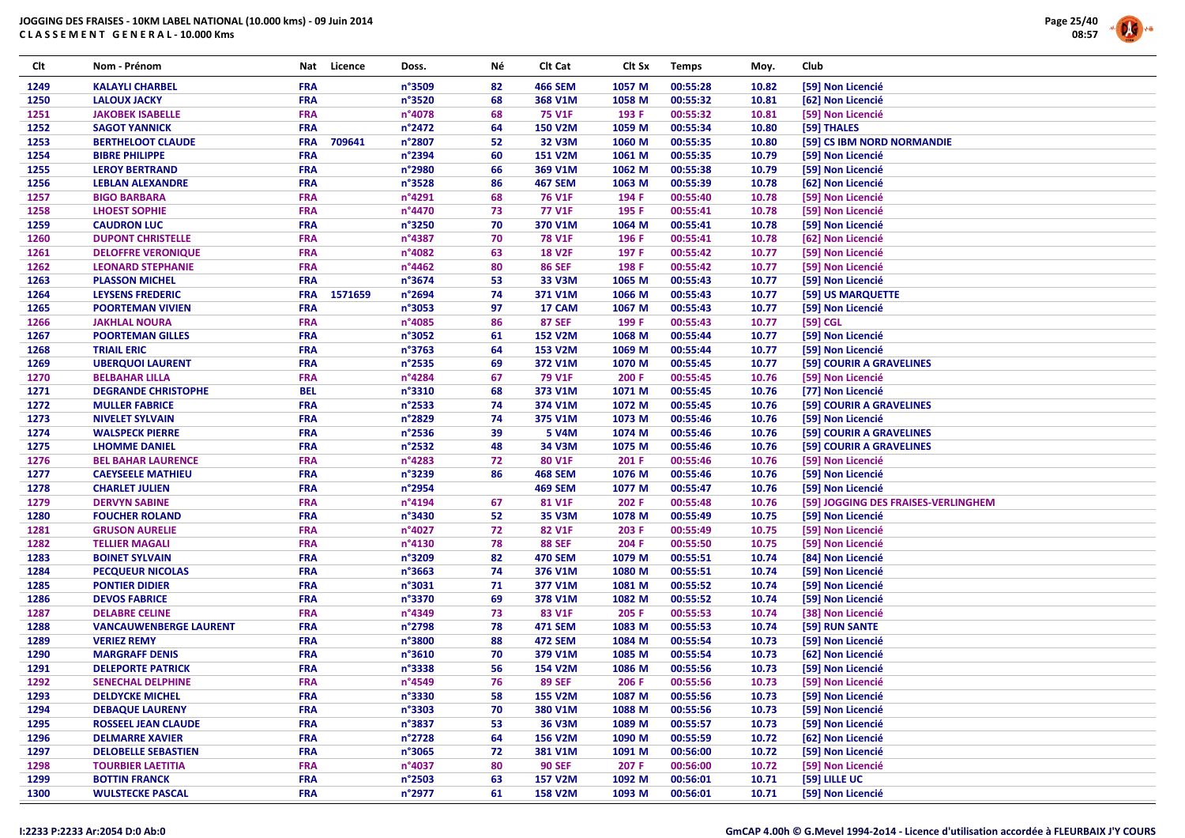

| Clt  | Nom - Prénom                  | Nat        | Licence | Doss.  | Νé | Clt Cat        | Clt Sx | <b>Temps</b> | Moy.  | <b>Club</b>                         |
|------|-------------------------------|------------|---------|--------|----|----------------|--------|--------------|-------|-------------------------------------|
| 1249 | <b>KALAYLI CHARBEL</b>        | <b>FRA</b> |         | n°3509 | 82 | <b>466 SEM</b> | 1057 M | 00:55:28     | 10.82 | [59] Non Licencié                   |
| 1250 | <b>LALOUX JACKY</b>           | <b>FRA</b> |         | n°3520 | 68 | 368 V1M        | 1058 M | 00:55:32     | 10.81 | [62] Non Licencié                   |
| 1251 | <b>JAKOBEK ISABELLE</b>       | <b>FRA</b> |         | n°4078 | 68 | <b>75 V1F</b>  | 193 F  | 00:55:32     | 10.81 | [59] Non Licencié                   |
| 1252 | <b>SAGOT YANNICK</b>          | <b>FRA</b> |         | n°2472 | 64 | <b>150 V2M</b> | 1059 M | 00:55:34     | 10.80 | [59] THALES                         |
| 1253 | <b>BERTHELOOT CLAUDE</b>      | <b>FRA</b> | 709641  | n°2807 | 52 | <b>32 V3M</b>  | 1060 M | 00:55:35     | 10.80 | [59] CS IBM NORD NORMANDIE          |
| 1254 | <b>BIBRE PHILIPPE</b>         | <b>FRA</b> |         | n°2394 | 60 | <b>151 V2M</b> | 1061 M | 00:55:35     | 10.79 | [59] Non Licencié                   |
| 1255 | <b>LEROY BERTRAND</b>         | <b>FRA</b> |         | n°2980 | 66 | 369 V1M        | 1062 M | 00:55:38     | 10.79 | [59] Non Licencié                   |
| 1256 | <b>LEBLAN ALEXANDRE</b>       | <b>FRA</b> |         | n°3528 | 86 | <b>467 SEM</b> | 1063 M | 00:55:39     | 10.78 | [62] Non Licencié                   |
| 1257 | <b>BIGO BARBARA</b>           | <b>FRA</b> |         | n°4291 | 68 | <b>76 V1F</b>  | 194 F  | 00:55:40     | 10.78 | [59] Non Licencié                   |
| 1258 | <b>LHOEST SOPHIE</b>          | <b>FRA</b> |         | n°4470 | 73 | <b>77 V1F</b>  | 195 F  | 00:55:41     | 10.78 | [59] Non Licencié                   |
| 1259 | <b>CAUDRON LUC</b>            | <b>FRA</b> |         | n°3250 | 70 | 370 V1M        | 1064 M | 00:55:41     | 10.78 | [59] Non Licencié                   |
| 1260 | <b>DUPONT CHRISTELLE</b>      | <b>FRA</b> |         | n°4387 | 70 | <b>78 V1F</b>  | 196 F  | 00:55:41     | 10.78 | [62] Non Licencié                   |
| 1261 | <b>DELOFFRE VERONIQUE</b>     | <b>FRA</b> |         | n°4082 | 63 | <b>18 V2F</b>  | 197 F  | 00:55:42     | 10.77 | [59] Non Licencié                   |
| 1262 | <b>LEONARD STEPHANIE</b>      | <b>FRA</b> |         | n°4462 | 80 | <b>86 SEF</b>  | 198 F  | 00:55:42     | 10.77 | [59] Non Licencié                   |
| 1263 | <b>PLASSON MICHEL</b>         | <b>FRA</b> |         | n°3674 | 53 | 33 V3M         | 1065 M | 00:55:43     | 10.77 | [59] Non Licencié                   |
| 1264 | <b>LEYSENS FREDERIC</b>       | <b>FRA</b> | 1571659 | n°2694 | 74 | 371 V1M        | 1066 M | 00:55:43     | 10.77 | [59] US MARQUETTE                   |
| 1265 | <b>POORTEMAN VIVIEN</b>       | <b>FRA</b> |         | n°3053 | 97 | 17 CAM         | 1067 M | 00:55:43     | 10.77 | [59] Non Licencié                   |
| 1266 | <b>JAKHLAL NOURA</b>          | <b>FRA</b> |         | n°4085 | 86 | <b>87 SEF</b>  | 199 F  | 00:55:43     | 10.77 | [59] CGL                            |
| 1267 | <b>POORTEMAN GILLES</b>       | <b>FRA</b> |         | n°3052 | 61 | <b>152 V2M</b> | 1068 M | 00:55:44     | 10.77 | [59] Non Licencié                   |
| 1268 | <b>TRIAIL ERIC</b>            | <b>FRA</b> |         | n°3763 | 64 | 153 V2M        | 1069 M | 00:55:44     | 10.77 | [59] Non Licencié                   |
| 1269 | <b>UBERQUOI LAURENT</b>       | <b>FRA</b> |         | n°2535 | 69 | 372 V1M        | 1070 M | 00:55:45     | 10.77 | [59] COURIR A GRAVELINES            |
| 1270 | <b>BELBAHAR LILLA</b>         | <b>FRA</b> |         | n°4284 | 67 | 79 V1F         | 200 F  | 00:55:45     | 10.76 | [59] Non Licencié                   |
| 1271 | <b>DEGRANDE CHRISTOPHE</b>    | <b>BEL</b> |         | n°3310 | 68 | 373 V1M        | 1071 M | 00:55:45     | 10.76 | [77] Non Licencié                   |
| 1272 | <b>MULLER FABRICE</b>         | <b>FRA</b> |         | n°2533 | 74 | 374 V1M        | 1072 M | 00:55:45     | 10.76 | [59] COURIR A GRAVELINES            |
| 1273 | <b>NIVELET SYLVAIN</b>        | <b>FRA</b> |         | n°2829 | 74 | 375 V1M        | 1073 M | 00:55:46     | 10.76 | [59] Non Licencié                   |
| 1274 | <b>WALSPECK PIERRE</b>        | <b>FRA</b> |         | n°2536 | 39 | <b>5 V4M</b>   | 1074 M | 00:55:46     | 10.76 | [59] COURIR A GRAVELINES            |
| 1275 | <b>LHOMME DANIEL</b>          | <b>FRA</b> |         | n°2532 | 48 | 34 V3M         | 1075 M | 00:55:46     | 10.76 | [59] COURIR A GRAVELINES            |
| 1276 | <b>BEL BAHAR LAURENCE</b>     | <b>FRA</b> |         | n°4283 | 72 | 80 V1F         | 201 F  | 00:55:46     | 10.76 | [59] Non Licencié                   |
| 1277 | <b>CAEYSEELE MATHIEU</b>      | <b>FRA</b> |         | n°3239 | 86 | <b>468 SEM</b> | 1076 M | 00:55:46     | 10.76 | [59] Non Licencié                   |
| 1278 | <b>CHARLET JULIEN</b>         | <b>FRA</b> |         | n°2954 |    | <b>469 SEM</b> | 1077 M | 00:55:47     | 10.76 | [59] Non Licencié                   |
| 1279 | <b>DERVYN SABINE</b>          | <b>FRA</b> |         | n°4194 | 67 | 81 V1F         | 202 F  | 00:55:48     | 10.76 | [59] JOGGING DES FRAISES-VERLINGHEM |
| 1280 | <b>FOUCHER ROLAND</b>         | <b>FRA</b> |         | n°3430 | 52 | <b>35 V3M</b>  | 1078 M | 00:55:49     | 10.75 | [59] Non Licencié                   |
| 1281 | <b>GRUSON AURELIE</b>         | <b>FRA</b> |         | n°4027 | 72 | 82 V1F         | 203 F  | 00:55:49     | 10.75 | [59] Non Licencié                   |
| 1282 | <b>TELLIER MAGALI</b>         | <b>FRA</b> |         | n°4130 | 78 | <b>88 SEF</b>  | 204 F  | 00:55:50     | 10.75 | [59] Non Licencié                   |
| 1283 | <b>BOINET SYLVAIN</b>         | <b>FRA</b> |         | n°3209 | 82 | <b>470 SEM</b> | 1079 M | 00:55:51     | 10.74 | [84] Non Licencié                   |
| 1284 | <b>PECQUEUR NICOLAS</b>       | <b>FRA</b> |         | n°3663 | 74 | 376 V1M        | 1080 M | 00:55:51     | 10.74 | [59] Non Licencié                   |
| 1285 | <b>PONTIER DIDIER</b>         | <b>FRA</b> |         | n°3031 | 71 | 377 V1M        | 1081 M | 00:55:52     | 10.74 | [59] Non Licencié                   |
| 1286 | <b>DEVOS FABRICE</b>          | <b>FRA</b> |         | n°3370 | 69 | 378 V1M        | 1082 M | 00:55:52     | 10.74 | [59] Non Licencié                   |
| 1287 | <b>DELABRE CELINE</b>         | <b>FRA</b> |         | n°4349 | 73 | 83 V1F         | 205 F  | 00:55:53     | 10.74 | [38] Non Licencié                   |
| 1288 | <b>VANCAUWENBERGE LAURENT</b> | <b>FRA</b> |         | n°2798 | 78 | <b>471 SEM</b> | 1083 M | 00:55:53     | 10.74 | [59] RUN SANTE                      |
| 1289 | <b>VERIEZ REMY</b>            | <b>FRA</b> |         | n°3800 | 88 | <b>472 SEM</b> | 1084 M | 00:55:54     | 10.73 | [59] Non Licencié                   |
| 1290 | <b>MARGRAFF DENIS</b>         | <b>FRA</b> |         | n°3610 | 70 | 379 V1M        | 1085 M | 00:55:54     | 10.73 | [62] Non Licencié                   |
| 1291 | <b>DELEPORTE PATRICK</b>      | <b>FRA</b> |         | n°3338 | 56 | 154 V2M        | 1086 M | 00:55:56     | 10.73 | [59] Non Licencié                   |
| 1292 | <b>SENECHAL DELPHINE</b>      | <b>FRA</b> |         | n°4549 | 76 | <b>89 SEF</b>  | 206 F  | 00:55:56     | 10.73 | [59] Non Licencié                   |
| 1293 | <b>DELDYCKE MICHEL</b>        | <b>FRA</b> |         | n°3330 | 58 | <b>155 V2M</b> | 1087 M | 00:55:56     | 10.73 | [59] Non Licencié                   |
| 1294 | <b>DEBAQUE LAURENY</b>        | <b>FRA</b> |         | n°3303 | 70 | 380 V1M        | 1088 M | 00:55:56     | 10.73 | [59] Non Licencié                   |
| 1295 | <b>ROSSEEL JEAN CLAUDE</b>    | <b>FRA</b> |         | n°3837 | 53 | 36 V3M         | 1089 M | 00:55:57     | 10.73 | [59] Non Licencié                   |
| 1296 | <b>DELMARRE XAVIER</b>        | <b>FRA</b> |         | n°2728 | 64 | 156 V2M        | 1090 M | 00:55:59     | 10.72 | [62] Non Licencié                   |
| 1297 | <b>DELOBELLE SEBASTIEN</b>    | <b>FRA</b> |         | n°3065 | 72 | 381 V1M        | 1091 M | 00:56:00     | 10.72 | [59] Non Licencié                   |
| 1298 | <b>TOURBIER LAETITIA</b>      | <b>FRA</b> |         | n°4037 | 80 | <b>90 SEF</b>  | 207 F  | 00:56:00     | 10.72 | [59] Non Licencié                   |
| 1299 | <b>BOTTIN FRANCK</b>          | <b>FRA</b> |         | n°2503 | 63 | <b>157 V2M</b> | 1092 M | 00:56:01     | 10.71 | [59] LILLE UC                       |
| 1300 | <b>WULSTECKE PASCAL</b>       | <b>FRA</b> |         | n°2977 | 61 | <b>158 V2M</b> | 1093 M | 00:56:01     | 10.71 | [59] Non Licencié                   |
|      |                               |            |         |        |    |                |        |              |       |                                     |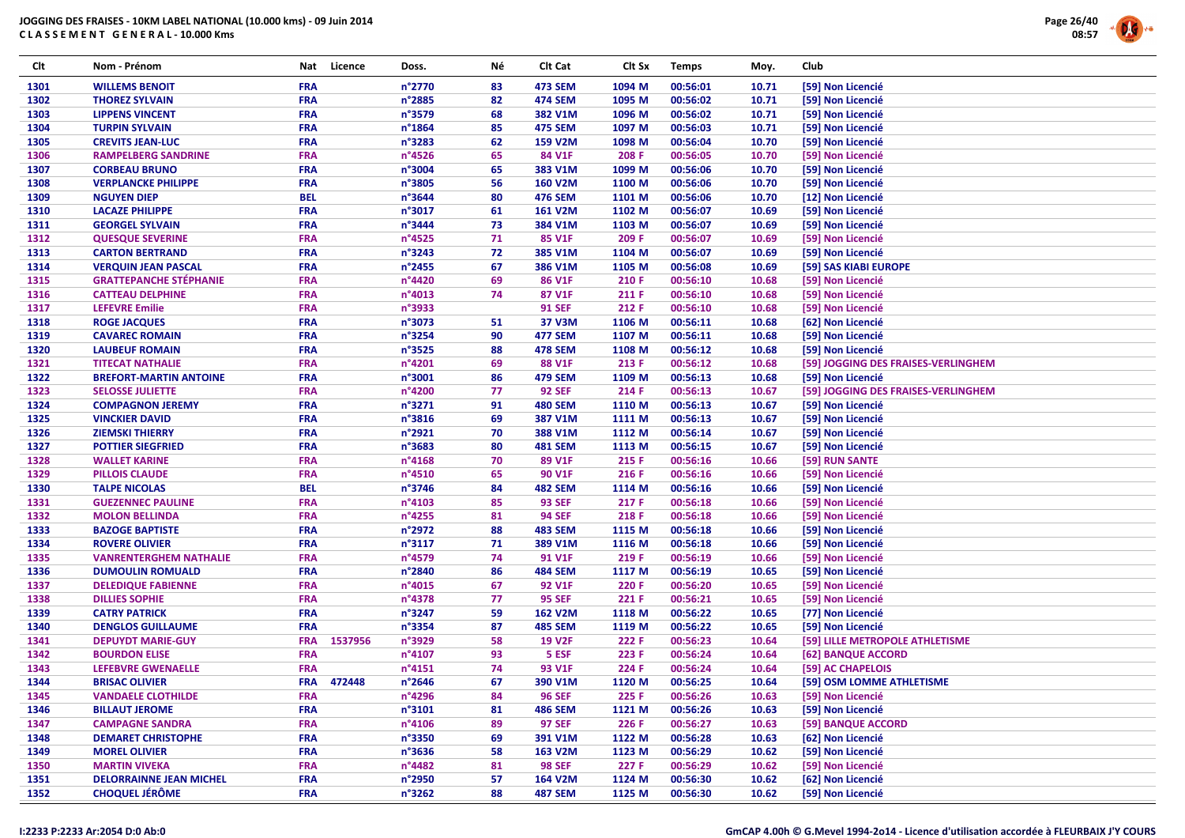

| Clt  | Nom - Prénom                   | Nat                      | Licence | Doss.            | Νé | Clt Cat        | Clt Sx | <b>Temps</b> | Moy.  | Club                                |
|------|--------------------------------|--------------------------|---------|------------------|----|----------------|--------|--------------|-------|-------------------------------------|
| 1301 | <b>WILLEMS BENOIT</b>          | <b>FRA</b>               |         | n°2770           | 83 | <b>473 SEM</b> | 1094 M | 00:56:01     | 10.71 | [59] Non Licencié                   |
| 1302 | <b>THOREZ SYLVAIN</b>          | <b>FRA</b>               |         | n°2885           | 82 | <b>474 SEM</b> | 1095 M | 00:56:02     | 10.71 | [59] Non Licencié                   |
| 1303 | <b>LIPPENS VINCENT</b>         | <b>FRA</b>               |         | n°3579           | 68 | 382 V1M        | 1096 M | 00:56:02     | 10.71 | [59] Non Licencié                   |
| 1304 | <b>TURPIN SYLVAIN</b>          | <b>FRA</b>               |         | n°1864           | 85 | <b>475 SEM</b> | 1097 M | 00:56:03     | 10.71 | [59] Non Licencié                   |
| 1305 | <b>CREVITS JEAN-LUC</b>        | <b>FRA</b>               |         | n°3283           | 62 | 159 V2M        | 1098 M | 00:56:04     | 10.70 | [59] Non Licencié                   |
| 1306 | <b>RAMPELBERG SANDRINE</b>     | <b>FRA</b>               |         | n°4526           | 65 | 84 V1F         | 208 F  | 00:56:05     | 10.70 | [59] Non Licencié                   |
| 1307 | <b>CORBEAU BRUNO</b>           | <b>FRA</b>               |         | n°3004           | 65 | 383 V1M        | 1099 M | 00:56:06     | 10.70 | [59] Non Licencié                   |
| 1308 | <b>VERPLANCKE PHILIPPE</b>     | <b>FRA</b>               |         | n°3805           | 56 | <b>160 V2M</b> | 1100 M | 00:56:06     | 10.70 | [59] Non Licencié                   |
| 1309 | <b>NGUYEN DIEP</b>             | <b>BEL</b>               |         | n°3644           | 80 | <b>476 SEM</b> | 1101 M | 00:56:06     | 10.70 | [12] Non Licencié                   |
| 1310 | <b>LACAZE PHILIPPE</b>         | <b>FRA</b>               |         | n°3017           | 61 | 161 V2M        | 1102 M | 00:56:07     | 10.69 | [59] Non Licencié                   |
| 1311 | <b>GEORGEL SYLVAIN</b>         | <b>FRA</b>               |         | n°3444           | 73 | 384 V1M        | 1103 M | 00:56:07     | 10.69 | [59] Non Licencié                   |
| 1312 | <b>QUESQUE SEVERINE</b>        | <b>FRA</b>               |         | n°4525           | 71 | 85 V1F         | 209 F  | 00:56:07     | 10.69 | [59] Non Licencié                   |
| 1313 | <b>CARTON BERTRAND</b>         | <b>FRA</b>               |         | n°3243           | 72 | 385 V1M        | 1104 M | 00:56:07     | 10.69 | [59] Non Licencié                   |
| 1314 | <b>VERQUIN JEAN PASCAL</b>     | <b>FRA</b>               |         | n°2455           | 67 | 386 V1M        | 1105 M | 00:56:08     | 10.69 | [59] SAS KIABI EUROPE               |
| 1315 | <b>GRATTEPANCHE STÉPHANIE</b>  | <b>FRA</b>               |         | n°4420           | 69 | 86 V1F         | 210 F  | 00:56:10     | 10.68 | [59] Non Licencié                   |
| 1316 | <b>CATTEAU DELPHINE</b>        | <b>FRA</b>               |         | n°4013           | 74 | 87 V1F         | 211 F  | 00:56:10     | 10.68 | [59] Non Licencié                   |
| 1317 | <b>LEFEVRE Emilie</b>          | <b>FRA</b>               |         | n°3933           |    | <b>91 SEF</b>  | 212 F  | 00:56:10     | 10.68 | [59] Non Licencié                   |
|      |                                |                          |         |                  |    |                |        |              |       |                                     |
| 1318 | <b>ROGE JACQUES</b>            | <b>FRA</b><br><b>FRA</b> |         | n°3073<br>n°3254 | 51 | 37 V3M         | 1106 M | 00:56:11     | 10.68 | [62] Non Licencié                   |
| 1319 | <b>CAVAREC ROMAIN</b>          |                          |         |                  | 90 | <b>477 SEM</b> | 1107 M | 00:56:11     | 10.68 | [59] Non Licencié                   |
| 1320 | <b>LAUBEUF ROMAIN</b>          | <b>FRA</b>               |         | n°3525           | 88 | <b>478 SEM</b> | 1108 M | 00:56:12     | 10.68 | [59] Non Licencié                   |
| 1321 | <b>TITECAT NATHALIE</b>        | <b>FRA</b>               |         | n°4201           | 69 | 88 V1F         | 213 F  | 00:56:12     | 10.68 | [59] JOGGING DES FRAISES-VERLINGHEM |
| 1322 | <b>BREFORT-MARTIN ANTOINE</b>  | <b>FRA</b>               |         | n°3001           | 86 | <b>479 SEM</b> | 1109 M | 00:56:13     | 10.68 | [59] Non Licencié                   |
| 1323 | <b>SELOSSE JULIETTE</b>        | <b>FRA</b>               |         | n°4200           | 77 | <b>92 SEF</b>  | 214 F  | 00:56:13     | 10.67 | [59] JOGGING DES FRAISES-VERLINGHEM |
| 1324 | <b>COMPAGNON JEREMY</b>        | <b>FRA</b>               |         | n°3271           | 91 | <b>480 SEM</b> | 1110 M | 00:56:13     | 10.67 | [59] Non Licencié                   |
| 1325 | <b>VINCKIER DAVID</b>          | <b>FRA</b>               |         | n°3816           | 69 | 387 V1M        | 1111 M | 00:56:13     | 10.67 | [59] Non Licencié                   |
| 1326 | <b>ZIEMSKI THIERRY</b>         | <b>FRA</b>               |         | n°2921           | 70 | 388 V1M        | 1112 M | 00:56:14     | 10.67 | [59] Non Licencié                   |
| 1327 | <b>POTTIER SIEGFRIED</b>       | <b>FRA</b>               |         | n°3683           | 80 | <b>481 SEM</b> | 1113 M | 00:56:15     | 10.67 | [59] Non Licencié                   |
| 1328 | <b>WALLET KARINE</b>           | <b>FRA</b>               |         | n°4168           | 70 | 89 V1F         | 215 F  | 00:56:16     | 10.66 | [59] RUN SANTE                      |
| 1329 | <b>PILLOIS CLAUDE</b>          | <b>FRA</b>               |         | n°4510           | 65 | 90 V1F         | 216 F  | 00:56:16     | 10.66 | [59] Non Licencié                   |
| 1330 | <b>TALPE NICOLAS</b>           | <b>BEL</b>               |         | n°3746           | 84 | <b>482 SEM</b> | 1114 M | 00:56:16     | 10.66 | [59] Non Licencié                   |
| 1331 | <b>GUEZENNEC PAULINE</b>       | <b>FRA</b>               |         | n°4103           | 85 | <b>93 SEF</b>  | 217 F  | 00:56:18     | 10.66 | [59] Non Licencié                   |
| 1332 | <b>MOLON BELLINDA</b>          | <b>FRA</b>               |         | n°4255           | 81 | <b>94 SEF</b>  | 218 F  | 00:56:18     | 10.66 | [59] Non Licencié                   |
| 1333 | <b>BAZOGE BAPTISTE</b>         | <b>FRA</b>               |         | n°2972           | 88 | <b>483 SEM</b> | 1115 M | 00:56:18     | 10.66 | [59] Non Licencié                   |
| 1334 | <b>ROVERE OLIVIER</b>          | <b>FRA</b>               |         | n°3117           | 71 | 389 V1M        | 1116 M | 00:56:18     | 10.66 | [59] Non Licencié                   |
| 1335 | <b>VANRENTERGHEM NATHALIE</b>  | <b>FRA</b>               |         | n°4579           | 74 | 91 V1F         | 219 F  | 00:56:19     | 10.66 | [59] Non Licencié                   |
| 1336 | <b>DUMOULIN ROMUALD</b>        | <b>FRA</b>               |         | n°2840           | 86 | <b>484 SEM</b> | 1117 M | 00:56:19     | 10.65 | [59] Non Licencié                   |
| 1337 | <b>DELEDIQUE FABIENNE</b>      | <b>FRA</b>               |         | n°4015           | 67 | 92 V1F         | 220 F  | 00:56:20     | 10.65 | [59] Non Licencié                   |
| 1338 | <b>DILLIES SOPHIE</b>          | <b>FRA</b>               |         | n°4378           | 77 | <b>95 SEF</b>  | 221 F  | 00:56:21     | 10.65 | [59] Non Licencié                   |
| 1339 | <b>CATRY PATRICK</b>           | <b>FRA</b>               |         | n°3247           | 59 | <b>162 V2M</b> | 1118 M | 00:56:22     | 10.65 | [77] Non Licencié                   |
| 1340 | <b>DENGLOS GUILLAUME</b>       | <b>FRA</b>               |         | n°3354           | 87 | <b>485 SEM</b> | 1119 M | 00:56:22     | 10.65 | [59] Non Licencié                   |
| 1341 | <b>DEPUYDT MARIE-GUY</b>       | <b>FRA</b>               | 1537956 | n°3929           | 58 | <b>19 V2F</b>  | 222 F  | 00:56:23     | 10.64 | [59] LILLE METROPOLE ATHLETISME     |
| 1342 | <b>BOURDON ELISE</b>           | <b>FRA</b>               |         | n°4107           | 93 | 5 ESF          | 223 F  | 00:56:24     | 10.64 | [62] BANQUE ACCORD                  |
| 1343 | <b>LEFEBVRE GWENAELLE</b>      | <b>FRA</b>               |         | n°4151           | 74 | 93 V1F         | 224 F  | 00:56:24     | 10.64 | [59] AC CHAPELOIS                   |
| 1344 | <b>BRISAC OLIVIER</b>          | <b>FRA</b>               | 472448  | n°2646           | 67 | 390 V1M        | 1120 M | 00:56:25     | 10.64 | [59] OSM LOMME ATHLETISME           |
| 1345 | <b>VANDAELE CLOTHILDE</b>      | <b>FRA</b>               |         | n°4296           | 84 | <b>96 SEF</b>  | 225 F  | 00:56:26     | 10.63 | [59] Non Licencié                   |
| 1346 | <b>BILLAUT JEROME</b>          | <b>FRA</b>               |         | n°3101           | 81 | <b>486 SEM</b> | 1121 M | 00:56:26     | 10.63 | [59] Non Licencié                   |
| 1347 | <b>CAMPAGNE SANDRA</b>         | <b>FRA</b>               |         | n°4106           | 89 | <b>97 SEF</b>  | 226 F  | 00:56:27     | 10.63 | [59] BANQUE ACCORD                  |
| 1348 | <b>DEMARET CHRISTOPHE</b>      | <b>FRA</b>               |         | n°3350           | 69 | 391 V1M        | 1122 M | 00:56:28     | 10.63 | [62] Non Licencié                   |
| 1349 | <b>MOREL OLIVIER</b>           | <b>FRA</b>               |         | n°3636           | 58 | 163 V2M        | 1123 M | 00:56:29     | 10.62 | [59] Non Licencié                   |
| 1350 | <b>MARTIN VIVEKA</b>           | <b>FRA</b>               |         | n°4482           | 81 | <b>98 SEF</b>  | 227 F  | 00:56:29     | 10.62 | [59] Non Licencié                   |
| 1351 | <b>DELORRAINNE JEAN MICHEL</b> | <b>FRA</b>               |         | n°2950           | 57 | 164 V2M        | 1124 M | 00:56:30     | 10.62 | [62] Non Licencié                   |
| 1352 | <b>CHOQUEL JÉRÔME</b>          | <b>FRA</b>               |         | n°3262           | 88 | <b>487 SEM</b> | 1125 M | 00:56:30     | 10.62 | [59] Non Licencié                   |
|      |                                |                          |         |                  |    |                |        |              |       |                                     |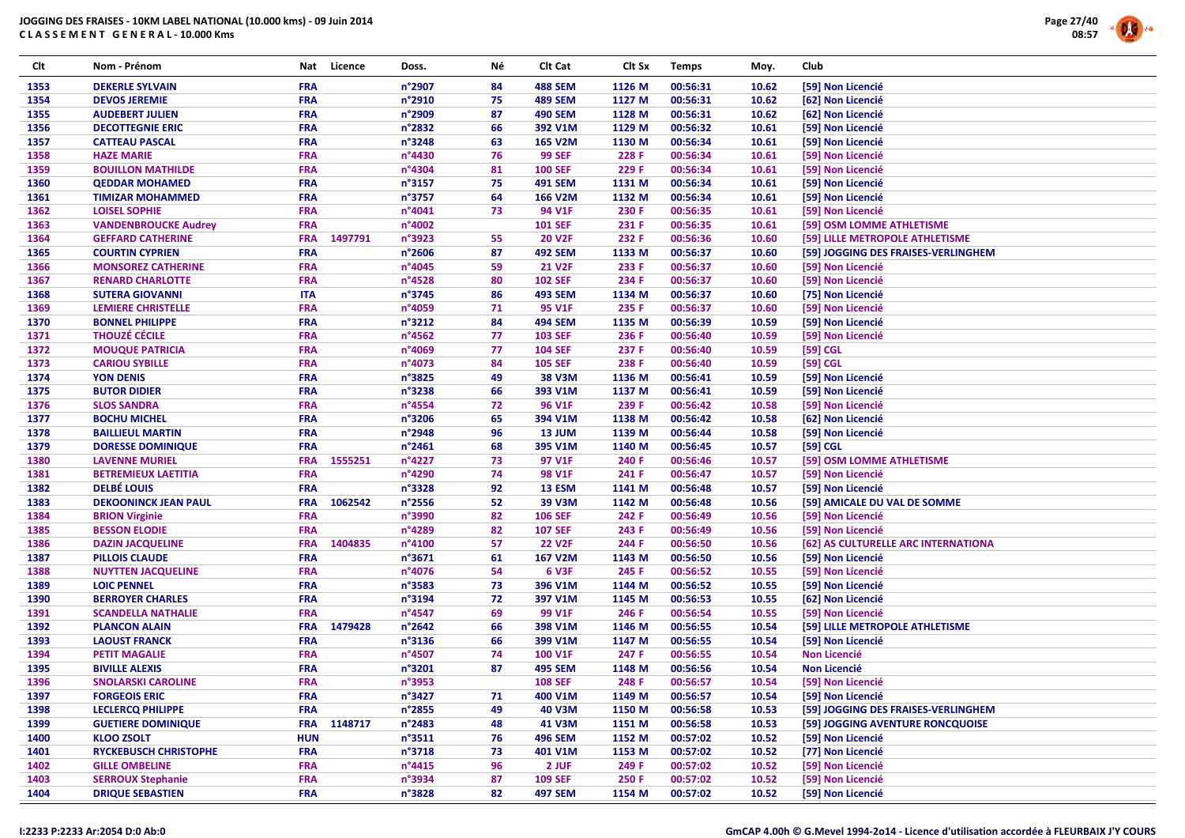

| Clt          | Nom - Prénom                                     | Nat        | Licence | Doss.           | Νé | Clt Cat          | Clt Sx | <b>Temps</b>         | Moy.           | Club                                              |
|--------------|--------------------------------------------------|------------|---------|-----------------|----|------------------|--------|----------------------|----------------|---------------------------------------------------|
| 1353         | <b>DEKERLE SYLVAIN</b>                           | <b>FRA</b> |         | n°2907          | 84 | <b>488 SEM</b>   | 1126 M | 00:56:31             | 10.62          | [59] Non Licencié                                 |
| 1354         | <b>DEVOS JEREMIE</b>                             | <b>FRA</b> |         | n°2910          | 75 | <b>489 SEM</b>   | 1127 M | 00:56:31             | 10.62          | [62] Non Licencié                                 |
| 1355         | <b>AUDEBERT JULIEN</b>                           | <b>FRA</b> |         | n°2909          | 87 | <b>490 SEM</b>   | 1128 M | 00:56:31             | 10.62          | [62] Non Licencié                                 |
| 1356         | <b>DECOTTEGNIE ERIC</b>                          | <b>FRA</b> |         | n°2832          | 66 | 392 V1M          | 1129 M | 00:56:32             | 10.61          | [59] Non Licencié                                 |
| 1357         | <b>CATTEAU PASCAL</b>                            | <b>FRA</b> |         | n°3248          | 63 | 165 V2M          | 1130 M | 00:56:34             | 10.61          | [59] Non Licencié                                 |
| 1358         | <b>HAZE MARIE</b>                                | <b>FRA</b> |         | n°4430          | 76 | <b>99 SEF</b>    | 228 F  | 00:56:34             | 10.61          | [59] Non Licencié                                 |
| 1359         | <b>BOUILLON MATHILDE</b>                         | <b>FRA</b> |         | n°4304          | 81 | <b>100 SEF</b>   | 229 F  | 00:56:34             | 10.61          | [59] Non Licencié                                 |
| 1360         | <b>QEDDAR MOHAMED</b>                            | <b>FRA</b> |         | n°3157          | 75 | <b>491 SEM</b>   | 1131 M | 00:56:34             | 10.61          | [59] Non Licencié                                 |
| 1361         | <b>TIMIZAR MOHAMMED</b>                          | <b>FRA</b> |         | n°3757          | 64 | 166 V2M          | 1132 M | 00:56:34             | 10.61          | [59] Non Licencié                                 |
| 1362         | <b>LOISEL SOPHIE</b>                             | <b>FRA</b> |         | n°4041          | 73 | 94 V1F           | 230 F  | 00:56:35             | 10.61          | [59] Non Licencié                                 |
| 1363         | <b>VANDENBROUCKE Audrey</b>                      | <b>FRA</b> |         | n°4002          |    | <b>101 SEF</b>   | 231 F  | 00:56:35             | 10.61          | [59] OSM LOMME ATHLETISME                         |
| 1364         | <b>GEFFARD CATHERINE</b>                         | <b>FRA</b> | 1497791 | n°3923          | 55 | <b>20 V2F</b>    | 232 F  | 00:56:36             | 10.60          | [59] LILLE METROPOLE ATHLETISME                   |
| 1365         | <b>COURTIN CYPRIEN</b>                           | <b>FRA</b> |         | n°2606          | 87 | <b>492 SEM</b>   | 1133 M | 00:56:37             | 10.60          | [59] JOGGING DES FRAISES-VERLINGHEM               |
| 1366         | <b>MONSOREZ CATHERINE</b>                        | <b>FRA</b> |         | n°4045          | 59 | <b>21 V2F</b>    | 233 F  | 00:56:37             | 10.60          | [59] Non Licencié                                 |
| 1367         | <b>RENARD CHARLOTTE</b>                          | <b>FRA</b> |         | n°4528          | 80 | <b>102 SEF</b>   | 234 F  | 00:56:37             | 10.60          | [59] Non Licencié                                 |
| 1368         | <b>SUTERA GIOVANNI</b>                           | <b>ITA</b> |         | n°3745          | 86 | <b>493 SEM</b>   | 1134 M | 00:56:37             | 10.60          | [75] Non Licencié                                 |
| 1369         | <b>LEMIERE CHRISTELLE</b>                        | <b>FRA</b> |         | n°4059          | 71 | 95 V1F           | 235 F  | 00:56:37             | 10.60          | [59] Non Licencié                                 |
| 1370         | <b>BONNEL PHILIPPE</b>                           | <b>FRA</b> |         | n°3212          | 84 | <b>494 SEM</b>   | 1135 M | 00:56:39             | 10.59          | [59] Non Licencié                                 |
| 1371         | <b>THOUZÉ CÉCILE</b>                             | <b>FRA</b> |         | n°4562          | 77 | <b>103 SEF</b>   | 236 F  | 00:56:40             | 10.59          | [59] Non Licencié                                 |
| 1372         | <b>MOUQUE PATRICIA</b>                           | <b>FRA</b> |         | n°4069          | 77 | <b>104 SEF</b>   | 237 F  | 00:56:40             | 10.59          | [59] CGL                                          |
| 1373         | <b>CARIOU SYBILLE</b>                            | <b>FRA</b> |         | n°4073          | 84 | <b>105 SEF</b>   | 238 F  | 00:56:40             | 10.59          | [59] CGL                                          |
| 1374         | <b>YON DENIS</b>                                 | <b>FRA</b> |         | n°3825          | 49 | <b>38 V3M</b>    | 1136 M | 00:56:41             | 10.59          | [59] Non Licencié                                 |
| 1375         | <b>BUTOR DIDIER</b>                              | <b>FRA</b> |         | n°3238          | 66 | 393 V1M          | 1137 M | 00:56:41             | 10.59          | [59] Non Licencié                                 |
| 1376         | <b>SLOS SANDRA</b>                               | <b>FRA</b> |         | n°4554          | 72 | 96 V1F           | 239 F  | 00:56:42             | 10.58          | [59] Non Licencié                                 |
| 1377         | <b>BOCHU MICHEL</b>                              | <b>FRA</b> |         | n°3206          | 65 | 394 V1M          | 1138 M | 00:56:42             | 10.58          | [62] Non Licencié                                 |
| 1378         | <b>BAILLIEUL MARTIN</b>                          | <b>FRA</b> |         | n°2948          | 96 | 13 JUM           | 1139 M | 00:56:44             | 10.58          | [59] Non Licencié                                 |
| 1379         | <b>DORESSE DOMINIQUE</b>                         | <b>FRA</b> |         | n°2461          | 68 | 395 V1M          | 1140 M | 00:56:45             | 10.57          | [59] CGL                                          |
| 1380         | <b>LAVENNE MURIEL</b>                            | <b>FRA</b> | 1555251 | n°4227          | 73 | 97 V1F           | 240 F  | 00:56:46             | 10.57          |                                                   |
|              |                                                  | <b>FRA</b> |         | n°4290          | 74 | 98 V1F           | 241 F  |                      |                | [59] OSM LOMME ATHLETISME                         |
| 1381<br>1382 | <b>BETREMIEUX LAETITIA</b><br><b>DELBÉ LOUIS</b> | <b>FRA</b> |         | n°3328          | 92 |                  | 1141 M | 00:56:47<br>00:56:48 | 10.57<br>10.57 | [59] Non Licencié                                 |
| 1383         | <b>DEKOONINCK JEAN PAUL</b>                      | <b>FRA</b> | 1062542 | n°2556          | 52 | 13 ESM<br>39 V3M | 1142 M | 00:56:48             | 10.56          | [59] Non Licencié<br>[59] AMICALE DU VAL DE SOMME |
|              |                                                  | <b>FRA</b> |         | n°3990          | 82 | <b>106 SEF</b>   | 242 F  |                      |                |                                                   |
| 1384         | <b>BRION Virginie</b>                            |            |         |                 |    |                  |        | 00:56:49             | 10.56          | [59] Non Licencié                                 |
| 1385         | <b>BESSON ELODIE</b>                             | <b>FRA</b> |         | n°4289          | 82 | <b>107 SEF</b>   | 243 F  | 00:56:49             | 10.56          | [59] Non Licencié                                 |
| 1386         | <b>DAZIN JACQUELINE</b>                          | <b>FRA</b> | 1404835 | n°4100          | 57 | <b>22 V2F</b>    | 244 F  | 00:56:50             | 10.56          | [62] AS CULTURELLE ARC INTERNATIONA               |
| 1387         | <b>PILLOIS CLAUDE</b>                            | <b>FRA</b> |         | n°3671          | 61 | 167 V2M          | 1143 M | 00:56:50             | 10.56          | [59] Non Licencié                                 |
| 1388         | <b>NUYTTEN JACQUELINE</b>                        | <b>FRA</b> |         | n°4076          | 54 | <b>6 V3F</b>     | 245 F  | 00:56:52             | 10.55          | [59] Non Licencié                                 |
| 1389         | <b>LOIC PENNEL</b>                               | <b>FRA</b> |         | n°3583          | 73 | 396 V1M          | 1144 M | 00:56:52             | 10.55          | [59] Non Licencié                                 |
| 1390         | <b>BERROYER CHARLES</b>                          | <b>FRA</b> |         | n°3194          | 72 | 397 V1M          | 1145 M | 00:56:53             | 10.55          | [62] Non Licencié                                 |
| 1391         | <b>SCANDELLA NATHALIE</b>                        | <b>FRA</b> |         | n°4547          | 69 | 99 V1F           | 246 F  | 00:56:54             | 10.55          | [59] Non Licencié                                 |
| 1392         | <b>PLANCON ALAIN</b>                             | <b>FRA</b> | 1479428 | n°2642          | 66 | 398 V1M          | 1146 M | 00:56:55             | 10.54          | [59] LILLE METROPOLE ATHLETISME                   |
| 1393         | <b>LAOUST FRANCK</b>                             | <b>FRA</b> |         | n°3136          | 66 | 399 V1M          | 1147 M | 00:56:55             | 10.54          | [59] Non Licencié                                 |
| 1394         | <b>PETIT MAGALIE</b>                             | <b>FRA</b> |         | n°4507          | 74 | 100 V1F          | 247 F  | 00:56:55             | 10.54          | <b>Non Licencié</b>                               |
| 1395         | <b>BIVILLE ALEXIS</b>                            | <b>FRA</b> |         | n°3201          | 87 | <b>495 SEM</b>   | 1148 M | 00:56:56             | 10.54          | <b>Non Licencié</b>                               |
| 1396         | <b>SNOLARSKI CAROLINE</b>                        | <b>FRA</b> |         | n°3953          |    | <b>108 SEF</b>   | 248 F  | 00:56:57             | 10.54          | [59] Non Licencié                                 |
| 1397         | <b>FORGEOIS ERIC</b>                             | <b>FRA</b> |         | n°3427          | 71 | 400 V1M          | 1149 M | 00:56:57             | 10.54          | [59] Non Licencié                                 |
| 1398         | <b>LECLERCQ PHILIPPE</b>                         | <b>FRA</b> |         | n°2855          | 49 | <b>40 V3M</b>    | 1150 M | 00:56:58             | 10.53          | [59] JOGGING DES FRAISES-VERLINGHEM               |
| 1399         | <b>GUETIERE DOMINIQUE</b>                        | <b>FRA</b> | 1148717 | n°2483          | 48 | 41 V3M           | 1151 M | 00:56:58             | 10.53          | [59] JOGGING AVENTURE RONCQUOISE                  |
| 1400         | <b>KLOO ZSOLT</b>                                | <b>HUN</b> |         | n°3511          | 76 | <b>496 SEM</b>   | 1152 M | 00:57:02             | 10.52          | [59] Non Licencié                                 |
| 1401         | <b>RYCKEBUSCH CHRISTOPHE</b>                     | <b>FRA</b> |         | n°3718          | 73 | 401 V1M          | 1153 M | 00:57:02             | 10.52          | [77] Non Licencié                                 |
| 1402         | <b>GILLE OMBELINE</b>                            | <b>FRA</b> |         | $n^{\circ}4415$ | 96 | 2 JUF            | 249 F  | 00:57:02             | 10.52          | [59] Non Licencié                                 |
| 1403         | <b>SERROUX Stephanie</b>                         | <b>FRA</b> |         | n°3934          | 87 | <b>109 SEF</b>   | 250 F  | 00:57:02             | 10.52          | [59] Non Licencié                                 |
| 1404         | <b>DRIQUE SEBASTIEN</b>                          | <b>FRA</b> |         | n°3828          | 82 | <b>497 SEM</b>   | 1154 M | 00:57:02             | 10.52          | [59] Non Licencié                                 |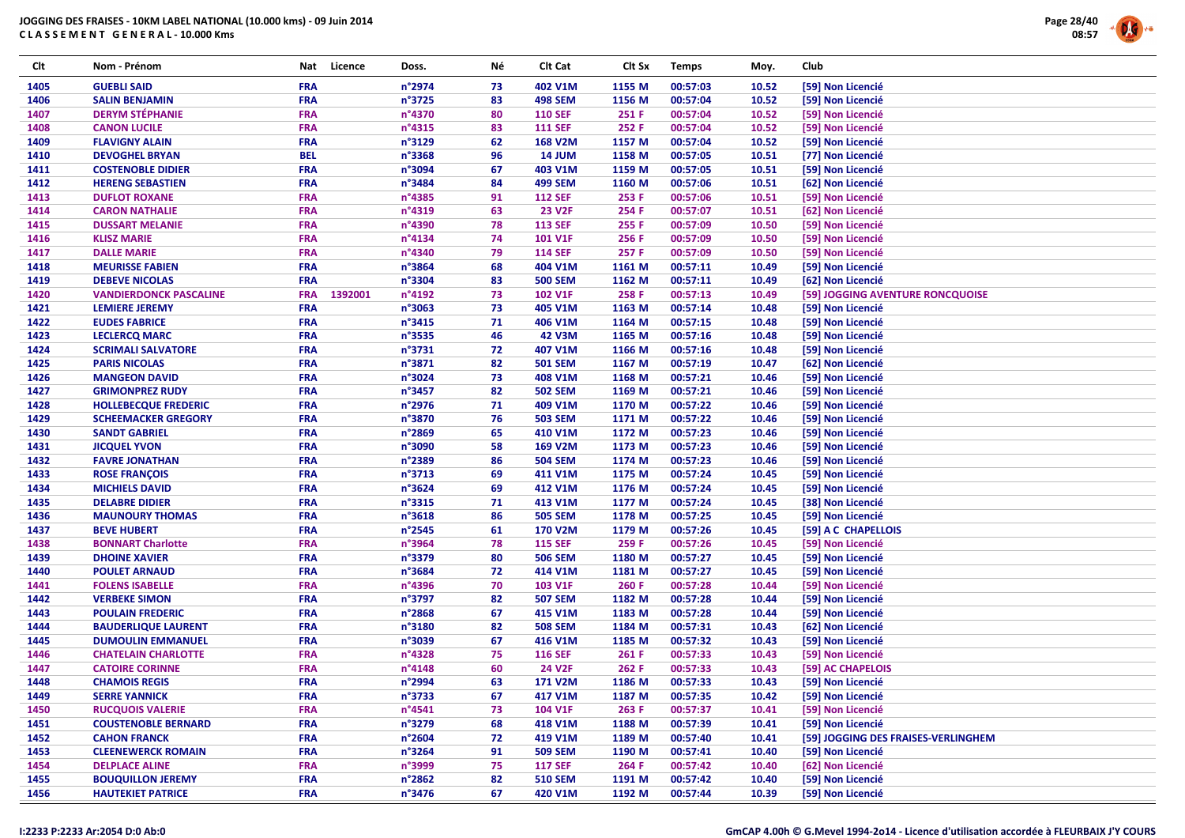

| Clt  | Nom - Prénom                  | Nat        | Licence | Doss.            | Νé | Clt Cat        | Clt Sx | <b>Temps</b> | Moy.  | Club |                                     |
|------|-------------------------------|------------|---------|------------------|----|----------------|--------|--------------|-------|------|-------------------------------------|
| 1405 | <b>GUEBLI SAID</b>            | <b>FRA</b> |         | n°2974           | 73 | 402 V1M        | 1155 M | 00:57:03     | 10.52 |      | [59] Non Licencié                   |
| 1406 | <b>SALIN BENJAMIN</b>         | <b>FRA</b> |         | n°3725           | 83 | <b>498 SEM</b> | 1156 M | 00:57:04     | 10.52 |      | [59] Non Licencié                   |
| 1407 | <b>DERYM STÉPHANIE</b>        | <b>FRA</b> |         | n°4370           | 80 | <b>110 SEF</b> | 251 F  | 00:57:04     | 10.52 |      | [59] Non Licencié                   |
| 1408 | <b>CANON LUCILE</b>           | <b>FRA</b> |         | n°4315           | 83 | <b>111 SEF</b> | 252 F  | 00:57:04     | 10.52 |      | [59] Non Licencié                   |
| 1409 | <b>FLAVIGNY ALAIN</b>         | <b>FRA</b> |         | n°3129           | 62 | 168 V2M        | 1157 M | 00:57:04     | 10.52 |      | [59] Non Licencié                   |
| 1410 | <b>DEVOGHEL BRYAN</b>         | <b>BEL</b> |         | n°3368           | 96 | <b>14 JUM</b>  | 1158 M | 00:57:05     | 10.51 |      | [77] Non Licencié                   |
| 1411 | <b>COSTENOBLE DIDIER</b>      | <b>FRA</b> |         | n°3094           | 67 | 403 V1M        | 1159 M | 00:57:05     | 10.51 |      | [59] Non Licencié                   |
| 1412 | <b>HERENG SEBASTIEN</b>       | <b>FRA</b> |         | n°3484           | 84 | <b>499 SEM</b> | 1160 M | 00:57:06     | 10.51 |      | [62] Non Licencié                   |
| 1413 | <b>DUFLOT ROXANE</b>          | <b>FRA</b> |         | n°4385           | 91 | <b>112 SEF</b> | 253 F  | 00:57:06     | 10.51 |      | [59] Non Licencié                   |
| 1414 | <b>CARON NATHALIE</b>         | <b>FRA</b> |         | n°4319           | 63 | <b>23 V2F</b>  | 254 F  | 00:57:07     | 10.51 |      | [62] Non Licencié                   |
| 1415 | <b>DUSSART MELANIE</b>        | <b>FRA</b> |         | n°4390           | 78 | <b>113 SEF</b> | 255 F  | 00:57:09     | 10.50 |      | [59] Non Licencié                   |
| 1416 | <b>KLISZ MARIE</b>            | <b>FRA</b> |         | $n^{\circ}4134$  | 74 | 101 V1F        | 256 F  | 00:57:09     | 10.50 |      | [59] Non Licencié                   |
| 1417 | <b>DALLE MARIE</b>            | <b>FRA</b> |         | n°4340           | 79 | <b>114 SEF</b> | 257 F  | 00:57:09     | 10.50 |      | [59] Non Licencié                   |
| 1418 | <b>MEURISSE FABIEN</b>        | <b>FRA</b> |         | n°3864           | 68 | 404 V1M        | 1161 M | 00:57:11     | 10.49 |      | [59] Non Licencié                   |
| 1419 | <b>DEBEVE NICOLAS</b>         | <b>FRA</b> |         | n°3304           | 83 | <b>500 SEM</b> | 1162 M | 00:57:11     | 10.49 |      | [62] Non Licencié                   |
| 1420 | <b>VANDIERDONCK PASCALINE</b> | <b>FRA</b> | 1392001 | n°4192           | 73 | 102 V1F        | 258 F  | 00:57:13     | 10.49 |      | [59] JOGGING AVENTURE RONCQUOISE    |
| 1421 | <b>LEMIERE JEREMY</b>         | <b>FRA</b> |         | $n^{\circ}3063$  | 73 | 405 V1M        | 1163 M | 00:57:14     | 10.48 |      | [59] Non Licencié                   |
| 1422 | <b>EUDES FABRICE</b>          | <b>FRA</b> |         | n°3415           | 71 | 406 V1M        | 1164 M | 00:57:15     | 10.48 |      | [59] Non Licencié                   |
| 1423 | <b>LECLERCQ MARC</b>          | <b>FRA</b> |         | n°3535           | 46 | 42 V3M         | 1165 M | 00:57:16     | 10.48 |      | [59] Non Licencié                   |
| 1424 | <b>SCRIMALI SALVATORE</b>     | <b>FRA</b> |         | n°3731           | 72 | 407 V1M        | 1166 M | 00:57:16     | 10.48 |      | [59] Non Licencié                   |
| 1425 | <b>PARIS NICOLAS</b>          | <b>FRA</b> |         | n°3871           | 82 | <b>501 SEM</b> | 1167 M | 00:57:19     | 10.47 |      | [62] Non Licencié                   |
| 1426 | <b>MANGEON DAVID</b>          | <b>FRA</b> |         | n°3024           | 73 | 408 V1M        | 1168 M | 00:57:21     | 10.46 |      | [59] Non Licencié                   |
| 1427 | <b>GRIMONPREZ RUDY</b>        | <b>FRA</b> |         | n°3457           | 82 | <b>502 SEM</b> | 1169 M | 00:57:21     | 10.46 |      | [59] Non Licencié                   |
| 1428 | <b>HOLLEBECQUE FREDERIC</b>   | <b>FRA</b> |         | n°2976           | 71 | 409 V1M        | 1170 M | 00:57:22     | 10.46 |      | [59] Non Licencié                   |
| 1429 | <b>SCHEEMACKER GREGORY</b>    | <b>FRA</b> |         | n°3870           | 76 | <b>503 SEM</b> | 1171 M | 00:57:22     | 10.46 |      | [59] Non Licencié                   |
| 1430 | <b>SANDT GABRIEL</b>          | <b>FRA</b> |         | n°2869           | 65 | 410 V1M        | 1172 M | 00:57:23     | 10.46 |      | [59] Non Licencié                   |
| 1431 | <b>JICQUEL YVON</b>           | <b>FRA</b> |         | n°3090           | 58 | 169 V2M        | 1173 M | 00:57:23     | 10.46 |      | [59] Non Licencié                   |
| 1432 | <b>FAVRE JONATHAN</b>         | <b>FRA</b> |         | n°2389           | 86 | <b>504 SEM</b> | 1174 M | 00:57:23     | 10.46 |      | [59] Non Licencié                   |
| 1433 | <b>ROSE FRANÇOIS</b>          | <b>FRA</b> |         | n°3713           | 69 | 411 V1M        | 1175 M | 00:57:24     | 10.45 |      | [59] Non Licencié                   |
| 1434 | <b>MICHIELS DAVID</b>         | <b>FRA</b> |         | n°3624           | 69 | 412 V1M        | 1176 M | 00:57:24     | 10.45 |      | [59] Non Licencié                   |
| 1435 | <b>DELABRE DIDIER</b>         | <b>FRA</b> |         | n°3315           | 71 | 413 V1M        | 1177 M | 00:57:24     | 10.45 |      | [38] Non Licencié                   |
| 1436 | <b>MAUNOURY THOMAS</b>        | <b>FRA</b> |         | n°3618           | 86 | <b>505 SEM</b> | 1178 M | 00:57:25     | 10.45 |      | [59] Non Licencié                   |
| 1437 | <b>BEVE HUBERT</b>            | <b>FRA</b> |         | n°2545           | 61 | 170 V2M        | 1179 M | 00:57:26     | 10.45 |      | [59] A C CHAPELLOIS                 |
| 1438 | <b>BONNART Charlotte</b>      | <b>FRA</b> |         | n°3964           | 78 | <b>115 SEF</b> | 259 F  | 00:57:26     | 10.45 |      | [59] Non Licencié                   |
| 1439 | <b>DHOINE XAVIER</b>          | <b>FRA</b> |         | n°3379           | 80 | <b>506 SEM</b> | 1180 M | 00:57:27     | 10.45 |      | [59] Non Licencié                   |
| 1440 | <b>POULET ARNAUD</b>          | <b>FRA</b> |         | n°3684           | 72 | 414 V1M        | 1181 M | 00:57:27     | 10.45 |      | [59] Non Licencié                   |
| 1441 | <b>FOLENS ISABELLE</b>        | <b>FRA</b> |         | n°4396           | 70 | 103 V1F        | 260 F  | 00:57:28     | 10.44 |      | [59] Non Licencié                   |
| 1442 | <b>VERBEKE SIMON</b>          | <b>FRA</b> |         | n°3797           | 82 | <b>507 SEM</b> | 1182 M | 00:57:28     | 10.44 |      | [59] Non Licencié                   |
| 1443 | <b>POULAIN FREDERIC</b>       | <b>FRA</b> |         | n°2868           | 67 | 415 V1M        | 1183 M | 00:57:28     | 10.44 |      | [59] Non Licencié                   |
| 1444 | <b>BAUDERLIQUE LAURENT</b>    | <b>FRA</b> |         | n°3180           | 82 | <b>508 SEM</b> | 1184 M | 00:57:31     | 10.43 |      | [62] Non Licencié                   |
| 1445 | <b>DUMOULIN EMMANUEL</b>      | <b>FRA</b> |         | n°3039           | 67 | 416 V1M        | 1185 M | 00:57:32     | 10.43 |      | [59] Non Licencié                   |
| 1446 | <b>CHATELAIN CHARLOTTE</b>    | <b>FRA</b> |         | n°4328           | 75 | <b>116 SEF</b> | 261 F  | 00:57:33     | 10.43 |      | [59] Non Licencié                   |
| 1447 | <b>CATOIRE CORINNE</b>        | <b>FRA</b> |         | $n^{\circ}4148$  | 60 | <b>24 V2F</b>  | 262 F  | 00:57:33     | 10.43 |      | [59] AC CHAPELOIS                   |
| 1448 | <b>CHAMOIS REGIS</b>          | <b>FRA</b> |         | n°2994           | 63 | 171 V2M        | 1186 M | 00:57:33     | 10.43 |      | [59] Non Licencié                   |
| 1449 | <b>SERRE YANNICK</b>          | <b>FRA</b> |         | n°3733           | 67 | 417 V1M        | 1187 M | 00:57:35     | 10.42 |      | [59] Non Licencié                   |
| 1450 | <b>RUCQUOIS VALERIE</b>       | <b>FRA</b> |         | $n^{\circ}$ 4541 | 73 | 104 V1F        | 263 F  | 00:57:37     | 10.41 |      | [59] Non Licencié                   |
| 1451 | <b>COUSTENOBLE BERNARD</b>    | <b>FRA</b> |         | n°3279           | 68 | 418 V1M        | 1188 M | 00:57:39     | 10.41 |      | [59] Non Licencié                   |
| 1452 | <b>CAHON FRANCK</b>           | <b>FRA</b> |         | $n^{\circ}$ 2604 | 72 | 419 V1M        | 1189 M | 00:57:40     | 10.41 |      | [59] JOGGING DES FRAISES-VERLINGHEM |
| 1453 | <b>CLEENEWERCK ROMAIN</b>     | <b>FRA</b> |         | n°3264           | 91 | <b>509 SEM</b> | 1190 M | 00:57:41     | 10.40 |      | [59] Non Licencié                   |
| 1454 | <b>DELPLACE ALINE</b>         | <b>FRA</b> |         | n°3999           | 75 | <b>117 SEF</b> | 264 F  | 00:57:42     | 10.40 |      | [62] Non Licencié                   |
| 1455 | <b>BOUQUILLON JEREMY</b>      | <b>FRA</b> |         | n°2862           | 82 | <b>510 SEM</b> | 1191 M | 00:57:42     | 10.40 |      | [59] Non Licencié                   |
| 1456 | <b>HAUTEKIET PATRICE</b>      | <b>FRA</b> |         | n°3476           | 67 | 420 V1M        | 1192 M | 00:57:44     | 10.39 |      | [59] Non Licencié                   |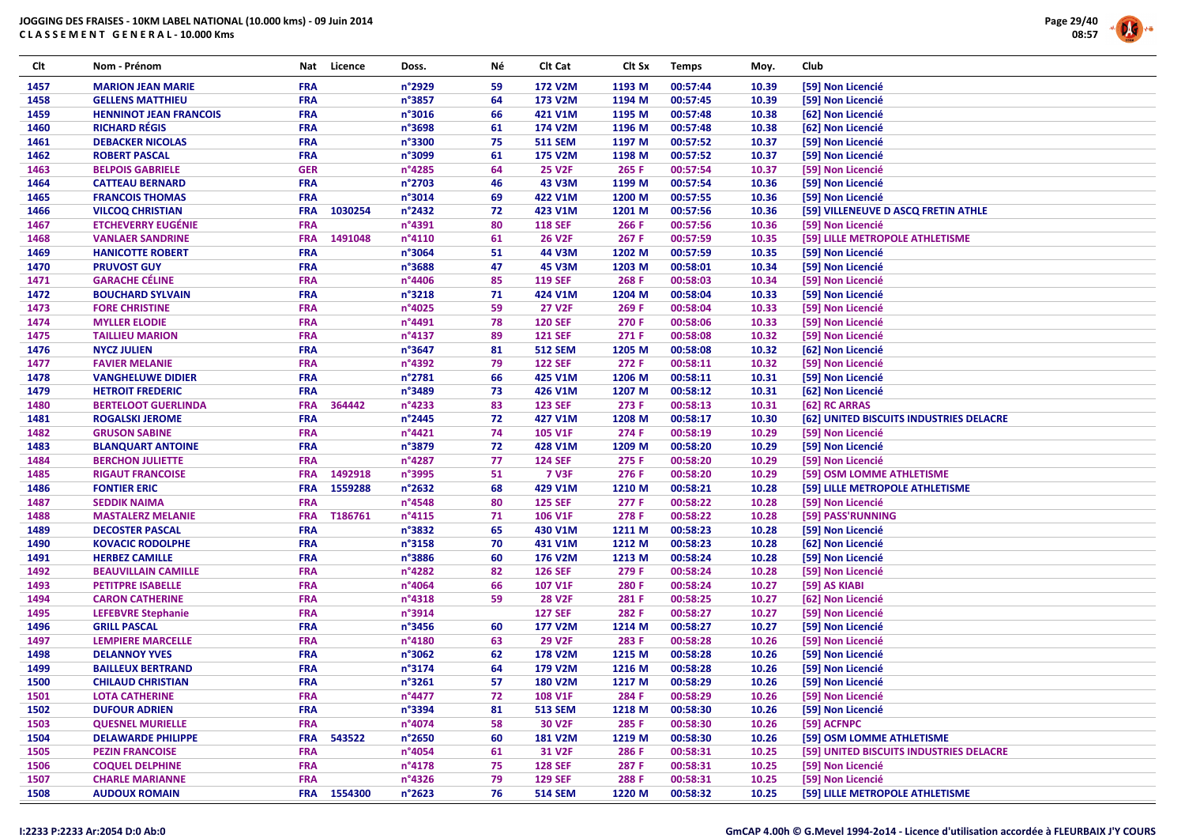

| Clt  | Nom - Prénom                                          | Nat        | Licence     | Doss.            | Νé | Clt Cat        | Clt Sx | <b>Temps</b> | Moy.  | Club                                    |
|------|-------------------------------------------------------|------------|-------------|------------------|----|----------------|--------|--------------|-------|-----------------------------------------|
| 1457 | <b>MARION JEAN MARIE</b>                              | <b>FRA</b> |             | n°2929           | 59 | 172 V2M        | 1193 M | 00:57:44     | 10.39 | [59] Non Licencié                       |
| 1458 | <b>GELLENS MATTHIEU</b>                               | <b>FRA</b> |             | n°3857           | 64 | 173 V2M        | 1194 M | 00:57:45     | 10.39 | [59] Non Licencié                       |
| 1459 | <b>HENNINOT JEAN FRANCOIS</b>                         | <b>FRA</b> |             | n°3016           | 66 | 421 V1M        | 1195 M | 00:57:48     | 10.38 | [62] Non Licencié                       |
| 1460 | <b>RICHARD RÉGIS</b>                                  | <b>FRA</b> |             | n°3698           | 61 | 174 V2M        | 1196 M | 00:57:48     | 10.38 | [62] Non Licencié                       |
| 1461 | <b>DEBACKER NICOLAS</b>                               | <b>FRA</b> |             | n°3300           | 75 | <b>511 SEM</b> | 1197 M | 00:57:52     | 10.37 | [59] Non Licencié                       |
| 1462 | <b>ROBERT PASCAL</b>                                  | <b>FRA</b> |             | n°3099           | 61 | <b>175 V2M</b> | 1198 M | 00:57:52     | 10.37 | [59] Non Licencié                       |
| 1463 | <b>BELPOIS GABRIELE</b>                               | <b>GER</b> |             | n°4285           | 64 | <b>25 V2F</b>  | 265 F  | 00:57:54     | 10.37 | [59] Non Licencié                       |
| 1464 | <b>CATTEAU BERNARD</b>                                | <b>FRA</b> |             | n°2703           | 46 | 43 V3M         | 1199 M | 00:57:54     | 10.36 | [59] Non Licencié                       |
| 1465 | <b>FRANCOIS THOMAS</b>                                | <b>FRA</b> |             | n°3014           | 69 | 422 V1M        | 1200 M | 00:57:55     | 10.36 | [59] Non Licencié                       |
| 1466 | <b>VILCOQ CHRISTIAN</b>                               | <b>FRA</b> | 1030254     | n°2432           | 72 | 423 V1M        | 1201 M | 00:57:56     | 10.36 | [59] VILLENEUVE D ASCQ FRETIN ATHLE     |
| 1467 | <b>ETCHEVERRY EUGÉNIE</b>                             | <b>FRA</b> |             | n°4391           | 80 | <b>118 SEF</b> | 266 F  | 00:57:56     | 10.36 | [59] Non Licencié                       |
| 1468 | <b>VANLAER SANDRINE</b>                               | <b>FRA</b> | 1491048     | $n^{\circ}4110$  | 61 | <b>26 V2F</b>  | 267 F  | 00:57:59     | 10.35 | [59] LILLE METROPOLE ATHLETISME         |
| 1469 | <b>HANICOTTE ROBERT</b>                               | <b>FRA</b> |             | n°3064           | 51 | 44 V3M         | 1202 M | 00:57:59     | 10.35 | [59] Non Licencié                       |
| 1470 | <b>PRUVOST GUY</b>                                    | <b>FRA</b> |             | n°3688           | 47 | 45 V3M         | 1203 M | 00:58:01     | 10.34 | [59] Non Licencié                       |
| 1471 | <b>GARACHE CÉLINE</b>                                 | <b>FRA</b> |             | $n^{\circ}$ 4406 | 85 | <b>119 SEF</b> | 268 F  | 00:58:03     | 10.34 | [59] Non Licencié                       |
| 1472 | <b>BOUCHARD SYLVAIN</b>                               | <b>FRA</b> |             | $n^{\circ}3218$  | 71 | 424 V1M        | 1204 M | 00:58:04     | 10.33 | [59] Non Licencié                       |
| 1473 | <b>FORE CHRISTINE</b>                                 | <b>FRA</b> |             | n°4025           | 59 | <b>27 V2F</b>  | 269 F  | 00:58:04     | 10.33 | [59] Non Licencié                       |
| 1474 | <b>MYLLER ELODIE</b>                                  | <b>FRA</b> |             | n°4491           | 78 | <b>120 SEF</b> | 270 F  | 00:58:06     | 10.33 | [59] Non Licencié                       |
| 1475 | <b>TAILLIEU MARION</b>                                | <b>FRA</b> |             | n°4137           | 89 | <b>121 SEF</b> | 271 F  | 00:58:08     | 10.32 | [59] Non Licencié                       |
| 1476 | <b>NYCZ JULIEN</b>                                    | <b>FRA</b> |             | n°3647           | 81 | <b>512 SEM</b> | 1205 M | 00:58:08     | 10.32 | [62] Non Licencié                       |
| 1477 | <b>FAVIER MELANIE</b>                                 | <b>FRA</b> |             | n°4392           | 79 | <b>122 SEF</b> | 272 F  | 00:58:11     | 10.32 | [59] Non Licencié                       |
| 1478 | <b>VANGHELUWE DIDIER</b>                              | <b>FRA</b> |             | n°2781           | 66 | 425 V1M        | 1206 M | 00:58:11     | 10.31 | [59] Non Licencié                       |
| 1479 |                                                       | <b>FRA</b> |             | n°3489           | 73 | 426 V1M        | 1207 M | 00:58:12     | 10.31 | [62] Non Licencié                       |
|      | <b>HETROIT FREDERIC</b><br><b>BERTELOOT GUERLINDA</b> |            |             |                  |    |                |        |              |       |                                         |
| 1480 |                                                       | <b>FRA</b> | 364442      | n°4233           | 83 | <b>123 SEF</b> | 273 F  | 00:58:13     | 10.31 | [62] RC ARRAS                           |
| 1481 | <b>ROGALSKI JEROME</b>                                | <b>FRA</b> |             | $n^{\circ}$ 2445 | 72 | 427 V1M        | 1208 M | 00:58:17     | 10.30 | [62] UNITED BISCUITS INDUSTRIES DELACRE |
| 1482 | <b>GRUSON SABINE</b>                                  | <b>FRA</b> |             | n°4421           | 74 | 105 V1F        | 274 F  | 00:58:19     | 10.29 | [59] Non Licencié                       |
| 1483 | <b>BLANQUART ANTOINE</b>                              | <b>FRA</b> |             | n°3879           | 72 | 428 V1M        | 1209 M | 00:58:20     | 10.29 | [59] Non Licencié                       |
| 1484 | <b>BERCHON JULIETTE</b>                               | <b>FRA</b> |             | n°4287           | 77 | <b>124 SEF</b> | 275 F  | 00:58:20     | 10.29 | [59] Non Licencié                       |
| 1485 | <b>RIGAUT FRANCOISE</b>                               | <b>FRA</b> | 1492918     | n°3995           | 51 | <b>7 V3F</b>   | 276 F  | 00:58:20     | 10.29 | [59] OSM LOMME ATHLETISME               |
| 1486 | <b>FONTIER ERIC</b>                                   | <b>FRA</b> | 1559288     | n°2632           | 68 | 429 V1M        | 1210 M | 00:58:21     | 10.28 | [59] LILLE METROPOLE ATHLETISME         |
| 1487 | <b>SEDDIK NAIMA</b>                                   | <b>FRA</b> |             | $n^{\circ}$ 4548 | 80 | <b>125 SEF</b> | 277 F  | 00:58:22     | 10.28 | [59] Non Licencié                       |
| 1488 | <b>MASTALERZ MELANIE</b>                              | <b>FRA</b> | T186761     | $n^{\circ}4115$  | 71 | 106 V1F        | 278 F  | 00:58:22     | 10.28 | [59] PASS'RUNNING                       |
| 1489 | <b>DECOSTER PASCAL</b>                                | <b>FRA</b> |             | n°3832           | 65 | 430 V1M        | 1211 M | 00:58:23     | 10.28 | [59] Non Licencié                       |
| 1490 | <b>KOVACIC RODOLPHE</b>                               | <b>FRA</b> |             | $n^{\circ}3158$  | 70 | 431 V1M        | 1212 M | 00:58:23     | 10.28 | [62] Non Licencié                       |
| 1491 | <b>HERBEZ CAMILLE</b>                                 | <b>FRA</b> |             | n°3886           | 60 | 176 V2M        | 1213 M | 00:58:24     | 10.28 | [59] Non Licencié                       |
| 1492 | <b>BEAUVILLAIN CAMILLE</b>                            | <b>FRA</b> |             | n°4282           | 82 | <b>126 SEF</b> | 279 F  | 00:58:24     | 10.28 | [59] Non Licencié                       |
| 1493 | <b>PETITPRE ISABELLE</b>                              | <b>FRA</b> |             | n°4064           | 66 | 107 V1F        | 280 F  | 00:58:24     | 10.27 | [59] AS KIABI                           |
| 1494 | <b>CARON CATHERINE</b>                                | <b>FRA</b> |             | $n^{\circ}4318$  | 59 | <b>28 V2F</b>  | 281 F  | 00:58:25     | 10.27 | [62] Non Licencié                       |
| 1495 | <b>LEFEBVRE Stephanie</b>                             | <b>FRA</b> |             | n°3914           |    | <b>127 SEF</b> | 282 F  | 00:58:27     | 10.27 | [59] Non Licencié                       |
| 1496 | <b>GRILL PASCAL</b>                                   | <b>FRA</b> |             | $n^{\circ}3456$  | 60 | 177 V2M        | 1214 M | 00:58:27     | 10.27 | [59] Non Licencié                       |
| 1497 | <b>LEMPIERE MARCELLE</b>                              | <b>FRA</b> |             | n°4180           | 63 | <b>29 V2F</b>  | 283 F  | 00:58:28     | 10.26 | [59] Non Licencié                       |
| 1498 | <b>DELANNOY YVES</b>                                  | <b>FRA</b> |             | n°3062           | 62 | <b>178 V2M</b> | 1215 M | 00:58:28     | 10.26 | [59] Non Licencié                       |
| 1499 | <b>BAILLEUX BERTRAND</b>                              | <b>FRA</b> |             | $n^{\circ}3174$  | 64 | 179 V2M        | 1216 M | 00:58:28     | 10.26 | [59] Non Licencié                       |
| 1500 | <b>CHILAUD CHRISTIAN</b>                              | <b>FRA</b> |             | n°3261           | 57 | <b>180 V2M</b> | 1217 M | 00:58:29     | 10.26 | [59] Non Licencié                       |
| 1501 | <b>LOTA CATHERINE</b>                                 | <b>FRA</b> |             | n°4477           | 72 | <b>108 V1F</b> | 284 F  | 00:58:29     | 10.26 | [59] Non Licencié                       |
| 1502 | <b>DUFOUR ADRIEN</b>                                  | <b>FRA</b> |             | n°3394           | 81 | <b>513 SEM</b> | 1218 M | 00:58:30     | 10.26 | [59] Non Licencié                       |
| 1503 | <b>QUESNEL MURIELLE</b>                               | <b>FRA</b> |             | n°4074           | 58 | 30 V2F         | 285 F  | 00:58:30     | 10.26 | [59] ACFNPC                             |
| 1504 | <b>DELAWARDE PHILIPPE</b>                             | <b>FRA</b> | 543522      | $n^{\circ}$ 2650 | 60 | <b>181 V2M</b> | 1219 M | 00:58:30     | 10.26 | [59] OSM LOMME ATHLETISME               |
| 1505 | <b>PEZIN FRANCOISE</b>                                | <b>FRA</b> |             | n°4054           | 61 | 31 V2F         | 286 F  | 00:58:31     | 10.25 | [59] UNITED BISCUITS INDUSTRIES DELACRE |
| 1506 | <b>COQUEL DELPHINE</b>                                | <b>FRA</b> |             | $n^{\circ}4178$  | 75 | <b>128 SEF</b> | 287 F  | 00:58:31     | 10.25 | [59] Non Licencié                       |
| 1507 | <b>CHARLE MARIANNE</b>                                | <b>FRA</b> |             | $n^{\circ}$ 4326 | 79 | <b>129 SEF</b> | 288 F  | 00:58:31     | 10.25 | [59] Non Licencié                       |
| 1508 | <b>AUDOUX ROMAIN</b>                                  |            | FRA 1554300 | $n^{\circ}2623$  | 76 | <b>514 SEM</b> | 1220 M | 00:58:32     | 10.25 | [59] LILLE METROPOLE ATHLETISME         |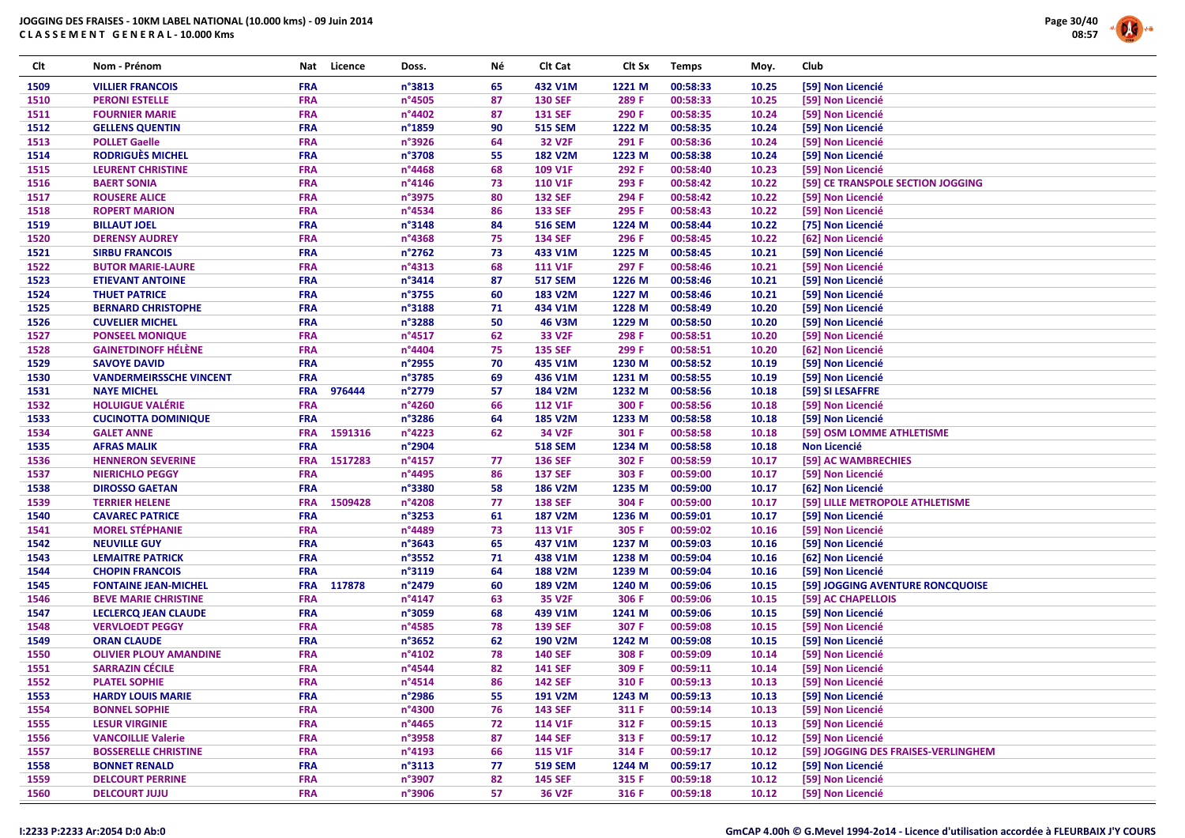

| Clt  | Nom - Prénom                   | Nat        | Licence | Doss.            | Νé | Clt Cat        | Clt Sx | <b>Temps</b> | Moy.  | Club                                |
|------|--------------------------------|------------|---------|------------------|----|----------------|--------|--------------|-------|-------------------------------------|
| 1509 | <b>VILLIER FRANCOIS</b>        | <b>FRA</b> |         | n°3813           | 65 | 432 V1M        | 1221 M | 00:58:33     | 10.25 | [59] Non Licencié                   |
| 1510 | <b>PERONI ESTELLE</b>          | <b>FRA</b> |         | n°4505           | 87 | <b>130 SEF</b> | 289 F  | 00:58:33     | 10.25 | [59] Non Licencié                   |
| 1511 | <b>FOURNIER MARIE</b>          | <b>FRA</b> |         | n°4402           | 87 | <b>131 SEF</b> | 290 F  | 00:58:35     | 10.24 | [59] Non Licencié                   |
| 1512 | <b>GELLENS QUENTIN</b>         | <b>FRA</b> |         | n°1859           | 90 | <b>515 SEM</b> | 1222 M | 00:58:35     | 10.24 | [59] Non Licencié                   |
| 1513 | <b>POLLET Gaelle</b>           | <b>FRA</b> |         | n°3926           | 64 | 32 V2F         | 291 F  | 00:58:36     | 10.24 | [59] Non Licencié                   |
| 1514 | <b>RODRIGUÈS MICHEL</b>        | <b>FRA</b> |         | n°3708           | 55 | <b>182 V2M</b> | 1223 M | 00:58:38     | 10.24 | [59] Non Licencié                   |
| 1515 | <b>LEURENT CHRISTINE</b>       | <b>FRA</b> |         | $n^{\circ}$ 4468 | 68 | 109 V1F        | 292 F  | 00:58:40     | 10.23 | [59] Non Licencié                   |
| 1516 | <b>BAERT SONIA</b>             | <b>FRA</b> |         | n°4146           | 73 | <b>110 V1F</b> | 293 F  | 00:58:42     | 10.22 | [59] CE TRANSPOLE SECTION JOGGING   |
| 1517 | <b>ROUSERE ALICE</b>           | <b>FRA</b> |         | n°3975           | 80 | <b>132 SEF</b> | 294 F  | 00:58:42     | 10.22 | [59] Non Licencié                   |
| 1518 | <b>ROPERT MARION</b>           | <b>FRA</b> |         | n°4534           | 86 | <b>133 SEF</b> | 295 F  | 00:58:43     | 10.22 | [59] Non Licencié                   |
| 1519 | <b>BILLAUT JOEL</b>            | <b>FRA</b> |         | n°3148           | 84 | <b>516 SEM</b> | 1224 M | 00:58:44     | 10.22 | [75] Non Licencié                   |
| 1520 | <b>DERENSY AUDREY</b>          | <b>FRA</b> |         | n°4368           | 75 | <b>134 SEF</b> | 296 F  | 00:58:45     | 10.22 | [62] Non Licencié                   |
| 1521 | <b>SIRBU FRANCOIS</b>          | <b>FRA</b> |         | n°2762           | 73 | 433 V1M        | 1225 M | 00:58:45     | 10.21 | [59] Non Licencié                   |
| 1522 | <b>BUTOR MARIE-LAURE</b>       | <b>FRA</b> |         | n°4313           | 68 | <b>111 V1F</b> | 297 F  | 00:58:46     | 10.21 | [59] Non Licencié                   |
| 1523 | <b>ETIEVANT ANTOINE</b>        | <b>FRA</b> |         | n°3414           | 87 | <b>517 SEM</b> | 1226 M | 00:58:46     | 10.21 | [59] Non Licencié                   |
| 1524 | <b>THUET PATRICE</b>           | <b>FRA</b> |         | n°3755           | 60 | 183 V2M        | 1227 M | 00:58:46     | 10.21 | [59] Non Licencié                   |
| 1525 | <b>BERNARD CHRISTOPHE</b>      | <b>FRA</b> |         | n°3188           | 71 | 434 V1M        | 1228 M | 00:58:49     | 10.20 | [59] Non Licencié                   |
| 1526 | <b>CUVELIER MICHEL</b>         | <b>FRA</b> |         | n°3288           | 50 | 46 V3M         | 1229 M | 00:58:50     | 10.20 | [59] Non Licencié                   |
| 1527 | <b>PONSEEL MONIQUE</b>         | <b>FRA</b> |         | n°4517           | 62 | 33 V2F         | 298 F  | 00:58:51     | 10.20 | [59] Non Licencié                   |
| 1528 | <b>GAINETDINOFF HÉLÈNE</b>     | <b>FRA</b> |         | n°4404           | 75 | <b>135 SEF</b> | 299 F  | 00:58:51     | 10.20 | [62] Non Licencié                   |
| 1529 | <b>SAVOYE DAVID</b>            | <b>FRA</b> |         | n°2955           | 70 | 435 V1M        | 1230 M | 00:58:52     | 10.19 | [59] Non Licencié                   |
| 1530 | <b>VANDERMEIRSSCHE VINCENT</b> | <b>FRA</b> |         | n°3785           | 69 | 436 V1M        | 1231 M | 00:58:55     | 10.19 | [59] Non Licencié                   |
| 1531 | <b>NAYE MICHEL</b>             | <b>FRA</b> | 976444  | n°2779           | 57 | 184 V2M        | 1232 M | 00:58:56     | 10.18 | [59] SI LESAFFRE                    |
| 1532 | <b>HOLUIGUE VALÉRIE</b>        | <b>FRA</b> |         | n°4260           | 66 | <b>112 V1F</b> | 300 F  | 00:58:56     | 10.18 | [59] Non Licencié                   |
| 1533 | <b>CUCINOTTA DOMINIQUE</b>     | <b>FRA</b> |         | n°3286           | 64 | <b>185 V2M</b> | 1233 M | 00:58:58     | 10.18 | [59] Non Licencié                   |
| 1534 | <b>GALET ANNE</b>              | <b>FRA</b> | 1591316 | $n^{\circ}$ 4223 | 62 | 34 V2F         | 301 F  | 00:58:58     | 10.18 | [59] OSM LOMME ATHLETISME           |
| 1535 | <b>AFRAS MALIK</b>             | <b>FRA</b> |         | n°2904           |    | <b>518 SEM</b> | 1234 M | 00:58:58     | 10.18 | <b>Non Licencié</b>                 |
| 1536 | <b>HENNERON SEVERINE</b>       | <b>FRA</b> | 1517283 | n°4157           | 77 | <b>136 SEF</b> | 302 F  | 00:58:59     | 10.17 | [59] AC WAMBRECHIES                 |
| 1537 | <b>NIERICHLO PEGGY</b>         | <b>FRA</b> |         | n°4495           | 86 | <b>137 SEF</b> | 303 F  | 00:59:00     | 10.17 | [59] Non Licencié                   |
| 1538 | <b>DIROSSO GAETAN</b>          | <b>FRA</b> |         | n°3380           | 58 | <b>186 V2M</b> | 1235 M | 00:59:00     | 10.17 | [62] Non Licencié                   |
| 1539 | <b>TERRIER HELENE</b>          | <b>FRA</b> | 1509428 | n°4208           | 77 | <b>138 SEF</b> | 304 F  | 00:59:00     | 10.17 | [59] LILLE METROPOLE ATHLETISME     |
| 1540 | <b>CAVAREC PATRICE</b>         | <b>FRA</b> |         | $n^{\circ}3253$  | 61 | <b>187 V2M</b> | 1236 M | 00:59:01     | 10.17 | [59] Non Licencié                   |
| 1541 | <b>MOREL STÉPHANIE</b>         | <b>FRA</b> |         | n°4489           | 73 | <b>113 V1F</b> | 305 F  | 00:59:02     | 10.16 | [59] Non Licencié                   |
| 1542 | <b>NEUVILLE GUY</b>            | <b>FRA</b> |         | $n^{\circ}3643$  | 65 | 437 V1M        | 1237 M | 00:59:03     | 10.16 | [59] Non Licencié                   |
| 1543 | <b>LEMAITRE PATRICK</b>        | <b>FRA</b> |         | n°3552           | 71 | 438 V1M        | 1238 M | 00:59:04     | 10.16 | [62] Non Licencié                   |
| 1544 | <b>CHOPIN FRANCOIS</b>         | <b>FRA</b> |         | n°3119           | 64 | <b>188 V2M</b> | 1239 M | 00:59:04     | 10.16 | [59] Non Licencié                   |
| 1545 | <b>FONTAINE JEAN-MICHEL</b>    | <b>FRA</b> | 117878  | n°2479           | 60 | 189 V2M        | 1240 M | 00:59:06     | 10.15 | [59] JOGGING AVENTURE RONCQUOISE    |
| 1546 | <b>BEVE MARIE CHRISTINE</b>    | <b>FRA</b> |         | n°4147           | 63 | 35 V2F         | 306 F  | 00:59:06     | 10.15 | [59] AC CHAPELLOIS                  |
| 1547 | <b>LECLERCQ JEAN CLAUDE</b>    | <b>FRA</b> |         | n°3059           | 68 | 439 V1M        | 1241 M | 00:59:06     | 10.15 | [59] Non Licencié                   |
| 1548 | <b>VERVLOEDT PEGGY</b>         | <b>FRA</b> |         | n°4585           | 78 | <b>139 SEF</b> | 307 F  | 00:59:08     | 10.15 | [59] Non Licencié                   |
| 1549 | <b>ORAN CLAUDE</b>             | <b>FRA</b> |         | n°3652           | 62 | 190 V2M        | 1242 M | 00:59:08     | 10.15 | [59] Non Licencié                   |
| 1550 | <b>OLIVIER PLOUY AMANDINE</b>  | <b>FRA</b> |         | n°4102           | 78 | <b>140 SEF</b> | 308 F  | 00:59:09     | 10.14 | [59] Non Licencié                   |
| 1551 | <b>SARRAZIN CÉCILE</b>         | <b>FRA</b> |         | $n^{\circ}$ 4544 | 82 | <b>141 SEF</b> | 309 F  | 00:59:11     | 10.14 | [59] Non Licencié                   |
| 1552 | <b>PLATEL SOPHIE</b>           | <b>FRA</b> |         | $n^{\circ}$ 4514 | 86 | <b>142 SEF</b> | 310 F  | 00:59:13     | 10.13 | [59] Non Licencié                   |
| 1553 | <b>HARDY LOUIS MARIE</b>       | <b>FRA</b> |         | n°2986           | 55 | 191 V2M        | 1243 M | 00:59:13     | 10.13 | [59] Non Licencié                   |
| 1554 | <b>BONNEL SOPHIE</b>           | <b>FRA</b> |         | n°4300           | 76 | <b>143 SEF</b> | 311 F  | 00:59:14     | 10.13 | [59] Non Licencié                   |
| 1555 | <b>LESUR VIRGINIE</b>          | <b>FRA</b> |         | $n^{\circ}$ 4465 | 72 | 114 V1F        | 312 F  | 00:59:15     | 10.13 | [59] Non Licencié                   |
| 1556 | <b>VANCOILLIE Valerie</b>      | <b>FRA</b> |         | n°3958           | 87 | <b>144 SEF</b> | 313 F  | 00:59:17     | 10.12 | [59] Non Licencié                   |
| 1557 | <b>BOSSERELLE CHRISTINE</b>    | <b>FRA</b> |         | $n^{\circ}4193$  | 66 | <b>115 V1F</b> | 314 F  | 00:59:17     | 10.12 | [59] JOGGING DES FRAISES-VERLINGHEM |
| 1558 | <b>BONNET RENALD</b>           | <b>FRA</b> |         | n°3113           | 77 | <b>519 SEM</b> | 1244 M | 00:59:17     | 10.12 | [59] Non Licencié                   |
| 1559 | <b>DELCOURT PERRINE</b>        | <b>FRA</b> |         | n°3907           | 82 | <b>145 SEF</b> | 315 F  | 00:59:18     | 10.12 | [59] Non Licencié                   |
| 1560 | <b>DELCOURT JUJU</b>           | <b>FRA</b> |         | n°3906           | 57 | 36 V2F         | 316 F  | 00:59:18     | 10.12 | [59] Non Licencié                   |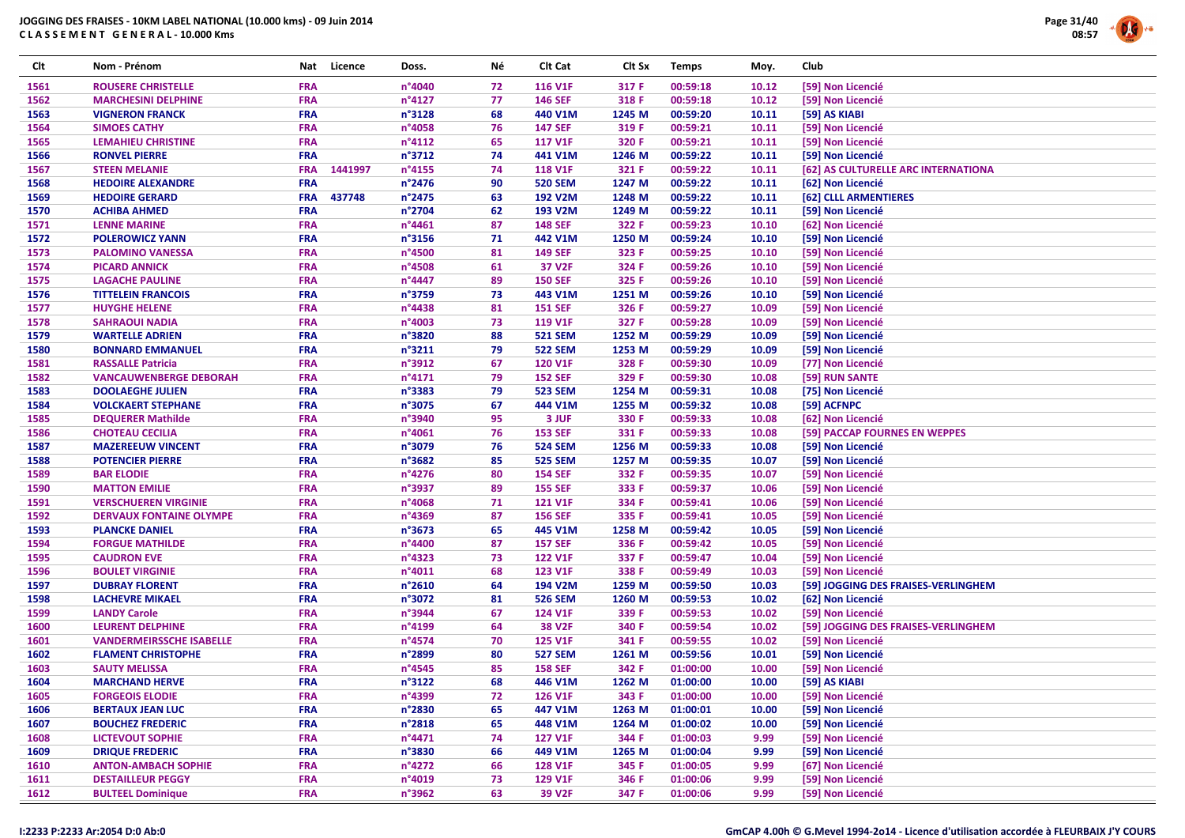

| Clt  | Nom - Prénom                    | Nat                      | Licence | Doss.            | Νé       | Clt Cat                          | Clt Sx         | <b>Temps</b>         | Moy.           | Club                                |
|------|---------------------------------|--------------------------|---------|------------------|----------|----------------------------------|----------------|----------------------|----------------|-------------------------------------|
| 1561 | <b>ROUSERE CHRISTELLE</b>       | <b>FRA</b>               |         | n°4040           | 72       | 116 V1F                          | 317 F          | 00:59:18             | 10.12          | [59] Non Licencié                   |
| 1562 | <b>MARCHESINI DELPHINE</b>      | <b>FRA</b>               |         | n°4127           | 77       | <b>146 SEF</b>                   | 318 F          | 00:59:18             | 10.12          | [59] Non Licencié                   |
| 1563 | <b>VIGNERON FRANCK</b>          | <b>FRA</b>               |         | n°3128           | 68       | 440 V1M                          | 1245 M         | 00:59:20             | 10.11          | [59] AS KIABI                       |
| 1564 | <b>SIMOES CATHY</b>             | <b>FRA</b>               |         | n°4058           | 76       | <b>147 SEF</b>                   | 319 F          | 00:59:21             | 10.11          | [59] Non Licencié                   |
| 1565 | <b>LEMAHIEU CHRISTINE</b>       | <b>FRA</b>               |         | n°4112           | 65       | <b>117 V1F</b>                   | 320 F          | 00:59:21             | 10.11          | [59] Non Licencié                   |
| 1566 | <b>RONVEL PIERRE</b>            | <b>FRA</b>               |         | $n^{\circ}3712$  | 74       | 441 V1M                          | 1246 M         | 00:59:22             | 10.11          | [59] Non Licencié                   |
| 1567 | <b>STEEN MELANIE</b>            | <b>FRA</b>               | 1441997 | n°4155           | 74       | <b>118 V1F</b>                   | 321 F          | 00:59:22             | 10.11          | [62] AS CULTURELLE ARC INTERNATIONA |
| 1568 | <b>HEDOIRE ALEXANDRE</b>        | <b>FRA</b>               |         | n°2476           | 90       | <b>520 SEM</b>                   | 1247 M         | 00:59:22             | 10.11          | [62] Non Licencié                   |
| 1569 | <b>HEDOIRE GERARD</b>           | <b>FRA</b>               | 437748  | n°2475           | 63       | 192 V2M                          | 1248 M         | 00:59:22             | 10.11          | [62] CLLL ARMENTIERES               |
| 1570 | <b>ACHIBA AHMED</b>             | <b>FRA</b>               |         | n°2704           | 62       | 193 V2M                          | 1249 M         | 00:59:22             | 10.11          | [59] Non Licencié                   |
| 1571 | <b>LENNE MARINE</b>             | <b>FRA</b>               |         | $n^{\circ}4461$  | 87       | <b>148 SEF</b>                   | 322 F          | 00:59:23             | 10.10          | [62] Non Licencié                   |
| 1572 | <b>POLEROWICZ YANN</b>          | <b>FRA</b>               |         | n°3156           | 71       | 442 V1M                          | 1250 M         | 00:59:24             | 10.10          | [59] Non Licencié                   |
| 1573 | <b>PALOMINO VANESSA</b>         | <b>FRA</b>               |         | n°4500           | 81       | <b>149 SEF</b>                   | 323 F          | 00:59:25             | 10.10          | [59] Non Licencié                   |
| 1574 | <b>PICARD ANNICK</b>            | <b>FRA</b>               |         | n°4508           | 61       | 37 V2F                           | 324 F          | 00:59:26             | 10.10          | [59] Non Licencié                   |
| 1575 | <b>LAGACHE PAULINE</b>          | <b>FRA</b>               |         | n°4447           | 89       | <b>150 SEF</b>                   | 325 F          | 00:59:26             | 10.10          | [59] Non Licencié                   |
| 1576 | <b>TITTELEIN FRANCOIS</b>       | <b>FRA</b>               |         | n°3759           | 73       | 443 V1M                          | 1251 M         | 00:59:26             | 10.10          | [59] Non Licencié                   |
| 1577 | <b>HUYGHE HELENE</b>            | <b>FRA</b>               |         | n°4438           | 81       | <b>151 SEF</b>                   | 326 F          | 00:59:27             | 10.09          | [59] Non Licencié                   |
| 1578 | <b>SAHRAOUI NADIA</b>           | <b>FRA</b>               |         | n°4003           | 73       | 119 V1F                          | 327 F          | 00:59:28             | 10.09          | [59] Non Licencié                   |
| 1579 | <b>WARTELLE ADRIEN</b>          | <b>FRA</b>               |         | n°3820           | 88       | <b>521 SEM</b>                   | 1252 M         | 00:59:29             | 10.09          | [59] Non Licencié                   |
| 1580 | <b>BONNARD EMMANUEL</b>         | <b>FRA</b>               |         | $n^{\circ}3211$  | 79       | <b>522 SEM</b>                   | 1253 M         | 00:59:29             | 10.09          | [59] Non Licencié                   |
| 1581 | <b>RASSALLE Patricia</b>        | <b>FRA</b>               |         | n°3912           | 67       | <b>120 V1F</b>                   | 328 F          | 00:59:30             | 10.09          | [77] Non Licencié                   |
| 1582 | <b>VANCAUWENBERGE DEBORAH</b>   | <b>FRA</b>               |         | n°4171           | 79       | <b>152 SEF</b>                   | 329 F          | 00:59:30             | 10.08          | [59] RUN SANTE                      |
| 1583 | <b>DOOLAEGHE JULIEN</b>         | <b>FRA</b>               |         | n°3383           | 79       | <b>523 SEM</b>                   | 1254 M         | 00:59:31             | 10.08          | [75] Non Licencié                   |
| 1584 | <b>VOLCKAERT STEPHANE</b>       | <b>FRA</b>               |         | n°3075           | 67       | 444 V1M                          | 1255 M         | 00:59:32             | 10.08          | [59] ACFNPC                         |
| 1585 | <b>DEQUERER Mathilde</b>        | <b>FRA</b>               |         | n°3940           | 95       | 3 JUF                            | 330 F          | 00:59:33             | 10.08          | [62] Non Licencié                   |
| 1586 | <b>CHOTEAU CECILIA</b>          | <b>FRA</b>               |         | n°4061           | 76       | <b>153 SEF</b>                   | 331 F          | 00:59:33             | 10.08          | [59] PACCAP FOURNES EN WEPPES       |
| 1587 | <b>MAZEREEUW VINCENT</b>        | <b>FRA</b>               |         | n°3079           | 76       | <b>524 SEM</b>                   | 1256 M         | 00:59:33             | 10.08          | [59] Non Licencié                   |
|      | <b>POTENCIER PIERRE</b>         |                          |         | n°3682           |          |                                  |                |                      |                | [59] Non Licencié                   |
| 1588 |                                 | <b>FRA</b>               |         |                  | 85       | <b>525 SEM</b>                   | 1257 M         | 00:59:35             | 10.07          |                                     |
| 1589 | <b>BAR ELODIE</b>               | <b>FRA</b>               |         | n°4276<br>n°3937 | 80       | <b>154 SEF</b>                   | 332 F          | 00:59:35<br>00:59:37 | 10.07          | [59] Non Licencié                   |
| 1590 | <b>MATTON EMILIE</b>            | <b>FRA</b><br><b>FRA</b> |         |                  | 89<br>71 | <b>155 SEF</b><br><b>121 V1F</b> | 333 F<br>334 F |                      | 10.06<br>10.06 | [59] Non Licencié                   |
| 1591 | <b>VERSCHUEREN VIRGINIE</b>     |                          |         | n°4068           |          |                                  |                | 00:59:41             |                | [59] Non Licencié                   |
| 1592 | <b>DERVAUX FONTAINE OLYMPE</b>  | <b>FRA</b>               |         | n°4369           | 87       | <b>156 SEF</b>                   | 335 F          | 00:59:41             | 10.05          | [59] Non Licencié                   |
| 1593 | <b>PLANCKE DANIEL</b>           | <b>FRA</b>               |         | n°3673           | 65       | 445 V1M                          | 1258 M         | 00:59:42             | 10.05          | [59] Non Licencié                   |
| 1594 | <b>FORGUE MATHILDE</b>          | <b>FRA</b><br><b>FRA</b> |         | n°4400           | 87       | <b>157 SEF</b>                   | 336 F          | 00:59:42             | 10.05          | [59] Non Licencié                   |
| 1595 | <b>CAUDRON EVE</b>              |                          |         | n°4323           | 73       | <b>122 V1F</b>                   | 337 F          | 00:59:47             | 10.04          | [59] Non Licencié                   |
| 1596 | <b>BOULET VIRGINIE</b>          | <b>FRA</b>               |         | $n^{\circ}4011$  | 68       | 123 V1F                          | 338 F          | 00:59:49             | 10.03          | [59] Non Licencié                   |
| 1597 | <b>DUBRAY FLORENT</b>           | <b>FRA</b><br><b>FRA</b> |         | n°2610<br>n°3072 | 64       | 194 V2M                          | 1259 M         | 00:59:50             | 10.03          | [59] JOGGING DES FRAISES-VERLINGHEM |
| 1598 | <b>LACHEVRE MIKAEL</b>          |                          |         | n°3944           | 81       | <b>526 SEM</b>                   | 1260 M         | 00:59:53             | 10.02          | [62] Non Licencié                   |
| 1599 | <b>LANDY Carole</b>             | <b>FRA</b>               |         |                  | 67       | 124 V1F                          | 339 F          | 00:59:53             | 10.02          | [59] Non Licencié                   |
| 1600 | <b>LEURENT DELPHINE</b>         | <b>FRA</b>               |         | n°4199           | 64       | <b>38 V2F</b>                    | 340 F          | 00:59:54             | 10.02          | [59] JOGGING DES FRAISES-VERLINGHEM |
| 1601 | <b>VANDERMEIRSSCHE ISABELLE</b> | <b>FRA</b>               |         | n°4574           | 70       | <b>125 V1F</b>                   | 341 F          | 00:59:55             | 10.02          | [59] Non Licencié                   |
| 1602 | <b>FLAMENT CHRISTOPHE</b>       | <b>FRA</b>               |         | n°2899           | 80       | <b>527 SEM</b>                   | 1261 M         | 00:59:56             | 10.01          | [59] Non Licencié                   |
| 1603 | <b>SAUTY MELISSA</b>            | <b>FRA</b>               |         | $n^{\circ}$ 4545 | 85       | <b>158 SEF</b>                   | 342 F          | 01:00:00             | 10.00          | [59] Non Licencié                   |
| 1604 | <b>MARCHAND HERVE</b>           | <b>FRA</b>               |         | n°3122           | 68       | 446 V1M                          | 1262 M         | 01:00:00             | 10.00          | [59] AS KIABI                       |
| 1605 | <b>FORGEOIS ELODIE</b>          | <b>FRA</b>               |         | n°4399           | 72       | 126 V1F                          | 343 F          | 01:00:00             | 10.00          | [59] Non Licencié                   |
| 1606 | <b>BERTAUX JEAN LUC</b>         | <b>FRA</b>               |         | n°2830           | 65       | 447 V1M                          | 1263 M         | 01:00:01             | 10.00          | [59] Non Licencié                   |
| 1607 | <b>BOUCHEZ FREDERIC</b>         | <b>FRA</b>               |         | n°2818           | 65       | 448 V1M                          | 1264 M         | 01:00:02             | 10.00          | [59] Non Licencié                   |
| 1608 | <b>LICTEVOUT SOPHIE</b>         | <b>FRA</b>               |         | $n^{\circ}4471$  | 74       | 127 V1F                          | 344 F          | 01:00:03             | 9.99           | [59] Non Licencié                   |
| 1609 | <b>DRIQUE FREDERIC</b>          | <b>FRA</b>               |         | n°3830           | 66       | 449 V1M                          | 1265 M         | 01:00:04             | 9.99           | [59] Non Licencié                   |
| 1610 | <b>ANTON-AMBACH SOPHIE</b>      | <b>FRA</b>               |         | n°4272           | 66       | <b>128 V1F</b>                   | 345 F          | 01:00:05             | 9.99           | [67] Non Licencié                   |
| 1611 | <b>DESTAILLEUR PEGGY</b>        | <b>FRA</b>               |         | n°4019           | 73       | 129 V1F                          | 346 F          | 01:00:06             | 9.99           | [59] Non Licencié                   |
| 1612 | <b>BULTEEL Dominique</b>        | <b>FRA</b>               |         | n°3962           | 63       | 39 V2F                           | 347 F          | 01:00:06             | 9.99           | [59] Non Licencié                   |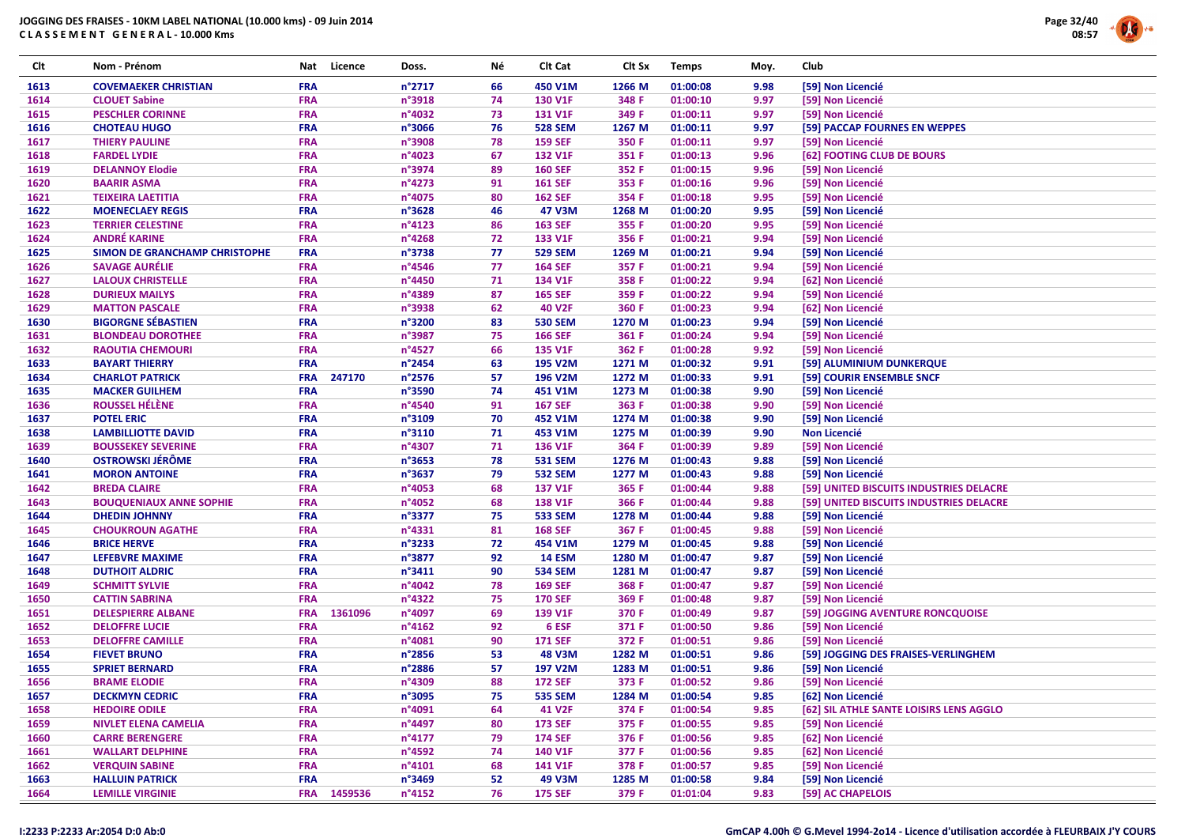

| Clt  | Nom - Prénom                   | Nat        | Licence     | Doss.            | Νé | Clt Cat        | Clt Sx | <b>Temps</b> | Moy. | Club                                    |
|------|--------------------------------|------------|-------------|------------------|----|----------------|--------|--------------|------|-----------------------------------------|
| 1613 | <b>COVEMAEKER CHRISTIAN</b>    | <b>FRA</b> |             | $n^{\circ}2717$  | 66 | 450 V1M        | 1266 M | 01:00:08     | 9.98 | [59] Non Licencié                       |
| 1614 | <b>CLOUET Sabine</b>           | <b>FRA</b> |             | n°3918           | 74 | 130 V1F        | 348 F  | 01:00:10     | 9.97 | [59] Non Licencié                       |
| 1615 | <b>PESCHLER CORINNE</b>        | <b>FRA</b> |             | n°4032           | 73 | <b>131 V1F</b> | 349 F  | 01:00:11     | 9.97 | [59] Non Licencié                       |
| 1616 | <b>CHOTEAU HUGO</b>            | <b>FRA</b> |             | n°3066           | 76 | <b>528 SEM</b> | 1267 M | 01:00:11     | 9.97 | [59] PACCAP FOURNES EN WEPPES           |
| 1617 | <b>THIERY PAULINE</b>          | <b>FRA</b> |             | n°3908           | 78 | <b>159 SEF</b> | 350 F  | 01:00:11     | 9.97 | [59] Non Licencié                       |
| 1618 | <b>FARDEL LYDIE</b>            | <b>FRA</b> |             | $n^{\circ}4023$  | 67 | 132 V1F        | 351 F  | 01:00:13     | 9.96 | [62] FOOTING CLUB DE BOURS              |
| 1619 | <b>DELANNOY Elodie</b>         | <b>FRA</b> |             | n°3974           | 89 | <b>160 SEF</b> | 352 F  | 01:00:15     | 9.96 | [59] Non Licencié                       |
| 1620 | <b>BAARIR ASMA</b>             | <b>FRA</b> |             | n°4273           | 91 | <b>161 SEF</b> | 353 F  | 01:00:16     | 9.96 | [59] Non Licencié                       |
| 1621 | <b>TEIXEIRA LAETITIA</b>       | <b>FRA</b> |             | n°4075           | 80 | <b>162 SEF</b> | 354 F  | 01:00:18     | 9.95 | [59] Non Licencié                       |
| 1622 | <b>MOENECLAEY REGIS</b>        | <b>FRA</b> |             | $n^{\circ}3628$  | 46 | 47 V3M         | 1268 M | 01:00:20     | 9.95 | [59] Non Licencié                       |
| 1623 | <b>TERRIER CELESTINE</b>       | <b>FRA</b> |             | n°4123           | 86 | <b>163 SEF</b> | 355 F  | 01:00:20     | 9.95 | [59] Non Licencié                       |
| 1624 | <b>ANDRÉ KARINE</b>            | <b>FRA</b> |             | n°4268           | 72 | 133 V1F        | 356 F  | 01:00:21     | 9.94 | [59] Non Licencié                       |
| 1625 | SIMON DE GRANCHAMP CHRISTOPHE  | <b>FRA</b> |             | n°3738           | 77 | <b>529 SEM</b> | 1269 M | 01:00:21     | 9.94 | [59] Non Licencié                       |
| 1626 | <b>SAVAGE AURÉLIE</b>          | <b>FRA</b> |             | n°4546           | 77 | <b>164 SEF</b> | 357 F  | 01:00:21     | 9.94 | [59] Non Licencié                       |
| 1627 | <b>LALOUX CHRISTELLE</b>       | <b>FRA</b> |             | n°4450           | 71 | 134 V1F        | 358 F  | 01:00:22     | 9.94 | [62] Non Licencié                       |
| 1628 | <b>DURIEUX MAILYS</b>          | <b>FRA</b> |             | n°4389           | 87 | <b>165 SEF</b> | 359 F  | 01:00:22     | 9.94 | [59] Non Licencié                       |
| 1629 | <b>MATTON PASCALE</b>          | <b>FRA</b> |             | n°3938           | 62 | 40 V2F         | 360 F  | 01:00:23     | 9.94 | [62] Non Licencié                       |
| 1630 | <b>BIGORGNE SÉBASTIEN</b>      | <b>FRA</b> |             | n°3200           | 83 | <b>530 SEM</b> | 1270 M | 01:00:23     | 9.94 | [59] Non Licencié                       |
| 1631 | <b>BLONDEAU DOROTHEE</b>       | <b>FRA</b> |             | n°3987           | 75 | <b>166 SEF</b> | 361 F  | 01:00:24     | 9.94 | [59] Non Licencié                       |
| 1632 | <b>RAOUTIA CHEMOURI</b>        | <b>FRA</b> |             | $n^{\circ}$ 4527 | 66 | 135 V1F        | 362 F  | 01:00:28     | 9.92 | [59] Non Licencié                       |
| 1633 | <b>BAYART THIERRY</b>          | <b>FRA</b> |             | n°2454           | 63 | 195 V2M        | 1271 M | 01:00:32     | 9.91 | [59] ALUMINIUM DUNKERQUE                |
| 1634 | <b>CHARLOT PATRICK</b>         | <b>FRA</b> | 247170      | $n^{\circ}$ 2576 | 57 | 196 V2M        | 1272 M | 01:00:33     | 9.91 | [59] COURIR ENSEMBLE SNCF               |
| 1635 | <b>MACKER GUILHEM</b>          | <b>FRA</b> |             | n°3590           | 74 | 451 V1M        | 1273 M | 01:00:38     | 9.90 | [59] Non Licencié                       |
| 1636 | <b>ROUSSEL HÉLÈNE</b>          | <b>FRA</b> |             | n°4540           | 91 | <b>167 SEF</b> | 363 F  | 01:00:38     | 9.90 | [59] Non Licencié                       |
| 1637 | <b>POTEL ERIC</b>              | <b>FRA</b> |             | n°3109           | 70 | 452 V1M        | 1274 M | 01:00:38     | 9.90 | [59] Non Licencié                       |
| 1638 | <b>LAMBILLIOTTE DAVID</b>      | <b>FRA</b> |             | n°3110           | 71 | 453 V1M        | 1275 M | 01:00:39     | 9.90 | <b>Non Licencié</b>                     |
| 1639 | <b>BOUSSEKEY SEVERINE</b>      | <b>FRA</b> |             | n°4307           | 71 | 136 V1F        | 364 F  | 01:00:39     | 9.89 | [59] Non Licencié                       |
| 1640 | <b>OSTROWSKI JÉRÔME</b>        | <b>FRA</b> |             | n°3653           | 78 | <b>531 SEM</b> | 1276 M | 01:00:43     | 9.88 | [59] Non Licencié                       |
| 1641 | <b>MORON ANTOINE</b>           | <b>FRA</b> |             | n°3637           | 79 | <b>532 SEM</b> | 1277 M | 01:00:43     | 9.88 | [59] Non Licencié                       |
| 1642 | <b>BREDA CLAIRE</b>            | <b>FRA</b> |             | n°4053           | 68 | 137 V1F        | 365 F  | 01:00:44     | 9.88 | [59] UNITED BISCUITS INDUSTRIES DELACRE |
| 1643 | <b>BOUQUENIAUX ANNE SOPHIE</b> | <b>FRA</b> |             | n°4052           | 68 | 138 V1F        | 366 F  | 01:00:44     | 9.88 | [59] UNITED BISCUITS INDUSTRIES DELACRE |
| 1644 | <b>DHEDIN JOHNNY</b>           | <b>FRA</b> |             | n°3377           | 75 | <b>533 SEM</b> | 1278 M | 01:00:44     | 9.88 | [59] Non Licencié                       |
| 1645 | <b>CHOUKROUN AGATHE</b>        | <b>FRA</b> |             | n°4331           | 81 | <b>168 SEF</b> | 367 F  | 01:00:45     | 9.88 | [59] Non Licencié                       |
| 1646 | <b>BRICE HERVE</b>             | <b>FRA</b> |             | $n^{\circ}$ 3233 | 72 | 454 V1M        | 1279 M | 01:00:45     | 9.88 | [59] Non Licencié                       |
| 1647 | <b>LEFEBVRE MAXIME</b>         | <b>FRA</b> |             | n°3877           | 92 | <b>14 ESM</b>  | 1280 M | 01:00:47     | 9.87 | [59] Non Licencié                       |
| 1648 | <b>DUTHOIT ALDRIC</b>          | <b>FRA</b> |             | $n^{\circ}3411$  | 90 | <b>534 SEM</b> | 1281 M | 01:00:47     | 9.87 | [59] Non Licencié                       |
| 1649 | <b>SCHMITT SYLVIE</b>          | <b>FRA</b> |             | n°4042           | 78 | <b>169 SEF</b> | 368 F  | 01:00:47     | 9.87 | [59] Non Licencié                       |
| 1650 | <b>CATTIN SABRINA</b>          | <b>FRA</b> |             | n°4322           | 75 | <b>170 SEF</b> | 369 F  | 01:00:48     | 9.87 | [59] Non Licencié                       |
| 1651 | <b>DELESPIERRE ALBANE</b>      | <b>FRA</b> | 1361096     | n°4097           | 69 | 139 V1F        | 370 F  | 01:00:49     | 9.87 | [59] JOGGING AVENTURE RONCQUOISE        |
| 1652 | <b>DELOFFRE LUCIE</b>          | <b>FRA</b> |             | $n^{\circ}4162$  | 92 | 6 ESF          | 371 F  | 01:00:50     | 9.86 | [59] Non Licencié                       |
| 1653 | <b>DELOFFRE CAMILLE</b>        | <b>FRA</b> |             | n°4081           | 90 | <b>171 SEF</b> | 372 F  | 01:00:51     | 9.86 | [59] Non Licencié                       |
| 1654 | <b>FIEVET BRUNO</b>            | <b>FRA</b> |             | n°2856           | 53 | 48 V3M         | 1282 M | 01:00:51     | 9.86 | [59] JOGGING DES FRAISES-VERLINGHEM     |
| 1655 | <b>SPRIET BERNARD</b>          | <b>FRA</b> |             | n°2886           | 57 | 197 V2M        | 1283 M | 01:00:51     | 9.86 | [59] Non Licencié                       |
| 1656 | <b>BRAME ELODIE</b>            | <b>FRA</b> |             | n°4309           | 88 | <b>172 SEF</b> | 373 F  | 01:00:52     | 9.86 | [59] Non Licencié                       |
| 1657 | <b>DECKMYN CEDRIC</b>          | <b>FRA</b> |             | n°3095           | 75 | <b>535 SEM</b> | 1284 M | 01:00:54     | 9.85 | [62] Non Licencié                       |
| 1658 | <b>HEDOIRE ODILE</b>           | <b>FRA</b> |             | n°4091           | 64 | 41 V2F         | 374 F  | 01:00:54     | 9.85 | [62] SIL ATHLE SANTE LOISIRS LENS AGGLO |
| 1659 | <b>NIVLET ELENA CAMELIA</b>    | <b>FRA</b> |             | n°4497           | 80 | <b>173 SEF</b> | 375 F  | 01:00:55     | 9.85 | [59] Non Licencié                       |
| 1660 | <b>CARRE BERENGERE</b>         | <b>FRA</b> |             | $n^{\circ}4177$  | 79 | <b>174 SEF</b> | 376 F  | 01:00:56     | 9.85 | [62] Non Licencié                       |
| 1661 | <b>WALLART DELPHINE</b>        | <b>FRA</b> |             | n°4592           | 74 | 140 V1F        | 377 F  | 01:00:56     | 9.85 | [62] Non Licencié                       |
| 1662 | <b>VERQUIN SABINE</b>          | <b>FRA</b> |             | $n^{\circ}4101$  | 68 | 141 V1F        | 378 F  | 01:00:57     | 9.85 | [59] Non Licencié                       |
| 1663 | <b>HALLUIN PATRICK</b>         | <b>FRA</b> |             | n°3469           | 52 | 49 V3M         | 1285 M | 01:00:58     | 9.84 | [59] Non Licencié                       |
| 1664 | <b>LEMILLE VIRGINIE</b>        |            | FRA 1459536 | $n^{\circ}4152$  | 76 | <b>175 SEF</b> | 379 F  | 01:01:04     | 9.83 | [59] AC CHAPELOIS                       |

#### I:2233 P:2233 Ar:2054 D:0 Ab:0

## GmCAP 4.00h © G.Mevel 1994-2o14 - Licence d'utilisation accordée à FLEURBAIX J'Y COURS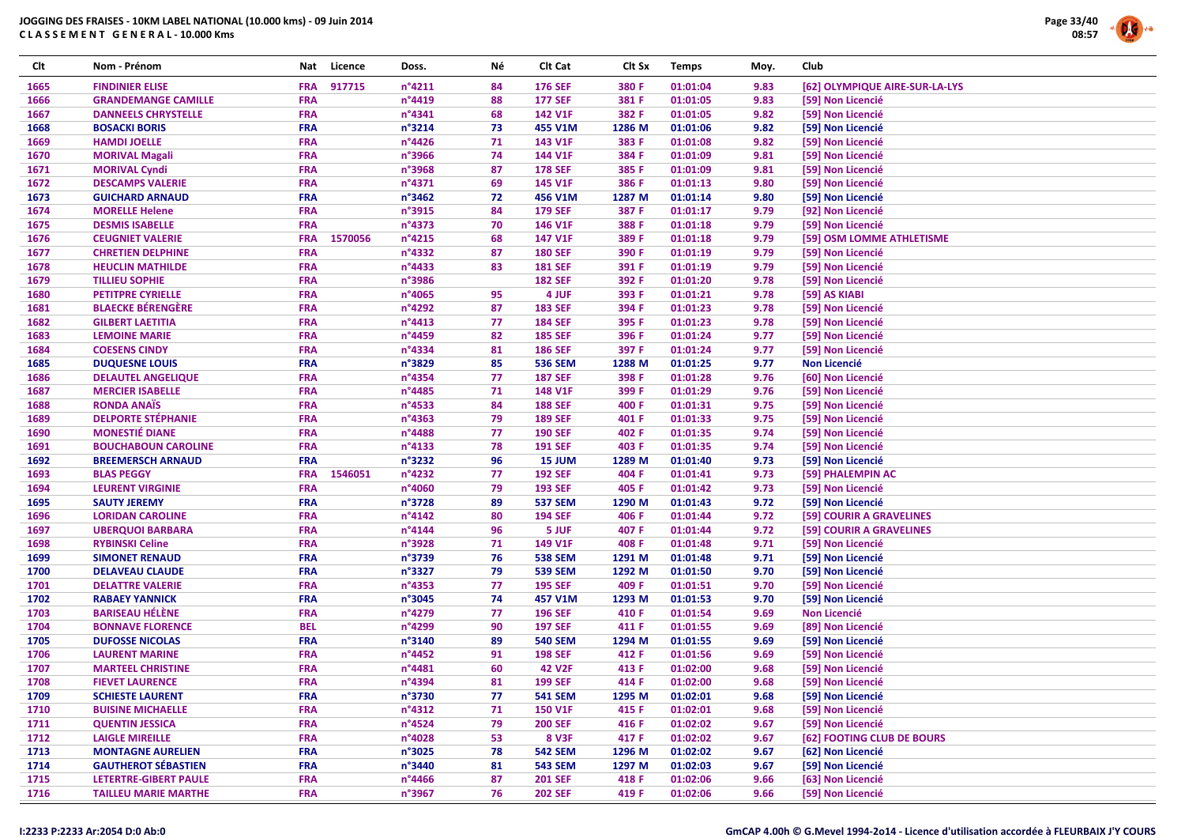

| Clt  | Nom - Prénom                | Nat        | Licence | Doss.            | Νé | Clt Cat        | Clt Sx | <b>Temps</b> | Moy. | Club                           |
|------|-----------------------------|------------|---------|------------------|----|----------------|--------|--------------|------|--------------------------------|
| 1665 | <b>FINDINIER ELISE</b>      | <b>FRA</b> | 917715  | n°4211           | 84 | <b>176 SEF</b> | 380 F  | 01:01:04     | 9.83 | [62] OLYMPIQUE AIRE-SUR-LA-LYS |
| 1666 | <b>GRANDEMANGE CAMILLE</b>  | <b>FRA</b> |         | n°4419           | 88 | <b>177 SEF</b> | 381 F  | 01:01:05     | 9.83 | [59] Non Licencié              |
| 1667 | <b>DANNEELS CHRYSTELLE</b>  | <b>FRA</b> |         | n°4341           | 68 | <b>142 V1F</b> | 382 F  | 01:01:05     | 9.82 | [59] Non Licencié              |
| 1668 | <b>BOSACKI BORIS</b>        | <b>FRA</b> |         | n°3214           | 73 | 455 V1M        | 1286 M | 01:01:06     | 9.82 | [59] Non Licencié              |
| 1669 | <b>HAMDI JOELLE</b>         | <b>FRA</b> |         | n°4426           | 71 | 143 V1F        | 383 F  | 01:01:08     | 9.82 | [59] Non Licencié              |
| 1670 | <b>MORIVAL Magali</b>       | <b>FRA</b> |         | n°3966           | 74 | 144 V1F        | 384 F  | 01:01:09     | 9.81 | [59] Non Licencié              |
| 1671 | <b>MORIVAL Cyndi</b>        | <b>FRA</b> |         | n°3968           | 87 | <b>178 SEF</b> | 385 F  | 01:01:09     | 9.81 | [59] Non Licencié              |
| 1672 | <b>DESCAMPS VALERIE</b>     | <b>FRA</b> |         | n°4371           | 69 | 145 V1F        | 386 F  | 01:01:13     | 9.80 | [59] Non Licencié              |
| 1673 | <b>GUICHARD ARNAUD</b>      | <b>FRA</b> |         | $n^{\circ}3462$  | 72 | 456 V1M        | 1287 M | 01:01:14     | 9.80 | [59] Non Licencié              |
| 1674 | <b>MORELLE Helene</b>       | <b>FRA</b> |         | n°3915           | 84 | <b>179 SEF</b> | 387 F  | 01:01:17     | 9.79 | [92] Non Licencié              |
| 1675 | <b>DESMIS ISABELLE</b>      | <b>FRA</b> |         | n°4373           | 70 | 146 V1F        | 388 F  | 01:01:18     | 9.79 | [59] Non Licencié              |
| 1676 | <b>CEUGNIET VALERIE</b>     | <b>FRA</b> | 1570056 | n°4215           | 68 | 147 V1F        | 389 F  | 01:01:18     | 9.79 | [59] OSM LOMME ATHLETISME      |
| 1677 | <b>CHRETIEN DELPHINE</b>    | <b>FRA</b> |         | n°4332           | 87 | <b>180 SEF</b> | 390 F  | 01:01:19     | 9.79 | [59] Non Licencié              |
| 1678 | <b>HEUCLIN MATHILDE</b>     | <b>FRA</b> |         | n°4433           | 83 | <b>181 SEF</b> | 391 F  | 01:01:19     | 9.79 | [59] Non Licencié              |
| 1679 | <b>TILLIEU SOPHIE</b>       | <b>FRA</b> |         | n°3986           |    | <b>182 SEF</b> | 392 F  | 01:01:20     | 9.78 | [59] Non Licencié              |
| 1680 | <b>PETITPRE CYRIELLE</b>    | <b>FRA</b> |         | n°4065           | 95 | 4 JUF          | 393 F  | 01:01:21     | 9.78 | [59] AS KIABI                  |
| 1681 | <b>BLAECKE BÉRENGÈRE</b>    | <b>FRA</b> |         | n°4292           | 87 | <b>183 SEF</b> | 394 F  | 01:01:23     | 9.78 | [59] Non Licencié              |
| 1682 | <b>GILBERT LAETITIA</b>     | <b>FRA</b> |         | n°4413           | 77 | <b>184 SEF</b> | 395 F  | 01:01:23     | 9.78 | [59] Non Licencié              |
| 1683 | <b>LEMOINE MARIE</b>        | <b>FRA</b> |         | n°4459           | 82 | <b>185 SEF</b> | 396 F  | 01:01:24     | 9.77 | [59] Non Licencié              |
| 1684 | <b>COESENS CINDY</b>        | <b>FRA</b> |         | n°4334           | 81 | <b>186 SEF</b> | 397 F  | 01:01:24     | 9.77 | [59] Non Licencié              |
| 1685 | <b>DUQUESNE LOUIS</b>       | <b>FRA</b> |         | n°3829           | 85 | <b>536 SEM</b> | 1288 M | 01:01:25     | 9.77 | <b>Non Licencié</b>            |
| 1686 | <b>DELAUTEL ANGELIQUE</b>   | <b>FRA</b> |         | n°4354           | 77 | <b>187 SEF</b> | 398 F  | 01:01:28     | 9.76 | [60] Non Licencié              |
| 1687 | <b>MERCIER ISABELLE</b>     | <b>FRA</b> |         | n°4485           | 71 | 148 V1F        | 399 F  | 01:01:29     | 9.76 | [59] Non Licencié              |
| 1688 | <b>RONDA ANAÏS</b>          | <b>FRA</b> |         | n°4533           | 84 | <b>188 SEF</b> | 400 F  | 01:01:31     | 9.75 | [59] Non Licencié              |
| 1689 | <b>DELPORTE STÉPHANIE</b>   | <b>FRA</b> |         | n°4363           | 79 | <b>189 SEF</b> | 401 F  | 01:01:33     | 9.75 | [59] Non Licencié              |
| 1690 | <b>MONESTIÉ DIANE</b>       | <b>FRA</b> |         | n°4488           | 77 | <b>190 SEF</b> | 402 F  | 01:01:35     | 9.74 | [59] Non Licencié              |
| 1691 | <b>BOUCHABOUN CAROLINE</b>  | <b>FRA</b> |         | n°4133           | 78 | <b>191 SEF</b> | 403 F  | 01:01:35     | 9.74 | [59] Non Licencié              |
| 1692 | <b>BREEMERSCH ARNAUD</b>    | <b>FRA</b> |         | n°3232           | 96 | 15 JUM         | 1289 M | 01:01:40     | 9.73 | [59] Non Licencié              |
| 1693 | <b>BLAS PEGGY</b>           | <b>FRA</b> | 1546051 | n°4232           | 77 | <b>192 SEF</b> | 404 F  | 01:01:41     | 9.73 | [59] PHALEMPIN AC              |
| 1694 | <b>LEURENT VIRGINIE</b>     | <b>FRA</b> |         | n°4060           | 79 | <b>193 SEF</b> | 405 F  | 01:01:42     | 9.73 | [59] Non Licencié              |
| 1695 | <b>SAUTY JEREMY</b>         | <b>FRA</b> |         | n°3728           | 89 | <b>537 SEM</b> | 1290 M | 01:01:43     | 9.72 | [59] Non Licencié              |
| 1696 | <b>LORIDAN CAROLINE</b>     | <b>FRA</b> |         | n°4142           | 80 | <b>194 SEF</b> | 406 F  | 01:01:44     | 9.72 | [59] COURIR A GRAVELINES       |
| 1697 | <b>UBERQUOI BARBARA</b>     | <b>FRA</b> |         | n°4144           | 96 | 5 JUF          | 407 F  | 01:01:44     | 9.72 | [59] COURIR A GRAVELINES       |
| 1698 | <b>RYBINSKI Celine</b>      | <b>FRA</b> |         | n°3928           | 71 | 149 V1F        | 408 F  | 01:01:48     | 9.71 | [59] Non Licencié              |
| 1699 | <b>SIMONET RENAUD</b>       | <b>FRA</b> |         | n°3739           | 76 | <b>538 SEM</b> | 1291 M | 01:01:48     | 9.71 | [59] Non Licencié              |
| 1700 | <b>DELAVEAU CLAUDE</b>      | <b>FRA</b> |         | n°3327           | 79 | <b>539 SEM</b> | 1292 M | 01:01:50     | 9.70 | [59] Non Licencié              |
| 1701 | <b>DELATTRE VALERIE</b>     | <b>FRA</b> |         | n°4353           | 77 | <b>195 SEF</b> | 409 F  | 01:01:51     | 9.70 | [59] Non Licencié              |
| 1702 | <b>RABAEY YANNICK</b>       | <b>FRA</b> |         | n°3045           | 74 | 457 V1M        | 1293 M | 01:01:53     | 9.70 | [59] Non Licencié              |
| 1703 | <b>BARISEAU HÉLÈNE</b>      | <b>FRA</b> |         | n°4279           | 77 | <b>196 SEF</b> | 410 F  | 01:01:54     | 9.69 | <b>Non Licencié</b>            |
| 1704 | <b>BONNAVE FLORENCE</b>     | <b>BEL</b> |         | n°4299           | 90 | <b>197 SEF</b> | 411 F  | 01:01:55     | 9.69 | [89] Non Licencié              |
| 1705 | <b>DUFOSSE NICOLAS</b>      | <b>FRA</b> |         | n°3140           | 89 | <b>540 SEM</b> | 1294 M | 01:01:55     | 9.69 | [59] Non Licencié              |
| 1706 | <b>LAURENT MARINE</b>       | <b>FRA</b> |         | n°4452           | 91 | <b>198 SEF</b> | 412 F  | 01:01:56     | 9.69 | [59] Non Licencié              |
| 1707 | <b>MARTEEL CHRISTINE</b>    | <b>FRA</b> |         | n°4481           | 60 | <b>42 V2F</b>  | 413 F  | 01:02:00     | 9.68 | [59] Non Licencié              |
| 1708 | <b>FIEVET LAURENCE</b>      | <b>FRA</b> |         | n°4394           | 81 | <b>199 SEF</b> | 414 F  | 01:02:00     | 9.68 | [59] Non Licencié              |
| 1709 | <b>SCHIESTE LAURENT</b>     | <b>FRA</b> |         | n°3730           | 77 | <b>541 SEM</b> | 1295 M | 01:02:01     | 9.68 | [59] Non Licencié              |
| 1710 | <b>BUISINE MICHAELLE</b>    | <b>FRA</b> |         | n°4312           | 71 | <b>150 V1F</b> | 415 F  | 01:02:01     | 9.68 | [59] Non Licencié              |
| 1711 | <b>QUENTIN JESSICA</b>      | <b>FRA</b> |         | n°4524           | 79 | <b>200 SEF</b> | 416 F  | 01:02:02     | 9.67 | [59] Non Licencié              |
| 1712 | <b>LAIGLE MIREILLE</b>      | <b>FRA</b> |         | n°4028           | 53 | <b>8 V3F</b>   | 417 F  | 01:02:02     | 9.67 | [62] FOOTING CLUB DE BOURS     |
| 1713 | <b>MONTAGNE AURELIEN</b>    | <b>FRA</b> |         | n°3025           | 78 | <b>542 SEM</b> | 1296 M | 01:02:02     | 9.67 | [62] Non Licencié              |
| 1714 | <b>GAUTHEROT SÉBASTIEN</b>  | <b>FRA</b> |         | n°3440           | 81 | <b>543 SEM</b> | 1297 M | 01:02:03     | 9.67 | [59] Non Licencié              |
| 1715 | LETERTRE-GIBERT PAULE       | <b>FRA</b> |         | $n^{\circ}$ 4466 | 87 | <b>201 SEF</b> | 418 F  | 01:02:06     | 9.66 | [63] Non Licencié              |
| 1716 | <b>TAILLEU MARIE MARTHE</b> | <b>FRA</b> |         | n°3967           | 76 | <b>202 SEF</b> | 419 F  | 01:02:06     | 9.66 | [59] Non Licencié              |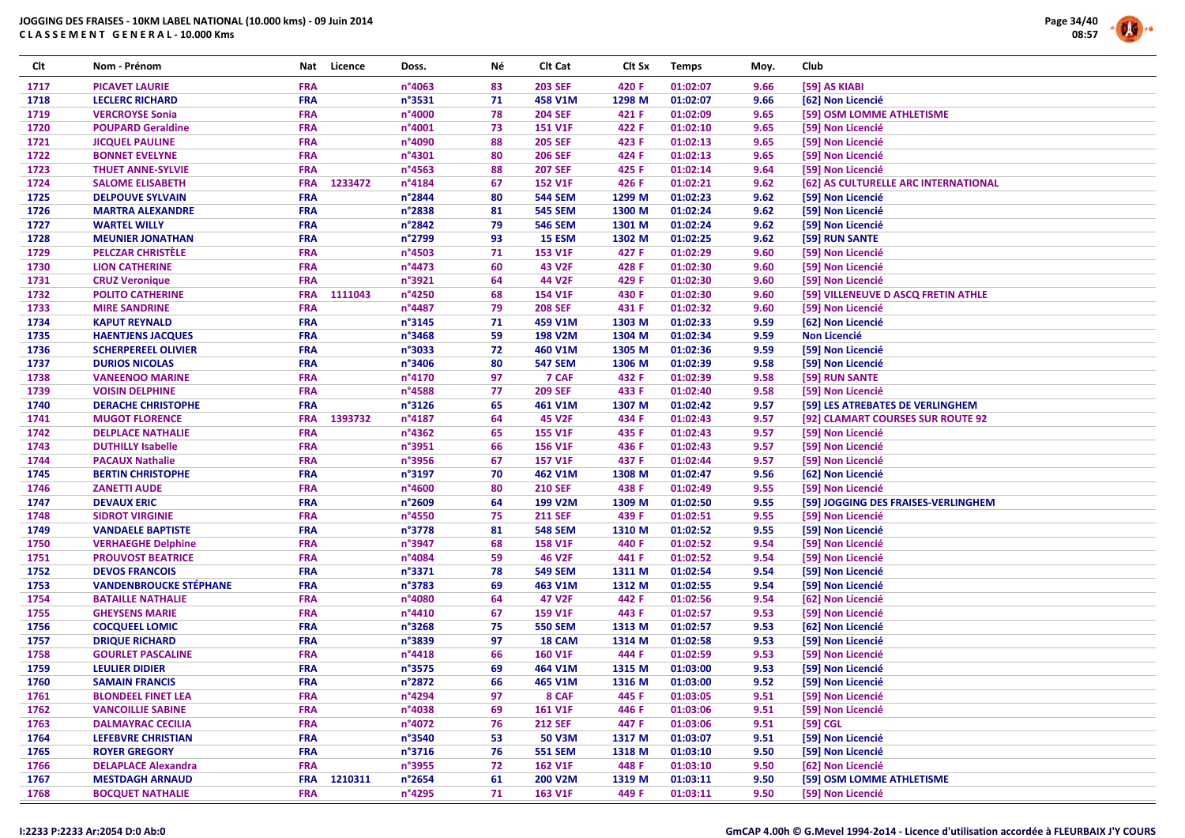

| Clt  | Nom - Prénom                  | Nat        | Licence | Doss.           | Νé | Clt Cat        | Clt Sx | <b>Temps</b> | Moy. | Club                                 |
|------|-------------------------------|------------|---------|-----------------|----|----------------|--------|--------------|------|--------------------------------------|
| 1717 | <b>PICAVET LAURIE</b>         | <b>FRA</b> |         | n°4063          | 83 | <b>203 SEF</b> | 420 F  | 01:02:07     | 9.66 | [59] AS KIABI                        |
| 1718 | <b>LECLERC RICHARD</b>        | <b>FRA</b> |         | n°3531          | 71 | 458 V1M        | 1298 M | 01:02:07     | 9.66 | [62] Non Licencié                    |
| 1719 | <b>VERCROYSE Sonia</b>        | <b>FRA</b> |         | n°4000          | 78 | <b>204 SEF</b> | 421 F  | 01:02:09     | 9.65 | [59] OSM LOMME ATHLETISME            |
| 1720 | <b>POUPARD Geraldine</b>      | <b>FRA</b> |         | n°4001          | 73 | <b>151 V1F</b> | 422 F  | 01:02:10     | 9.65 | [59] Non Licencié                    |
| 1721 | <b>JICQUEL PAULINE</b>        | <b>FRA</b> |         | n°4090          | 88 | <b>205 SEF</b> | 423 F  | 01:02:13     | 9.65 | [59] Non Licencié                    |
| 1722 | <b>BONNET EVELYNE</b>         | <b>FRA</b> |         | n°4301          | 80 | <b>206 SEF</b> | 424 F  | 01:02:13     | 9.65 | [59] Non Licencié                    |
| 1723 | <b>THUET ANNE-SYLVIE</b>      | <b>FRA</b> |         | n°4563          | 88 | <b>207 SEF</b> | 425 F  | 01:02:14     | 9.64 | [59] Non Licencié                    |
| 1724 | <b>SALOME ELISABETH</b>       | <b>FRA</b> | 1233472 | n°4184          | 67 | <b>152 V1F</b> | 426 F  | 01:02:21     | 9.62 | [62] AS CULTURELLE ARC INTERNATIONAL |
| 1725 | <b>DELPOUVE SYLVAIN</b>       | <b>FRA</b> |         | n°2844          | 80 | <b>544 SEM</b> | 1299 M | 01:02:23     | 9.62 | [59] Non Licencié                    |
| 1726 | <b>MARTRA ALEXANDRE</b>       | <b>FRA</b> |         | n°2838          | 81 | <b>545 SEM</b> | 1300 M | 01:02:24     | 9.62 | [59] Non Licencié                    |
| 1727 | <b>WARTEL WILLY</b>           | <b>FRA</b> |         | n°2842          | 79 | <b>546 SEM</b> | 1301 M | 01:02:24     | 9.62 | [59] Non Licencié                    |
| 1728 | <b>MEUNIER JONATHAN</b>       | <b>FRA</b> |         | n°2799          | 93 | 15 ESM         | 1302 M | 01:02:25     | 9.62 | [59] RUN SANTE                       |
| 1729 | <b>PELCZAR CHRISTÈLE</b>      | <b>FRA</b> |         | n°4503          | 71 | 153 V1F        | 427 F  | 01:02:29     | 9.60 | [59] Non Licencié                    |
| 1730 | <b>LION CATHERINE</b>         | <b>FRA</b> |         | n°4473          | 60 | <b>43 V2F</b>  | 428 F  | 01:02:30     | 9.60 | [59] Non Licencié                    |
| 1731 | <b>CRUZ Veronique</b>         | <b>FRA</b> |         | n°3921          | 64 | 44 V2F         | 429 F  | 01:02:30     | 9.60 | [59] Non Licencié                    |
| 1732 | <b>POLITO CATHERINE</b>       | <b>FRA</b> | 1111043 | n°4250          | 68 | 154 V1F        | 430 F  | 01:02:30     | 9.60 | [59] VILLENEUVE D ASCQ FRETIN ATHLE  |
| 1733 | <b>MIRE SANDRINE</b>          | <b>FRA</b> |         | n°4487          | 79 | <b>208 SEF</b> | 431 F  | 01:02:32     | 9.60 | [59] Non Licencié                    |
| 1734 | <b>KAPUT REYNALD</b>          | <b>FRA</b> |         | n°3145          | 71 | 459 V1M        | 1303 M | 01:02:33     | 9.59 | [62] Non Licencié                    |
| 1735 | <b>HAENTJENS JACQUES</b>      | <b>FRA</b> |         | n°3468          | 59 | 198 V2M        | 1304 M | 01:02:34     | 9.59 | <b>Non Licencié</b>                  |
| 1736 | <b>SCHERPEREEL OLIVIER</b>    | <b>FRA</b> |         | n°3033          | 72 | 460 V1M        | 1305 M | 01:02:36     | 9.59 | [59] Non Licencié                    |
| 1737 | <b>DURIOS NICOLAS</b>         | <b>FRA</b> |         | n°3406          | 80 | <b>547 SEM</b> | 1306 M | 01:02:39     | 9.58 | [59] Non Licencié                    |
| 1738 | <b>VANEENOO MARINE</b>        | <b>FRA</b> |         | n°4170          | 97 | 7 CAF          | 432 F  | 01:02:39     | 9.58 | [59] RUN SANTE                       |
| 1739 | <b>VOISIN DELPHINE</b>        | <b>FRA</b> |         | n°4588          | 77 | <b>209 SEF</b> | 433 F  | 01:02:40     | 9.58 | [59] Non Licencié                    |
|      |                               | <b>FRA</b> |         |                 |    |                |        |              |      |                                      |
| 1740 | <b>DERACHE CHRISTOPHE</b>     |            |         | n°3126          | 65 | 461 V1M        | 1307 M | 01:02:42     | 9.57 | [59] LES ATREBATES DE VERLINGHEM     |
| 1741 | <b>MUGOT FLORENCE</b>         | <b>FRA</b> | 1393732 | n°4187          | 64 | <b>45 V2F</b>  | 434 F  | 01:02:43     | 9.57 | [92] CLAMART COURSES SUR ROUTE 92    |
| 1742 | <b>DELPLACE NATHALIE</b>      | <b>FRA</b> |         | n°4362          | 65 | <b>155 V1F</b> | 435 F  | 01:02:43     | 9.57 | [59] Non Licencié                    |
| 1743 | <b>DUTHILLY Isabelle</b>      | <b>FRA</b> |         | n°3951          | 66 | <b>156 V1F</b> | 436 F  | 01:02:43     | 9.57 | [59] Non Licencié                    |
| 1744 | <b>PACAUX Nathalie</b>        | <b>FRA</b> |         | n°3956          | 67 | <b>157 V1F</b> | 437 F  | 01:02:44     | 9.57 | [59] Non Licencié                    |
| 1745 | <b>BERTIN CHRISTOPHE</b>      | <b>FRA</b> |         | n°3197          | 70 | 462 V1M        | 1308 M | 01:02:47     | 9.56 | [62] Non Licencié                    |
| 1746 | <b>ZANETTI AUDE</b>           | <b>FRA</b> |         | n°4600          | 80 | <b>210 SEF</b> | 438 F  | 01:02:49     | 9.55 | [59] Non Licencié                    |
| 1747 | <b>DEVAUX ERIC</b>            | <b>FRA</b> |         | n°2609          | 64 | 199 V2M        | 1309 M | 01:02:50     | 9.55 | [59] JOGGING DES FRAISES-VERLINGHEM  |
| 1748 | <b>SIDROT VIRGINIE</b>        | <b>FRA</b> |         | n°4550          | 75 | <b>211 SEF</b> | 439 F  | 01:02:51     | 9.55 | [59] Non Licencié                    |
| 1749 | <b>VANDAELE BAPTISTE</b>      | <b>FRA</b> |         | n°3778          | 81 | <b>548 SEM</b> | 1310 M | 01:02:52     | 9.55 | [59] Non Licencié                    |
| 1750 | <b>VERHAEGHE Delphine</b>     | <b>FRA</b> |         | n°3947          | 68 | <b>158 V1F</b> | 440 F  | 01:02:52     | 9.54 | [59] Non Licencié                    |
| 1751 | <b>PROUVOST BEATRICE</b>      | <b>FRA</b> |         | n°4084          | 59 | <b>46 V2F</b>  | 441 F  | 01:02:52     | 9.54 | [59] Non Licencié                    |
| 1752 | <b>DEVOS FRANCOIS</b>         | <b>FRA</b> |         | n°3371          | 78 | <b>549 SEM</b> | 1311 M | 01:02:54     | 9.54 | [59] Non Licencié                    |
| 1753 | <b>VANDENBROUCKE STÉPHANE</b> | <b>FRA</b> |         | n°3783          | 69 | 463 V1M        | 1312 M | 01:02:55     | 9.54 | [59] Non Licencié                    |
| 1754 | <b>BATAILLE NATHALIE</b>      | <b>FRA</b> |         | n°4080          | 64 | 47 V2F         | 442 F  | 01:02:56     | 9.54 | [62] Non Licencié                    |
| 1755 | <b>GHEYSENS MARIE</b>         | <b>FRA</b> |         | n°4410          | 67 | <b>159 V1F</b> | 443 F  | 01:02:57     | 9.53 | [59] Non Licencié                    |
| 1756 | <b>COCQUEEL LOMIC</b>         | <b>FRA</b> |         | n°3268          | 75 | <b>550 SEM</b> | 1313 M | 01:02:57     | 9.53 | [62] Non Licencié                    |
| 1757 | <b>DRIQUE RICHARD</b>         | <b>FRA</b> |         | n°3839          | 97 | 18 CAM         | 1314 M | 01:02:58     | 9.53 | [59] Non Licencié                    |
| 1758 | <b>GOURLET PASCALINE</b>      | <b>FRA</b> |         | n°4418          | 66 | <b>160 V1F</b> | 444 F  | 01:02:59     | 9.53 | [59] Non Licencié                    |
| 1759 | <b>LEULIER DIDIER</b>         | <b>FRA</b> |         | n°3575          | 69 | 464 V1M        | 1315 M | 01:03:00     | 9.53 | [59] Non Licencié                    |
| 1760 | <b>SAMAIN FRANCIS</b>         | <b>FRA</b> |         | n°2872          | 66 | 465 V1M        | 1316 M | 01:03:00     | 9.52 | [59] Non Licencié                    |
| 1761 | <b>BLONDEEL FINET LEA</b>     | <b>FRA</b> |         | n°4294          | 97 | 8 CAF          | 445 F  | 01:03:05     | 9.51 | [59] Non Licencié                    |
| 1762 | <b>VANCOILLIE SABINE</b>      | <b>FRA</b> |         | n°4038          | 69 | <b>161 V1F</b> | 446 F  | 01:03:06     | 9.51 | [59] Non Licencié                    |
| 1763 | <b>DALMAYRAC CECILIA</b>      | <b>FRA</b> |         | n°4072          | 76 | <b>212 SEF</b> | 447 F  | 01:03:06     | 9.51 | [59] CGL                             |
| 1764 | <b>LEFEBVRE CHRISTIAN</b>     | <b>FRA</b> |         | n°3540          | 53 | <b>50 V3M</b>  | 1317 M | 01:03:07     | 9.51 | [59] Non Licencié                    |
| 1765 | <b>ROYER GREGORY</b>          | <b>FRA</b> |         | $n^{\circ}3716$ | 76 | <b>551 SEM</b> | 1318 M | 01:03:10     | 9.50 | [59] Non Licencié                    |
| 1766 | <b>DELAPLACE Alexandra</b>    | <b>FRA</b> |         | n°3955          | 72 | <b>162 V1F</b> | 448 F  | 01:03:10     | 9.50 | [62] Non Licencié                    |
| 1767 | <b>MESTDAGH ARNAUD</b>        | <b>FRA</b> | 1210311 | n°2654          | 61 | 200 V2M        | 1319 M | 01:03:11     | 9.50 | [59] OSM LOMME ATHLETISME            |
| 1768 | <b>BOCQUET NATHALIE</b>       | <b>FRA</b> |         | n°4295          | 71 | 163 V1F        | 449 F  | 01:03:11     | 9.50 | [59] Non Licencié                    |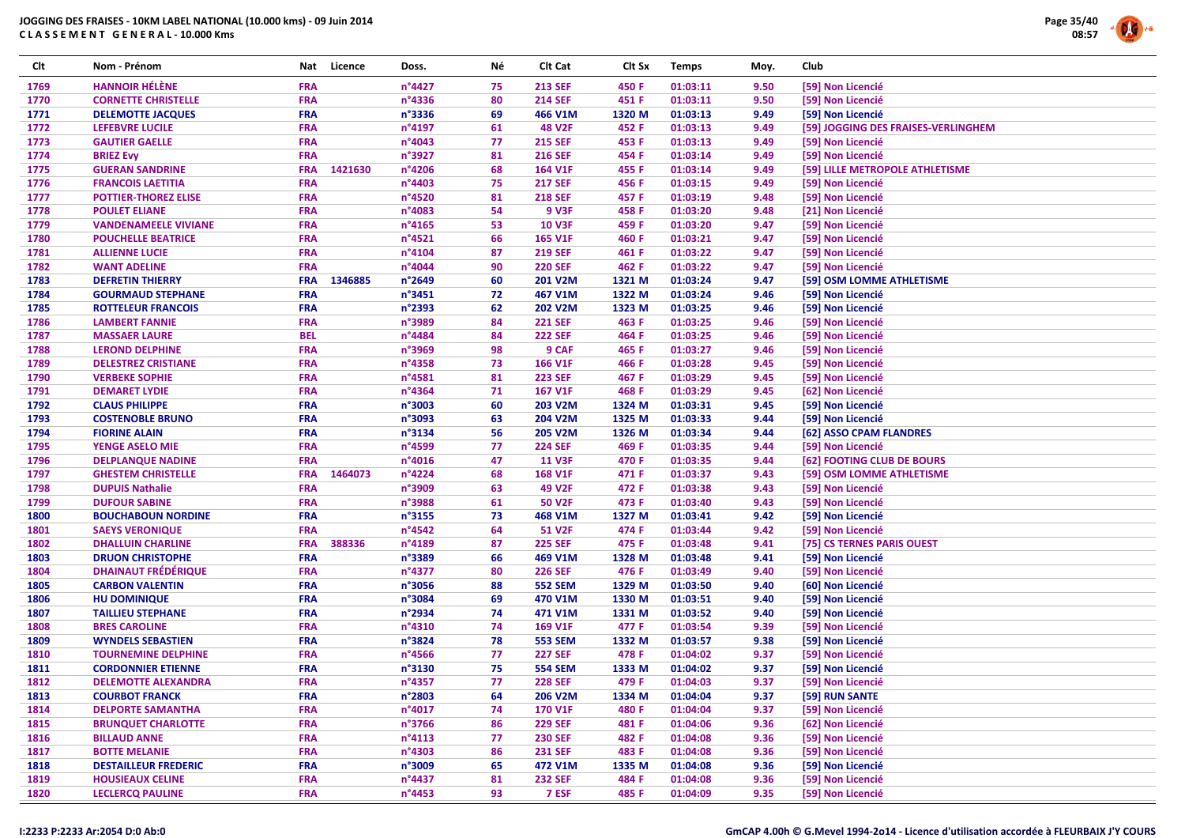

| Clt  | Nom - Prénom                | Nat        | Licence | Doss.            | Νé | Clt Cat        | Clt Sx | <b>Temps</b> | Moy. | Club                                |
|------|-----------------------------|------------|---------|------------------|----|----------------|--------|--------------|------|-------------------------------------|
| 1769 | <b>HANNOIR HÉLÈNE</b>       | <b>FRA</b> |         | n°4427           | 75 | <b>213 SEF</b> | 450 F  | 01:03:11     | 9.50 | [59] Non Licencié                   |
| 1770 | <b>CORNETTE CHRISTELLE</b>  | <b>FRA</b> |         | n°4336           | 80 | <b>214 SEF</b> | 451 F  | 01:03:11     | 9.50 | [59] Non Licencié                   |
| 1771 | <b>DELEMOTTE JACQUES</b>    | <b>FRA</b> |         | n°3336           | 69 | 466 V1M        | 1320 M | 01:03:13     | 9.49 | [59] Non Licencié                   |
| 1772 | LEFEBVRE LUCILE             | <b>FRA</b> |         | n°4197           | 61 | <b>48 V2F</b>  | 452 F  | 01:03:13     | 9.49 | [59] JOGGING DES FRAISES-VERLINGHEM |
| 1773 | <b>GAUTIER GAELLE</b>       | <b>FRA</b> |         | n°4043           | 77 | <b>215 SEF</b> | 453 F  | 01:03:13     | 9.49 | [59] Non Licencié                   |
| 1774 | <b>BRIEZ Evy</b>            | <b>FRA</b> |         | n°3927           | 81 | <b>216 SEF</b> | 454 F  | 01:03:14     | 9.49 | [59] Non Licencié                   |
| 1775 | <b>GUERAN SANDRINE</b>      | <b>FRA</b> | 1421630 | n°4206           | 68 | 164 V1F        | 455 F  | 01:03:14     | 9.49 | [59] LILLE METROPOLE ATHLETISME     |
| 1776 | <b>FRANCOIS LAETITIA</b>    | <b>FRA</b> |         | n°4403           | 75 | <b>217 SEF</b> | 456 F  | 01:03:15     | 9.49 | [59] Non Licencié                   |
| 1777 | <b>POTTIER-THOREZ ELISE</b> | <b>FRA</b> |         | n°4520           | 81 | <b>218 SEF</b> | 457 F  | 01:03:19     | 9.48 | [59] Non Licencié                   |
| 1778 | <b>POULET ELIANE</b>        | <b>FRA</b> |         | n°4083           | 54 | <b>9 V3F</b>   | 458 F  | 01:03:20     | 9.48 | [21] Non Licencié                   |
| 1779 | <b>VANDENAMEELE VIVIANE</b> | <b>FRA</b> |         | $n^{\circ}4165$  | 53 | <b>10 V3F</b>  | 459 F  | 01:03:20     | 9.47 | [59] Non Licencié                   |
| 1780 | <b>POUCHELLE BEATRICE</b>   | <b>FRA</b> |         | n°4521           | 66 | 165 V1F        | 460 F  | 01:03:21     | 9.47 | [59] Non Licencié                   |
| 1781 | <b>ALLIENNE LUCIE</b>       | <b>FRA</b> |         | n°4104           | 87 | <b>219 SEF</b> | 461 F  | 01:03:22     | 9.47 | [59] Non Licencié                   |
| 1782 | <b>WANT ADELINE</b>         | <b>FRA</b> |         | n°4044           | 90 | <b>220 SEF</b> | 462 F  | 01:03:22     | 9.47 | [59] Non Licencié                   |
| 1783 | <b>DEFRETIN THIERRY</b>     | <b>FRA</b> | 1346885 | n°2649           | 60 | 201 V2M        | 1321 M | 01:03:24     | 9.47 | [59] OSM LOMME ATHLETISME           |
| 1784 | <b>GOURMAUD STEPHANE</b>    | <b>FRA</b> |         | n°3451           | 72 | 467 V1M        | 1322 M | 01:03:24     | 9.46 | [59] Non Licencié                   |
| 1785 | <b>ROTTELEUR FRANCOIS</b>   | <b>FRA</b> |         | n°2393           | 62 | 202 V2M        | 1323 M | 01:03:25     | 9.46 | [59] Non Licencié                   |
| 1786 | <b>LAMBERT FANNIE</b>       | <b>FRA</b> |         | n°3989           | 84 | <b>221 SEF</b> | 463 F  | 01:03:25     | 9.46 | [59] Non Licencié                   |
| 1787 | <b>MASSAER LAURE</b>        | <b>BEL</b> |         | n°4484           | 84 | <b>222 SEF</b> | 464 F  | 01:03:25     | 9.46 | [59] Non Licencié                   |
|      |                             |            |         |                  |    |                |        |              |      |                                     |
| 1788 | <b>LEROND DELPHINE</b>      | <b>FRA</b> |         | n°3969           | 98 | 9 CAF          | 465 F  | 01:03:27     | 9.46 | [59] Non Licencié                   |
| 1789 | <b>DELESTREZ CRISTIANE</b>  | <b>FRA</b> |         | n°4358           | 73 | <b>166 V1F</b> | 466 F  | 01:03:28     | 9.45 | [59] Non Licencié                   |
| 1790 | <b>VERBEKE SOPHIE</b>       | <b>FRA</b> |         | n°4581           | 81 | <b>223 SEF</b> | 467 F  | 01:03:29     | 9.45 | [59] Non Licencié                   |
| 1791 | <b>DEMARET LYDIE</b>        | <b>FRA</b> |         | n°4364           | 71 | <b>167 V1F</b> | 468 F  | 01:03:29     | 9.45 | [62] Non Licencié                   |
| 1792 | <b>CLAUS PHILIPPE</b>       | <b>FRA</b> |         | n°3003           | 60 | 203 V2M        | 1324 M | 01:03:31     | 9.45 | [59] Non Licencié                   |
| 1793 | <b>COSTENOBLE BRUNO</b>     | <b>FRA</b> |         | n°3093           | 63 | 204 V2M        | 1325 M | 01:03:33     | 9.44 | [59] Non Licencié                   |
| 1794 | <b>FIORINE ALAIN</b>        | <b>FRA</b> |         | n°3134           | 56 | 205 V2M        | 1326 M | 01:03:34     | 9.44 | [62] ASSO CPAM FLANDRES             |
| 1795 | <b>YENGE ASELO MIE</b>      | <b>FRA</b> |         | n°4599           | 77 | <b>224 SEF</b> | 469 F  | 01:03:35     | 9.44 | [59] Non Licencié                   |
| 1796 | <b>DELPLANQUE NADINE</b>    | <b>FRA</b> |         | n°4016           | 47 | <b>11 V3F</b>  | 470 F  | 01:03:35     | 9.44 | [62] FOOTING CLUB DE BOURS          |
| 1797 | <b>GHESTEM CHRISTELLE</b>   | <b>FRA</b> | 1464073 | n°4224           | 68 | 168 V1F        | 471 F  | 01:03:37     | 9.43 | [59] OSM LOMME ATHLETISME           |
| 1798 | <b>DUPUIS Nathalie</b>      | <b>FRA</b> |         | n°3909           | 63 | 49 V2F         | 472 F  | 01:03:38     | 9.43 | [59] Non Licencié                   |
| 1799 | <b>DUFOUR SABINE</b>        | <b>FRA</b> |         | n°3988           | 61 | <b>50 V2F</b>  | 473 F  | 01:03:40     | 9.43 | [59] Non Licencié                   |
| 1800 | <b>BOUCHABOUN NORDINE</b>   | <b>FRA</b> |         | n°3155           | 73 | 468 V1M        | 1327 M | 01:03:41     | 9.42 | [59] Non Licencié                   |
| 1801 | <b>SAEYS VERONIQUE</b>      | <b>FRA</b> |         | n°4542           | 64 | <b>51 V2F</b>  | 474 F  | 01:03:44     | 9.42 | [59] Non Licencié                   |
| 1802 | <b>DHALLUIN CHARLINE</b>    | <b>FRA</b> | 388336  | n°4189           | 87 | <b>225 SEF</b> | 475 F  | 01:03:48     | 9.41 | [75] CS TERNES PARIS OUEST          |
| 1803 | <b>DRUON CHRISTOPHE</b>     | <b>FRA</b> |         | n°3389           | 66 | 469 V1M        | 1328 M | 01:03:48     | 9.41 | [59] Non Licencié                   |
| 1804 | <b>DHAINAUT FRÉDÉRIQUE</b>  | <b>FRA</b> |         | n°4377           | 80 | <b>226 SEF</b> | 476 F  | 01:03:49     | 9.40 | [59] Non Licencié                   |
| 1805 | <b>CARBON VALENTIN</b>      | <b>FRA</b> |         | n°3056           | 88 | <b>552 SEM</b> | 1329 M | 01:03:50     | 9.40 | [60] Non Licencié                   |
| 1806 | <b>HU DOMINIQUE</b>         | <b>FRA</b> |         | n°3084           | 69 | 470 V1M        | 1330 M | 01:03:51     | 9.40 | [59] Non Licencié                   |
| 1807 | <b>TAILLIEU STEPHANE</b>    | <b>FRA</b> |         | n°2934           | 74 | 471 V1M        | 1331 M | 01:03:52     | 9.40 | [59] Non Licencié                   |
| 1808 | <b>BRES CAROLINE</b>        | <b>FRA</b> |         | n°4310           | 74 | 169 V1F        | 477 F  | 01:03:54     | 9.39 | [59] Non Licencié                   |
| 1809 | <b>WYNDELS SEBASTIEN</b>    | <b>FRA</b> |         | n°3824           | 78 | <b>553 SEM</b> | 1332 M | 01:03:57     | 9.38 | [59] Non Licencié                   |
| 1810 | <b>TOURNEMINE DELPHINE</b>  | <b>FRA</b> |         | $n^{\circ}$ 4566 | 77 | <b>227 SEF</b> | 478 F  | 01:04:02     | 9.37 | [59] Non Licencié                   |
| 1811 | <b>CORDONNIER ETIENNE</b>   | <b>FRA</b> |         | n°3130           | 75 | <b>554 SEM</b> | 1333 M | 01:04:02     | 9.37 | [59] Non Licencié                   |
| 1812 | <b>DELEMOTTE ALEXANDRA</b>  | <b>FRA</b> |         | n°4357           | 77 | <b>228 SEF</b> | 479 F  | 01:04:03     | 9.37 | [59] Non Licencié                   |
| 1813 | <b>COURBOT FRANCK</b>       | <b>FRA</b> |         | n°2803           | 64 | 206 V2M        | 1334 M | 01:04:04     | 9.37 | [59] RUN SANTE                      |
| 1814 | <b>DELPORTE SAMANTHA</b>    | <b>FRA</b> |         | n°4017           | 74 | <b>170 V1F</b> | 480 F  | 01:04:04     | 9.37 | [59] Non Licencié                   |
| 1815 | <b>BRUNQUET CHARLOTTE</b>   | <b>FRA</b> |         | n°3766           | 86 | <b>229 SEF</b> | 481 F  | 01:04:06     | 9.36 | [62] Non Licencié                   |
| 1816 | <b>BILLAUD ANNE</b>         | <b>FRA</b> |         | $n^{\circ}4113$  | 77 | <b>230 SEF</b> | 482 F  | 01:04:08     | 9.36 | [59] Non Licencié                   |
| 1817 | <b>BOTTE MELANIE</b>        | <b>FRA</b> |         | n°4303           | 86 | <b>231 SEF</b> | 483 F  | 01:04:08     | 9.36 | [59] Non Licencié                   |
| 1818 | <b>DESTAILLEUR FREDERIC</b> | <b>FRA</b> |         | n°3009           | 65 | 472 V1M        | 1335 M | 01:04:08     | 9.36 | [59] Non Licencié                   |
| 1819 | <b>HOUSIEAUX CELINE</b>     | <b>FRA</b> |         | n°4437           | 81 | <b>232 SEF</b> | 484 F  | 01:04:08     | 9.36 | [59] Non Licencié                   |
| 1820 | <b>LECLERCQ PAULINE</b>     | <b>FRA</b> |         | $n^{\circ}$ 4453 | 93 | 7 ESF          | 485 F  | 01:04:09     | 9.35 | [59] Non Licencié                   |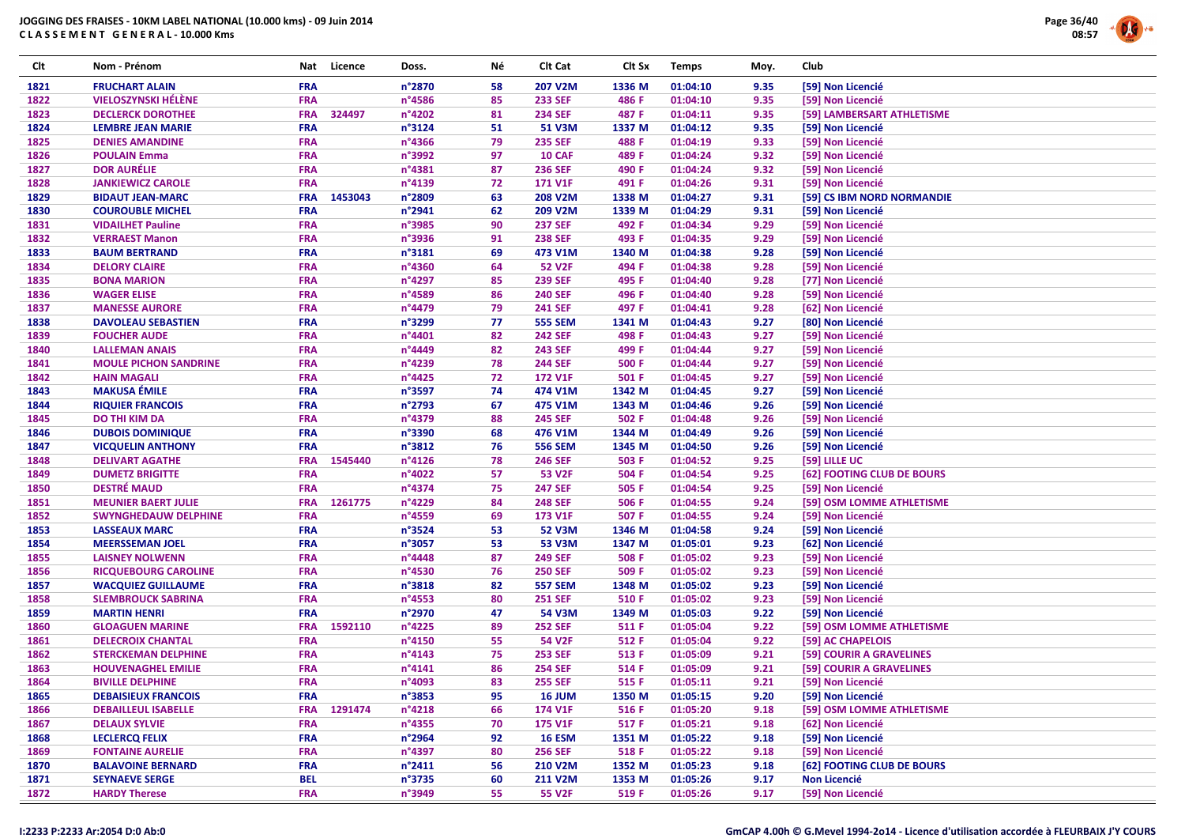

| Clt  | Nom - Prénom                 | Nat        | Licence | Doss.            | Νé | Clt Cat        | Clt Sx | <b>Temps</b> | Moy. | Club |                            |
|------|------------------------------|------------|---------|------------------|----|----------------|--------|--------------|------|------|----------------------------|
| 1821 | <b>FRUCHART ALAIN</b>        | <b>FRA</b> |         | n°2870           | 58 | 207 V2M        | 1336 M | 01:04:10     | 9.35 |      | [59] Non Licencié          |
| 1822 | <b>VIELOSZYNSKI HÉLÈNE</b>   | <b>FRA</b> |         | n°4586           | 85 | <b>233 SEF</b> | 486 F  | 01:04:10     | 9.35 |      | [59] Non Licencié          |
| 1823 | <b>DECLERCK DOROTHEE</b>     | <b>FRA</b> | 324497  | n°4202           | 81 | <b>234 SEF</b> | 487 F  | 01:04:11     | 9.35 |      | [59] LAMBERSART ATHLETISME |
| 1824 | <b>LEMBRE JEAN MARIE</b>     | <b>FRA</b> |         | n°3124           | 51 | <b>51 V3M</b>  | 1337 M | 01:04:12     | 9.35 |      | [59] Non Licencié          |
| 1825 | <b>DENIES AMANDINE</b>       | <b>FRA</b> |         | n°4366           | 79 | <b>235 SEF</b> | 488 F  | 01:04:19     | 9.33 |      | [59] Non Licencié          |
| 1826 | <b>POULAIN Emma</b>          | <b>FRA</b> |         | n°3992           | 97 | <b>10 CAF</b>  | 489 F  | 01:04:24     | 9.32 |      | [59] Non Licencié          |
| 1827 | <b>DOR AURÉLIE</b>           | <b>FRA</b> |         | n°4381           | 87 | <b>236 SEF</b> | 490 F  | 01:04:24     | 9.32 |      | [59] Non Licencié          |
| 1828 | <b>JANKIEWICZ CAROLE</b>     | <b>FRA</b> |         | n°4139           | 72 | <b>171 V1F</b> | 491 F  | 01:04:26     | 9.31 |      | [59] Non Licencié          |
| 1829 | <b>BIDAUT JEAN-MARC</b>      | <b>FRA</b> | 1453043 | n°2809           | 63 | 208 V2M        | 1338 M | 01:04:27     | 9.31 |      | [59] CS IBM NORD NORMANDIE |
| 1830 | <b>COUROUBLE MICHEL</b>      | <b>FRA</b> |         | n°2941           | 62 | 209 V2M        | 1339 M | 01:04:29     | 9.31 |      | [59] Non Licencié          |
| 1831 | <b>VIDAILHET Pauline</b>     | <b>FRA</b> |         | n°3985           | 90 | <b>237 SEF</b> | 492 F  | 01:04:34     | 9.29 |      | [59] Non Licencié          |
| 1832 | <b>VERRAEST Manon</b>        | <b>FRA</b> |         | n°3936           | 91 | <b>238 SEF</b> | 493 F  | 01:04:35     | 9.29 |      | [59] Non Licencié          |
| 1833 | <b>BAUM BERTRAND</b>         | <b>FRA</b> |         | n°3181           | 69 | 473 V1M        | 1340 M | 01:04:38     | 9.28 |      | [59] Non Licencié          |
| 1834 | <b>DELORY CLAIRE</b>         | <b>FRA</b> |         | n°4360           | 64 | <b>52 V2F</b>  | 494 F  | 01:04:38     | 9.28 |      | [59] Non Licencié          |
| 1835 | <b>BONA MARION</b>           | <b>FRA</b> |         | n°4297           | 85 | <b>239 SEF</b> | 495 F  | 01:04:40     | 9.28 |      | [77] Non Licencié          |
| 1836 | <b>WAGER ELISE</b>           | <b>FRA</b> |         | n°4589           | 86 | <b>240 SEF</b> | 496 F  | 01:04:40     | 9.28 |      | [59] Non Licencié          |
| 1837 | <b>MANESSE AURORE</b>        | <b>FRA</b> |         | n°4479           | 79 | <b>241 SEF</b> | 497 F  | 01:04:41     | 9.28 |      | [62] Non Licencié          |
| 1838 | <b>DAVOLEAU SEBASTIEN</b>    | <b>FRA</b> |         | n°3299           | 77 | <b>555 SEM</b> | 1341 M | 01:04:43     | 9.27 |      | [80] Non Licencié          |
| 1839 | <b>FOUCHER AUDE</b>          | <b>FRA</b> |         | n°4401           | 82 | <b>242 SEF</b> | 498 F  | 01:04:43     | 9.27 |      | [59] Non Licencié          |
| 1840 | <b>LALLEMAN ANAIS</b>        | <b>FRA</b> |         | n°4449           | 82 | <b>243 SEF</b> | 499 F  | 01:04:44     | 9.27 |      | [59] Non Licencié          |
| 1841 | <b>MOULE PICHON SANDRINE</b> | <b>FRA</b> |         | n°4239           | 78 | <b>244 SEF</b> | 500 F  | 01:04:44     | 9.27 |      | [59] Non Licencié          |
| 1842 | <b>HAIN MAGALI</b>           | <b>FRA</b> |         | n°4425           | 72 | <b>172 V1F</b> | 501 F  | 01:04:45     | 9.27 |      | [59] Non Licencié          |
| 1843 | <b>MAKUSA ÉMILE</b>          | <b>FRA</b> |         | n°3597           | 74 | 474 V1M        | 1342 M | 01:04:45     | 9.27 |      | [59] Non Licencié          |
| 1844 | <b>RIQUIER FRANCOIS</b>      | <b>FRA</b> |         | n°2793           | 67 | 475 V1M        | 1343 M | 01:04:46     | 9.26 |      | [59] Non Licencié          |
| 1845 | <b>DO THI KIM DA</b>         | <b>FRA</b> |         | n°4379           | 88 | <b>245 SEF</b> | 502 F  | 01:04:48     | 9.26 |      | [59] Non Licencié          |
| 1846 | <b>DUBOIS DOMINIQUE</b>      | <b>FRA</b> |         | n°3390           | 68 | 476 V1M        | 1344 M | 01:04:49     | 9.26 |      | [59] Non Licencié          |
| 1847 | <b>VICQUELIN ANTHONY</b>     | <b>FRA</b> |         | n°3812           | 76 | <b>556 SEM</b> | 1345 M | 01:04:50     | 9.26 |      | [59] Non Licencié          |
| 1848 | <b>DELIVART AGATHE</b>       | <b>FRA</b> | 1545440 | n°4126           | 78 | <b>246 SEF</b> | 503 F  | 01:04:52     | 9.25 |      | [59] LILLE UC              |
| 1849 | <b>DUMETZ BRIGITTE</b>       | <b>FRA</b> |         | n°4022           | 57 | <b>53 V2F</b>  | 504 F  | 01:04:54     | 9.25 |      | [62] FOOTING CLUB DE BOURS |
| 1850 | <b>DESTRÉ MAUD</b>           | <b>FRA</b> |         | n°4374           | 75 | <b>247 SEF</b> | 505 F  | 01:04:54     | 9.25 |      | [59] Non Licencié          |
| 1851 | <b>MEUNIER BAERT JULIE</b>   | <b>FRA</b> | 1261775 | n°4229           | 84 | <b>248 SEF</b> | 506 F  | 01:04:55     | 9.24 |      | [59] OSM LOMME ATHLETISME  |
| 1852 | <b>SWYNGHEDAUW DELPHINE</b>  | <b>FRA</b> |         | n°4559           | 69 | 173 V1F        | 507 F  | 01:04:55     | 9.24 |      | [59] Non Licencié          |
| 1853 | <b>LASSEAUX MARC</b>         | <b>FRA</b> |         | n°3524           | 53 | <b>52 V3M</b>  | 1346 M | 01:04:58     | 9.24 |      | [59] Non Licencié          |
| 1854 | <b>MEERSSEMAN JOEL</b>       | <b>FRA</b> |         | n°3057           | 53 | <b>53 V3M</b>  | 1347 M | 01:05:01     | 9.23 |      | [62] Non Licencié          |
| 1855 | <b>LAISNEY NOLWENN</b>       | <b>FRA</b> |         | n°4448           | 87 | <b>249 SEF</b> | 508 F  | 01:05:02     | 9.23 |      | [59] Non Licencié          |
| 1856 | <b>RICQUEBOURG CAROLINE</b>  | <b>FRA</b> |         | n°4530           | 76 | <b>250 SEF</b> | 509 F  | 01:05:02     | 9.23 |      | [59] Non Licencié          |
| 1857 | <b>WACQUIEZ GUILLAUME</b>    | <b>FRA</b> |         | n°3818           | 82 | <b>557 SEM</b> | 1348 M | 01:05:02     | 9.23 |      | [59] Non Licencié          |
| 1858 | <b>SLEMBROUCK SABRINA</b>    | <b>FRA</b> |         | n°4553           | 80 | <b>251 SEF</b> | 510 F  | 01:05:02     | 9.23 |      | [59] Non Licencié          |
| 1859 | <b>MARTIN HENRI</b>          | <b>FRA</b> |         | n°2970           | 47 | <b>54 V3M</b>  | 1349 M | 01:05:03     | 9.22 |      | [59] Non Licencié          |
| 1860 | <b>GLOAGUEN MARINE</b>       | <b>FRA</b> | 1592110 | n°4225           | 89 | <b>252 SEF</b> | 511 F  | 01:05:04     | 9.22 |      | [59] OSM LOMME ATHLETISME  |
| 1861 | <b>DELECROIX CHANTAL</b>     | <b>FRA</b> |         | n°4150           | 55 | <b>54 V2F</b>  | 512 F  | 01:05:04     | 9.22 |      | [59] AC CHAPELOIS          |
| 1862 | <b>STERCKEMAN DELPHINE</b>   | <b>FRA</b> |         | n°4143           | 75 | <b>253 SEF</b> | 513 F  | 01:05:09     | 9.21 |      | [59] COURIR A GRAVELINES   |
| 1863 | <b>HOUVENAGHEL EMILIE</b>    | <b>FRA</b> |         | n°4141           | 86 | <b>254 SEF</b> | 514 F  | 01:05:09     | 9.21 |      | [59] COURIR A GRAVELINES   |
| 1864 | <b>BIVILLE DELPHINE</b>      | <b>FRA</b> |         | n°4093           | 83 | <b>255 SEF</b> | 515 F  | 01:05:11     | 9.21 |      | [59] Non Licencié          |
| 1865 | <b>DEBAISIEUX FRANCOIS</b>   | <b>FRA</b> |         | n°3853           | 95 | <b>16 JUM</b>  | 1350 M | 01:05:15     | 9.20 |      | [59] Non Licencié          |
| 1866 | <b>DEBAILLEUL ISABELLE</b>   | <b>FRA</b> | 1291474 | n°4218           | 66 | 174 V1F        | 516 F  | 01:05:20     | 9.18 |      | [59] OSM LOMME ATHLETISME  |
| 1867 | <b>DELAUX SYLVIE</b>         | <b>FRA</b> |         | n°4355           | 70 | <b>175 V1F</b> | 517 F  | 01:05:21     | 9.18 |      | [62] Non Licencié          |
| 1868 | <b>LECLERCQ FELIX</b>        | <b>FRA</b> |         | n°2964           | 92 | <b>16 ESM</b>  | 1351 M | 01:05:22     | 9.18 |      | [59] Non Licencié          |
| 1869 | <b>FONTAINE AURELIE</b>      | <b>FRA</b> |         | n°4397           | 80 | <b>256 SEF</b> | 518 F  | 01:05:22     | 9.18 |      | [59] Non Licencié          |
| 1870 | <b>BALAVOINE BERNARD</b>     | <b>FRA</b> |         | $n^{\circ}$ 2411 | 56 | 210 V2M        | 1352 M | 01:05:23     | 9.18 |      | [62] FOOTING CLUB DE BOURS |
| 1871 | <b>SEYNAEVE SERGE</b>        | <b>BEL</b> |         | n°3735           | 60 | 211 V2M        | 1353 M | 01:05:26     | 9.17 |      | Non Licencié               |
| 1872 | <b>HARDY Therese</b>         | <b>FRA</b> |         | n°3949           | 55 | <b>55 V2F</b>  | 519 F  | 01:05:26     | 9.17 |      | [59] Non Licencié          |
|      |                              |            |         |                  |    |                |        |              |      |      |                            |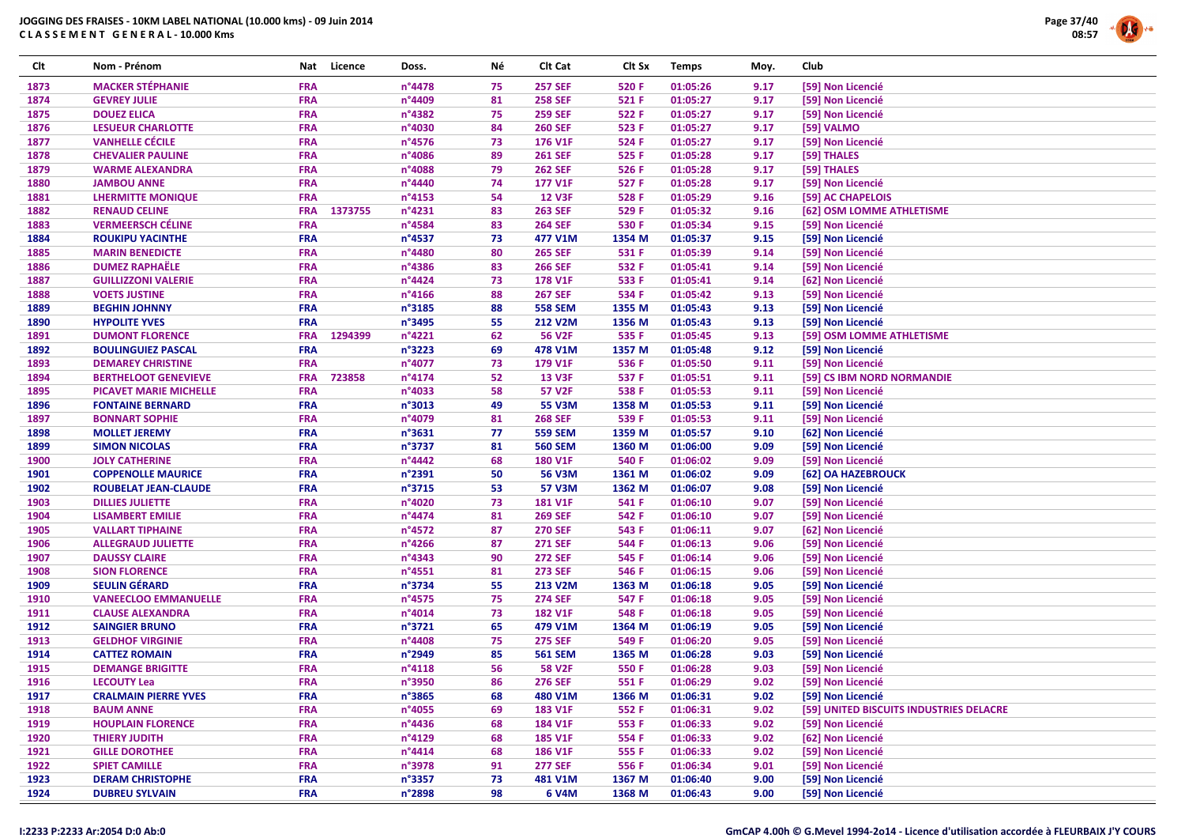

| Clt          | Nom - Prénom                                             | Nat                      | Licence | Doss.                      | Νé       | Clt Cat                         | Clt Sx           | <b>Temps</b>         | Moy.         | Club                                    |
|--------------|----------------------------------------------------------|--------------------------|---------|----------------------------|----------|---------------------------------|------------------|----------------------|--------------|-----------------------------------------|
| 1873         | <b>MACKER STÉPHANIE</b>                                  | <b>FRA</b>               |         | n°4478                     | 75       | <b>257 SEF</b>                  | 520 F            | 01:05:26             | 9.17         | [59] Non Licencié                       |
| 1874         | <b>GEVREY JULIE</b>                                      | <b>FRA</b>               |         | n°4409                     | 81       | <b>258 SEF</b>                  | 521 F            | 01:05:27             | 9.17         | [59] Non Licencié                       |
| 1875         | <b>DOUEZ ELICA</b>                                       | <b>FRA</b>               |         | n°4382                     | 75       | <b>259 SEF</b>                  | 522 F            | 01:05:27             | 9.17         | [59] Non Licencié                       |
| 1876         | <b>LESUEUR CHARLOTTE</b>                                 | <b>FRA</b>               |         | n°4030                     | 84       | <b>260 SEF</b>                  | 523 F            | 01:05:27             | 9.17         | [59] VALMO                              |
| 1877         | <b>VANHELLE CÉCILE</b>                                   | <b>FRA</b>               |         | n°4576                     | 73       | 176 V1F                         | 524 F            | 01:05:27             | 9.17         | [59] Non Licencié                       |
| 1878         | <b>CHEVALIER PAULINE</b>                                 | <b>FRA</b>               |         | n°4086                     | 89       | <b>261 SEF</b>                  | 525 F            | 01:05:28             | 9.17         | [59] THALES                             |
| 1879         | <b>WARME ALEXANDRA</b>                                   | <b>FRA</b>               |         | n°4088                     | 79       | <b>262 SEF</b>                  | 526 F            | 01:05:28             | 9.17         | [59] THALES                             |
| 1880         | <b>JAMBOU ANNE</b>                                       | <b>FRA</b>               |         | n°4440                     | 74       | 177 V1F                         | 527 F            | 01:05:28             | 9.17         | [59] Non Licencié                       |
| 1881         | <b>LHERMITTE MONIQUE</b>                                 | <b>FRA</b>               |         | $n^{\circ}4153$            | 54       | <b>12 V3F</b>                   | 528 F            | 01:05:29             | 9.16         | [59] AC CHAPELOIS                       |
| 1882         | <b>RENAUD CELINE</b>                                     | <b>FRA</b>               | 1373755 | n°4231                     | 83       | <b>263 SEF</b>                  | 529 F            | 01:05:32             | 9.16         | [62] OSM LOMME ATHLETISME               |
| 1883         | <b>VERMEERSCH CÉLINE</b>                                 | <b>FRA</b>               |         | n°4584                     | 83       | <b>264 SEF</b>                  | 530 F            | 01:05:34             | 9.15         | [59] Non Licencié                       |
| 1884         | <b>ROUKIPU YACINTHE</b>                                  | <b>FRA</b>               |         | $n^{\circ}$ 4537           | 73       | 477 V1M                         | 1354 M           | 01:05:37             | 9.15         | [59] Non Licencié                       |
| 1885         | <b>MARIN BENEDICTE</b>                                   | <b>FRA</b>               |         | n°4480                     | 80       | <b>265 SEF</b>                  | 531 F            | 01:05:39             | 9.14         | [59] Non Licencié                       |
| 1886         | <b>DUMEZ RAPHAËLE</b>                                    | <b>FRA</b>               |         | n°4386                     | 83       | <b>266 SEF</b>                  | 532 F            | 01:05:41             | 9.14         | [59] Non Licencié                       |
| 1887         | <b>GUILLIZZONI VALERIE</b>                               | <b>FRA</b>               |         | n°4424                     | 73       | 178 V1F                         | 533 F            | 01:05:41             | 9.14         | [62] Non Licencié                       |
| 1888         | <b>VOETS JUSTINE</b>                                     | <b>FRA</b>               |         | n°4166                     | 88       | <b>267 SEF</b>                  | 534 F            | 01:05:42             | 9.13         | [59] Non Licencié                       |
| 1889         | <b>BEGHIN JOHNNY</b>                                     | <b>FRA</b>               |         | n°3185                     | 88       | <b>558 SEM</b>                  | 1355 M           | 01:05:43             | 9.13         | [59] Non Licencié                       |
| 1890         | <b>HYPOLITE YVES</b>                                     | <b>FRA</b>               |         | n°3495                     | 55       | <b>212 V2M</b>                  | 1356 M           | 01:05:43             | 9.13         | [59] Non Licencié                       |
| 1891         | <b>DUMONT FLORENCE</b>                                   | <b>FRA</b>               | 1294399 | n°4221                     | 62       | <b>56 V2F</b>                   | 535 F            | 01:05:45             | 9.13         | [59] OSM LOMME ATHLETISME               |
| 1892         | <b>BOULINGUIEZ PASCAL</b>                                | <b>FRA</b>               |         | $n^{\circ}3223$            | 69       | 478 V1M                         | 1357 M           | 01:05:48             | 9.12         | [59] Non Licencié                       |
| 1893         | <b>DEMAREY CHRISTINE</b>                                 | <b>FRA</b>               |         | n°4077                     | 73       | 179 V1F                         | 536 F            | 01:05:50             | 9.11         | [59] Non Licencié                       |
| 1894         | <b>BERTHELOOT GENEVIEVE</b>                              | <b>FRA</b>               | 723858  | $n^{\circ}4174$            | 52       | <b>13 V3F</b>                   | 537 F            | 01:05:51             | 9.11         | [59] CS IBM NORD NORMANDIE              |
| 1895         | <b>PICAVET MARIE MICHELLE</b>                            | <b>FRA</b>               |         | n°4033                     | 58       | 57 V2F                          | 538 F            | 01:05:53             | 9.11         | [59] Non Licencié                       |
| 1896         | <b>FONTAINE BERNARD</b>                                  | <b>FRA</b>               |         | $n^{\circ}3013$            | 49       | 55 V3M                          | 1358 M           | 01:05:53             | 9.11         | [59] Non Licencié                       |
| 1897         | <b>BONNART SOPHIE</b>                                    | <b>FRA</b>               |         | n°4079                     | 81       | <b>268 SEF</b>                  | 539 F            | 01:05:53             | 9.11         | [59] Non Licencié                       |
| 1898         |                                                          | <b>FRA</b>               |         | $n^{\circ}3631$            | 77       | <b>559 SEM</b>                  | 1359 M           | 01:05:57             | 9.10         | [62] Non Licencié                       |
| 1899         | <b>MOLLET JEREMY</b><br><b>SIMON NICOLAS</b>             | <b>FRA</b>               |         | n°3737                     | 81       | <b>560 SEM</b>                  | 1360 M           | 01:06:00             | 9.09         | [59] Non Licencié                       |
| 1900         | <b>JOLY CATHERINE</b>                                    | <b>FRA</b>               |         | n°4442                     | 68       | <b>180 V1F</b>                  | 540 F            | 01:06:02             | 9.09         |                                         |
|              |                                                          | <b>FRA</b>               |         |                            | 50       |                                 |                  | 01:06:02             |              | [59] Non Licencié                       |
| 1901<br>1902 | <b>COPPENOLLE MAURICE</b><br><b>ROUBELAT JEAN-CLAUDE</b> | <b>FRA</b>               |         | n°2391<br>n°3715           | 53       | 56 V3M<br>57 V3M                | 1361 M<br>1362 M | 01:06:07             | 9.09<br>9.08 | [62] OA HAZEBROUCK<br>[59] Non Licencié |
| 1903         | <b>DILLIES JULIETTE</b>                                  | <b>FRA</b>               |         | n°4020                     | 73       | <b>181 V1F</b>                  | 541 F            | 01:06:10             | 9.07         | [59] Non Licencié                       |
| 1904         |                                                          | <b>FRA</b>               |         | n°4474                     | 81       | <b>269 SEF</b>                  | 542 F            | 01:06:10             | 9.07         | [59] Non Licencié                       |
| 1905         | <b>LISAMBERT EMILIE</b><br><b>VALLART TIPHAINE</b>       | <b>FRA</b>               |         | n°4572                     | 87       | <b>270 SEF</b>                  | 543 F            | 01:06:11             | 9.07         | [62] Non Licencié                       |
| 1906         |                                                          | <b>FRA</b>               |         | $n^{\circ}$ 4266           | 87       | <b>271 SEF</b>                  | 544 F            | 01:06:13             | 9.06         | [59] Non Licencié                       |
| 1907         | <b>ALLEGRAUD JULIETTE</b><br><b>DAUSSY CLAIRE</b>        | <b>FRA</b>               |         | n°4343                     | 90       | <b>272 SEF</b>                  | 545 F            | 01:06:14             | 9.06         | [59] Non Licencié                       |
| 1908         | <b>SION FLORENCE</b>                                     | <b>FRA</b>               |         | n°4551                     | 81       | <b>273 SEF</b>                  | 546 F            | 01:06:15             | 9.06         |                                         |
| 1909         | <b>SEULIN GÉRARD</b>                                     | <b>FRA</b>               |         | n°3734                     | 55       | 213 V2M                         | 1363 M           | 01:06:18             | 9.05         | [59] Non Licencié<br>[59] Non Licencié  |
| 1910         | <b>VANEECLOO EMMANUELLE</b>                              | <b>FRA</b>               |         | $n^{\circ}$ 4575           | 75       | <b>274 SEF</b>                  | 547 F            | 01:06:18             | 9.05         | [59] Non Licencié                       |
| 1911         | <b>CLAUSE ALEXANDRA</b>                                  | <b>FRA</b>               |         | n°4014                     | 73       | <b>182 V1F</b>                  | 548 F            | 01:06:18             | 9.05         | [59] Non Licencié                       |
| 1912         |                                                          | <b>FRA</b>               |         | $n^{\circ}3721$            | 65       | 479 V1M                         |                  | 01:06:19             | 9.05         | [59] Non Licencié                       |
| 1913         | <b>SAINGIER BRUNO</b><br><b>GELDHOF VIRGINIE</b>         | <b>FRA</b>               |         | n°4408                     | 75       | <b>275 SEF</b>                  | 1364 M<br>549 F  | 01:06:20             | 9.05         |                                         |
| 1914         | <b>CATTEZ ROMAIN</b>                                     | <b>FRA</b>               |         |                            | 85       | <b>561 SEM</b>                  | 1365 M           |                      | 9.03         | [59] Non Licencié                       |
|              |                                                          | <b>FRA</b>               |         | n°2949                     |          |                                 |                  | 01:06:28             |              | [59] Non Licencié                       |
| 1915<br>1916 | <b>DEMANGE BRIGITTE</b><br><b>LECOUTY Lea</b>            | <b>FRA</b>               |         | $n^{\circ}4118$<br>n°3950  | 56<br>86 | <b>58 V2F</b><br><b>276 SEF</b> | 550 F<br>551 F   | 01:06:28<br>01:06:29 | 9.03<br>9.02 | [59] Non Licencié                       |
|              |                                                          |                          |         |                            |          |                                 |                  |                      |              | [59] Non Licencié                       |
| 1917         | <b>CRALMAIN PIERRE YVES</b>                              | <b>FRA</b>               |         | n°3865                     | 68       | 480 V1M                         | 1366 M           | 01:06:31             | 9.02         | [59] Non Licencié                       |
| 1918         | <b>BAUM ANNE</b>                                         | <b>FRA</b>               |         | n°4055                     | 69       | 183 V1F                         | 552 F            | 01:06:31             | 9.02         | [59] UNITED BISCUITS INDUSTRIES DELACRE |
| 1919<br>1920 | <b>HOUPLAIN FLORENCE</b><br><b>THIERY JUDITH</b>         | <b>FRA</b><br><b>FRA</b> |         | $n^{\circ}$ 4436<br>n°4129 | 68<br>68 | 184 V1F<br><b>185 V1F</b>       | 553 F<br>554 F   | 01:06:33<br>01:06:33 | 9.02<br>9.02 | [59] Non Licencié<br>[62] Non Licencié  |
| 1921         | <b>GILLE DOROTHEE</b>                                    | <b>FRA</b>               |         | $n^{\circ}4414$            | 68       | 186 V1F                         | 555 F            | 01:06:33             | 9.02         | [59] Non Licencié                       |
| 1922         | <b>SPIET CAMILLE</b>                                     | <b>FRA</b>               |         | n°3978                     | 91       | <b>277 SEF</b>                  | 556 F            | 01:06:34             | 9.01         | [59] Non Licencié                       |
| 1923         | <b>DERAM CHRISTOPHE</b>                                  | <b>FRA</b>               |         | n°3357                     | 73       | 481 V1M                         | 1367 M           | 01:06:40             | 9.00         | [59] Non Licencié                       |
| 1924         | <b>DUBREU SYLVAIN</b>                                    | <b>FRA</b>               |         | n°2898                     | 98       | 6 V4M                           | 1368 M           | 01:06:43             | 9.00         | [59] Non Licencié                       |
|              |                                                          |                          |         |                            |          |                                 |                  |                      |              |                                         |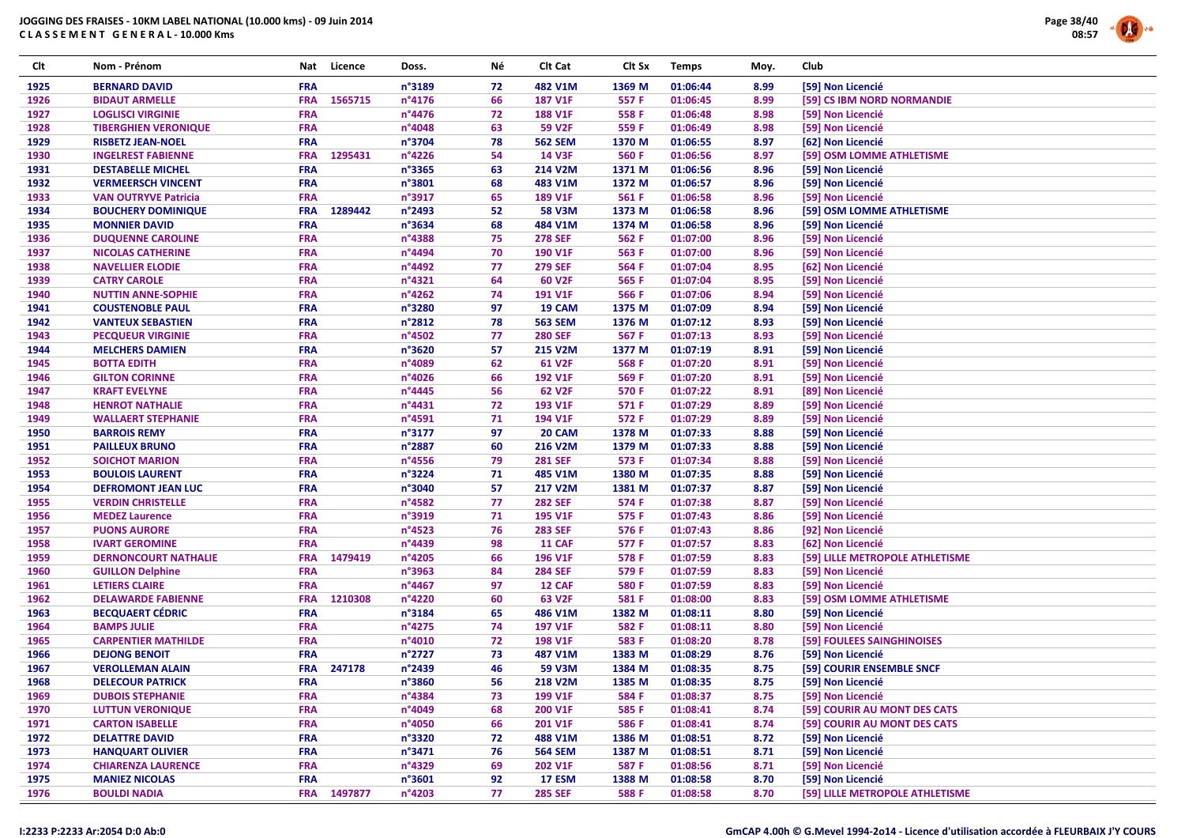

| Clt  | Nom - Prénom                | Nat        | Licence     | Doss.  | Νé | Clt Cat        | Clt Sx | <b>Temps</b> | Moy. | Club                            |
|------|-----------------------------|------------|-------------|--------|----|----------------|--------|--------------|------|---------------------------------|
| 1925 | <b>BERNARD DAVID</b>        | <b>FRA</b> |             | n°3189 | 72 | 482 V1M        | 1369 M | 01:06:44     | 8.99 | [59] Non Licencié               |
| 1926 | <b>BIDAUT ARMELLE</b>       | <b>FRA</b> | 1565715     | n°4176 | 66 | <b>187 V1F</b> | 557 F  | 01:06:45     | 8.99 | [59] CS IBM NORD NORMANDIE      |
| 1927 | <b>LOGLISCI VIRGINIE</b>    | <b>FRA</b> |             | n°4476 | 72 | <b>188 V1F</b> | 558 F  | 01:06:48     | 8.98 | [59] Non Licencié               |
| 1928 | <b>TIBERGHIEN VERONIQUE</b> | <b>FRA</b> |             | n°4048 | 63 | <b>59 V2F</b>  | 559 F  | 01:06:49     | 8.98 | [59] Non Licencié               |
| 1929 | <b>RISBETZ JEAN-NOEL</b>    | <b>FRA</b> |             | n°3704 | 78 | <b>562 SEM</b> | 1370 M | 01:06:55     | 8.97 | [62] Non Licencié               |
| 1930 | <b>INGELREST FABIENNE</b>   | <b>FRA</b> | 1295431     | n°4226 | 54 | <b>14 V3F</b>  | 560 F  | 01:06:56     | 8.97 | [59] OSM LOMME ATHLETISME       |
| 1931 | <b>DESTABELLE MICHEL</b>    | <b>FRA</b> |             | n°3365 | 63 | 214 V2M        | 1371 M | 01:06:56     | 8.96 | [59] Non Licencié               |
| 1932 | <b>VERMEERSCH VINCENT</b>   | <b>FRA</b> |             | n°3801 | 68 | 483 V1M        | 1372 M | 01:06:57     | 8.96 | [59] Non Licencié               |
| 1933 | <b>VAN OUTRYVE Patricia</b> | <b>FRA</b> |             | n°3917 | 65 | 189 V1F        | 561 F  | 01:06:58     | 8.96 | [59] Non Licencié               |
| 1934 | <b>BOUCHERY DOMINIQUE</b>   | <b>FRA</b> | 1289442     | n°2493 | 52 | <b>58 V3M</b>  | 1373 M | 01:06:58     | 8.96 | [59] OSM LOMME ATHLETISME       |
| 1935 | <b>MONNIER DAVID</b>        | <b>FRA</b> |             | n°3634 | 68 | 484 V1M        | 1374 M | 01:06:58     | 8.96 | [59] Non Licencié               |
| 1936 | <b>DUQUENNE CAROLINE</b>    | <b>FRA</b> |             | n°4388 | 75 | <b>278 SEF</b> | 562 F  | 01:07:00     | 8.96 | [59] Non Licencié               |
| 1937 | <b>NICOLAS CATHERINE</b>    | <b>FRA</b> |             | n°4494 | 70 | 190 V1F        | 563 F  | 01:07:00     | 8.96 | [59] Non Licencié               |
| 1938 | <b>NAVELLIER ELODIE</b>     | <b>FRA</b> |             | n°4492 | 77 | <b>279 SEF</b> | 564 F  | 01:07:04     | 8.95 | [62] Non Licencié               |
| 1939 | <b>CATRY CAROLE</b>         | <b>FRA</b> |             | n°4321 | 64 | 60 V2F         | 565 F  | 01:07:04     | 8.95 | [59] Non Licencié               |
| 1940 | <b>NUTTIN ANNE-SOPHIE</b>   | <b>FRA</b> |             | n°4262 | 74 | <b>191 V1F</b> | 566 F  | 01:07:06     | 8.94 | [59] Non Licencié               |
| 1941 | <b>COUSTENOBLE PAUL</b>     | <b>FRA</b> |             | n°3280 | 97 | 19 CAM         | 1375 M | 01:07:09     | 8.94 | [59] Non Licencié               |
| 1942 | <b>VANTEUX SEBASTIEN</b>    | <b>FRA</b> |             | n°2812 | 78 | <b>563 SEM</b> | 1376 M | 01:07:12     | 8.93 | [59] Non Licencié               |
| 1943 | <b>PECQUEUR VIRGINIE</b>    | <b>FRA</b> |             | n°4502 | 77 | <b>280 SEF</b> | 567 F  | 01:07:13     | 8.93 | [59] Non Licencié               |
| 1944 | <b>MELCHERS DAMIEN</b>      | <b>FRA</b> |             | n°3620 | 57 | <b>215 V2M</b> | 1377 M | 01:07:19     | 8.91 | [59] Non Licencié               |
| 1945 | <b>BOTTA EDITH</b>          | <b>FRA</b> |             | n°4089 | 62 | 61 V2F         | 568 F  | 01:07:20     | 8.91 | [59] Non Licencié               |
| 1946 | <b>GILTON CORINNE</b>       | <b>FRA</b> |             | n°4026 | 66 | 192 V1F        | 569 F  | 01:07:20     | 8.91 | [59] Non Licencié               |
| 1947 | <b>KRAFT EVELYNE</b>        | <b>FRA</b> |             | n°4445 | 56 | 62 V2F         | 570 F  | 01:07:22     | 8.91 | [89] Non Licencié               |
| 1948 | <b>HENROT NATHALIE</b>      | <b>FRA</b> |             | n°4431 | 72 | 193 V1F        | 571 F  | 01:07:29     | 8.89 | [59] Non Licencié               |
| 1949 | <b>WALLAERT STEPHANIE</b>   | <b>FRA</b> |             | n°4591 | 71 | 194 V1F        | 572 F  | 01:07:29     | 8.89 | [59] Non Licencié               |
| 1950 | <b>BARROIS REMY</b>         | <b>FRA</b> |             | n°3177 | 97 | 20 CAM         | 1378 M | 01:07:33     | 8.88 | [59] Non Licencié               |
| 1951 | <b>PAILLEUX BRUNO</b>       | <b>FRA</b> |             | n°2887 | 60 | 216 V2M        | 1379 M | 01:07:33     | 8.88 | [59] Non Licencié               |
| 1952 | <b>SOICHOT MARION</b>       | <b>FRA</b> |             | n°4556 | 79 | <b>281 SEF</b> | 573 F  | 01:07:34     | 8.88 | [59] Non Licencié               |
| 1953 | <b>BOULOIS LAURENT</b>      | <b>FRA</b> |             | n°3224 | 71 | 485 V1M        | 1380 M | 01:07:35     | 8.88 | [59] Non Licencié               |
| 1954 | <b>DEFROMONT JEAN LUC</b>   | <b>FRA</b> |             | n°3040 | 57 | 217 V2M        | 1381 M | 01:07:37     | 8.87 | [59] Non Licencié               |
| 1955 | <b>VERDIN CHRISTELLE</b>    | <b>FRA</b> |             | n°4582 | 77 | <b>282 SEF</b> | 574 F  | 01:07:38     | 8.87 | [59] Non Licencié               |
| 1956 | <b>MEDEZ Laurence</b>       | <b>FRA</b> |             | n°3919 | 71 | 195 V1F        | 575 F  | 01:07:43     | 8.86 | [59] Non Licencié               |
| 1957 | <b>PUONS AURORE</b>         | <b>FRA</b> |             | n°4523 | 76 | <b>283 SEF</b> | 576 F  | 01:07:43     | 8.86 | [92] Non Licencié               |
| 1958 | <b>IVART GEROMINE</b>       | <b>FRA</b> |             | n°4439 | 98 | <b>11 CAF</b>  | 577 F  | 01:07:57     | 8.83 | [62] Non Licencié               |
| 1959 | <b>DERNONCOURT NATHALIE</b> | <b>FRA</b> | 1479419     | n°4205 | 66 | 196 V1F        | 578 F  | 01:07:59     | 8.83 | [59] LILLE METROPOLE ATHLETISME |
| 1960 | <b>GUILLON Delphine</b>     | <b>FRA</b> |             | n°3963 | 84 | <b>284 SEF</b> | 579 F  | 01:07:59     | 8.83 | [59] Non Licencié               |
| 1961 | <b>LETIERS CLAIRE</b>       | <b>FRA</b> |             | n°4467 | 97 | 12 CAF         | 580 F  | 01:07:59     | 8.83 | [59] Non Licencié               |
| 1962 | <b>DELAWARDE FABIENNE</b>   | <b>FRA</b> | 1210308     | n°4220 | 60 | 63 V2F         | 581 F  | 01:08:00     | 8.83 | [59] OSM LOMME ATHLETISME       |
| 1963 | <b>BECQUAERT CÉDRIC</b>     | <b>FRA</b> |             | n°3184 | 65 | 486 V1M        | 1382 M | 01:08:11     | 8.80 | [59] Non Licencié               |
| 1964 | <b>BAMPS JULIE</b>          | <b>FRA</b> |             | n°4275 | 74 | 197 V1F        | 582 F  | 01:08:11     | 8.80 | [59] Non Licencié               |
| 1965 | <b>CARPENTIER MATHILDE</b>  | <b>FRA</b> |             | n°4010 | 72 | <b>198 V1F</b> | 583 F  | 01:08:20     | 8.78 | [59] FOULEES SAINGHINOISES      |
| 1966 | <b>DEJONG BENOIT</b>        | <b>FRA</b> |             | n°2727 | 73 | 487 V1M        | 1383 M | 01:08:29     | 8.76 | [59] Non Licencié               |
| 1967 | <b>VEROLLEMAN ALAIN</b>     | <b>FRA</b> | 247178      | n°2439 | 46 | 59 V3M         | 1384 M | 01:08:35     | 8.75 | [59] COURIR ENSEMBLE SNCF       |
| 1968 | <b>DELECOUR PATRICK</b>     | <b>FRA</b> |             | n°3860 | 56 | <b>218 V2M</b> | 1385 M | 01:08:35     | 8.75 | [59] Non Licencié               |
| 1969 | <b>DUBOIS STEPHANIE</b>     | <b>FRA</b> |             | n°4384 | 73 | 199 V1F        | 584 F  | 01:08:37     | 8.75 | [59] Non Licencié               |
| 1970 | <b>LUTTUN VERONIQUE</b>     | <b>FRA</b> |             | n°4049 | 68 | 200 V1F        | 585 F  | 01:08:41     | 8.74 | [59] COURIR AU MONT DES CATS    |
| 1971 | <b>CARTON ISABELLE</b>      | <b>FRA</b> |             | n°4050 | 66 | 201 V1F        | 586 F  | 01:08:41     | 8.74 | [59] COURIR AU MONT DES CATS    |
| 1972 | <b>DELATTRE DAVID</b>       | <b>FRA</b> |             | n°3320 | 72 | 488 V1M        | 1386 M | 01:08:51     | 8.72 | [59] Non Licencié               |
| 1973 | <b>HANQUART OLIVIER</b>     | <b>FRA</b> |             | n°3471 | 76 | <b>564 SEM</b> | 1387 M | 01:08:51     | 8.71 | [59] Non Licencié               |
| 1974 | <b>CHIARENZA LAURENCE</b>   | <b>FRA</b> |             | n°4329 | 69 | 202 V1F        | 587 F  | 01:08:56     | 8.71 | [59] Non Licencié               |
| 1975 | <b>MANIEZ NICOLAS</b>       | <b>FRA</b> |             | n°3601 | 92 | <b>17 ESM</b>  | 1388 M | 01:08:58     | 8.70 | [59] Non Licencié               |
| 1976 | <b>BOULDI NADIA</b>         |            | FRA 1497877 | n°4203 | 77 | <b>285 SEF</b> | 588 F  | 01:08:58     | 8.70 | [59] LILLE METROPOLE ATHLETISME |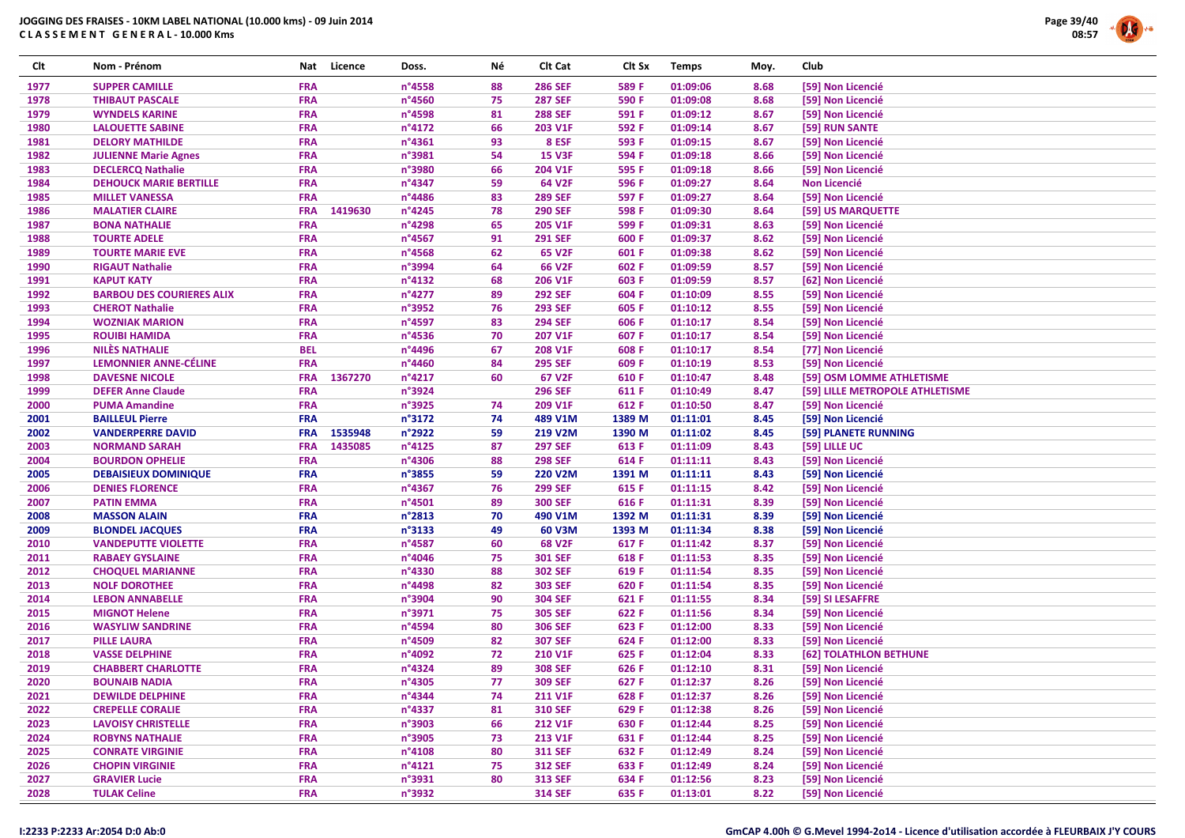

| Clt          | Nom - Prénom                                          | Nat                      | Licence | Doss.                     | Νé       | Clt Cat                          | Clt Sx           | <b>Temps</b>         | Moy.         | Club |                                             |
|--------------|-------------------------------------------------------|--------------------------|---------|---------------------------|----------|----------------------------------|------------------|----------------------|--------------|------|---------------------------------------------|
| 1977         | <b>SUPPER CAMILLE</b>                                 | <b>FRA</b>               |         | n°4558                    | 88       | <b>286 SEF</b>                   | 589 F            | 01:09:06             | 8.68         |      | [59] Non Licencié                           |
| 1978         | <b>THIBAUT PASCALE</b>                                | <b>FRA</b>               |         | n°4560                    | 75       | <b>287 SEF</b>                   | 590 F            | 01:09:08             | 8.68         |      | [59] Non Licencié                           |
| 1979         | <b>WYNDELS KARINE</b>                                 | <b>FRA</b>               |         | n°4598                    | 81       | <b>288 SEF</b>                   | 591 F            | 01:09:12             | 8.67         |      | [59] Non Licencié                           |
| 1980         | <b>LALOUETTE SABINE</b>                               | <b>FRA</b>               |         | $n^{\circ}4172$           | 66       | 203 V1F                          | 592 F            | 01:09:14             | 8.67         |      | [59] RUN SANTE                              |
| 1981         | <b>DELORY MATHILDE</b>                                | <b>FRA</b>               |         | n°4361                    | 93       | 8 ESF                            | 593 F            | 01:09:15             | 8.67         |      | [59] Non Licencié                           |
| 1982         | <b>JULIENNE Marie Agnes</b>                           | <b>FRA</b>               |         | n°3981                    | 54       | <b>15 V3F</b>                    | 594 F            | 01:09:18             | 8.66         |      | [59] Non Licencié                           |
| 1983         | <b>DECLERCQ Nathalie</b>                              | <b>FRA</b>               |         | n°3980                    | 66       | 204 V1F                          | 595 F            | 01:09:18             | 8.66         |      | [59] Non Licencié                           |
| 1984         | <b>DEHOUCK MARIE BERTILLE</b>                         | <b>FRA</b>               |         | n°4347                    | 59       | 64 V2F                           | 596 F            | 01:09:27             | 8.64         |      | <b>Non Licencié</b>                         |
| 1985         | <b>MILLET VANESSA</b>                                 | <b>FRA</b>               |         | n°4486                    | 83       | <b>289 SEF</b>                   | 597 F            | 01:09:27             | 8.64         |      | [59] Non Licencié                           |
| 1986         | <b>MALATIER CLAIRE</b>                                | <b>FRA</b>               | 1419630 | n°4245                    | 78       | <b>290 SEF</b>                   | 598 F            | 01:09:30             | 8.64         |      | [59] US MARQUETTE                           |
| 1987         | <b>BONA NATHALIE</b>                                  | <b>FRA</b>               |         | n°4298                    | 65       | 205 V1F                          | 599 F            | 01:09:31             | 8.63         |      | [59] Non Licencié                           |
| 1988         | <b>TOURTE ADELE</b>                                   | <b>FRA</b>               |         | n°4567                    | 91       | <b>291 SEF</b>                   | 600 F            | 01:09:37             | 8.62         |      | [59] Non Licencié                           |
| 1989         | <b>TOURTE MARIE EVE</b>                               | <b>FRA</b>               |         | n°4568                    | 62       | 65 V2F                           | 601 F            | 01:09:38             | 8.62         |      | [59] Non Licencié                           |
| 1990         | <b>RIGAUT Nathalie</b>                                | <b>FRA</b>               |         | n°3994                    | 64       | <b>66 V2F</b>                    | 602 F            | 01:09:59             | 8.57         |      | [59] Non Licencié                           |
| 1991         | <b>KAPUT KATY</b>                                     | <b>FRA</b>               |         | $n^{\circ}4132$           | 68       | 206 V1F                          | 603 F            | 01:09:59             | 8.57         |      | [62] Non Licencié                           |
| 1992         | <b>BARBOU DES COURIERES ALIX</b>                      | <b>FRA</b>               |         | $n^{\circ}$ 4277          | 89       | <b>292 SEF</b>                   | 604 F            | 01:10:09             | 8.55         |      | [59] Non Licencié                           |
| 1993         | <b>CHEROT Nathalie</b>                                | <b>FRA</b>               |         | n°3952                    | 76       | <b>293 SEF</b>                   | 605 F            | 01:10:12             | 8.55         |      | [59] Non Licencié                           |
| 1994         | <b>WOZNIAK MARION</b>                                 | <b>FRA</b>               |         | n°4597                    | 83       | <b>294 SEF</b>                   | 606 F            | 01:10:17             | 8.54         |      | [59] Non Licencié                           |
| 1995         | <b>ROUIBI HAMIDA</b>                                  | <b>FRA</b>               |         | n°4536                    | 70       | 207 V1F                          | 607 F            | 01:10:17             | 8.54         |      | [59] Non Licencié                           |
| 1996         | <b>NILES NATHALIE</b>                                 | <b>BEL</b>               |         | n°4496                    | 67       | 208 V1F                          | 608 F            | 01:10:17             | 8.54         |      | [77] Non Licencié                           |
| 1997         | <b>LEMONNIER ANNE-CÉLINE</b>                          | <b>FRA</b>               |         | n°4460                    | 84       | <b>295 SEF</b>                   | 609 F            | 01:10:19             | 8.53         |      | [59] Non Licencié                           |
| 1998         | <b>DAVESNE NICOLE</b>                                 | <b>FRA</b>               | 1367270 | $n^{\circ}4217$           | 60       | 67 V2F                           | 610 F            | 01:10:47             | 8.48         |      | [59] OSM LOMME ATHLETISME                   |
| 1999         | <b>DEFER Anne Claude</b>                              | <b>FRA</b>               |         | n°3924                    |          | <b>296 SEF</b>                   | 611 F            | 01:10:49             | 8.47         |      | [59] LILLE METROPOLE ATHLETISME             |
| 2000         | <b>PUMA Amandine</b>                                  | <b>FRA</b>               |         | n°3925                    | 74       | 209 V1F                          | 612 F            | 01:10:50             |              |      |                                             |
|              |                                                       | <b>FRA</b>               |         | n°3172                    | 74       |                                  |                  |                      | 8.47         |      | [59] Non Licencié                           |
| 2001         | <b>BAILLEUL Pierre</b>                                |                          | 1535948 | n°2922                    | 59       | 489 V1M                          | 1389 M           | 01:11:01             | 8.45         |      | [59] Non Licencié                           |
| 2002         | <b>VANDERPERRE DAVID</b>                              | <b>FRA</b>               |         |                           | 87       | 219 V2M                          | 1390 M           | 01:11:02             | 8.45         |      | [59] PLANETE RUNNING                        |
| 2003         | <b>NORMAND SARAH</b>                                  | <b>FRA</b><br><b>FRA</b> | 1435085 | $n^{\circ}4125$<br>n°4306 | 88       | <b>297 SEF</b>                   | 613 F            | 01:11:09             | 8.43         |      | [59] LILLE UC                               |
| 2004         | <b>BOURDON OPHELIE</b>                                | <b>FRA</b>               |         |                           | 59       | <b>298 SEF</b><br><b>220 V2M</b> | 614 F            | 01:11:11             | 8.43         |      | [59] Non Licencié                           |
| 2005<br>2006 | <b>DEBAISIEUX DOMINIQUE</b><br><b>DENIES FLORENCE</b> | <b>FRA</b>               |         | n°3855<br>n°4367          | 76       | <b>299 SEF</b>                   | 1391 M<br>615 F  | 01:11:11<br>01:11:15 | 8.43<br>8.42 |      | [59] Non Licencié<br>[59] Non Licencié      |
| 2007         | <b>PATIN EMMA</b>                                     | <b>FRA</b>               |         | n°4501                    | 89       | <b>300 SEF</b>                   | 616 F            | 01:11:31             | 8.39         |      | [59] Non Licencié                           |
|              |                                                       | <b>FRA</b>               |         |                           | 70       |                                  |                  |                      |              |      |                                             |
| 2008<br>2009 | <b>MASSON ALAIN</b>                                   | <b>FRA</b>               |         | $n^{\circ}2813$<br>n°3133 | 49       | 490 V1M<br>60 V3M                | 1392 M<br>1393 M | 01:11:31<br>01:11:34 | 8.39<br>8.38 |      | [59] Non Licencié                           |
| 2010         | <b>BLONDEL JACQUES</b><br><b>VANDEPUTTE VIOLETTE</b>  | <b>FRA</b>               |         | n°4587                    | 60       | <b>68 V2F</b>                    | 617 F            | 01:11:42             | 8.37         |      | [59] Non Licencié<br>[59] Non Licencié      |
| 2011         |                                                       | <b>FRA</b>               |         | n°4046                    | 75       | <b>301 SEF</b>                   | 618 F            | 01:11:53             | 8.35         |      | [59] Non Licencié                           |
| 2012         | <b>RABAEY GYSLAINE</b>                                | <b>FRA</b>               |         | n°4330                    | 88       | <b>302 SEF</b>                   | 619 F            | 01:11:54             | 8.35         |      |                                             |
| 2013         | <b>CHOQUEL MARIANNE</b><br><b>NOLF DOROTHEE</b>       | <b>FRA</b>               |         | n°4498                    | 82       | <b>303 SEF</b>                   | 620 F            | 01:11:54             | 8.35         |      | [59] Non Licencié<br>[59] Non Licencié      |
| 2014         | <b>LEBON ANNABELLE</b>                                | <b>FRA</b>               |         | n°3904                    | 90       | <b>304 SEF</b>                   | 621 F            | 01:11:55             | 8.34         |      | [59] SI LESAFFRE                            |
| 2015         | <b>MIGNOT Helene</b>                                  | <b>FRA</b>               |         | n°3971                    | 75       | <b>305 SEF</b>                   | 622 F            | 01:11:56             | 8.34         |      | [59] Non Licencié                           |
| 2016         |                                                       | <b>FRA</b>               |         | n°4594                    | 80       | <b>306 SEF</b>                   | 623 F            | 01:12:00             | 8.33         |      | [59] Non Licencié                           |
|              | <b>WASYLIW SANDRINE</b><br><b>PILLE LAURA</b>         | <b>FRA</b>               |         |                           |          |                                  |                  |                      |              |      |                                             |
| 2017<br>2018 | <b>VASSE DELPHINE</b>                                 | <b>FRA</b>               |         | n°4509<br>n°4092          | 82<br>72 | <b>307 SEF</b><br>210 V1F        | 624 F            | 01:12:00<br>01:12:04 | 8.33         |      | [59] Non Licencié<br>[62] TOLATHLON BETHUNE |
| 2019         |                                                       | <b>FRA</b>               |         |                           | 89       | <b>308 SEF</b>                   | 625 F            |                      | 8.33         |      |                                             |
|              | <b>CHABBERT CHARLOTTE</b>                             | <b>FRA</b>               |         | n°4324<br>n°4305          | 77       | <b>309 SEF</b>                   | 626 F<br>627 F   | 01:12:10<br>01:12:37 | 8.31<br>8.26 |      | [59] Non Licencié                           |
| 2020         | <b>BOUNAIB NADIA</b>                                  |                          |         |                           |          |                                  |                  |                      |              |      | [59] Non Licencié                           |
| 2021<br>2022 | <b>DEWILDE DELPHINE</b>                               | <b>FRA</b><br><b>FRA</b> |         | n°4344<br>n°4337          | 74<br>81 | <b>211 V1F</b><br><b>310 SEF</b> | 628 F<br>629 F   | 01:12:37<br>01:12:38 | 8.26         |      | [59] Non Licencié<br>[59] Non Licencié      |
|              | <b>CREPELLE CORALIE</b>                               |                          |         |                           |          |                                  |                  |                      | 8.26         |      |                                             |
| 2023         | <b>LAVOISY CHRISTELLE</b>                             | <b>FRA</b>               |         | n°3903                    | 66       | <b>212 V1F</b>                   | 630 F            | 01:12:44             | 8.25         |      | [59] Non Licencié                           |
| 2024         | <b>ROBYNS NATHALIE</b>                                | <b>FRA</b>               |         | n°3905                    | 73       | <b>213 V1F</b>                   | 631 F            | 01:12:44             | 8.25         |      | [59] Non Licencié                           |
| 2025         | <b>CONRATE VIRGINIE</b>                               | <b>FRA</b>               |         | n°4108                    | 80       | <b>311 SEF</b>                   | 632 F            | 01:12:49             | 8.24         |      | [59] Non Licencié                           |
| 2026         | <b>CHOPIN VIRGINIE</b>                                | <b>FRA</b>               |         | $n^{\circ}4121$           | 75       | <b>312 SEF</b>                   | 633 F            | 01:12:49             | 8.24         |      | [59] Non Licencié                           |
| 2027         | <b>GRAVIER Lucie</b>                                  | <b>FRA</b>               |         | n°3931                    | 80       | <b>313 SEF</b>                   | 634 F            | 01:12:56             | 8.23         |      | [59] Non Licencié                           |
| 2028         | <b>TULAK Celine</b>                                   | <b>FRA</b>               |         | n°3932                    |          | <b>314 SEF</b>                   | 635 F            | 01:13:01             | 8.22         |      | [59] Non Licencié                           |

#### I:2233 P:2233 Ar:2054 D:0 Ab:0

### GmCAP 4.00h © G.Mevel 1994-2o14 - Licence d'utilisation accordée à FLEURBAIX J'Y COURS